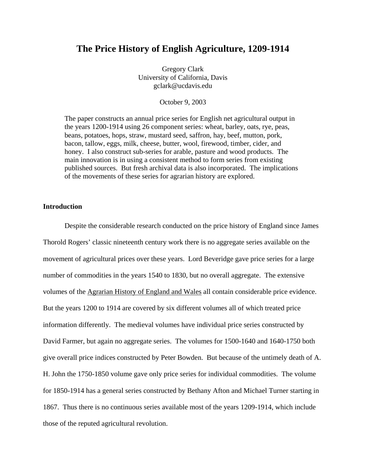### **The Price History of English Agriculture, 1209-1914**

Gregory Clark University of California, Davis gclark@ucdavis.edu

October 9, 2003

The paper constructs an annual price series for English net agricultural output in the years 1200-1914 using 26 component series: wheat, barley, oats, rye, peas, beans, potatoes, hops, straw, mustard seed, saffron, hay, beef, mutton, pork, bacon, tallow, eggs, milk, cheese, butter, wool, firewood, timber, cider, and honey. I also construct sub-series for arable, pasture and wood products. The main innovation is in using a consistent method to form series from existing published sources. But fresh archival data is also incorporated. The implications of the movements of these series for agrarian history are explored.

### **Introduction**

 Despite the considerable research conducted on the price history of England since James Thorold Rogers' classic nineteenth century work there is no aggregate series available on the movement of agricultural prices over these years. Lord Beveridge gave price series for a large number of commodities in the years 1540 to 1830, but no overall aggregate. The extensive volumes of the Agrarian History of England and Wales all contain considerable price evidence. But the years 1200 to 1914 are covered by six different volumes all of which treated price information differently. The medieval volumes have individual price series constructed by David Farmer, but again no aggregate series. The volumes for 1500-1640 and 1640-1750 both give overall price indices constructed by Peter Bowden. But because of the untimely death of A. H. John the 1750-1850 volume gave only price series for individual commodities. The volume for 1850-1914 has a general series constructed by Bethany Afton and Michael Turner starting in 1867. Thus there is no continuous series available most of the years 1209-1914, which include those of the reputed agricultural revolution.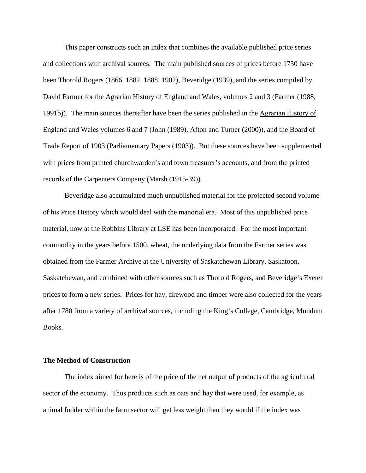This paper constructs such an index that combines the available published price series and collections with archival sources. The main published sources of prices before 1750 have been Thorold Rogers (1866, 1882, 1888, 1902), Beveridge (1939), and the series compiled by David Farmer for the Agrarian History of England and Wales, volumes 2 and 3 (Farmer (1988, 1991b)). The main sources thereafter have been the series published in the Agrarian History of England and Wales volumes 6 and 7 (John (1989), Afton and Turner (2000)), and the Board of Trade Report of 1903 (Parliamentary Papers (1903)). But these sources have been supplemented with prices from printed churchwarden's and town treasurer's accounts, and from the printed records of the Carpenters Company (Marsh (1915-39)).

Beveridge also accumulated much unpublished material for the projected second volume of his Price History which would deal with the manorial era. Most of this unpublished price material, now at the Robbins Library at LSE has been incorporated. For the most important commodity in the years before 1500, wheat, the underlying data from the Farmer series was obtained from the Farmer Archive at the University of Saskatchewan Library, Saskatoon, Saskatchewan, and combined with other sources such as Thorold Rogers, and Beveridge's Exeter prices to form a new series. Prices for hay, firewood and timber were also collected for the years after 1780 from a variety of archival sources, including the King's College, Cambridge, Mundum Books.

#### **The Method of Construction**

The index aimed for here is of the price of the net output of products of the agricultural sector of the economy. Thus products such as oats and hay that were used, for example, as animal fodder within the farm sector will get less weight than they would if the index was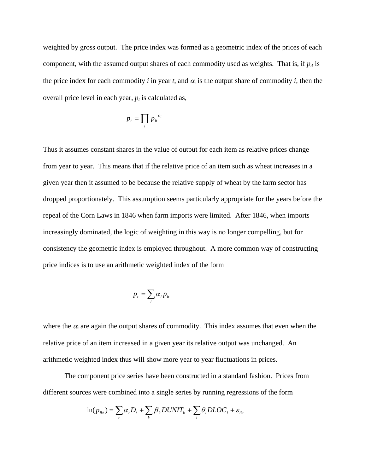weighted by gross output.The price index was formed as a geometric index of the prices of each component, with the assumed output shares of each commodity used as weights. That is, if  $p_{it}$  is the price index for each commodity *i* in year *t*, and  $\alpha_i$  is the output share of commodity *i*, then the overall price level in each year,  $p_t$  is calculated as,

$$
p_t = \prod_i p_{it}^{\alpha_i}
$$

Thus it assumes constant shares in the value of output for each item as relative prices change from year to year. This means that if the relative price of an item such as wheat increases in a given year then it assumed to be because the relative supply of wheat by the farm sector has dropped proportionately. This assumption seems particularly appropriate for the years before the repeal of the Corn Laws in 1846 when farm imports were limited. After 1846, when imports increasingly dominated, the logic of weighting in this way is no longer compelling, but for consistency the geometric index is employed throughout. A more common way of constructing price indices is to use an arithmetic weighted index of the form

$$
p_t = \sum_i \alpha_i p_{it}
$$

where the  $\alpha_i$  are again the output shares of commodity. This index assumes that even when the relative price of an item increased in a given year its relative output was unchanged. An arithmetic weighted index thus will show more year to year fluctuations in prices.

 The component price series have been constructed in a standard fashion. Prices from different sources were combined into a single series by running regressions of the form

$$
\ln(p_{ikt}) = \sum_{t} \alpha_{t} D_{t} + \sum_{k} \beta_{k} DUNIT_{k} + \sum_{i} \theta_{i} DLOC_{i} + \varepsilon_{ikt}
$$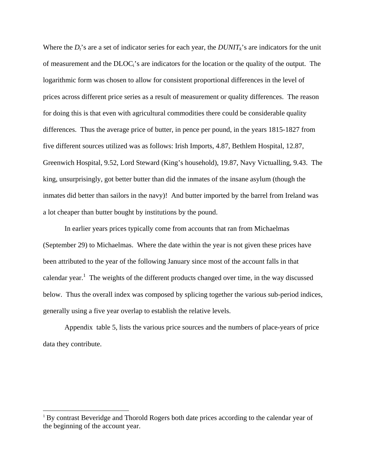Where the  $D_t$ 's are a set of indicator series for each year, the  $DUNIT_k$ 's are indicators for the unit of measurement and the DLOCi's are indicators for the location or the quality of the output. The logarithmic form was chosen to allow for consistent proportional differences in the level of prices across different price series as a result of measurement or quality differences. The reason for doing this is that even with agricultural commodities there could be considerable quality differences. Thus the average price of butter, in pence per pound, in the years 1815-1827 from five different sources utilized was as follows: Irish Imports, 4.87, Bethlem Hospital, 12.87, Greenwich Hospital, 9.52, Lord Steward (King's household), 19.87, Navy Victualling, 9.43. The king, unsurprisingly, got better butter than did the inmates of the insane asylum (though the inmates did better than sailors in the navy)! And butter imported by the barrel from Ireland was a lot cheaper than butter bought by institutions by the pound.

 In earlier years prices typically come from accounts that ran from Michaelmas (September 29) to Michaelmas. Where the date within the year is not given these prices have been attributed to the year of the following January since most of the account falls in that calendar year.<sup>1</sup> The weights of the different products changed over time, in the way discussed below. Thus the overall index was composed by splicing together the various sub-period indices, generally using a five year overlap to establish the relative levels.

 Appendix table 5, lists the various price sources and the numbers of place-years of price data they contribute.

 $\overline{a}$ 

<sup>&</sup>lt;sup>1</sup> By contrast Beveridge and Thorold Rogers both date prices according to the calendar year of the beginning of the account year.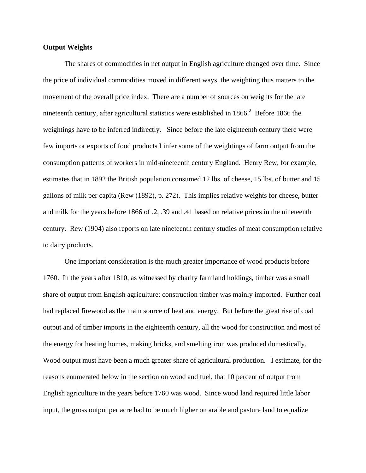#### **Output Weights**

 The shares of commodities in net output in English agriculture changed over time. Since the price of individual commodities moved in different ways, the weighting thus matters to the movement of the overall price index. There are a number of sources on weights for the late nineteenth century, after agricultural statistics were established in  $1866$ .<sup>2</sup> Before 1866 the weightings have to be inferred indirectly. Since before the late eighteenth century there were few imports or exports of food products I infer some of the weightings of farm output from the consumption patterns of workers in mid-nineteenth century England. Henry Rew, for example, estimates that in 1892 the British population consumed 12 lbs. of cheese, 15 lbs. of butter and 15 gallons of milk per capita (Rew (1892), p. 272). This implies relative weights for cheese, butter and milk for the years before 1866 of .2, .39 and .41 based on relative prices in the nineteenth century. Rew (1904) also reports on late nineteenth century studies of meat consumption relative to dairy products.

One important consideration is the much greater importance of wood products before 1760. In the years after 1810, as witnessed by charity farmland holdings, timber was a small share of output from English agriculture: construction timber was mainly imported. Further coal had replaced firewood as the main source of heat and energy. But before the great rise of coal output and of timber imports in the eighteenth century, all the wood for construction and most of the energy for heating homes, making bricks, and smelting iron was produced domestically. Wood output must have been a much greater share of agricultural production. I estimate, for the reasons enumerated below in the section on wood and fuel, that 10 percent of output from English agriculture in the years before 1760 was wood. Since wood land required little labor input, the gross output per acre had to be much higher on arable and pasture land to equalize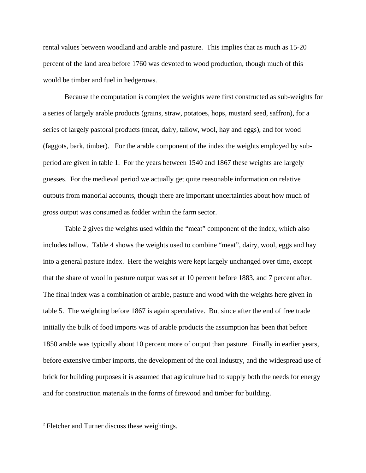rental values between woodland and arable and pasture. This implies that as much as 15-20 percent of the land area before 1760 was devoted to wood production, though much of this would be timber and fuel in hedgerows.

Because the computation is complex the weights were first constructed as sub-weights for a series of largely arable products (grains, straw, potatoes, hops, mustard seed, saffron), for a series of largely pastoral products (meat, dairy, tallow, wool, hay and eggs), and for wood (faggots, bark, timber). For the arable component of the index the weights employed by subperiod are given in table 1. For the years between 1540 and 1867 these weights are largely guesses. For the medieval period we actually get quite reasonable information on relative outputs from manorial accounts, though there are important uncertainties about how much of gross output was consumed as fodder within the farm sector.

Table 2 gives the weights used within the "meat" component of the index, which also includes tallow. Table 4 shows the weights used to combine "meat", dairy, wool, eggs and hay into a general pasture index. Here the weights were kept largely unchanged over time, except that the share of wool in pasture output was set at 10 percent before 1883, and 7 percent after. The final index was a combination of arable, pasture and wood with the weights here given in table 5. The weighting before 1867 is again speculative. But since after the end of free trade initially the bulk of food imports was of arable products the assumption has been that before 1850 arable was typically about 10 percent more of output than pasture. Finally in earlier years, before extensive timber imports, the development of the coal industry, and the widespread use of brick for building purposes it is assumed that agriculture had to supply both the needs for energy and for construction materials in the forms of firewood and timber for building.

 <sup>2</sup> Fletcher and Turner discuss these weightings.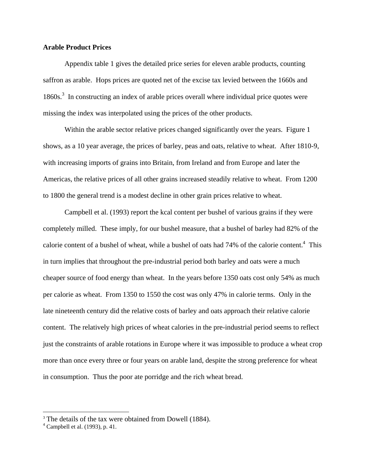#### **Arable Product Prices**

Appendix table 1 gives the detailed price series for eleven arable products, counting saffron as arable. Hops prices are quoted net of the excise tax levied between the 1660s and 1860s.<sup>3</sup> In constructing an index of arable prices overall where individual price quotes were missing the index was interpolated using the prices of the other products.

 Within the arable sector relative prices changed significantly over the years. Figure 1 shows, as a 10 year average, the prices of barley, peas and oats, relative to wheat. After 1810-9, with increasing imports of grains into Britain, from Ireland and from Europe and later the Americas, the relative prices of all other grains increased steadily relative to wheat. From 1200 to 1800 the general trend is a modest decline in other grain prices relative to wheat.

Campbell et al. (1993) report the kcal content per bushel of various grains if they were completely milled. These imply, for our bushel measure, that a bushel of barley had 82% of the calorie content of a bushel of wheat, while a bushel of oats had  $74\%$  of the calorie content.<sup>4</sup> This in turn implies that throughout the pre-industrial period both barley and oats were a much cheaper source of food energy than wheat. In the years before 1350 oats cost only 54% as much per calorie as wheat. From 1350 to 1550 the cost was only 47% in calorie terms. Only in the late nineteenth century did the relative costs of barley and oats approach their relative calorie content. The relatively high prices of wheat calories in the pre-industrial period seems to reflect just the constraints of arable rotations in Europe where it was impossible to produce a wheat crop more than once every three or four years on arable land, despite the strong preference for wheat in consumption. Thus the poor ate porridge and the rich wheat bread.

 $\overline{a}$ 

<sup>&</sup>lt;sup>3</sup> The details of the tax were obtained from Dowell (1884).

 $<sup>4</sup>$  Campbell et al. (1993), p. 41.</sup>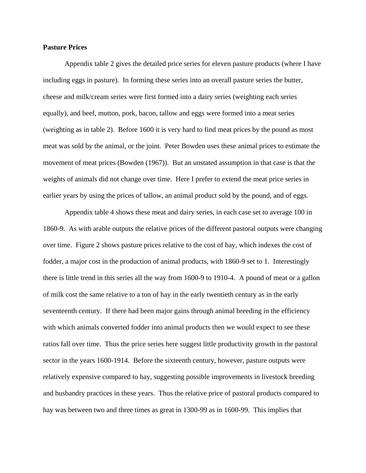#### **Pasture Prices**

Appendix table 2 gives the detailed price series for eleven pasture products (where I have including eggs in pasture). In forming these series into an overall pasture series the butter, cheese and milk/cream series were first formed into a dairy series (weighting each series equally), and beef, mutton, pork, bacon, tallow and eggs were formed into a meat series (weighting as in table 2). Before 1600 it is very hard to find meat prices by the pound as most meat was sold by the animal, or the joint. Peter Bowden uses these animal prices to estimate the movement of meat prices (Bowden (1967)). But an unstated assumption in that case is that the weights of animals did not change over time. Here I prefer to extend the meat price series in earlier years by using the prices of tallow, an animal product sold by the pound, and of eggs.

 Appendix table 4 shows these meat and dairy series, in each case set to average 100 in 1860-9. As with arable outputs the relative prices of the different pastoral outputs were changing over time. Figure 2 shows pasture prices relative to the cost of hay, which indexes the cost of fodder, a major cost in the production of animal products, with 1860-9 set to 1. Interestingly there is little trend in this series all the way from 1600-9 to 1910-4. A pound of meat or a gallon of milk cost the same relative to a ton of hay in the early twentieth century as in the early seventeenth century. If there had been major gains through animal breeding in the efficiency with which animals converted fodder into animal products then we would expect to see these ratios fall over time. Thus the price series here suggest little productivity growth in the pastoral sector in the years 1600-1914. Before the sixteenth century, however, pasture outputs were relatively expensive compared to hay, suggesting possible improvements in livestock breeding and husbandry practices in these years. Thus the relative price of pastoral products compared to hay was between two and three times as great in 1300-99 as in 1600-99. This implies that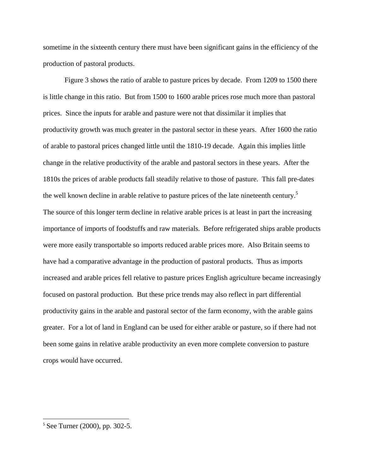sometime in the sixteenth century there must have been significant gains in the efficiency of the production of pastoral products.

 Figure 3 shows the ratio of arable to pasture prices by decade. From 1209 to 1500 there is little change in this ratio. But from 1500 to 1600 arable prices rose much more than pastoral prices. Since the inputs for arable and pasture were not that dissimilar it implies that productivity growth was much greater in the pastoral sector in these years. After 1600 the ratio of arable to pastoral prices changed little until the 1810-19 decade. Again this implies little change in the relative productivity of the arable and pastoral sectors in these years. After the 1810s the prices of arable products fall steadily relative to those of pasture. This fall pre-dates the well known decline in arable relative to pasture prices of the late nineteenth century.<sup>5</sup> The source of this longer term decline in relative arable prices is at least in part the increasing importance of imports of foodstuffs and raw materials. Before refrigerated ships arable products were more easily transportable so imports reduced arable prices more. Also Britain seems to have had a comparative advantage in the production of pastoral products. Thus as imports increased and arable prices fell relative to pasture prices English agriculture became increasingly focused on pastoral production. But these price trends may also reflect in part differential productivity gains in the arable and pastoral sector of the farm economy, with the arable gains greater. For a lot of land in England can be used for either arable or pasture, so if there had not been some gains in relative arable productivity an even more complete conversion to pasture crops would have occurred.

 $\overline{a}$ 

 $5$  See Turner (2000), pp. 302-5.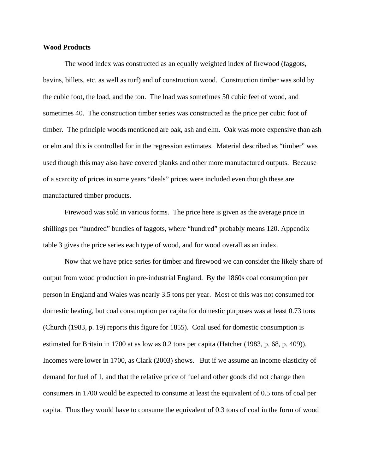#### **Wood Products**

 The wood index was constructed as an equally weighted index of firewood (faggots, bavins, billets, etc. as well as turf) and of construction wood. Construction timber was sold by the cubic foot, the load, and the ton. The load was sometimes 50 cubic feet of wood, and sometimes 40. The construction timber series was constructed as the price per cubic foot of timber. The principle woods mentioned are oak, ash and elm. Oak was more expensive than ash or elm and this is controlled for in the regression estimates. Material described as "timber" was used though this may also have covered planks and other more manufactured outputs. Because of a scarcity of prices in some years "deals" prices were included even though these are manufactured timber products.

Firewood was sold in various forms. The price here is given as the average price in shillings per "hundred" bundles of faggots, where "hundred" probably means 120. Appendix table 3 gives the price series each type of wood, and for wood overall as an index.

 Now that we have price series for timber and firewood we can consider the likely share of output from wood production in pre-industrial England. By the 1860s coal consumption per person in England and Wales was nearly 3.5 tons per year. Most of this was not consumed for domestic heating, but coal consumption per capita for domestic purposes was at least 0.73 tons (Church (1983, p. 19) reports this figure for 1855). Coal used for domestic consumption is estimated for Britain in 1700 at as low as 0.2 tons per capita (Hatcher (1983, p. 68, p. 409)). Incomes were lower in 1700, as Clark (2003) shows. But if we assume an income elasticity of demand for fuel of 1, and that the relative price of fuel and other goods did not change then consumers in 1700 would be expected to consume at least the equivalent of 0.5 tons of coal per capita. Thus they would have to consume the equivalent of 0.3 tons of coal in the form of wood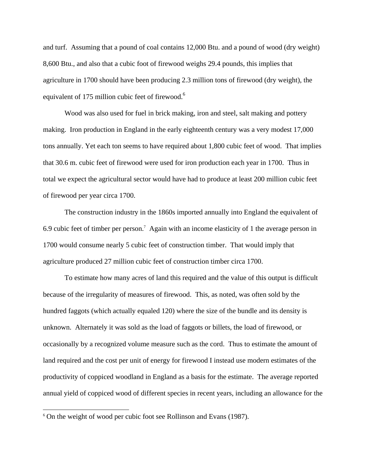and turf. Assuming that a pound of coal contains 12,000 Btu. and a pound of wood (dry weight) 8,600 Btu., and also that a cubic foot of firewood weighs 29.4 pounds, this implies that agriculture in 1700 should have been producing 2.3 million tons of firewood (dry weight), the equivalent of 175 million cubic feet of firewood.<sup>6</sup>

 Wood was also used for fuel in brick making, iron and steel, salt making and pottery making. Iron production in England in the early eighteenth century was a very modest 17,000 tons annually. Yet each ton seems to have required about 1,800 cubic feet of wood. That implies that 30.6 m. cubic feet of firewood were used for iron production each year in 1700. Thus in total we expect the agricultural sector would have had to produce at least 200 million cubic feet of firewood per year circa 1700.

 The construction industry in the 1860s imported annually into England the equivalent of 6.9 cubic feet of timber per person.<sup>7</sup> Again with an income elasticity of 1 the average person in 1700 would consume nearly 5 cubic feet of construction timber. That would imply that agriculture produced 27 million cubic feet of construction timber circa 1700.

To estimate how many acres of land this required and the value of this output is difficult because of the irregularity of measures of firewood. This, as noted, was often sold by the hundred faggots (which actually equaled 120) where the size of the bundle and its density is unknown. Alternately it was sold as the load of faggots or billets, the load of firewood, or occasionally by a recognized volume measure such as the cord. Thus to estimate the amount of land required and the cost per unit of energy for firewood I instead use modern estimates of the productivity of coppiced woodland in England as a basis for the estimate. The average reported annual yield of coppiced wood of different species in recent years, including an allowance for the

 $\overline{a}$ 

<sup>&</sup>lt;sup>6</sup> On the weight of wood per cubic foot see Rollinson and Evans (1987).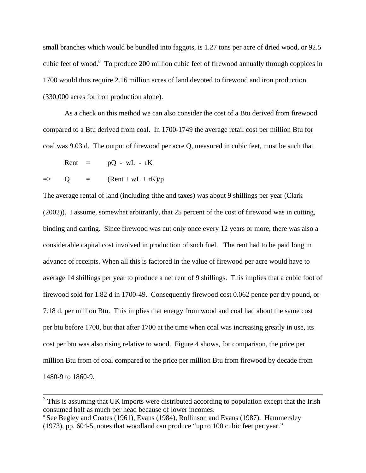small branches which would be bundled into faggots, is 1.27 tons per acre of dried wood, or 92.5 cubic feet of wood.<sup>8</sup> To produce 200 million cubic feet of firewood annually through coppices in 1700 would thus require 2.16 million acres of land devoted to firewood and iron production (330,000 acres for iron production alone).

As a check on this method we can also consider the cost of a Btu derived from firewood compared to a Btu derived from coal. In 1700-1749 the average retail cost per million Btu for coal was 9.03 d. The output of firewood per acre Q, measured in cubic feet, must be such that

Rent =  $pQ - wL - rK$ 

$$
=
$$
 Q =  $($ Rent + wL + rK)/p

The average rental of land (including tithe and taxes) was about 9 shillings per year (Clark (2002)). I assume, somewhat arbitrarily, that 25 percent of the cost of firewood was in cutting, binding and carting. Since firewood was cut only once every 12 years or more, there was also a considerable capital cost involved in production of such fuel. The rent had to be paid long in advance of receipts. When all this is factored in the value of firewood per acre would have to average 14 shillings per year to produce a net rent of 9 shillings. This implies that a cubic foot of firewood sold for 1.82 d in 1700-49. Consequently firewood cost 0.062 pence per dry pound, or 7.18 d. per million Btu. This implies that energy from wood and coal had about the same cost per btu before 1700, but that after 1700 at the time when coal was increasing greatly in use, its cost per btu was also rising relative to wood. Figure 4 shows, for comparison, the price per million Btu from of coal compared to the price per million Btu from firewood by decade from 1480-9 to 1860-9.

 $<sup>7</sup>$  This is assuming that UK imports were distributed according to population except that the Irish</sup> consumed half as much per head because of lower incomes.

<sup>8</sup> See Begley and Coates (1961), Evans (1984), Rollinson and Evans (1987). Hammersley (1973), pp. 604-5, notes that woodland can produce "up to 100 cubic feet per year."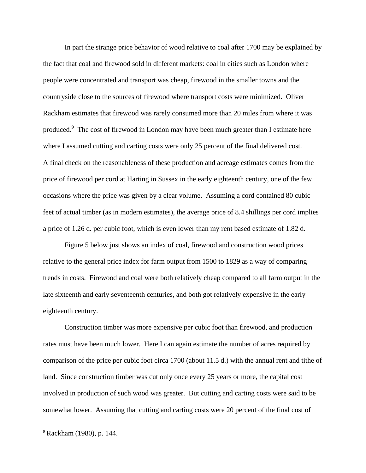In part the strange price behavior of wood relative to coal after 1700 may be explained by the fact that coal and firewood sold in different markets: coal in cities such as London where people were concentrated and transport was cheap, firewood in the smaller towns and the countryside close to the sources of firewood where transport costs were minimized. Oliver Rackham estimates that firewood was rarely consumed more than 20 miles from where it was produced.<sup>9</sup> The cost of firewood in London may have been much greater than I estimate here where I assumed cutting and carting costs were only 25 percent of the final delivered cost. A final check on the reasonableness of these production and acreage estimates comes from the price of firewood per cord at Harting in Sussex in the early eighteenth century, one of the few occasions where the price was given by a clear volume. Assuming a cord contained 80 cubic feet of actual timber (as in modern estimates), the average price of 8.4 shillings per cord implies a price of 1.26 d. per cubic foot, which is even lower than my rent based estimate of 1.82 d.

 Figure 5 below just shows an index of coal, firewood and construction wood prices relative to the general price index for farm output from 1500 to 1829 as a way of comparing trends in costs. Firewood and coal were both relatively cheap compared to all farm output in the late sixteenth and early seventeenth centuries, and both got relatively expensive in the early eighteenth century.

Construction timber was more expensive per cubic foot than firewood, and production rates must have been much lower. Here I can again estimate the number of acres required by comparison of the price per cubic foot circa 1700 (about 11.5 d.) with the annual rent and tithe of land. Since construction timber was cut only once every 25 years or more, the capital cost involved in production of such wood was greater. But cutting and carting costs were said to be somewhat lower. Assuming that cutting and carting costs were 20 percent of the final cost of

 $\overline{a}$ 

<sup>9</sup> Rackham (1980), p. 144.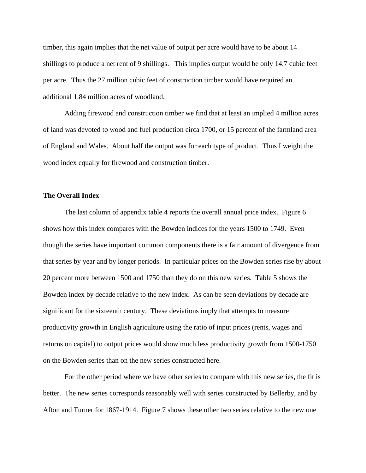timber, this again implies that the net value of output per acre would have to be about 14 shillings to produce a net rent of 9 shillings. This implies output would be only 14.7 cubic feet per acre. Thus the 27 million cubic feet of construction timber would have required an additional 1.84 million acres of woodland.

 Adding firewood and construction timber we find that at least an implied 4 million acres of land was devoted to wood and fuel production circa 1700, or 15 percent of the farmland area of England and Wales. About half the output was for each type of product. Thus I weight the wood index equally for firewood and construction timber.

#### **The Overall Index**

The last column of appendix table 4 reports the overall annual price index. Figure 6 shows how this index compares with the Bowden indices for the years 1500 to 1749. Even though the series have important common components there is a fair amount of divergence from that series by year and by longer periods. In particular prices on the Bowden series rise by about 20 percent more between 1500 and 1750 than they do on this new series. Table 5 shows the Bowden index by decade relative to the new index. As can be seen deviations by decade are significant for the sixteenth century. These deviations imply that attempts to measure productivity growth in English agriculture using the ratio of input prices (rents, wages and returns on capital) to output prices would show much less productivity growth from 1500-1750 on the Bowden series than on the new series constructed here.

 For the other period where we have other series to compare with this new series, the fit is better. The new series corresponds reasonably well with series constructed by Bellerby, and by Afton and Turner for 1867-1914. Figure 7 shows these other two series relative to the new one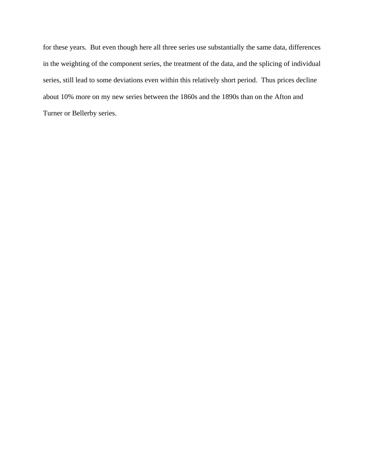for these years. But even though here all three series use substantially the same data, differences in the weighting of the component series, the treatment of the data, and the splicing of individual series, still lead to some deviations even within this relatively short period. Thus prices decline about 10% more on my new series between the 1860s and the 1890s than on the Afton and Turner or Bellerby series.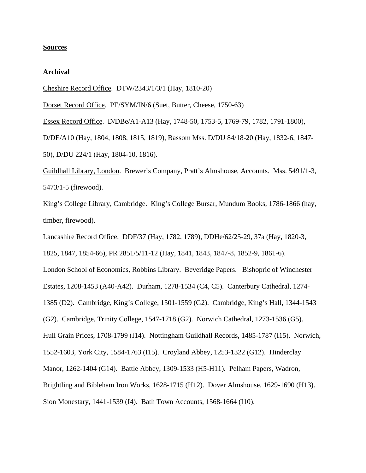#### **Sources**

#### **Archival**

Cheshire Record Office. DTW/2343/1/3/1 (Hay, 1810-20)

Dorset Record Office. PE/SYM/IN/6 (Suet, Butter, Cheese, 1750-63)

Essex Record Office. D/DBe/A1-A13 (Hay, 1748-50, 1753-5, 1769-79, 1782, 1791-1800),

D/DE/A10 (Hay, 1804, 1808, 1815, 1819), Bassom Mss. D/DU 84/18-20 (Hay, 1832-6, 1847- 50), D/DU 224/1 (Hay, 1804-10, 1816).

Guildhall Library, London. Brewer's Company, Pratt's Almshouse, Accounts. Mss. 5491/1-3, 5473/1-5 (firewood).

King's College Library, Cambridge. King's College Bursar, Mundum Books, 1786-1866 (hay, timber, firewood).

Lancashire Record Office. DDF/37 (Hay, 1782, 1789), DDHe/62/25-29, 37a (Hay, 1820-3,

1825, 1847, 1854-66), PR 2851/5/11-12 (Hay, 1841, 1843, 1847-8, 1852-9, 1861-6).

London School of Economics, Robbins Library. Beveridge Papers. Bishopric of Winchester

Estates, 1208-1453 (A40-A42). Durham, 1278-1534 (C4, C5). Canterbury Cathedral, 1274-

1385 (D2). Cambridge, King's College, 1501-1559 (G2). Cambridge, King's Hall, 1344-1543

(G2). Cambridge, Trinity College, 1547-1718 (G2). Norwich Cathedral, 1273-1536 (G5).

Hull Grain Prices, 1708-1799 (I14). Nottingham Guildhall Records, 1485-1787 (I15). Norwich,

1552-1603, York City, 1584-1763 (I15). Croyland Abbey, 1253-1322 (G12). Hinderclay

Manor, 1262-1404 (G14). Battle Abbey, 1309-1533 (H5-H11). Pelham Papers, Wadron,

Brightling and Bibleham Iron Works, 1628-1715 (H12). Dover Almshouse, 1629-1690 (H13).

Sion Monestary, 1441-1539 (I4). Bath Town Accounts, 1568-1664 (I10).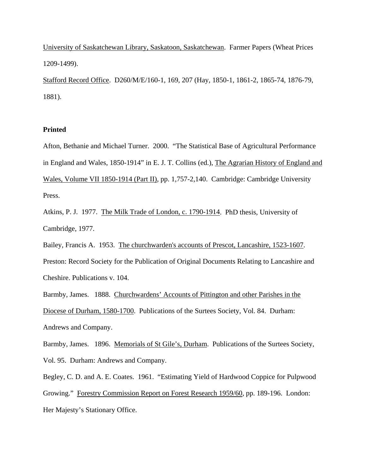University of Saskatchewan Library, Saskatoon, Saskatchewan. Farmer Papers (Wheat Prices 1209-1499).

Stafford Record Office. D260/M/E/160-1, 169, 207 (Hay, 1850-1, 1861-2, 1865-74, 1876-79, 1881).

#### **Printed**

Afton, Bethanie and Michael Turner. 2000. "The Statistical Base of Agricultural Performance in England and Wales, 1850-1914" in E. J. T. Collins (ed.), The Agrarian History of England and Wales, Volume VII 1850-1914 (Part II), pp. 1,757-2,140. Cambridge: Cambridge University Press.

Atkins, P. J. 1977. The Milk Trade of London, c. 1790-1914. PhD thesis, University of Cambridge, 1977.

Bailey, Francis A. 1953. The churchwarden's accounts of Prescot, Lancashire, 1523-1607. Preston: Record Society for the Publication of Original Documents Relating to Lancashire and Cheshire. Publications v. 104.

Barmby, James. 1888. Churchwardens' Accounts of Pittington and other Parishes in the Diocese of Durham, 1580-1700. Publications of the Surtees Society, Vol. 84. Durham: Andrews and Company.

Barmby, James. 1896. Memorials of St Gile's, Durham. Publications of the Surtees Society, Vol. 95. Durham: Andrews and Company.

Begley, C. D. and A. E. Coates. 1961. "Estimating Yield of Hardwood Coppice for Pulpwood Growing." Forestry Commission Report on Forest Research 1959/60, pp. 189-196. London: Her Majesty's Stationary Office.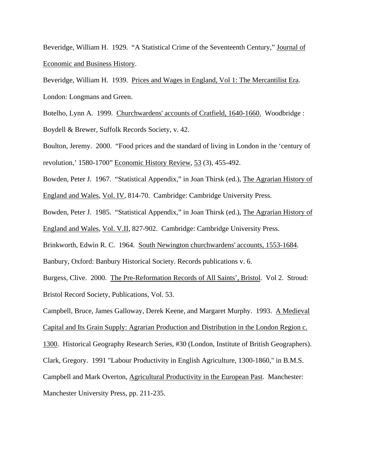Beveridge, William H. 1929. "A Statistical Crime of the Seventeenth Century," Journal of Economic and Business History.

Beveridge, William H. 1939. Prices and Wages in England, Vol 1: The Mercantilist Era. London: Longmans and Green.

Botelho, Lynn A. 1999. Churchwardens' accounts of Cratfield, 1640-1660. Woodbridge : Boydell & Brewer, Suffolk Records Society, v. 42.

Boulton, Jeremy. 2000. "Food prices and the standard of living in London in the 'century of revolution,' 1580-1700" Economic History Review, 53 (3), 455-492.

Bowden, Peter J. 1967. "Statistical Appendix," in Joan Thirsk (ed.), The Agrarian History of

England and Wales, Vol. IV, 814-70. Cambridge: Cambridge University Press.

Bowden, Peter J. 1985. "Statistical Appendix," in Joan Thirsk (ed.), The Agrarian History of England and Wales, Vol. V.II, 827-902. Cambridge: Cambridge University Press.

Brinkworth, Edwin R. C. 1964. South Newington churchwardens' accounts, 1553-1684.

Banbury, Oxford: Banbury Historical Society. Records publications v. 6.

Burgess, Clive. 2000. The Pre-Reformation Records of All Saints', Bristol. Vol 2. Stroud: Bristol Record Society, Publications, Vol. 53.

Campbell, Bruce, James Galloway, Derek Keene, and Margaret Murphy. 1993. A Medieval Capital and Its Grain Supply: Agrarian Production and Distribution in the London Region c. 1300. Historical Geography Research Series, #30 (London, Institute of British Geographers). Clark, Gregory. 1991 "Labour Productivity in English Agriculture, 1300-1860," in B.M.S. Campbell and Mark Overton, Agricultural Productivity in the European Past. Manchester: Manchester University Press, pp. 211-235.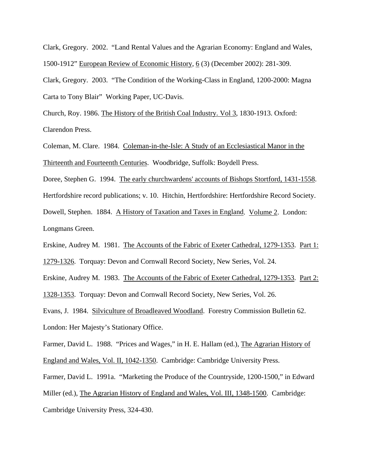Clark, Gregory. 2002. "Land Rental Values and the Agrarian Economy: England and Wales, 1500-1912" European Review of Economic History, 6 (3) (December 2002): 281-309.

Clark, Gregory. 2003. "The Condition of the Working-Class in England, 1200-2000: Magna Carta to Tony Blair" Working Paper, UC-Davis.

Church, Roy. 1986. The History of the British Coal Industry. Vol 3, 1830-1913. Oxford: Clarendon Press.

Coleman, M. Clare. 1984. Coleman-in-the-Isle: A Study of an Ecclesiastical Manor in the Thirteenth and Fourteenth Centuries. Woodbridge, Suffolk: Boydell Press.

Doree, Stephen G. 1994. The early churchwardens' accounts of Bishops Stortford, 1431-1558. Hertfordshire record publications; v. 10. Hitchin, Hertfordshire: Hertfordshire Record Society. Dowell, Stephen. 1884. A History of Taxation and Taxes in England. Volume 2. London: Longmans Green.

Erskine, Audrey M. 1981. The Accounts of the Fabric of Exeter Cathedral, 1279-1353. Part 1: 1279-1326. Torquay: Devon and Cornwall Record Society, New Series, Vol. 24.

Erskine, Audrey M. 1983. The Accounts of the Fabric of Exeter Cathedral, 1279-1353. Part 2:

1328-1353. Torquay: Devon and Cornwall Record Society, New Series, Vol. 26.

Evans, J. 1984. Silviculture of Broadleaved Woodland. Forestry Commission Bulletin 62. London: Her Majesty's Stationary Office.

Farmer, David L. 1988. "Prices and Wages," in H. E. Hallam (ed.), The Agrarian History of England and Wales, Vol. II, 1042-1350. Cambridge: Cambridge University Press.

Farmer, David L. 1991a. "Marketing the Produce of the Countryside, 1200-1500," in Edward Miller (ed.), The Agrarian History of England and Wales, Vol. III, 1348-1500. Cambridge: Cambridge University Press, 324-430.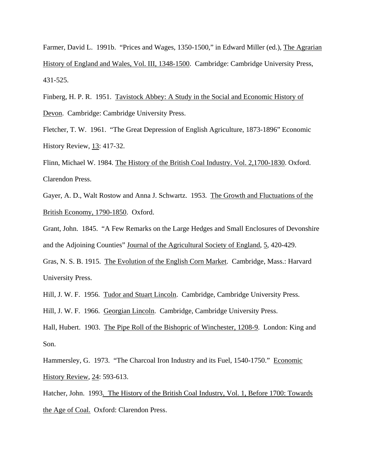Farmer, David L. 1991b. "Prices and Wages, 1350-1500," in Edward Miller (ed.), The Agrarian History of England and Wales, Vol. III, 1348-1500. Cambridge: Cambridge University Press, 431-525.

Finberg, H. P. R. 1951. Tavistock Abbey: A Study in the Social and Economic History of Devon. Cambridge: Cambridge University Press.

Fletcher, T. W. 1961. "The Great Depression of English Agriculture, 1873-1896" Economic History Review, 13: 417-32.

Flinn, Michael W. 1984. The History of the British Coal Industry. Vol. 2,1700-1830. Oxford. Clarendon Press.

Gayer, A. D., Walt Rostow and Anna J. Schwartz. 1953. The Growth and Fluctuations of the British Economy, 1790-1850. Oxford.

Grant, John. 1845. "A Few Remarks on the Large Hedges and Small Enclosures of Devonshire and the Adjoining Counties" Journal of the Agricultural Society of England, 5, 420-429.

Gras, N. S. B. 1915. The Evolution of the English Corn Market. Cambridge, Mass.: Harvard University Press.

Hill, J. W. F. 1956. Tudor and Stuart Lincoln. Cambridge, Cambridge University Press.

Hill, J. W. F. 1966. Georgian Lincoln. Cambridge, Cambridge University Press.

Hall, Hubert. 1903. The Pipe Roll of the Bishopric of Winchester, 1208-9. London: King and Son.

Hammersley, G. 1973. "The Charcoal Iron Industry and its Fuel, 1540-1750." Economic History Review, 24: 593-613.

Hatcher, John. 1993. The History of the British Coal Industry, Vol. 1, Before 1700: Towards the Age of Coal. Oxford: Clarendon Press.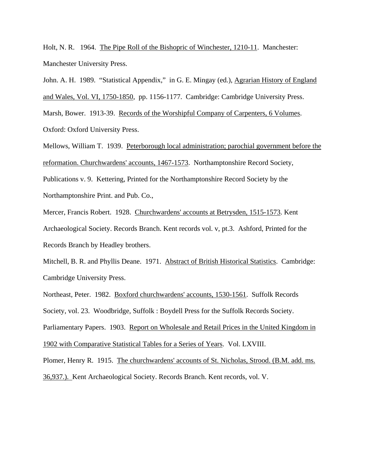Holt, N. R. 1964. The Pipe Roll of the Bishopric of Winchester, 1210-11. Manchester: Manchester University Press.

John. A. H. 1989. "Statistical Appendix," in G. E. Mingay (ed.), Agrarian History of England and Wales, Vol. VI, 1750-1850, pp. 1156-1177. Cambridge: Cambridge University Press. Marsh, Bower. 1913-39. Records of the Worshipful Company of Carpenters, 6 Volumes. Oxford: Oxford University Press.

Mellows, William T. 1939. Peterborough local administration; parochial government before the reformation. Churchwardens' accounts, 1467-1573. Northamptonshire Record Society, Publications v. 9. Kettering, Printed for the Northamptonshire Record Society by the Northamptonshire Print. and Pub. Co.,

Mercer, Francis Robert. 1928. Churchwardens' accounts at Betrysden, 1515-1573. Kent Archaeological Society. Records Branch. Kent records vol. v, pt.3. Ashford, Printed for the Records Branch by Headley brothers.

Mitchell, B. R. and Phyllis Deane. 1971. Abstract of British Historical Statistics. Cambridge: Cambridge University Press.

Northeast, Peter. 1982. Boxford churchwardens' accounts, 1530-1561. Suffolk Records Society, vol. 23. Woodbridge, Suffolk : Boydell Press for the Suffolk Records Society. Parliamentary Papers. 1903. Report on Wholesale and Retail Prices in the United Kingdom in 1902 with Comparative Statistical Tables for a Series of Years. Vol. LXVIII. Plomer, Henry R. 1915. The churchwardens' accounts of St. Nicholas, Strood. (B.M. add. ms.

36,937.). Kent Archaeological Society. Records Branch. Kent records, vol. V.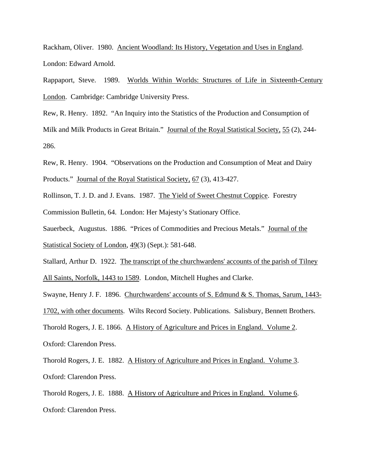Rackham, Oliver. 1980. Ancient Woodland: Its History, Vegetation and Uses in England. London: Edward Arnold.

Rappaport, Steve. 1989. Worlds Within Worlds: Structures of Life in Sixteenth-Century London. Cambridge: Cambridge University Press.

Rew, R. Henry. 1892. "An Inquiry into the Statistics of the Production and Consumption of Milk and Milk Products in Great Britain." Journal of the Royal Statistical Society, 55 (2), 244-286.

Rew, R. Henry. 1904. "Observations on the Production and Consumption of Meat and Dairy Products." Journal of the Royal Statistical Society, 67 (3), 413-427.

Rollinson, T. J. D. and J. Evans. 1987. The Yield of Sweet Chestnut Coppice. Forestry Commission Bulletin, 64. London: Her Majesty's Stationary Office.

Sauerbeck, Augustus. 1886. "Prices of Commodities and Precious Metals." Journal of the Statistical Society of London, 49(3) (Sept.): 581-648.

Stallard, Arthur D. 1922. The transcript of the churchwardens' accounts of the parish of Tilney All Saints, Norfolk, 1443 to 1589. London, Mitchell Hughes and Clarke.

Swayne, Henry J. F. 1896. Churchwardens' accounts of S. Edmund & S. Thomas, Sarum, 1443- 1702, with other documents. Wilts Record Society. Publications. Salisbury, Bennett Brothers. Thorold Rogers, J. E. 1866. A History of Agriculture and Prices in England. Volume 2. Oxford: Clarendon Press.

Thorold Rogers, J. E. 1882. A History of Agriculture and Prices in England. Volume 3. Oxford: Clarendon Press.

Thorold Rogers, J. E. 1888. A History of Agriculture and Prices in England. Volume 6. Oxford: Clarendon Press.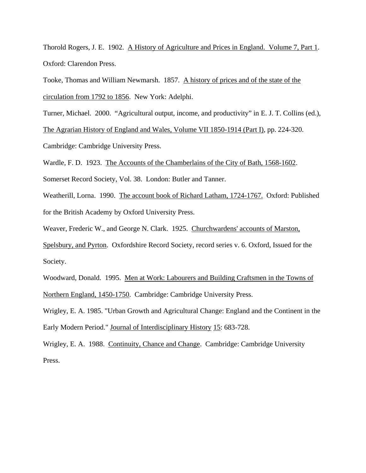Thorold Rogers, J. E. 1902. A History of Agriculture and Prices in England. Volume 7, Part 1. Oxford: Clarendon Press.

Tooke, Thomas and William Newmarsh. 1857. A history of prices and of the state of the circulation from 1792 to 1856. New York: Adelphi.

Turner, Michael. 2000. "Agricultural output, income, and productivity" in E. J. T. Collins (ed.),

The Agrarian History of England and Wales, Volume VII 1850-1914 (Part I), pp. 224-320.

Cambridge: Cambridge University Press.

Wardle, F. D. 1923. The Accounts of the Chamberlains of the City of Bath, 1568-1602.

Somerset Record Society, Vol. 38. London: Butler and Tanner.

Weatherill, Lorna. 1990. The account book of Richard Latham, 1724-1767. Oxford: Published for the British Academy by Oxford University Press.

Weaver, Frederic W., and George N. Clark. 1925. Churchwardens' accounts of Marston,

Spelsbury, and Pyrton. Oxfordshire Record Society, record series v. 6. Oxford, Issued for the Society.

Woodward, Donald. 1995. Men at Work: Labourers and Building Craftsmen in the Towns of Northern England, 1450-1750. Cambridge: Cambridge University Press.

Wrigley, E. A. 1985. "Urban Growth and Agricultural Change: England and the Continent in the Early Modern Period." Journal of Interdisciplinary History 15: 683-728.

Wrigley, E. A. 1988. Continuity, Chance and Change. Cambridge: Cambridge University Press.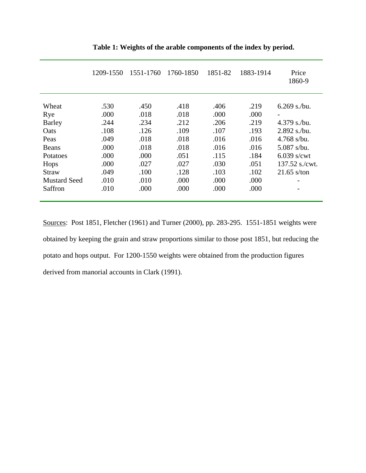|                     | 1209-1550 | 1551-1760 | 1760-1850 | 1851-82 | 1883-1914 | Price<br>1860-9  |
|---------------------|-----------|-----------|-----------|---------|-----------|------------------|
| Wheat               | .530      | .450      | .418      | .406    | .219      | $6.269$ s./bu.   |
| Rye                 | .000      | .018      | .018      | .000    | .000      |                  |
| <b>Barley</b>       | .244      | .234      | .212      | .206    | .219      | $4.379$ s./bu.   |
| Oats                | .108      | .126      | .109      | .107    | .193      | 2.892 s./bu.     |
| Peas                | .049      | .018      | .018      | .016    | .016      | $4.768$ s/bu.    |
| Beans               | .000      | .018      | .018      | .016    | .016      | $5.087$ s/bu.    |
| Potatoes            | .000      | .000      | .051      | .115    | .184      | $6.039$ s/cwt    |
| Hops                | .000      | .027      | .027      | .030    | .051      | $137.52$ s./cwt. |
| Straw               | .049      | .100      | .128      | .103    | .102      | $21.65$ s/ton    |
| <b>Mustard Seed</b> | .010      | .010      | .000      | .000    | .000      |                  |
| Saffron             | .010      | .000      | .000      | .000    | .000      |                  |

**Table 1: Weights of the arable components of the index by period.** 

Sources: Post 1851, Fletcher (1961) and Turner (2000), pp. 283-295. 1551-1851 weights were obtained by keeping the grain and straw proportions similar to those post 1851, but reducing the potato and hops output. For 1200-1550 weights were obtained from the production figures derived from manorial accounts in Clark (1991).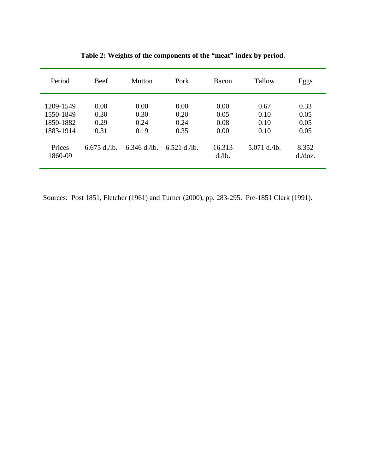| Period                                           | Beef                         | Mutton                       | Pork                         | Bacon                        | Tallow                       | Eggs                         |
|--------------------------------------------------|------------------------------|------------------------------|------------------------------|------------------------------|------------------------------|------------------------------|
| 1209-1549<br>1550-1849<br>1850-1882<br>1883-1914 | 0.00<br>0.30<br>0.29<br>0.31 | 0.00<br>0.30<br>0.24<br>0.19 | 0.00<br>0.20<br>0.24<br>0.35 | 0.00<br>0.05<br>0.08<br>0.00 | 0.67<br>0.10<br>0.10<br>0.10 | 0.33<br>0.05<br>0.05<br>0.05 |
| Prices<br>1860-09                                | $6.675$ d./lb.               | $6.346$ d./lb.               | $6.521$ d./lb.               | 16.313<br>$d$ ./lb.          | $5.071$ d./lb.               | 8.352<br>$d$ ./ $doz$ .      |

**Table 2: Weights of the components of the "meat" index by period.**

Sources: Post 1851, Fletcher (1961) and Turner (2000), pp. 283-295. Pre-1851 Clark (1991).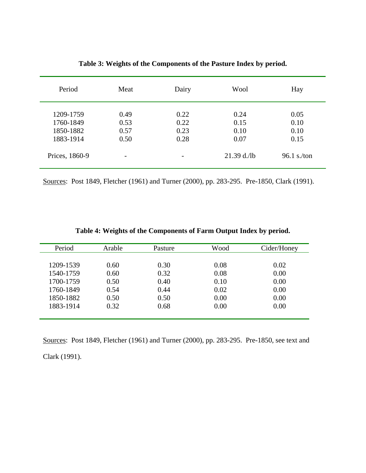| Period                                           | Meat                         | Dairy                        |                              | Hay                          |
|--------------------------------------------------|------------------------------|------------------------------|------------------------------|------------------------------|
| 1209-1759<br>1760-1849<br>1850-1882<br>1883-1914 | 0.49<br>0.53<br>0.57<br>0.50 | 0.22<br>0.22<br>0.23<br>0.28 | 0.24<br>0.15<br>0.10<br>0.07 | 0.05<br>0.10<br>0.10<br>0.15 |
| Prices, 1860-9                                   | $\overline{\phantom{0}}$     | $\overline{\phantom{0}}$     | $21.39$ d./lb                | $96.1$ s./ton                |

**Table 3: Weights of the Components of the Pasture Index by period.** 

Sources: Post 1849, Fletcher (1961) and Turner (2000), pp. 283-295. Pre-1850, Clark (1991).

|  |  | Table 4: Weights of the Components of Farm Output Index by period. |
|--|--|--------------------------------------------------------------------|
|  |  |                                                                    |

| Period    | Arable | Pasture | Wood | Cider/Honey |
|-----------|--------|---------|------|-------------|
|           |        |         |      |             |
| 1209-1539 | 0.60   | 0.30    | 0.08 | 0.02        |
| 1540-1759 | 0.60   | 0.32    | 0.08 | 0.00        |
| 1700-1759 | 0.50   | 0.40    | 0.10 | 0.00        |
| 1760-1849 | 0.54   | 0.44    | 0.02 | 0.00        |
| 1850-1882 | 0.50   | 0.50    | 0.00 | 0.00        |
| 1883-1914 | 0.32   | 0.68    | 0.00 | 0.00        |
|           |        |         |      |             |

Sources: Post 1849, Fletcher (1961) and Turner (2000), pp. 283-295. Pre-1850, see text and Clark (1991).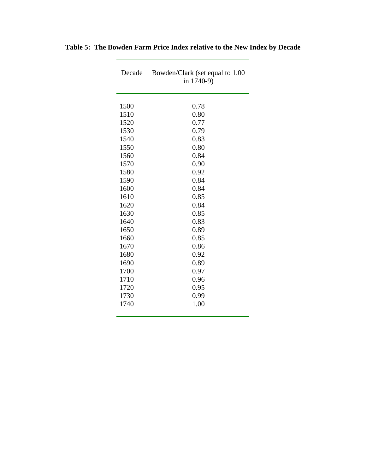| Decade | Bowden/Clark (set equal to 1.00<br>in 1740-9) |
|--------|-----------------------------------------------|
| 1500   | 0.78                                          |
| 1510   | 0.80                                          |
| 1520   | 0.77                                          |
| 1530   | 0.79                                          |
| 1540   | 0.83                                          |
| 1550   | 0.80                                          |
| 1560   | 0.84                                          |
| 1570   | 0.90                                          |
| 1580   | 0.92                                          |
| 1590   | 0.84                                          |
| 1600   | 0.84                                          |
| 1610   | 0.85                                          |
| 1620   | 0.84                                          |
| 1630   | 0.85                                          |
| 1640   | 0.83                                          |
| 1650   | 0.89                                          |
| 1660   | 0.85                                          |
| 1670   | 0.86                                          |
| 1680   | 0.92                                          |
| 1690   | 0.89                                          |
| 1700   | 0.97                                          |
| 1710   | 0.96                                          |
| 1720   | 0.95                                          |
| 1730   | 0.99                                          |
| 1740   | 1.00                                          |

### **Table 5: The Bowden Farm Price Index relative to the New Index by Decade**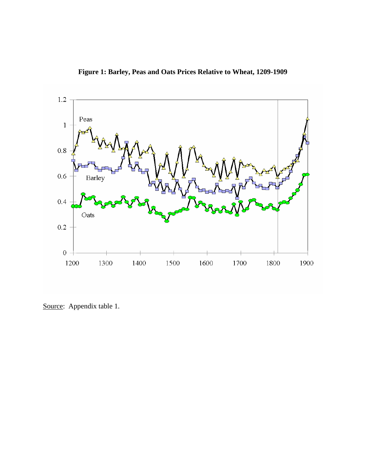



Source: Appendix table 1.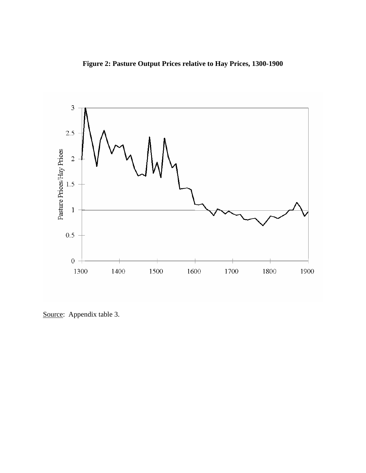**Figure 2: Pasture Output Prices relative to Hay Prices, 1300-1900** 



Source: Appendix table 3.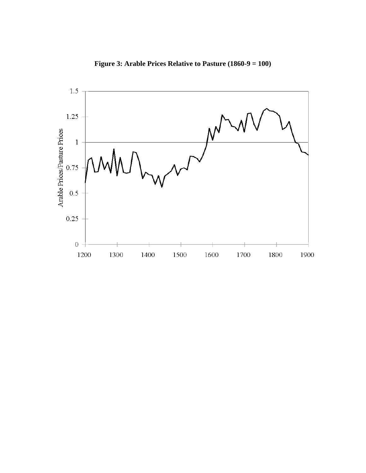

**Figure 3: Arable Prices Relative to Pasture (1860-9 = 100)**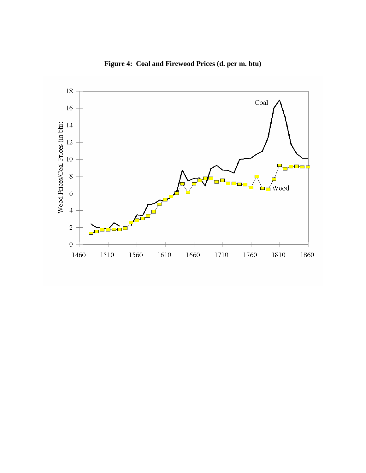

**Figure 4: Coal and Firewood Prices (d. per m. btu)**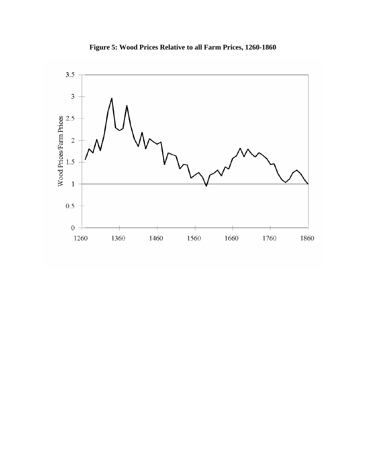

**Figure 5: Wood Prices Relative to all Farm Prices, 1260-1860**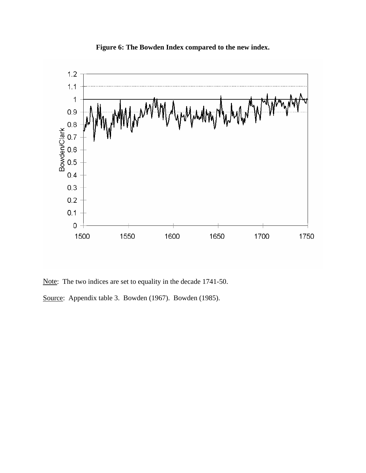

**Figure 6: The Bowden Index compared to the new index.** 

Note: The two indices are set to equality in the decade 1741-50.

Source: Appendix table 3. Bowden (1967). Bowden (1985).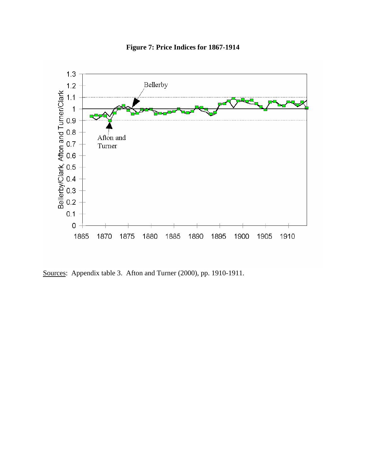

**Figure 7: Price Indices for 1867-1914** 

Sources: Appendix table 3. Afton and Turner (2000), pp. 1910-1911.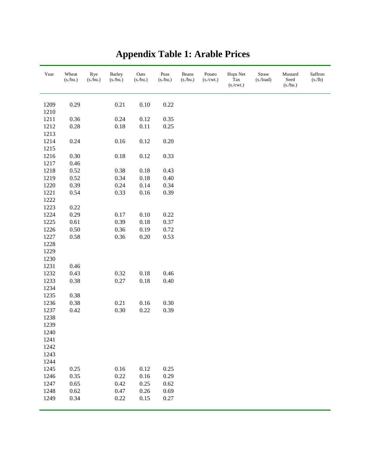| Year         | Wheat<br>(s./bu.) | Rye<br>(s./bu.) | Barley<br>$(s$ ./bu.) | $\rm Oats$<br>(s./bu.) | $\mathop{\mathrm{P}\mathrm{e}\mathrm{a}\mathrm{s}}$<br>(s./bu.) | Beans<br>(s/bu.) | Potato<br>(s./cwt.) | Hops Net<br>$\operatorname{Tax}$<br>(s./cwt.) | Straw<br>(s./load) | Mustard<br>$\operatorname{Seed}$<br>(s/bu.) | Saffron<br>(s/lb) |
|--------------|-------------------|-----------------|-----------------------|------------------------|-----------------------------------------------------------------|------------------|---------------------|-----------------------------------------------|--------------------|---------------------------------------------|-------------------|
| 1209         | 0.29              |                 | 0.21                  | $0.10\,$               | 0.22                                                            |                  |                     |                                               |                    |                                             |                   |
| 1210         |                   |                 |                       |                        |                                                                 |                  |                     |                                               |                    |                                             |                   |
| 1211         | 0.36              |                 | 0.24                  | 0.12                   | 0.35                                                            |                  |                     |                                               |                    |                                             |                   |
| 1212         | 0.28              |                 | $0.18\,$              | $0.11\,$               | 0.25                                                            |                  |                     |                                               |                    |                                             |                   |
| 1213         |                   |                 |                       |                        |                                                                 |                  |                     |                                               |                    |                                             |                   |
| 1214         | 0.24              |                 | $0.16\,$              | $0.12\,$               | 0.20                                                            |                  |                     |                                               |                    |                                             |                   |
| 1215         |                   |                 |                       |                        |                                                                 |                  |                     |                                               |                    |                                             |                   |
| 1216         | 0.30              |                 | $0.18\,$              | 0.12                   | 0.33                                                            |                  |                     |                                               |                    |                                             |                   |
| 1217         | 0.46              |                 |                       |                        |                                                                 |                  |                     |                                               |                    |                                             |                   |
| 1218         | 0.52              |                 | 0.38                  | 0.18                   | 0.43                                                            |                  |                     |                                               |                    |                                             |                   |
| 1219         | 0.52              |                 | 0.34                  | $0.18\,$               | 0.40                                                            |                  |                     |                                               |                    |                                             |                   |
| 1220         | 0.39              |                 | 0.24                  | 0.14                   | 0.34                                                            |                  |                     |                                               |                    |                                             |                   |
| 1221         | 0.54              |                 | 0.33                  | $0.16\,$               | 0.39                                                            |                  |                     |                                               |                    |                                             |                   |
| 1222         |                   |                 |                       |                        |                                                                 |                  |                     |                                               |                    |                                             |                   |
| 1223         | 0.22              |                 |                       |                        |                                                                 |                  |                     |                                               |                    |                                             |                   |
| 1224         | 0.29              |                 | 0.17                  | 0.10                   | 0.22                                                            |                  |                     |                                               |                    |                                             |                   |
| 1225         | 0.61              |                 | 0.39                  | 0.18                   | 0.37                                                            |                  |                     |                                               |                    |                                             |                   |
| 1226         | 0.50              |                 | 0.36                  | 0.19                   | 0.72                                                            |                  |                     |                                               |                    |                                             |                   |
| 1227         | 0.58              |                 | 0.36                  | $0.20\,$               | 0.53                                                            |                  |                     |                                               |                    |                                             |                   |
| 1228         |                   |                 |                       |                        |                                                                 |                  |                     |                                               |                    |                                             |                   |
| 1229         |                   |                 |                       |                        |                                                                 |                  |                     |                                               |                    |                                             |                   |
| 1230         |                   |                 |                       |                        |                                                                 |                  |                     |                                               |                    |                                             |                   |
| 1231         | 0.46              |                 |                       |                        |                                                                 |                  |                     |                                               |                    |                                             |                   |
| 1232<br>1233 | 0.43<br>0.38      |                 | 0.32<br>0.27          | $0.18\,$<br>$0.18\,$   | 0.46<br>0.40                                                    |                  |                     |                                               |                    |                                             |                   |
| 1234         |                   |                 |                       |                        |                                                                 |                  |                     |                                               |                    |                                             |                   |
| 1235         | 0.38              |                 |                       |                        |                                                                 |                  |                     |                                               |                    |                                             |                   |
| 1236         | 0.38              |                 | 0.21                  | $0.16\,$               | 0.30                                                            |                  |                     |                                               |                    |                                             |                   |
| 1237         | 0.42              |                 | 0.30                  | 0.22                   | 0.39                                                            |                  |                     |                                               |                    |                                             |                   |
| 1238         |                   |                 |                       |                        |                                                                 |                  |                     |                                               |                    |                                             |                   |
| 1239         |                   |                 |                       |                        |                                                                 |                  |                     |                                               |                    |                                             |                   |
| 1240         |                   |                 |                       |                        |                                                                 |                  |                     |                                               |                    |                                             |                   |
| 1241         |                   |                 |                       |                        |                                                                 |                  |                     |                                               |                    |                                             |                   |
| 1242         |                   |                 |                       |                        |                                                                 |                  |                     |                                               |                    |                                             |                   |
| 1243         |                   |                 |                       |                        |                                                                 |                  |                     |                                               |                    |                                             |                   |
| 1244         |                   |                 |                       |                        |                                                                 |                  |                     |                                               |                    |                                             |                   |
| 1245         | 0.25              |                 | $0.16\,$              | $0.12\,$               | 0.25                                                            |                  |                     |                                               |                    |                                             |                   |
| 1246         | 0.35              |                 | 0.22                  | 0.16                   | 0.29                                                            |                  |                     |                                               |                    |                                             |                   |
| 1247         | 0.65              |                 | 0.42                  | 0.25                   | 0.62                                                            |                  |                     |                                               |                    |                                             |                   |
| 1248         | 0.62              |                 | 0.47                  | 0.26                   | 0.69                                                            |                  |                     |                                               |                    |                                             |                   |
| 1249         | 0.34              |                 | 0.22                  | 0.15                   | 0.27                                                            |                  |                     |                                               |                    |                                             |                   |
|              |                   |                 |                       |                        |                                                                 |                  |                     |                                               |                    |                                             |                   |

## **Appendix Table 1: Arable Prices**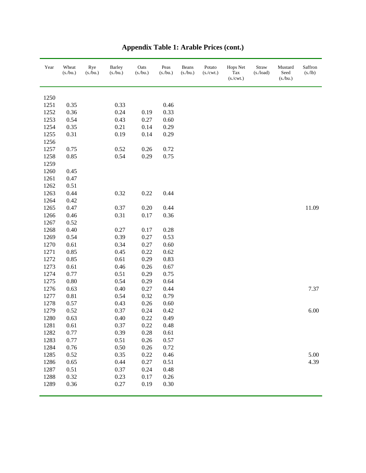| Year | Wheat<br>(s/bu.) | Rye<br>$(s$ ./bu.) | <b>Barley</b><br>$(s$ ./bu.) | Oats<br>(s/bu.) | Peas<br>(s/bu.) | Beans<br>(s/bu.) | Potato<br>(s./cwt.) | Hops Net<br>Tax<br>(s./cwt.) | Straw<br>$(s$ ./load) | Mustard<br>Seed<br>(s./bu.) | Saffron<br>(s./lb) |
|------|------------------|--------------------|------------------------------|-----------------|-----------------|------------------|---------------------|------------------------------|-----------------------|-----------------------------|--------------------|
| 1250 |                  |                    |                              |                 |                 |                  |                     |                              |                       |                             |                    |
| 1251 | 0.35             |                    | 0.33                         |                 | 0.46            |                  |                     |                              |                       |                             |                    |
| 1252 | 0.36             |                    | 0.24                         | 0.19            | 0.33            |                  |                     |                              |                       |                             |                    |
| 1253 | 0.54             |                    | 0.43                         | 0.27            | 0.60            |                  |                     |                              |                       |                             |                    |
| 1254 | 0.35             |                    | 0.21                         | 0.14            | 0.29            |                  |                     |                              |                       |                             |                    |
| 1255 | 0.31             |                    | 0.19                         | 0.14            | 0.29            |                  |                     |                              |                       |                             |                    |
| 1256 |                  |                    |                              |                 |                 |                  |                     |                              |                       |                             |                    |
| 1257 | 0.75             |                    | 0.52                         | 0.26            | 0.72            |                  |                     |                              |                       |                             |                    |
| 1258 | 0.85             |                    | 0.54                         | 0.29            | 0.75            |                  |                     |                              |                       |                             |                    |
| 1259 |                  |                    |                              |                 |                 |                  |                     |                              |                       |                             |                    |
| 1260 | 0.45             |                    |                              |                 |                 |                  |                     |                              |                       |                             |                    |
| 1261 | 0.47             |                    |                              |                 |                 |                  |                     |                              |                       |                             |                    |
| 1262 | 0.51             |                    |                              |                 |                 |                  |                     |                              |                       |                             |                    |
| 1263 | 0.44             |                    | 0.32                         | 0.22            | 0.44            |                  |                     |                              |                       |                             |                    |
| 1264 | 0.42             |                    |                              |                 |                 |                  |                     |                              |                       |                             |                    |
| 1265 | 0.47             |                    | 0.37                         | 0.20            | 0.44            |                  |                     |                              |                       |                             | 11.09              |
| 1266 | 0.46             |                    | 0.31                         | 0.17            | 0.36            |                  |                     |                              |                       |                             |                    |
| 1267 | 0.52             |                    |                              |                 |                 |                  |                     |                              |                       |                             |                    |
| 1268 | 0.40             |                    | 0.27                         | 0.17            | 0.28            |                  |                     |                              |                       |                             |                    |
| 1269 | 0.54             |                    | 0.39                         | 0.27            | 0.53            |                  |                     |                              |                       |                             |                    |
| 1270 | 0.61             |                    | 0.34                         | 0.27            | 0.60            |                  |                     |                              |                       |                             |                    |
| 1271 | 0.85             |                    | 0.45                         | 0.22            | 0.62            |                  |                     |                              |                       |                             |                    |
| 1272 | 0.85             |                    | 0.61                         | 0.29            | 0.83            |                  |                     |                              |                       |                             |                    |
| 1273 | 0.61             |                    | 0.46                         | 0.26            | 0.67            |                  |                     |                              |                       |                             |                    |
| 1274 | 0.77             |                    | 0.51                         | 0.29            | 0.75            |                  |                     |                              |                       |                             |                    |
| 1275 | $0.80\,$         |                    | 0.54                         | 0.29            | 0.64            |                  |                     |                              |                       |                             |                    |
| 1276 | 0.63             |                    | 0.40                         | 0.27            | 0.44            |                  |                     |                              |                       |                             | 7.37               |
| 1277 | 0.81             |                    | 0.54                         | 0.32            | 0.79            |                  |                     |                              |                       |                             |                    |
| 1278 | 0.57             |                    | 0.43                         | 0.26            | 0.60            |                  |                     |                              |                       |                             |                    |
| 1279 | 0.52             |                    | 0.37                         | 0.24            | 0.42            |                  |                     |                              |                       |                             | 6.00               |
| 1280 | 0.63             |                    | 0.40                         | 0.22            | 0.49            |                  |                     |                              |                       |                             |                    |
| 1281 | 0.61             |                    | 0.37                         | 0.22            | 0.48            |                  |                     |                              |                       |                             |                    |
| 1282 | 0.77             |                    | 0.39                         | 0.28            | 0.61            |                  |                     |                              |                       |                             |                    |
| 1283 | 0.77             |                    | 0.51                         | 0.26            | 0.57            |                  |                     |                              |                       |                             |                    |
| 1284 | 0.76             |                    | 0.50                         | 0.26            | 0.72            |                  |                     |                              |                       |                             |                    |
| 1285 | 0.52             |                    | 0.35                         | 0.22            | 0.46            |                  |                     |                              |                       |                             | 5.00               |
| 1286 | 0.65             |                    | 0.44                         | 0.27            | 0.51            |                  |                     |                              |                       |                             | 4.39               |
| 1287 | 0.51             |                    | 0.37                         | 0.24            | 0.48            |                  |                     |                              |                       |                             |                    |
| 1288 | 0.32             |                    | 0.23                         | 0.17            | 0.26            |                  |                     |                              |                       |                             |                    |
| 1289 | 0.36             |                    | 0.27                         | 0.19            | 0.30            |                  |                     |                              |                       |                             |                    |

# **Appendix Table 1: Arable Prices (cont.)**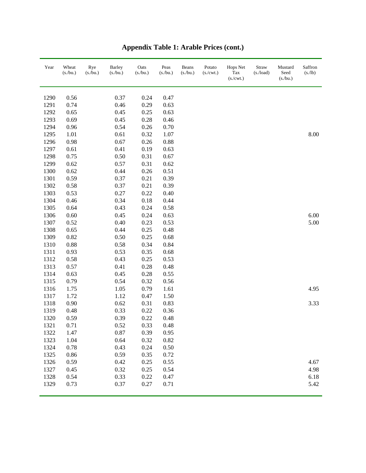| Year | Wheat<br>(s/bu.) | Rye<br>(s/bu.) | <b>Barley</b><br>$(s$ ./bu.) | Oats<br>(s/bu.) | Peas<br>(s/bu.) | Beans<br>(s/bu.) | Potato<br>(s./cwt.) | Hops Net<br>Tax<br>(s./cwt.) | Straw<br>$(s$ ./load) | Mustard<br>Seed<br>$(s$ ./bu.) | Saffron<br>(s/lb) |
|------|------------------|----------------|------------------------------|-----------------|-----------------|------------------|---------------------|------------------------------|-----------------------|--------------------------------|-------------------|
| 1290 | 0.56             |                | 0.37                         | 0.24            | 0.47            |                  |                     |                              |                       |                                |                   |
| 1291 | 0.74             |                | 0.46                         | 0.29            | 0.63            |                  |                     |                              |                       |                                |                   |
| 1292 | 0.65             |                | 0.45                         | 0.25            | 0.63            |                  |                     |                              |                       |                                |                   |
| 1293 | 0.69             |                | 0.45                         | 0.28            | 0.46            |                  |                     |                              |                       |                                |                   |
| 1294 | 0.96             |                | 0.54                         | 0.26            | 0.70            |                  |                     |                              |                       |                                |                   |
| 1295 | 1.01             |                | 0.61                         | 0.32            | 1.07            |                  |                     |                              |                       |                                | 8.00              |
| 1296 | 0.98             |                | 0.67                         | 0.26            | 0.88            |                  |                     |                              |                       |                                |                   |
| 1297 | 0.61             |                | 0.41                         | 0.19            | 0.63            |                  |                     |                              |                       |                                |                   |
| 1298 | 0.75             |                | 0.50                         | 0.31            | 0.67            |                  |                     |                              |                       |                                |                   |
| 1299 | 0.62             |                | 0.57                         | 0.31            | 0.62            |                  |                     |                              |                       |                                |                   |
| 1300 | 0.62             |                | 0.44                         | 0.26            | 0.51            |                  |                     |                              |                       |                                |                   |
| 1301 | 0.59             |                | 0.37                         | 0.21            | 0.39            |                  |                     |                              |                       |                                |                   |
| 1302 | 0.58             |                | 0.37                         | 0.21            | 0.39            |                  |                     |                              |                       |                                |                   |
| 1303 | 0.53             |                | 0.27                         | 0.22            | 0.40            |                  |                     |                              |                       |                                |                   |
| 1304 | 0.46             |                | 0.34                         | 0.18            | 0.44            |                  |                     |                              |                       |                                |                   |
| 1305 | 0.64             |                | 0.43                         | 0.24            | 0.58            |                  |                     |                              |                       |                                |                   |
| 1306 | 0.60             |                | 0.45                         | 0.24            | 0.63            |                  |                     |                              |                       |                                | 6.00              |
| 1307 | 0.52             |                | 0.40                         | 0.23            | 0.53            |                  |                     |                              |                       |                                | 5.00              |
| 1308 | 0.65             |                | 0.44                         | 0.25            | 0.48            |                  |                     |                              |                       |                                |                   |
| 1309 | 0.82             |                | 0.50                         | 0.25            | 0.68            |                  |                     |                              |                       |                                |                   |
| 1310 | 0.88             |                | 0.58                         | 0.34            | 0.84            |                  |                     |                              |                       |                                |                   |
| 1311 | 0.93             |                | 0.53                         | 0.35            | 0.68            |                  |                     |                              |                       |                                |                   |
| 1312 | 0.58             |                | 0.43                         | 0.25            | 0.53            |                  |                     |                              |                       |                                |                   |
| 1313 | 0.57             |                | 0.41                         | 0.28            | 0.48            |                  |                     |                              |                       |                                |                   |
| 1314 | 0.63             |                | 0.45                         | 0.28            | 0.55            |                  |                     |                              |                       |                                |                   |
| 1315 | 0.79             |                | 0.54                         | 0.32            | 0.56            |                  |                     |                              |                       |                                |                   |
| 1316 | 1.75             |                | 1.05                         | 0.79            | 1.61            |                  |                     |                              |                       |                                | 4.95              |
| 1317 | 1.72             |                | 1.12                         | 0.47            | 1.50            |                  |                     |                              |                       |                                |                   |
| 1318 | 0.90             |                | 0.62                         | 0.31            | 0.83            |                  |                     |                              |                       |                                | 3.33              |
| 1319 | 0.48             |                | 0.33                         | 0.22            | 0.36            |                  |                     |                              |                       |                                |                   |
| 1320 | 0.59             |                | 0.39                         | 0.22            | 0.48            |                  |                     |                              |                       |                                |                   |
| 1321 | 0.71             |                | 0.52                         | 0.33            | 0.48            |                  |                     |                              |                       |                                |                   |
| 1322 | 1.47             |                | 0.87                         | 0.39            | 0.95            |                  |                     |                              |                       |                                |                   |
| 1323 | 1.04             |                | 0.64                         | 0.32            | 0.82            |                  |                     |                              |                       |                                |                   |
| 1324 | 0.78             |                | 0.43                         | 0.24            | 0.50            |                  |                     |                              |                       |                                |                   |
| 1325 | 0.86             |                | 0.59                         | 0.35            | 0.72            |                  |                     |                              |                       |                                |                   |
| 1326 | 0.59             |                | 0.42                         | 0.25            | 0.55            |                  |                     |                              |                       |                                | 4.67              |
| 1327 | 0.45             |                | 0.32                         | 0.25            | 0.54            |                  |                     |                              |                       |                                | 4.98              |
| 1328 | 0.54             |                | 0.33                         | 0.22            | 0.47            |                  |                     |                              |                       |                                | 6.18              |
| 1329 | 0.73             |                | 0.37                         | 0.27            | 0.71            |                  |                     |                              |                       |                                | 5.42              |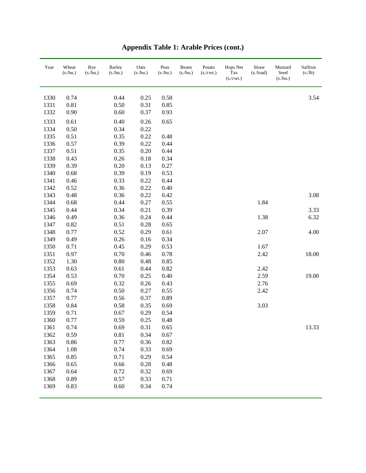| Year | Wheat<br>$(s$ ./bu.) | Rye<br>$(s$ ./bu.) | <b>Barley</b><br>$(s$ ./bu.) | Oats<br>(s/bu.) | Peas<br>(s/bu.) | Beans<br>(s/bu.) | Potato<br>$(s/\text{cwt.})$ | Hops Net<br>Tax<br>(s/cwt.) | Straw<br>$(s$ ./load) | Mustard<br>Seed<br>(s/bu.) | Saffron<br>(s/lb) |
|------|----------------------|--------------------|------------------------------|-----------------|-----------------|------------------|-----------------------------|-----------------------------|-----------------------|----------------------------|-------------------|
| 1330 | 0.74                 |                    | 0.44                         | 0.25            | 0.58            |                  |                             |                             |                       |                            | 3.54              |
| 1331 | 0.81                 |                    | 0.50                         | 0.31            | 0.85            |                  |                             |                             |                       |                            |                   |
| 1332 | 0.90                 |                    | 0.60                         | 0.37            | 0.93            |                  |                             |                             |                       |                            |                   |
| 1333 | 0.61                 |                    | 0.40                         | 0.26            | 0.65            |                  |                             |                             |                       |                            |                   |
| 1334 | 0.50                 |                    | 0.34                         | 0.22            |                 |                  |                             |                             |                       |                            |                   |
| 1335 | 0.51                 |                    | 0.35                         | 0.22            | 0.48            |                  |                             |                             |                       |                            |                   |
| 1336 | 0.57                 |                    | 0.39                         | 0.22            | 0.44            |                  |                             |                             |                       |                            |                   |
| 1337 | 0.51                 |                    | 0.35                         | 0.20            | 0.44            |                  |                             |                             |                       |                            |                   |
| 1338 | 0.43                 |                    | 0.26                         | 0.18            | 0.34            |                  |                             |                             |                       |                            |                   |
| 1339 | 0.39                 |                    | 0.20                         | 0.13            | 0.27            |                  |                             |                             |                       |                            |                   |
| 1340 | 0.68                 |                    | 0.39                         | 0.19            | 0.53            |                  |                             |                             |                       |                            |                   |
| 1341 | 0.46                 |                    | 0.33                         | 0.22            | 0.44            |                  |                             |                             |                       |                            |                   |
| 1342 | 0.52                 |                    | 0.36                         | 0.22            | 0.40            |                  |                             |                             |                       |                            |                   |
| 1343 | 0.48                 |                    | 0.36                         | 0.22            | 0.42            |                  |                             |                             |                       |                            | 3.08              |
| 1344 | 0.68                 |                    | 0.44                         | 0.27            | 0.55            |                  |                             |                             | 1.84                  |                            |                   |
| 1345 | 0.44                 |                    | 0.34                         | 0.21            | 0.39            |                  |                             |                             |                       |                            | 3.33              |
| 1346 | 0.49                 |                    | 0.36                         | 0.24            | 0.44            |                  |                             |                             | 1.38                  |                            | 6.32              |
| 1347 | 0.82                 |                    | 0.51                         | 0.28            | 0.65            |                  |                             |                             |                       |                            |                   |
| 1348 | 0.77                 |                    | 0.52                         | 0.29            | 0.61            |                  |                             |                             | 2.07                  |                            | 4.00              |
| 1349 | 0.49                 |                    | 0.26                         | 0.16            | 0.34            |                  |                             |                             |                       |                            |                   |
| 1350 | 0.71                 |                    | 0.45                         | 0.29            | 0.53            |                  |                             |                             | 1.67                  |                            |                   |
| 1351 | 0.97                 |                    | 0.70                         | 0.46            | 0.78            |                  |                             |                             | 2.42                  |                            | 18.00             |
| 1352 | 1.30                 |                    | 0.80                         | 0.48            | 0.85            |                  |                             |                             |                       |                            |                   |
| 1353 | 0.63                 |                    | 0.61                         | 0.44            | 0.82            |                  |                             |                             | 2.42                  |                            |                   |
| 1354 | 0.53                 |                    | 0.70                         | 0.25            | 0.40            |                  |                             |                             | 2.59                  |                            | 19.00             |
| 1355 | 0.69                 |                    | 0.32                         | 0.26            | 0.43            |                  |                             |                             | 2.76                  |                            |                   |
| 1356 | 0.74                 |                    | 0.50                         | 0.27            | 0.55            |                  |                             |                             | 2.42                  |                            |                   |
| 1357 | 0.77                 |                    | 0.56                         | 0.37            | 0.89            |                  |                             |                             |                       |                            |                   |
| 1358 | 0.84                 |                    | 0.58                         | 0.35            | 0.69            |                  |                             |                             | 3.03                  |                            |                   |
| 1359 | 0.71                 |                    | 0.67                         | 0.29            | 0.54            |                  |                             |                             |                       |                            |                   |
| 1360 | 0.77                 |                    | 0.59                         | 0.25            | 0.48            |                  |                             |                             |                       |                            |                   |
| 1361 | 0.74                 |                    | 0.69                         | 0.31            | 0.65            |                  |                             |                             |                       |                            | 13.33             |
| 1362 | 0.59                 |                    | 0.81                         | 0.34            | 0.67            |                  |                             |                             |                       |                            |                   |
| 1363 | 0.86                 |                    | 0.77                         | 0.36            | 0.82            |                  |                             |                             |                       |                            |                   |
| 1364 | 1.08                 |                    | 0.74                         | 0.33            | 0.69            |                  |                             |                             |                       |                            |                   |
| 1365 | 0.85                 |                    | 0.71                         | 0.29            | 0.54            |                  |                             |                             |                       |                            |                   |
| 1366 | 0.65                 |                    | 0.66                         | 0.28            | 0.48            |                  |                             |                             |                       |                            |                   |
| 1367 | 0.64                 |                    | 0.72                         | 0.32            | 0.69            |                  |                             |                             |                       |                            |                   |
| 1368 | 0.89                 |                    | 0.57                         | 0.33            | 0.71            |                  |                             |                             |                       |                            |                   |
| 1369 | 0.83                 |                    | 0.60                         | 0.34            | 0.74            |                  |                             |                             |                       |                            |                   |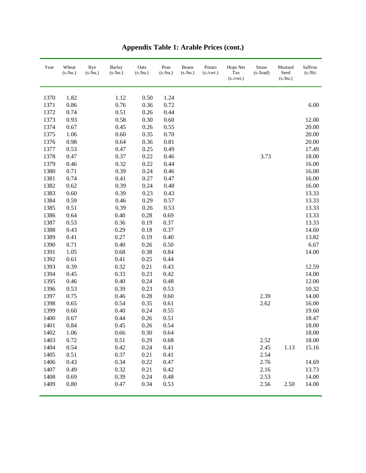| Year | Wheat<br>(s./bu.) | Rye<br>(s./bu.) | <b>Barley</b><br>(s./bu.) | Oats<br>(s/bu.) | Peas<br>(s/bu.) | Beans<br>(s/bu.) | Potato<br>(s./cwt.) | Hops Net<br>Tax<br>(s./cwt.) | Straw<br>$(s$ ./load) | Mustard<br>Seed<br>(s/bu.) | Saffron<br>(s./lb) |
|------|-------------------|-----------------|---------------------------|-----------------|-----------------|------------------|---------------------|------------------------------|-----------------------|----------------------------|--------------------|
| 1370 | 1.82              |                 | 1.12                      | 0.50            | 1.24            |                  |                     |                              |                       |                            |                    |
| 1371 | 0.86              |                 | 0.76                      | 0.36            | 0.72            |                  |                     |                              |                       |                            | 6.00               |
| 1372 | 0.74              |                 | 0.51                      | 0.26            | 0.44            |                  |                     |                              |                       |                            |                    |
| 1373 | 0.93              |                 | 0.58                      | 0.30            | 0.60            |                  |                     |                              |                       |                            | 12.00              |
| 1374 | 0.67              |                 | 0.45                      | 0.26            | 0.55            |                  |                     |                              |                       |                            | 20.00              |
| 1375 | 1.06              |                 | 0.60                      | 0.35            | 0.70            |                  |                     |                              |                       |                            | 20.00              |
| 1376 | 0.98              |                 | 0.64                      | 0.36            | 0.81            |                  |                     |                              |                       |                            | 20.00              |
| 1377 | 0.53              |                 | 0.47                      | 0.25            | 0.49            |                  |                     |                              |                       |                            | 17.49              |
| 1378 | 0.47              |                 | 0.37                      | 0.22            | 0.46            |                  |                     |                              | 3.73                  |                            | 18.00              |
| 1379 | 0.46              |                 | 0.32                      | 0.22            | 0.44            |                  |                     |                              |                       |                            | 16.00              |
| 1380 | 0.71              |                 | 0.39                      | 0.24            | 0.46            |                  |                     |                              |                       |                            | 16.00              |
| 1381 | 0.74              |                 | 0.41                      | 0.27            | 0.47            |                  |                     |                              |                       |                            | 16.00              |
| 1382 | 0.62              |                 | 0.39                      | 0.24            | 0.48            |                  |                     |                              |                       |                            | 16.00              |
| 1383 | 0.60              |                 | 0.39                      | 0.23            | 0.43            |                  |                     |                              |                       |                            | 13.33              |
| 1384 | 0.59              |                 | 0.46                      | 0.29            | 0.57            |                  |                     |                              |                       |                            | 13.33              |
| 1385 | 0.51              |                 | 0.39                      | 0.26            | 0.53            |                  |                     |                              |                       |                            | 13.33              |
| 1386 | 0.64              |                 | 0.40                      | 0.28            | 0.69            |                  |                     |                              |                       |                            | 13.33              |
| 1387 | 0.53              |                 | 0.36                      | 0.19            | 0.37            |                  |                     |                              |                       |                            | 13.33              |
| 1388 | 0.43              |                 | 0.29                      | 0.18            | 0.37            |                  |                     |                              |                       |                            | 14.60              |
| 1389 | 0.41              |                 | 0.27                      | 0.19            | 0.40            |                  |                     |                              |                       |                            | 13.82              |
| 1390 | 0.71              |                 | 0.40                      | 0.26            | 0.50            |                  |                     |                              |                       |                            | 6.67               |
| 1391 | 1.05              |                 | 0.68                      | 0.38            | 0.84            |                  |                     |                              |                       |                            | 14.00              |
| 1392 | 0.61              |                 | 0.41                      | 0.25            | 0.44            |                  |                     |                              |                       |                            |                    |
| 1393 | 0.39              |                 | 0.32                      | 0.21            | 0.43            |                  |                     |                              |                       |                            | 12.59              |
| 1394 | 0.45              |                 | 0.33                      | 0.23            | 0.42            |                  |                     |                              |                       |                            | 14.00              |
| 1395 | 0.46              |                 | 0.40                      | 0.24            | 0.48            |                  |                     |                              |                       |                            | 12.00              |
| 1396 | 0.53              |                 | 0.39                      | 0.23            | 0.53            |                  |                     |                              |                       |                            | 10.32              |
| 1397 | 0.75              |                 | 0.46                      | 0.28            | 0.60            |                  |                     |                              | 2.39                  |                            | 14.00              |
| 1398 | 0.65              |                 | 0.54                      | 0.35            | 0.61            |                  |                     |                              | 2.62                  |                            | 16.00              |
| 1399 | 0.60              |                 | 0.40                      | 0.24            | 0.55            |                  |                     |                              |                       |                            | 19.60              |
| 1400 | 0.67              |                 | 0.44                      | 0.26            | 0.51            |                  |                     |                              |                       |                            | 18.47              |
| 1401 | 0.84              |                 | 0.45                      | 0.26            | 0.54            |                  |                     |                              |                       |                            | 18.00              |
| 1402 | 1.06              |                 | 0.66                      | 0.30            | 0.64            |                  |                     |                              |                       |                            | 18.00              |
| 1403 | 0.72              |                 | 0.51                      | 0.29            | 0.68            |                  |                     |                              | 2.52                  |                            | 18.00              |
| 1404 | 0.54              |                 | 0.42                      | 0.24            | 0.41            |                  |                     |                              | 2.45                  | 1.13                       | 15.16              |
| 1405 | 0.51              |                 | 0.37                      | 0.21            | 0.41            |                  |                     |                              | 2.54                  |                            |                    |
| 1406 | 0.43              |                 | 0.34                      | 0.22            | 0.47            |                  |                     |                              | 2.76                  |                            | 14.69              |
| 1407 | 0.49              |                 | 0.32                      | 0.21            | 0.42            |                  |                     |                              | 2.16                  |                            | 13.73              |
| 1408 | 0.69              |                 | 0.39                      | 0.24            | 0.48            |                  |                     |                              | 2.53                  |                            | 14.00              |
| 1409 | 0.80              |                 | 0.47                      | 0.34            | 0.53            |                  |                     |                              | 2.56                  | 2.50                       | 14.00              |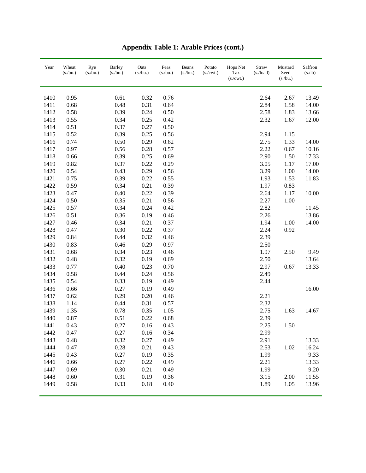| Year | Wheat<br>(s/bu.) | Rye<br>$(s$ ./bu.) | <b>Barley</b><br>(s/bu.) | Oats<br>(s/bu.) | Peas<br>(s/bu.) | Beans<br>(s/bu.) | Potato<br>$(s/\text{cwt.})$ | Hops Net<br>Tax<br>(s./cwt.) | Straw<br>(s./load) | Mustard<br>Seed<br>$(s$ ./bu.) | Saffron<br>(s/lb) |
|------|------------------|--------------------|--------------------------|-----------------|-----------------|------------------|-----------------------------|------------------------------|--------------------|--------------------------------|-------------------|
| 1410 | 0.95             |                    | 0.61                     | 0.32            | 0.76            |                  |                             |                              | 2.64               | 2.67                           | 13.49             |
| 1411 | 0.68             |                    | 0.48                     | 0.31            | 0.64            |                  |                             |                              | 2.84               | 1.58                           | 14.00             |
| 1412 | 0.58             |                    | 0.39                     | 0.24            | 0.50            |                  |                             |                              | 2.58               | 1.83                           | 13.66             |
| 1413 | 0.55             |                    | 0.34                     | 0.25            | 0.42            |                  |                             |                              | 2.32               | 1.67                           | 12.00             |
| 1414 | 0.51             |                    | 0.37                     | 0.27            | 0.50            |                  |                             |                              |                    |                                |                   |
| 1415 | 0.52             |                    | 0.39                     | 0.25            | 0.56            |                  |                             |                              | 2.94               | 1.15                           |                   |
| 1416 | 0.74             |                    | 0.50                     | 0.29            | 0.62            |                  |                             |                              | 2.75               | 1.33                           | 14.00             |
| 1417 | 0.97             |                    | 0.56                     | 0.28            | 0.57            |                  |                             |                              | 2.22               | 0.67                           | 10.16             |
| 1418 | 0.66             |                    | 0.39                     | 0.25            | 0.69            |                  |                             |                              | 2.90               | 1.50                           | 17.33             |
| 1419 | 0.82             |                    | 0.37                     | 0.22            | 0.29            |                  |                             |                              | 3.05               | 1.17                           | 17.00             |
| 1420 | 0.54             |                    | 0.43                     | 0.29            | 0.56            |                  |                             |                              | 3.29               | 1.00                           | 14.00             |
| 1421 | 0.75             |                    | 0.39                     | 0.22            | 0.55            |                  |                             |                              | 1.93               | 1.53                           | 11.83             |
| 1422 | 0.59             |                    | 0.34                     | 0.21            | 0.39            |                  |                             |                              | 1.97               | 0.83                           |                   |
| 1423 | 0.47             |                    | 0.40                     | 0.22            | 0.39            |                  |                             |                              | 2.64               | 1.17                           | 10.00             |
| 1424 | 0.50             |                    | 0.35                     | 0.21            | 0.56            |                  |                             |                              | 2.27               | 1.00                           |                   |
| 1425 | 0.57             |                    | 0.34                     | 0.24            | 0.42            |                  |                             |                              | 2.82               |                                | 11.45             |
| 1426 | 0.51             |                    | 0.36                     | 0.19            | 0.46            |                  |                             |                              | 2.26               |                                | 13.86             |
| 1427 | 0.46             |                    | 0.34                     | 0.21            | 0.37            |                  |                             |                              | 1.94               | 1.00                           | 14.00             |
| 1428 | 0.47             |                    | 0.30                     | 0.22            | 0.37            |                  |                             |                              | 2.24               | 0.92                           |                   |
| 1429 | 0.84             |                    | 0.44                     | 0.32            | 0.46            |                  |                             |                              | 2.39               |                                |                   |
| 1430 | 0.83             |                    | 0.46                     | 0.29            | 0.97            |                  |                             |                              | 2.50               |                                |                   |
| 1431 | 0.68             |                    | 0.34                     | 0.23            | 0.46            |                  |                             |                              | 1.97               | 2.50                           | 9.49              |
| 1432 | 0.48             |                    | 0.32                     | 0.19            | 0.69            |                  |                             |                              | 2.50               |                                | 13.64             |
| 1433 | 0.77             |                    | 0.40                     | 0.23            | 0.70            |                  |                             |                              | 2.97               | 0.67                           | 13.33             |
| 1434 | 0.58             |                    | 0.44                     | 0.24            | 0.56            |                  |                             |                              | 2.49               |                                |                   |
| 1435 | 0.54             |                    | 0.33                     | 0.19            | 0.49            |                  |                             |                              | 2.44               |                                |                   |
| 1436 | 0.66             |                    | 0.27                     | 0.19            | 0.49            |                  |                             |                              |                    |                                | 16.00             |
| 1437 | 0.62             |                    | 0.29                     | 0.20            | 0.46            |                  |                             |                              | 2.21               |                                |                   |
| 1438 | 1.14             |                    | 0.44                     | 0.31            | 0.57            |                  |                             |                              | 2.32               |                                |                   |
| 1439 | 1.35             |                    | 0.78                     | 0.35            | 1.05            |                  |                             |                              | 2.75               | 1.63                           | 14.67             |
| 1440 | 0.87             |                    | 0.51                     | 0.22            | 0.68            |                  |                             |                              | 2.39               |                                |                   |
| 1441 | 0.43             |                    | 0.27                     | 0.16            | 0.43            |                  |                             |                              | 2.25               | 1.50                           |                   |
| 1442 | 0.47             |                    | 0.27                     | 0.16            | 0.34            |                  |                             |                              | 2.99               |                                |                   |
| 1443 | 0.48             |                    | 0.32                     | 0.27            | 0.49            |                  |                             |                              | 2.91               |                                | 13.33             |
| 1444 | 0.47             |                    | 0.28                     | 0.21            | 0.43            |                  |                             |                              | 2.53               | 1.02                           | 16.24             |
| 1445 | 0.43             |                    | 0.27                     | 0.19            | 0.35            |                  |                             |                              | 1.99               |                                | 9.33              |
| 1446 | 0.66             |                    | 0.27                     | 0.22            | 0.49            |                  |                             |                              | 2.21               |                                | 13.33             |
| 1447 | 0.69             |                    | 0.30                     | 0.21            | 0.49            |                  |                             |                              | 1.99               |                                | 9.20              |
| 1448 | 0.60             |                    | 0.31                     | 0.19            | 0.36            |                  |                             |                              | 3.15               | 2.00                           | 11.55             |
| 1449 | 0.58             |                    | 0.33                     | 0.18            | 0.40            |                  |                             |                              | 1.89               | 1.05                           | 13.96             |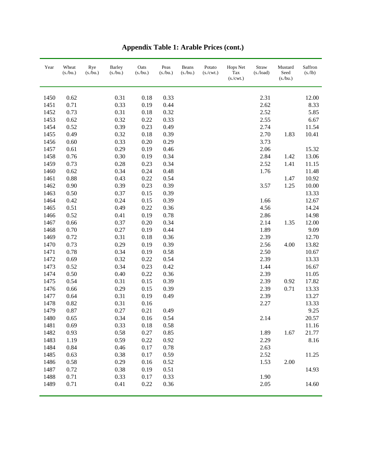| Year | Wheat<br>(s/bu.) | Rye<br>(s/bu.) | <b>Barley</b><br>(s/bu.) | Oats<br>(s/bu.) | Peas<br>(s/bu.) | Beans<br>(s/bu.) | Potato<br>$(s/\text{cwt.})$ | Hops Net<br>Tax<br>(s./cwt.) | Straw<br>$(s$ ./load) | Mustard<br>Seed<br>(s/bu.) | Saffron<br>(s/lb) |
|------|------------------|----------------|--------------------------|-----------------|-----------------|------------------|-----------------------------|------------------------------|-----------------------|----------------------------|-------------------|
| 1450 | 0.62             |                | 0.31                     | 0.18            | 0.33            |                  |                             |                              | 2.31                  |                            | 12.00             |
| 1451 | 0.71             |                | 0.33                     | 0.19            | 0.44            |                  |                             |                              | 2.62                  |                            | 8.33              |
| 1452 | 0.73             |                | 0.31                     | 0.18            | 0.32            |                  |                             |                              | 2.52                  |                            | 5.85              |
| 1453 | 0.62             |                | 0.32                     | 0.22            | 0.33            |                  |                             |                              | 2.55                  |                            | 6.67              |
| 1454 | 0.52             |                | 0.39                     | 0.23            | 0.49            |                  |                             |                              | 2.74                  |                            | 11.54             |
| 1455 | 0.49             |                | 0.32                     | 0.18            | 0.39            |                  |                             |                              | 2.70                  | 1.83                       | 10.41             |
| 1456 | 0.60             |                | 0.33                     | $0.20\,$        | 0.29            |                  |                             |                              | 3.73                  |                            |                   |
| 1457 | 0.61             |                | 0.29                     | 0.19            | 0.46            |                  |                             |                              | 2.06                  |                            | 15.32             |
| 1458 | 0.76             |                | 0.30                     | 0.19            | 0.34            |                  |                             |                              | 2.84                  | 1.42                       | 13.06             |
| 1459 | 0.73             |                | 0.28                     | 0.23            | 0.34            |                  |                             |                              | 2.52                  | 1.41                       | 11.15             |
| 1460 | 0.62             |                | 0.34                     | 0.24            | 0.48            |                  |                             |                              | 1.76                  |                            | 11.48             |
| 1461 | 0.88             |                | 0.43                     | 0.22            | 0.54            |                  |                             |                              |                       | 1.47                       | 10.92             |
| 1462 | 0.90             |                | 0.39                     | 0.23            | 0.39            |                  |                             |                              | 3.57                  | 1.25                       | 10.00             |
| 1463 | 0.50             |                | 0.37                     | 0.15            | 0.39            |                  |                             |                              |                       |                            | 13.33             |
| 1464 | 0.42             |                | 0.24                     | 0.15            | 0.39            |                  |                             |                              | 1.66                  |                            | 12.67             |
| 1465 | 0.51             |                | 0.49                     | 0.22            | 0.36            |                  |                             |                              | 4.56                  |                            | 14.24             |
| 1466 | 0.52             |                | 0.41                     | 0.19            | 0.78            |                  |                             |                              | 2.86                  |                            | 14.98             |
| 1467 | 0.66             |                | 0.37                     | 0.20            | 0.34            |                  |                             |                              | 2.14                  | 1.35                       | 12.00             |
| 1468 | 0.70             |                | 0.27                     | 0.19            | 0.44            |                  |                             |                              | 1.89                  |                            | 9.09              |
| 1469 | 0.72             |                | 0.31                     | 0.18            | 0.36            |                  |                             |                              | 2.39                  |                            | 12.70             |
| 1470 | 0.73             |                | 0.29                     | 0.19            | 0.39            |                  |                             |                              | 2.56                  | 4.00                       | 13.82             |
| 1471 | 0.78             |                | 0.34                     | 0.19            | 0.58            |                  |                             |                              | 2.50                  |                            | 10.67             |
| 1472 | 0.69             |                | 0.32                     | 0.22            | 0.54            |                  |                             |                              | 2.39                  |                            | 13.33             |
| 1473 | 0.52             |                | 0.34                     | 0.23            | 0.42            |                  |                             |                              | 1.44                  |                            | 16.67             |
| 1474 | 0.50             |                | 0.40                     | 0.22            | 0.36            |                  |                             |                              | 2.39                  |                            | 11.05             |
| 1475 | 0.54             |                | 0.31                     | 0.15            | 0.39            |                  |                             |                              | 2.39                  | 0.92                       | 17.82             |
| 1476 | 0.66             |                | 0.29                     | 0.15            | 0.39            |                  |                             |                              | 2.39                  | 0.71                       | 13.33             |
| 1477 | 0.64             |                | 0.31                     | 0.19            | 0.49            |                  |                             |                              | 2.39                  |                            | 13.27             |
| 1478 | 0.82             |                | 0.31                     | 0.16            |                 |                  |                             |                              | 2.27                  |                            | 13.33             |
| 1479 | 0.87             |                | 0.27                     | 0.21            | 0.49            |                  |                             |                              |                       |                            | 9.25              |
| 1480 | 0.65             |                | 0.34                     | 0.16            | 0.54            |                  |                             |                              | 2.14                  |                            | 20.57             |
| 1481 | 0.69             |                | 0.33                     | 0.18            | 0.58            |                  |                             |                              |                       |                            | 11.16             |
| 1482 | 0.93             |                | 0.58                     | 0.27            | 0.85            |                  |                             |                              | 1.89                  | 1.67                       | 21.77             |
| 1483 | 1.19             |                | 0.59                     | 0.22            | 0.92            |                  |                             |                              | 2.29                  |                            | 8.16              |
| 1484 | 0.84             |                | 0.46                     | 0.17            | 0.78            |                  |                             |                              | 2.63                  |                            |                   |
| 1485 | 0.63             |                | 0.38                     | 0.17            | 0.59            |                  |                             |                              | 2.52                  |                            | 11.25             |
| 1486 | 0.58             |                | 0.29                     | 0.16            | 0.52            |                  |                             |                              | 1.53                  | 2.00                       |                   |
| 1487 | 0.72             |                | 0.38                     | 0.19            | 0.51            |                  |                             |                              |                       |                            | 14.93             |
| 1488 | 0.71             |                | 0.33                     | 0.17            | 0.33            |                  |                             |                              | 1.90                  |                            |                   |
| 1489 | 0.71             |                | 0.41                     | 0.22            | 0.36            |                  |                             |                              | 2.05                  |                            | 14.60             |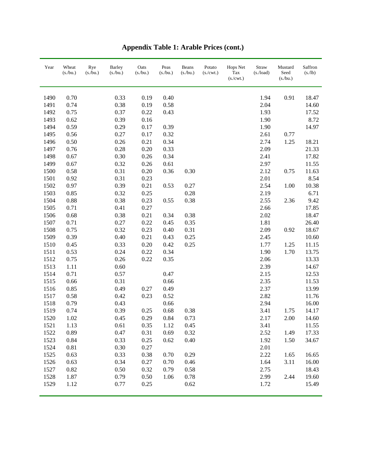| Year | Wheat<br>(s/bu.) | Rye<br>$(s$ ./bu.) | <b>Barley</b><br>(s/bu.) | Oats<br>(s/bu.) | Peas<br>(s/bu.) | Beans<br>(s/bu.) | Potato<br>$(s/\text{cwt.})$ | Hops Net<br>Tax<br>(s./cwt.) | Straw<br>(s./load) | Mustard<br>Seed<br>(s./bu.) | Saffron<br>(s/lb) |
|------|------------------|--------------------|--------------------------|-----------------|-----------------|------------------|-----------------------------|------------------------------|--------------------|-----------------------------|-------------------|
| 1490 | 0.70             |                    | 0.33                     | 0.19            | 0.40            |                  |                             |                              | 1.94               | 0.91                        | 18.47             |
| 1491 | 0.74             |                    | 0.38                     | 0.19            | 0.58            |                  |                             |                              | 2.04               |                             | 14.60             |
| 1492 | 0.75             |                    | 0.37                     | 0.22            | 0.43            |                  |                             |                              | 1.93               |                             | 17.52             |
| 1493 | 0.62             |                    | 0.39                     | 0.16            |                 |                  |                             |                              | 1.90               |                             | 8.72              |
| 1494 | 0.59             |                    | 0.29                     | 0.17            | 0.39            |                  |                             |                              | 1.90               |                             | 14.97             |
| 1495 | 0.56             |                    | 0.27                     | 0.17            | 0.32            |                  |                             |                              | 2.61               | 0.77                        |                   |
| 1496 | 0.50             |                    | 0.26                     | 0.21            | 0.34            |                  |                             |                              | 2.74               | 1.25                        | 18.21             |
| 1497 | 0.76             |                    | 0.28                     | $0.20\,$        | 0.33            |                  |                             |                              | 2.09               |                             | 21.33             |
| 1498 | 0.67             |                    | 0.30                     | 0.26            | 0.34            |                  |                             |                              | 2.41               |                             | 17.82             |
| 1499 | 0.67             |                    | 0.32                     | 0.26            | 0.61            |                  |                             |                              | 2.97               |                             | 11.55             |
| 1500 | 0.58             |                    | 0.31                     | $0.20\,$        | 0.36            | 0.30             |                             |                              | 2.12               | 0.75                        | 11.63             |
| 1501 | 0.92             |                    | 0.31                     | 0.23            |                 |                  |                             |                              | 2.01               |                             | 8.54              |
| 1502 | 0.97             |                    | 0.39                     | 0.21            | 0.53            | 0.27             |                             |                              | 2.54               | 1.00                        | 10.38             |
| 1503 | 0.85             |                    | 0.32                     | 0.25            |                 | 0.28             |                             |                              | 2.19               |                             | 6.71              |
| 1504 | 0.88             |                    | 0.38                     | 0.23            | 0.55            | 0.38             |                             |                              | 2.55               | 2.36                        | 9.42              |
| 1505 | 0.71             |                    | 0.41                     | 0.27            |                 |                  |                             |                              | 2.66               |                             | 17.85             |
| 1506 | 0.68             |                    | 0.38                     | 0.21            | 0.34            | 0.38             |                             |                              | 2.02               |                             | 18.47             |
| 1507 | 0.71             |                    | 0.27                     | 0.22            | 0.45            | 0.35             |                             |                              | 1.81               |                             | 26.40             |
| 1508 | 0.75             |                    | 0.32                     | 0.23            | 0.40            | 0.31             |                             |                              | 2.09               | 0.92                        | 18.67             |
| 1509 | 0.39             |                    | 0.40                     | 0.21            | 0.43            | 0.25             |                             |                              | 2.45               |                             | 10.60             |
| 1510 | 0.45             |                    | 0.33                     | 0.20            | 0.42            | 0.25             |                             |                              | 1.77               | 1.25                        | 11.15             |
| 1511 | 0.53             |                    | 0.24                     | 0.22            | 0.34            |                  |                             |                              | 1.90               | 1.70                        | 13.75             |
| 1512 | 0.75             |                    | 0.26                     | 0.22            | 0.35            |                  |                             |                              | 2.06               |                             | 13.33             |
| 1513 | 1.11             |                    | 0.60                     |                 |                 |                  |                             |                              | 2.39               |                             | 14.67             |
| 1514 | 0.71             |                    | 0.57                     |                 | 0.47            |                  |                             |                              | 2.15               |                             | 12.53             |
| 1515 | 0.66             |                    | 0.31                     |                 | 0.66            |                  |                             |                              | 2.35               |                             | 11.53             |
| 1516 | 0.85             |                    | 0.49                     | 0.27            | 0.49            |                  |                             |                              | 2.37               |                             | 13.99             |
| 1517 | 0.58             |                    | 0.42                     | 0.23            | 0.52            |                  |                             |                              | 2.82               |                             | 11.76             |
| 1518 | 0.79             |                    | 0.43                     |                 | 0.66            |                  |                             |                              | 2.94               |                             | 16.00             |
| 1519 | 0.74             |                    | 0.39                     | 0.25            | 0.68            | 0.38             |                             |                              | 3.41               | 1.75                        | 14.17             |
| 1520 | 1.02             |                    | 0.45                     | 0.29            | 0.84            | 0.73             |                             |                              | 2.17               | 2.00                        | 14.60             |
| 1521 | 1.13             |                    | 0.61                     | 0.35            | 1.12            | 0.45             |                             |                              | 3.41               |                             | 11.55             |
| 1522 | 0.89             |                    | 0.47                     | 0.31            | 0.69            | 0.32             |                             |                              | 2.52               | 1.49                        | 17.33             |
| 1523 | 0.84             |                    | 0.33                     | 0.25            | 0.62            | 0.40             |                             |                              | 1.92               | 1.50                        | 34.67             |
| 1524 | 0.81             |                    | 0.30                     | 0.27            |                 |                  |                             |                              | 2.01               |                             |                   |
| 1525 | 0.63             |                    | 0.33                     | 0.38            | 0.70            | 0.29             |                             |                              | 2.22               | 1.65                        | 16.65             |
| 1526 | 0.63             |                    | 0.34                     | 0.27            | 0.70            | 0.46             |                             |                              | 1.64               | 3.11                        | 16.00             |
| 1527 | 0.82             |                    | 0.50                     | 0.32            | 0.79            | 0.58             |                             |                              | 2.75               |                             | 18.43             |
| 1528 | 1.87             |                    | 0.79                     | 0.50            | 1.06            | 0.78             |                             |                              | 2.99               | 2.44                        | 19.60             |
| 1529 | 1.12             |                    | 0.77                     | 0.25            |                 | 0.62             |                             |                              | 1.72               |                             | 15.49             |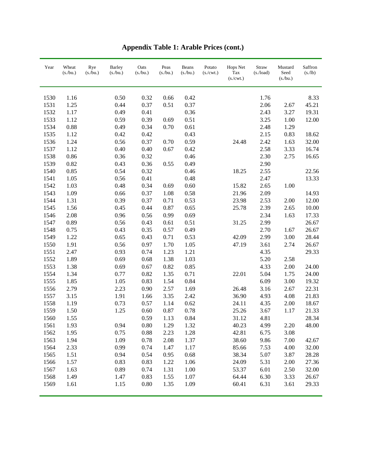| Year | Wheat<br>(s/bu.) | Rye<br>$(s$ ./bu.) | <b>Barley</b><br>(s/bu.) | Oats<br>(s/bu.) | Peas<br>(s/bu.) | Beans<br>(s/bu.) | Potato<br>$(s/\text{cwt.})$ | Hops Net<br>Tax<br>(s./cwt.) | Straw<br>(s./load) | Mustard<br>Seed<br>(s/bu.) | Saffron<br>(s/lb) |
|------|------------------|--------------------|--------------------------|-----------------|-----------------|------------------|-----------------------------|------------------------------|--------------------|----------------------------|-------------------|
| 1530 | 1.16             |                    | 0.50                     | 0.32            | 0.66            | 0.42             |                             |                              | 1.76               |                            | 8.33              |
| 1531 | 1.25             |                    | 0.44                     | 0.37            | 0.51            | 0.37             |                             |                              | 2.06               | 2.67                       | 45.21             |
| 1532 | 1.17             |                    | 0.49                     | 0.41            |                 | 0.36             |                             |                              | 2.43               | 3.27                       | 19.31             |
| 1533 | 1.12             |                    | 0.59                     | 0.39            | 0.69            | 0.51             |                             |                              | 3.25               | 1.00                       | 12.00             |
| 1534 | 0.88             |                    | 0.49                     | 0.34            | 0.70            | 0.61             |                             |                              | 2.48               | 1.29                       |                   |
| 1535 | 1.12             |                    | 0.42                     | 0.42            |                 | 0.43             |                             |                              | 2.15               | 0.83                       | 18.62             |
| 1536 | 1.24             |                    | 0.56                     | 0.37            | 0.70            | 0.59             |                             | 24.48                        | 2.42               | 1.63                       | 32.00             |
| 1537 | 1.12             |                    | 0.40                     | 0.40            | 0.67            | 0.42             |                             |                              | 2.58               | 3.33                       | 16.74             |
| 1538 | 0.86             |                    | 0.36                     | 0.32            |                 | 0.46             |                             |                              | 2.30               | 2.75                       | 16.65             |
| 1539 | 0.82             |                    | 0.43                     | 0.36            | 0.55            | 0.49             |                             |                              | 2.90               |                            |                   |
| 1540 | 0.85             |                    | 0.54                     | 0.32            |                 | 0.46             |                             | 18.25                        | 2.55               |                            | 22.56             |
| 1541 | 1.05             |                    | 0.56                     | 0.41            |                 | 0.48             |                             |                              | 2.47               |                            | 13.33             |
| 1542 | 1.03             |                    | 0.48                     | 0.34            |                 | 0.60             |                             | 15.82                        | 2.65               |                            |                   |
|      |                  |                    |                          |                 | 0.69            |                  |                             |                              |                    | 1.00                       |                   |
| 1543 | 1.09             |                    | 0.66                     | 0.37            | 1.08            | 0.58             |                             | 21.96                        | 2.09               |                            | 14.93             |
| 1544 | 1.31             |                    | 0.39                     | 0.37            | 0.71            | 0.53             |                             | 23.98                        | 2.53               | 2.00                       | 12.00             |
| 1545 | 1.56             |                    | 0.45                     | 0.44            | 0.87            | 0.65             |                             | 25.78                        | 2.39               | 2.65                       | 10.00             |
| 1546 | 2.08             |                    | 0.96                     | 0.56            | 0.99            | 0.69             |                             |                              | 2.34               | 1.63                       | 17.33             |
| 1547 | 0.89             |                    | 0.56                     | 0.43            | 0.61            | 0.51             |                             | 31.25                        | 2.99               |                            | 26.67             |
| 1548 | 0.75             |                    | 0.43                     | 0.35            | 0.57            | 0.49             |                             |                              | 2.70               | 1.67                       | 26.67             |
| 1549 | 1.22             |                    | 0.65                     | 0.43            | 0.71            | 0.53             |                             | 42.09                        | 2.99               | 3.00                       | 28.44             |
| 1550 | 1.91             |                    | 0.56                     | 0.97            | 1.70            | 1.05             |                             | 47.19                        | 3.61               | 2.74                       | 26.67             |
| 1551 | 2.47             |                    | 0.93                     | 0.74            | 1.23            | 1.21             |                             |                              | 4.35               |                            | 29.33             |
| 1552 | 1.89             |                    | 0.69                     | 0.68            | 1.38            | 1.03             |                             |                              | 5.20               | 2.58                       |                   |
| 1553 | 1.38             |                    | 0.69                     | 0.67            | 0.82            | 0.85             |                             |                              | 4.33               | 2.00                       | 24.00             |
| 1554 | 1.34             |                    | 0.77                     | 0.82            | 1.35            | 0.71             |                             | 22.01                        | 5.04               | 1.75                       | 24.00             |
| 1555 | 1.85             |                    | 1.05                     | 0.83            | 1.54            | 0.84             |                             |                              | 6.09               | 3.00                       | 19.32             |
| 1556 | 2.79             |                    | 2.23                     | 0.90            | 2.57            | 1.69             |                             | 26.48                        | 3.16               | 2.67                       | 22.31             |
| 1557 | 3.15             |                    | 1.91                     | 1.66            | 3.35            | 2.42             |                             | 36.90                        | 4.93               | 4.08                       | 21.83             |
| 1558 | 1.19             |                    | 0.73                     | 0.57            | 1.14            | 0.62             |                             | 24.11                        | 4.35               | 2.00                       | 18.67             |
| 1559 | 1.50             |                    | 1.25                     | 0.60            | 0.87            | 0.78             |                             | 25.26                        | 3.67               | 1.17                       | 21.33             |
| 1560 | 1.55             |                    |                          | 0.59            | 1.13            | 0.84             |                             | 31.12                        | 4.81               |                            | 28.34             |
| 1561 | 1.93             |                    | 0.94                     | 0.80            | 1.29            | 1.32             |                             | 40.23                        | 4.99               | 2.20                       | 48.00             |
| 1562 | 1.95             |                    | 0.75                     | 0.88            | 2.23            | 1.28             |                             | 42.81                        | 6.75               | 3.08                       |                   |
| 1563 | 1.94             |                    | 1.09                     | 0.78            | 2.08            | 1.37             |                             | 38.60                        | 9.86               | 7.00                       | 42.67             |
| 1564 | 2.33             |                    | 0.99                     | 0.74            | 1.47            | 1.17             |                             | 85.66                        | 7.53               | 4.00                       | 32.00             |
| 1565 | 1.51             |                    | 0.94                     | 0.54            | 0.95            | 0.68             |                             | 38.34                        | 5.07               | 3.87                       | 28.28             |
| 1566 | 1.57             |                    | 0.83                     | 0.83            | 1.22            | 1.06             |                             | 24.09                        | 5.31               | 2.00                       | 27.36             |
| 1567 | 1.63             |                    | 0.89                     | 0.74            | 1.31            | 1.00             |                             | 53.37                        | 6.01               | 2.50                       | 32.00             |
| 1568 | 1.49             |                    | 1.47                     | 0.83            | 1.55            | 1.07             |                             | 64.44                        | 6.30               | 3.33                       | 26.67             |
| 1569 | 1.61             |                    | 1.15                     | $0.80\,$        | 1.35            | 1.09             |                             | 60.41                        | 6.31               | 3.61                       | 29.33             |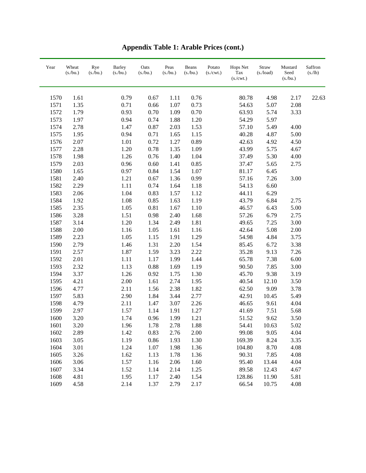| Year | Wheat<br>(s/bu.) | Rye<br>(s./bu.) | <b>Barley</b><br>(s/bu.) | Oats<br>(s./bu.) | Peas<br>(s/bu.) | Beans<br>(s/bu.) | Potato<br>$(s/\text{cwt.})$ | Hops Net<br>Tax<br>(s./cwt.) | Straw<br>$(s$ ./load) | Mustard<br>Seed<br>(s/bu.) | Saffron<br>(s/lb) |
|------|------------------|-----------------|--------------------------|------------------|-----------------|------------------|-----------------------------|------------------------------|-----------------------|----------------------------|-------------------|
| 1570 | 1.61             |                 | 0.79                     | 0.67             | 1.11            | 0.76             |                             | 80.78                        | 4.98                  | 2.17                       | 22.63             |
| 1571 | 1.35             |                 | 0.71                     | 0.66             | 1.07            | 0.73             |                             | 54.63                        | 5.07                  | 2.08                       |                   |
| 1572 | 1.79             |                 | 0.93                     | 0.70             | 1.09            | 0.70             |                             | 63.93                        | 5.74                  | 3.33                       |                   |
| 1573 | 1.97             |                 | 0.94                     | 0.74             | 1.88            | 1.20             |                             | 54.29                        | 5.97                  |                            |                   |
| 1574 | 2.78             |                 | 1.47                     | 0.87             | 2.03            | 1.53             |                             | 57.10                        | 5.49                  | 4.00                       |                   |
| 1575 | 1.95             |                 | 0.94                     | 0.71             | 1.65            | 1.15             |                             | 40.28                        | 4.87                  | 5.00                       |                   |
| 1576 | 2.07             |                 | 1.01                     | 0.72             | 1.27            | 0.89             |                             | 42.63                        | 4.92                  | 4.50                       |                   |
| 1577 | 2.28             |                 | 1.20                     | 0.78             | 1.35            | 1.09             |                             | 43.99                        | 5.75                  | 4.67                       |                   |
| 1578 | 1.98             |                 | 1.26                     | 0.76             | 1.40            | 1.04             |                             | 37.49                        | 5.30                  | 4.00                       |                   |
| 1579 | 2.03             |                 | 0.96                     | 0.60             | 1.41            | 0.85             |                             | 37.47                        | 5.65                  | 2.75                       |                   |
| 1580 | 1.65             |                 | 0.97                     | 0.84             | 1.54            | 1.07             |                             | 81.17                        | 6.45                  |                            |                   |
| 1581 | 2.40             |                 | 1.21                     | 0.67             | 1.36            | 0.99             |                             | 57.16                        | 7.26                  | 3.00                       |                   |
| 1582 | 2.29             |                 | 1.11                     | 0.74             | 1.64            | 1.18             |                             | 54.13                        | 6.60                  |                            |                   |
| 1583 | 2.06             |                 | 1.04                     | 0.83             | 1.57            | 1.12             |                             | 44.11                        | 6.29                  |                            |                   |
| 1584 | 1.92             |                 | 1.08                     | 0.85             | 1.63            | 1.19             |                             | 43.79                        | 6.84                  | 2.75                       |                   |
| 1585 | 2.35             |                 | 1.05                     | 0.81             | 1.67            | $1.10\,$         |                             | 46.57                        | 6.43                  | 5.00                       |                   |
| 1586 | 3.28             |                 | 1.51                     | 0.98             | 2.40            | 1.68             |                             | 57.26                        | 6.79                  | 2.75                       |                   |
| 1587 | 3.14             |                 | 1.20                     | 1.34             | 2.49            | 1.81             |                             | 49.65                        | 7.25                  | 3.00                       |                   |
| 1588 | 2.00             |                 | 1.16                     | 1.05             | 1.61            | 1.16             |                             | 42.64                        | 5.08                  | 2.00                       |                   |
| 1589 | 2.23             |                 | 1.05                     | 1.15             | 1.91            | 1.29             |                             | 54.98                        | 4.84                  | 3.75                       |                   |
| 1590 | 2.79             |                 | 1.46                     | 1.31             | 2.20            | 1.54             |                             | 85.45                        | 6.72                  | 3.38                       |                   |
| 1591 | 2.57             |                 | 1.87                     | 1.59             | 3.23            | 2.22             |                             | 35.28                        | 9.13                  | 7.26                       |                   |
| 1592 | 2.01             |                 | 1.11                     | 1.17             | 1.99            | 1.44             |                             | 65.78                        | 7.38                  | 6.00                       |                   |
| 1593 | 2.32             |                 | 1.13                     | 0.88             | 1.69            | 1.19             |                             | 90.50                        | 7.85                  | 3.00                       |                   |
| 1594 | 3.37             |                 | 1.26                     | 0.92             | 1.75            | 1.30             |                             | 45.70                        | 9.38                  | 3.19                       |                   |
| 1595 | 4.21             |                 | 2.00                     | 1.61             | 2.74            | 1.95             |                             | 40.54                        | 12.10                 | 3.50                       |                   |
| 1596 | 4.77             |                 | 2.11                     | 1.56             | 2.38            | 1.82             |                             | 62.50                        | 9.09                  | 3.78                       |                   |
| 1597 | 5.83             |                 | 2.90                     | 1.84             | 3.44            | 2.77             |                             | 42.91                        | 10.45                 | 5.49                       |                   |
| 1598 | 4.79             |                 | 2.11                     | 1.47             | 3.07            | 2.26             |                             | 46.65                        | 9.61                  | 4.04                       |                   |
| 1599 | 2.97             |                 | 1.57                     | 1.14             | 1.91            | 1.27             |                             | 41.69                        | 7.51                  | 5.68                       |                   |
| 1600 | 3.20             |                 | 1.74                     | 0.96             | 1.99            | 1.21             |                             | 51.52                        | 9.62                  | 3.50                       |                   |
| 1601 | 3.20             |                 | 1.96                     | 1.78             | 2.78            | 1.88             |                             | 54.41                        | 10.63                 | 5.02                       |                   |
| 1602 | 2.89             |                 | 1.42                     | 0.83             | 2.76            | 2.00             |                             | 99.08                        | 9.05                  | 4.04                       |                   |
| 1603 | 3.05             |                 | 1.19                     | 0.86             | 1.93            | 1.30             |                             | 169.39                       | 8.24                  | 3.35                       |                   |
| 1604 | 3.01             |                 | 1.24                     | 1.07             | 1.98            | 1.36             |                             | 104.80                       | 8.70                  | 4.08                       |                   |
| 1605 | 3.26             |                 | 1.62                     | 1.13             | 1.78            | 1.36             |                             | 90.31                        | 7.85                  | 4.08                       |                   |
| 1606 | 3.06             |                 | 1.57                     | 1.16             | 2.06            | 1.60             |                             | 95.40                        | 13.44                 | 4.04                       |                   |
| 1607 | 3.34             |                 | 1.52                     | 1.14             | 2.14            | 1.25             |                             | 89.58                        | 12.43                 | 4.67                       |                   |
| 1608 | 4.81             |                 | 1.95                     | 1.17             | 2.40            | 1.54             |                             | 128.86                       | 11.90                 | 5.81                       |                   |
| 1609 | 4.58             |                 | 2.14                     | 1.37             | 2.79            | 2.17             |                             | 66.54                        | 10.75                 | 4.08                       |                   |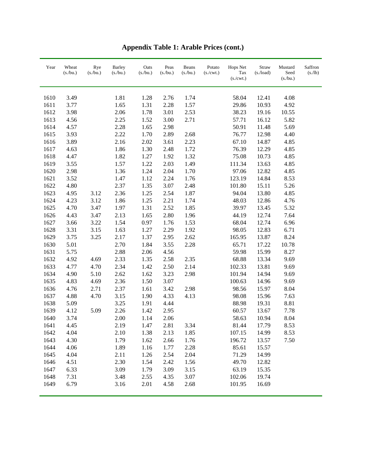| Year | Wheat<br>(s/bu.) | Rye<br>(s/bu.) | <b>Barley</b><br>(s/bu.) | Oats<br>(s/bu.) | Peas<br>(s/bu.) | Beans<br>(s/bu.) | Potato<br>(s./cwt.) | Hops Net<br>Tax<br>(s./cwt.) | Straw<br>$(s$ ./load) | Mustard<br>Seed<br>(s/bu.) | Saffron<br>(s/lb) |
|------|------------------|----------------|--------------------------|-----------------|-----------------|------------------|---------------------|------------------------------|-----------------------|----------------------------|-------------------|
| 1610 | 3.49             |                | 1.81                     | 1.28            | 2.76            | 1.74             |                     | 58.04                        | 12.41                 | 4.08                       |                   |
| 1611 | 3.77             |                | 1.65                     | 1.31            | 2.28            | 1.57             |                     | 29.86                        | 10.93                 | 4.92                       |                   |
| 1612 | 3.98             |                | 2.06                     | 1.78            | 3.01            | 2.53             |                     | 38.23                        | 19.16                 | 10.55                      |                   |
| 1613 | 4.56             |                | 2.25                     | 1.52            | 3.00            | 2.71             |                     | 57.71                        | 16.12                 | 5.82                       |                   |
| 1614 | 4.57             |                | 2.28                     | 1.65            | 2.98            |                  |                     | 50.91                        | 11.48                 | 5.69                       |                   |
| 1615 | 3.93             |                | 2.22                     | 1.70            | 2.89            | 2.68             |                     | 76.77                        | 12.98                 | 4.40                       |                   |
| 1616 | 3.89             |                | 2.16                     | 2.02            | 3.61            | 2.23             |                     | 67.10                        | 14.87                 | 4.85                       |                   |
| 1617 | 4.63             |                | 1.86                     | 1.30            | 2.48            | 1.72             |                     | 76.39                        | 12.29                 | 4.85                       |                   |
| 1618 | 4.47             |                | 1.82                     | 1.27            | 1.92            | 1.32             |                     | 75.08                        | 10.73                 | 4.85                       |                   |
| 1619 | 3.55             |                | 1.57                     | 1.22            | 2.03            | 1.49             |                     | 111.34                       | 13.63                 | 4.85                       |                   |
| 1620 | 2.98             |                | 1.36                     | 1.24            | 2.04            | 1.70             |                     | 97.06                        | 12.82                 | 4.85                       |                   |
| 1621 | 3.52             |                | 1.47                     | 1.12            | 2.24            | 1.76             |                     | 123.19                       | 14.84                 | 8.53                       |                   |
| 1622 | 4.80             |                | 2.37                     | 1.35            | 3.07            | 2.48             |                     | 101.80                       | 15.11                 | 5.26                       |                   |
| 1623 | 4.95             | 3.12           | 2.36                     | 1.25            | 2.54            | 1.87             |                     | 94.04                        | 13.80                 | 4.85                       |                   |
| 1624 | 4.23             | 3.12           | 1.86                     | 1.25            | 2.21            | 1.74             |                     | 48.03                        | 12.86                 | 4.76                       |                   |
| 1625 | 4.70             | 3.47           | 1.97                     | 1.31            | 2.52            | 1.85             |                     | 39.97                        | 13.45                 | 5.32                       |                   |
| 1626 | 4.43             | 3.47           | 2.13                     | 1.65            | 2.80            | 1.96             |                     | 44.19                        | 12.74                 | 7.64                       |                   |
| 1627 | 3.66             | 3.22           | 1.54                     | 0.97            | 1.76            | 1.53             |                     | 68.04                        | 12.74                 | 6.96                       |                   |
| 1628 | 3.31             | 3.15           | 1.63                     | 1.27            | 2.29            | 1.92             |                     | 98.05                        | 12.83                 | 6.71                       |                   |
| 1629 | 3.75             | 3.25           | 2.17                     | 1.37            | 2.95            | 2.62             |                     | 165.95                       | 13.87                 | 8.24                       |                   |
| 1630 | 5.01             |                | 2.70                     | 1.84            | 3.55            | 2.28             |                     | 65.71                        | 17.22                 | 10.78                      |                   |
| 1631 | 5.75             |                | 2.88                     | 2.06            | 4.56            |                  |                     | 59.98                        | 15.99                 | 8.27                       |                   |
| 1632 | 4.92             | 4.69           | 2.33                     | 1.35            | 2.58            | 2.35             |                     | 68.88                        | 13.34                 | 9.69                       |                   |
| 1633 | 4.77             | 4.70           | 2.34                     | 1.42            | 2.50            | 2.14             |                     | 102.33                       | 13.81                 | 9.69                       |                   |
| 1634 | 4.90             | 5.10           | 2.62                     | 1.62            | 3.23            | 2.98             |                     | 101.94                       | 14.94                 | 9.69                       |                   |
| 1635 | 4.83             | 4.69           | 2.36                     | 1.50            | 3.07            |                  |                     | 100.63                       | 14.96                 | 9.69                       |                   |
| 1636 | 4.76             | 2.71           | 2.37                     | 1.61            | 3.42            | 2.98             |                     | 98.56                        | 15.97                 | 8.04                       |                   |
| 1637 | 4.88             | 4.70           | 3.15                     | 1.90            | 4.33            | 4.13             |                     | 98.08                        | 15.96                 | 7.63                       |                   |
| 1638 | 5.09             |                | 3.25                     | 1.91            | 4.44            |                  |                     | 88.98                        | 19.31                 | 8.81                       |                   |
| 1639 | 4.12             | 5.09           | 2.26                     | 1.42            | 2.95            |                  |                     | 60.57                        | 13.67                 | 7.78                       |                   |
| 1640 | 3.74             |                | 2.00                     | 1.14            | 2.06            |                  |                     | 58.63                        | 10.94                 | 8.04                       |                   |
| 1641 | 4.45             |                | 2.19                     | 1.47            | 2.81            | 3.34             |                     | 81.44                        | 17.79                 | 8.53                       |                   |
| 1642 | 4.04             |                | 2.10                     | 1.38            | 2.13            | 1.85             |                     | 107.15                       | 14.99                 | 8.53                       |                   |
| 1643 | 4.30             |                | 1.79                     | 1.62            | 2.66            | 1.76             |                     | 196.72                       | 13.57                 | 7.50                       |                   |
| 1644 | 4.06             |                | 1.89                     | 1.16            | 1.77            | 2.28             |                     | 85.61                        | 15.57                 |                            |                   |
| 1645 | 4.04             |                | 2.11                     | 1.26            | 2.54            | 2.04             |                     | 71.29                        | 14.99                 |                            |                   |
| 1646 | 4.51             |                | 2.30                     | 1.54            | 2.42            | 1.56             |                     | 49.70                        | 12.82                 |                            |                   |
| 1647 | 6.33             |                | 3.09                     | 1.79            | 3.09            | 3.15             |                     | 63.19                        | 15.35                 |                            |                   |
| 1648 | 7.31             |                | 3.48                     | 2.55            | 4.35            | 3.07             |                     | 102.06                       | 19.74                 |                            |                   |
| 1649 | 6.79             |                | 3.16                     | 2.01            | 4.58            | 2.68             |                     | 101.95                       | 16.69                 |                            |                   |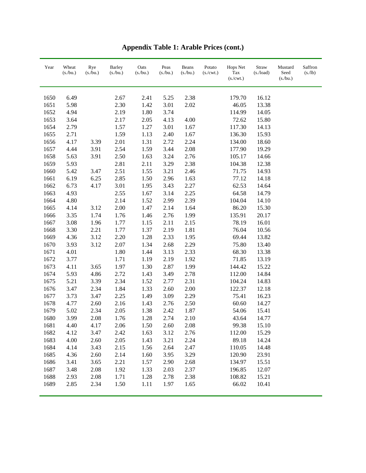| Year | Wheat<br>(s/bu.) | Rye<br>(s/bu.) | <b>Barley</b><br>$(s$ ./bu.) | Oats<br>(s/bu.) | Peas<br>(s/bu.) | Beans<br>(s/bu.) | Potato<br>(s./cwt.) | Hops Net<br>Tax<br>(s./cwt.) | Straw<br>$(s$ ./load) | Mustard<br>Seed<br>(s/bu.) | Saffron<br>(s/lb) |
|------|------------------|----------------|------------------------------|-----------------|-----------------|------------------|---------------------|------------------------------|-----------------------|----------------------------|-------------------|
| 1650 | 6.49             |                | 2.67                         | 2.41            | 5.25            | 2.38             |                     | 179.70                       | 16.12                 |                            |                   |
| 1651 | 5.98             |                | 2.30                         | 1.42            | 3.01            | 2.02             |                     | 46.05                        | 13.38                 |                            |                   |
| 1652 | 4.94             |                | 2.19                         | 1.80            | 3.74            |                  |                     | 114.99                       | 14.05                 |                            |                   |
| 1653 | 3.64             |                | 2.17                         | 2.05            | 4.13            | 4.00             |                     | 72.62                        | 15.80                 |                            |                   |
| 1654 | 2.79             |                | 1.57                         | 1.27            | 3.01            | 1.67             |                     | 117.30                       | 14.13                 |                            |                   |
| 1655 | 2.71             |                | 1.59                         | 1.13            | 2.40            | 1.67             |                     | 136.30                       | 15.93                 |                            |                   |
| 1656 | 4.17             | 3.39           | 2.01                         | 1.31            | 2.72            | 2.24             |                     | 134.00                       | 18.60                 |                            |                   |
| 1657 | 4.44             | 3.91           | 2.54                         | 1.59            | 3.44            | 2.08             |                     | 177.90                       | 19.29                 |                            |                   |
| 1658 | 5.63             | 3.91           | 2.50                         | 1.63            | 3.24            | 2.76             |                     | 105.17                       | 14.66                 |                            |                   |
| 1659 | 5.93             |                | 2.81                         | 2.11            | 3.29            | 2.38             |                     | 104.38                       | 12.38                 |                            |                   |
| 1660 | 5.42             | 3.47           | 2.51                         | 1.55            | 3.21            | 2.46             |                     | 71.75                        | 14.93                 |                            |                   |
| 1661 | 6.19             | 6.25           | 2.85                         | 1.50            | 2.96            | 1.63             |                     | 77.12                        | 14.18                 |                            |                   |
| 1662 | 6.73             | 4.17           | 3.01                         | 1.95            | 3.43            | 2.27             |                     | 62.53                        | 14.64                 |                            |                   |
| 1663 | 4.93             |                | 2.55                         | 1.67            | 3.14            | 2.25             |                     | 64.58                        | 14.79                 |                            |                   |
| 1664 | 4.80             |                | 2.14                         | 1.52            | 2.99            | 2.39             |                     | 104.04                       | 14.10                 |                            |                   |
| 1665 | 4.14             | 3.12           | $2.00\,$                     | 1.47            | 2.14            | 1.64             |                     | 86.20                        | 15.30                 |                            |                   |
| 1666 | 3.35             | 1.74           | 1.76                         | 1.46            | 2.76            | 1.99             |                     | 135.91                       | 20.17                 |                            |                   |
| 1667 | 3.08             | 1.96           | 1.77                         | 1.15            | 2.11            | 2.15             |                     | 78.19                        | 16.01                 |                            |                   |
| 1668 | 3.30             | 2.21           | 1.77                         | 1.37            | 2.19            | 1.81             |                     | 76.04                        | 10.56                 |                            |                   |
| 1669 | 4.36             | 3.12           | 2.20                         | 1.28            | 2.33            | 1.95             |                     | 69.44                        | 13.82                 |                            |                   |
| 1670 | 3.93             | 3.12           | 2.07                         | 1.34            | 2.68            | 2.29             |                     | 75.80                        | 13.40                 |                            |                   |
| 1671 | 4.01             |                | 1.80                         | 1.44            | 3.13            | 2.33             |                     | 68.30                        | 13.38                 |                            |                   |
| 1672 | 3.77             |                | 1.71                         | 1.19            | 2.19            | 1.92             |                     | 71.85                        | 13.19                 |                            |                   |
| 1673 | 4.11             | 3.65           | 1.97                         | 1.30            | 2.87            | 1.99             |                     | 144.42                       | 15.22                 |                            |                   |
| 1674 | 5.93             | 4.86           | 2.72                         | 1.43            | 3.49            | 2.78             |                     | 112.00                       | 14.84                 |                            |                   |
| 1675 | 5.21             | 3.39           | 2.34                         | 1.52            | 2.77            | 2.31             |                     | 104.24                       | 14.83                 |                            |                   |
| 1676 | 3.47             | 2.34           | 1.84                         | 1.33            | 2.60            | 2.00             |                     | 122.37                       | 12.18                 |                            |                   |
| 1677 | 3.73             | 3.47           | 2.25                         | 1.49            | 3.09            | 2.29             |                     | 75.41                        | 16.23                 |                            |                   |
| 1678 | 4.77             | 2.60           | 2.16                         | 1.43            | 2.76            | 2.50             |                     | 60.60                        | 14.27                 |                            |                   |
| 1679 | 5.02             | 2.34           | 2.05                         | 1.38            | 2.42            | 1.87             |                     | 54.06                        | 15.41                 |                            |                   |
| 1680 | 3.99             | 2.08           | 1.76                         | 1.28            | 2.74            | 2.10             |                     | 43.64                        | 14.77                 |                            |                   |
| 1681 | 4.40             | 4.17           | 2.06                         | 1.50            | 2.60            | 2.08             |                     | 99.38                        | 15.10                 |                            |                   |
| 1682 | 4.12             | 3.47           | 2.42                         | 1.63            | 3.12            | 2.76             |                     | 112.00                       | 15.29                 |                            |                   |
| 1683 | 4.00             | 2.60           | 2.05                         | 1.43            | 3.21            | 2.24             |                     | 89.18                        | 14.24                 |                            |                   |
| 1684 | 4.14             | 3.43           | 2.15                         | 1.56            | 2.64            | 2.47             |                     | 110.05                       | 14.48                 |                            |                   |
| 1685 | 4.36             | 2.60           | 2.14                         | 1.60            | 3.95            | 3.29             |                     | 120.90                       | 23.91                 |                            |                   |
| 1686 | 3.41             | 3.65           | 2.21                         | 1.57            | 2.90            | 2.68             |                     | 134.97                       | 15.51                 |                            |                   |
| 1687 | 3.48             | 2.08           | 1.92                         | 1.33            | 2.03            | 2.37             |                     | 196.85                       | 12.07                 |                            |                   |
| 1688 | 2.93             | 2.08           | 1.71                         | 1.28            | 2.78            | 2.38             |                     | 108.82                       | 15.21                 |                            |                   |
| 1689 | 2.85             | 2.34           | 1.50                         | 1.11            | 1.97            | 1.65             |                     | 66.02                        | 10.41                 |                            |                   |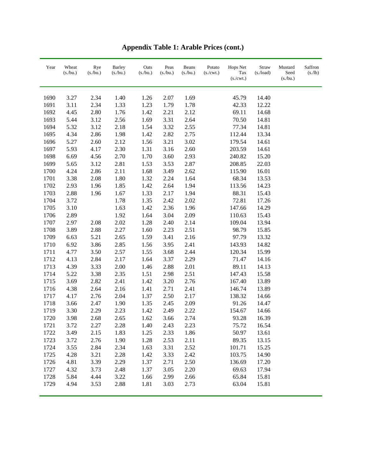| Year | Wheat<br>(s/bu.) | Rye<br>(s/bu.) | <b>Barley</b><br>(s/bu.) | Oats<br>(s/bu.) | Peas<br>(s/bu.) | Beans<br>(s/bu.) | Potato<br>(s./cwt.) | Hops Net<br>Tax<br>(s./cwt.) | Straw<br>$(s$ ./load) | Mustard<br>Seed<br>(s/bu.) | Saffron<br>(s/lb) |
|------|------------------|----------------|--------------------------|-----------------|-----------------|------------------|---------------------|------------------------------|-----------------------|----------------------------|-------------------|
| 1690 | 3.27             | 2.34           | 1.40                     | 1.26            | 2.07            | 1.69             |                     | 45.79                        | 14.40                 |                            |                   |
| 1691 | 3.11             | 2.34           | 1.33                     | 1.23            | 1.79            | 1.78             |                     | 42.33                        | 12.22                 |                            |                   |
| 1692 | 4.45             | 2.80           | 1.76                     | 1.42            | 2.21            | 2.12             |                     | 69.11                        | 14.68                 |                            |                   |
| 1693 | 5.44             | 3.12           | 2.56                     | 1.69            | 3.31            | 2.64             |                     | 70.50                        | 14.81                 |                            |                   |
| 1694 | 5.32             | 3.12           | 2.18                     | 1.54            | 3.32            | 2.55             |                     | 77.34                        | 14.81                 |                            |                   |
| 1695 | 4.34             | 2.86           | 1.98                     | 1.42            | 2.82            | 2.75             |                     | 112.44                       | 13.34                 |                            |                   |
| 1696 | 5.27             | 2.60           | 2.12                     | 1.56            | 3.21            | 3.02             |                     | 179.54                       | 14.61                 |                            |                   |
| 1697 | 5.93             | 4.17           | 2.30                     | 1.31            | 3.16            | 2.60             |                     | 203.59                       | 14.61                 |                            |                   |
| 1698 | 6.69             | 4.56           | 2.70                     | 1.70            | 3.60            | 2.93             |                     | 240.82                       | 15.20                 |                            |                   |
| 1699 | 5.65             | 3.12           | 2.81                     | 1.53            | 3.53            | 2.87             |                     | 208.85                       | 22.03                 |                            |                   |
| 1700 | 4.24             | 2.86           | 2.11                     | 1.68            | 3.49            | 2.62             |                     | 115.90                       | 16.01                 |                            |                   |
| 1701 | 3.38             | 2.08           | 1.80                     | 1.32            | 2.24            | 1.64             |                     | 68.34                        | 13.53                 |                            |                   |
| 1702 | 2.93             | 1.96           | 1.85                     | 1.42            | 2.64            | 1.94             |                     | 113.56                       | 14.23                 |                            |                   |
| 1703 | 2.88             | 1.96           | 1.67                     | 1.33            | 2.17            | 1.94             |                     | 88.31                        | 15.43                 |                            |                   |
| 1704 | 3.72             |                | 1.78                     | 1.35            | 2.42            | 2.02             |                     | 72.81                        | 17.26                 |                            |                   |
| 1705 | 3.10             |                | 1.63                     | 1.42            | 2.36            | 1.96             |                     | 147.66                       | 14.29                 |                            |                   |
| 1706 | 2.89             |                | 1.92                     | 1.64            | 3.04            | 2.09             |                     | 110.63                       | 15.43                 |                            |                   |
| 1707 | 2.97             | 2.08           | 2.02                     | 1.28            | 2.40            | 2.14             |                     | 109.04                       | 13.94                 |                            |                   |
| 1708 | 3.89             | 2.88           | 2.27                     | 1.60            | 2.23            | 2.51             |                     | 98.79                        | 15.85                 |                            |                   |
| 1709 | 6.63             | 5.21           | 2.65                     | 1.59            | 3.41            | 2.16             |                     | 97.79                        | 13.32                 |                            |                   |
| 1710 | 6.92             | 3.86           | 2.85                     | 1.56            | 3.95            | 2.41             |                     | 143.93                       | 14.82                 |                            |                   |
| 1711 | 4.77             | 3.50           | 2.57                     | 1.55            | 3.68            | 2.44             |                     | 120.34                       | 15.99                 |                            |                   |
| 1712 | 4.13             | 2.84           | 2.17                     | 1.64            | 3.37            | 2.29             |                     | 71.47                        | 14.16                 |                            |                   |
| 1713 | 4.39             | 3.33           | 2.00                     | 1.46            | 2.88            | 2.01             |                     | 89.11                        | 14.13                 |                            |                   |
| 1714 | 5.22             | 3.38           | 2.35                     | 1.51            | 2.98            | 2.51             |                     | 147.43                       | 15.58                 |                            |                   |
| 1715 | 3.69             | 2.82           | 2.41                     | 1.42            | 3.20            | 2.76             |                     | 167.40                       | 13.89                 |                            |                   |
| 1716 | 4.38             | 2.64           | 2.16                     | 1.41            | 2.71            | 2.41             |                     | 146.74                       | 13.89                 |                            |                   |
| 1717 | 4.17             | 2.76           | 2.04                     | 1.37            | 2.50            | 2.17             |                     | 138.32                       | 14.66                 |                            |                   |
| 1718 | 3.66             | 2.47           | 1.90                     | 1.35            | 2.45            | 2.09             |                     | 91.26                        | 14.47                 |                            |                   |
| 1719 | 3.30             | 2.29           | 2.23                     | 1.42            | 2.49            | 2.22             |                     | 154.67                       | 14.66                 |                            |                   |
| 1720 | 3.98             | 2.68           | 2.65                     | 1.62            | 3.66            | 2.74             |                     | 93.28                        | 16.39                 |                            |                   |
| 1721 | 3.72             | 2.27           | 2.28                     | 1.40            | 2.43            | 2.23             |                     | 75.72                        | 16.54                 |                            |                   |
| 1722 | 3.49             | 2.15           | 1.83                     | 1.25            | 2.33            | 1.86             |                     | 50.97                        | 13.61                 |                            |                   |
| 1723 | 3.72             | 2.76           | 1.90                     | 1.28            | 2.53            | 2.11             |                     | 89.35                        | 13.15                 |                            |                   |
| 1724 | 3.55             | 2.84           | 2.34                     | 1.63            | 3.31            | 2.52             |                     | 101.71                       | 15.25                 |                            |                   |
| 1725 | 4.28             | 3.21           | 2.28                     | 1.42            | 3.33            | 2.42             |                     | 103.75                       | 14.90                 |                            |                   |
| 1726 | 4.81             | 3.39           | 2.29                     | 1.37            | 2.71            | 2.50             |                     | 136.69                       | 17.20                 |                            |                   |
| 1727 | 4.32             | 3.73           | 2.48                     | 1.37            | 3.05            | 2.20             |                     | 69.63                        | 17.94                 |                            |                   |
| 1728 | 5.84             | 4.44           | 3.22                     | 1.66            | 2.99            | 2.66             |                     | 65.84                        | 15.81                 |                            |                   |
| 1729 | 4.94             | 3.53           | 2.88                     | 1.81            | 3.03            | 2.73             |                     | 63.04                        | 15.81                 |                            |                   |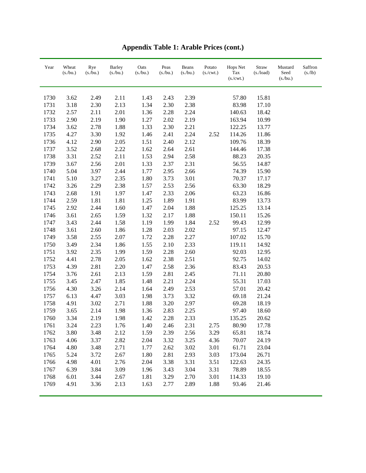| Year | Wheat<br>(s/bu.) | Rye<br>$(s$ ./bu.) | <b>Barley</b><br>$(s$ ./bu.) | Oats<br>(s/bu.) | Peas<br>(s/bu.) | Beans<br>(s/bu.) | Potato<br>$(s/\text{cwt.})$ | Hops Net<br>Tax<br>(s./cwt.) | Straw<br>$(s$ ./load) | Mustard<br>Seed<br>(s/bu.) | Saffron<br>(s/lb) |
|------|------------------|--------------------|------------------------------|-----------------|-----------------|------------------|-----------------------------|------------------------------|-----------------------|----------------------------|-------------------|
|      |                  |                    |                              |                 |                 |                  |                             |                              |                       |                            |                   |
| 1730 | 3.62             | 2.49               | 2.11                         | 1.43            | 2.43            | 2.39             |                             | 57.80                        | 15.81                 |                            |                   |
| 1731 | 3.18             | 2.30               | 2.13                         | 1.34            | 2.30            | 2.38             |                             | 83.98                        | 17.10                 |                            |                   |
| 1732 | 2.57             | 2.11               | 2.01                         | 1.36            | 2.28            | 2.24             |                             | 140.63                       | 18.42                 |                            |                   |
| 1733 | 2.90             | 2.19               | 1.90                         | 1.27            | 2.02            | 2.19             |                             | 163.94                       | 10.99                 |                            |                   |
| 1734 | 3.62             | 2.78               | 1.88                         | 1.33            | 2.30            | 2.21             |                             | 122.25                       | 13.77                 |                            |                   |
| 1735 | 4.27             | 3.30               | 1.92                         | 1.46            | 2.41            | 2.24             | 2.52                        | 114.26                       | 11.86                 |                            |                   |
| 1736 | 4.12             | 2.90               | 2.05                         | 1.51            | 2.40            | 2.12             |                             | 109.76                       | 18.39                 |                            |                   |
| 1737 | 3.52             | 2.68               | 2.22                         | 1.62            | 2.64            | 2.61             |                             | 144.46                       | 17.38                 |                            |                   |
| 1738 | 3.31             | 2.52               | 2.11                         | 1.53            | 2.94            | 2.58             |                             | 88.23                        | 20.35                 |                            |                   |
| 1739 | 3.67             | 2.56               | 2.01                         | 1.33            | 2.37            | 2.31             |                             | 56.55                        | 14.87                 |                            |                   |
| 1740 | 5.04             | 3.97               | 2.44                         | 1.77            | 2.95            | 2.66             |                             | 74.39                        | 15.90                 |                            |                   |
| 1741 | 5.10             | 3.27               | 2.35                         | 1.80            | 3.73            | 3.01             |                             | 70.37                        | 17.17                 |                            |                   |
| 1742 | 3.26             | 2.29               | 2.38                         | 1.57            | 2.53            | 2.56             |                             | 63.30                        | 18.29                 |                            |                   |
| 1743 | 2.68             | 1.91               | 1.97                         | 1.47            | 2.33            | 2.06             |                             | 63.23                        | 16.86                 |                            |                   |
| 1744 | 2.59             | 1.81               | 1.81                         | 1.25            | 1.89            | 1.91             |                             | 83.99                        | 13.73                 |                            |                   |
| 1745 | 2.92             | 2.44               | 1.60                         | 1.47            | 2.04            | 1.88             |                             | 125.25                       | 13.14                 |                            |                   |
| 1746 | 3.61             | 2.65               | 1.59                         | 1.32            | 2.17            | 1.88             |                             | 150.11                       | 15.26                 |                            |                   |
| 1747 | 3.43             | 2.44               | 1.58                         | 1.19            | 1.99            | 1.84             | 2.52                        | 99.43                        | 12.99                 |                            |                   |
| 1748 | 3.61             | 2.60               | 1.86                         | 1.28            | 2.03            | 2.02             |                             | 97.15                        | 12.47                 |                            |                   |
| 1749 | 3.58             | 2.55               | 2.07                         | 1.72            | 2.28            | 2.27             |                             | 107.02                       | 15.70                 |                            |                   |
| 1750 | 3.49             | 2.34               | 1.86                         | 1.55            | 2.10            | 2.33             |                             | 119.11                       | 14.92                 |                            |                   |
| 1751 | 3.92             | 2.35               | 1.99                         | 1.59            | 2.28            | 2.60             |                             | 92.03                        | 12.95                 |                            |                   |
| 1752 | 4.41             | 2.78               | 2.05                         | 1.62            | 2.38            | 2.51             |                             | 92.75                        | 14.02                 |                            |                   |
| 1753 | 4.39             | 2.81               | 2.20                         | 1.47            | 2.58            | 2.36             |                             | 83.43                        | 20.53                 |                            |                   |
| 1754 | 3.76             | 2.61               | 2.13                         | 1.59            | 2.81            | 2.45             |                             | 71.11                        | 20.80                 |                            |                   |
| 1755 | 3.45             | 2.47               | 1.85                         | 1.48            | 2.21            | 2.24             |                             | 55.31                        | 17.03                 |                            |                   |
| 1756 | 4.30             | 3.26               | 2.14                         | 1.64            | 2.49            | 2.53             |                             | 57.01                        | 20.42                 |                            |                   |
| 1757 | 6.13             | 4.47               | 3.03                         | 1.98            | 3.73            | 3.32             |                             | 69.18                        | 21.24                 |                            |                   |
| 1758 | 4.91             | 3.02               | 2.71                         | 1.88            | 3.20            | 2.97             |                             | 69.28                        | 18.19                 |                            |                   |
| 1759 | 3.65             | 2.14               | 1.98                         | 1.36            | 2.83            | 2.25             |                             | 97.40                        | 18.60                 |                            |                   |
| 1760 | 3.34             | 2.19               | 1.98                         | 1.42            | 2.28            | 2.33             |                             | 135.25                       | 20.62                 |                            |                   |
| 1761 | 3.24             | 2.23               | 1.76                         | 1.40            | 2.46            | 2.31             | 2.75                        | 80.90                        | 17.78                 |                            |                   |
| 1762 | 3.80             | 3.48               | 2.12                         | 1.59            | 2.39            | 2.56             | 3.29                        | 65.81                        | 18.74                 |                            |                   |
| 1763 | 4.06             | 3.37               | 2.82                         | 2.04            | 3.32            | 3.25             | 4.36                        | 70.07                        | 24.19                 |                            |                   |
| 1764 | 4.80             | 3.48               | 2.71                         | 1.77            | 2.62            | 3.02             | 3.01                        | 61.71                        | 23.04                 |                            |                   |
| 1765 | 5.24             | 3.72               | 2.67                         | 1.80            | 2.81            | 2.93             | 3.03                        | 173.04                       | 26.71                 |                            |                   |
| 1766 | 4.98             | 4.01               | 2.76                         | 2.04            | 3.38            | 3.31             | 3.51                        | 122.63                       | 24.35                 |                            |                   |
| 1767 | 6.39             | 3.84               | 3.09                         | 1.96            | 3.43            | 3.04             | 3.31                        | 78.89                        | 18.55                 |                            |                   |
| 1768 | 6.01             | 3.44               | 2.67                         | 1.81            | 3.29            | 2.70             | 3.01                        | 114.33                       | 19.10                 |                            |                   |
| 1769 | 4.91             | 3.36               | 2.13                         | 1.63            | 2.77            | 2.89             | 1.88                        | 93.46                        | 21.46                 |                            |                   |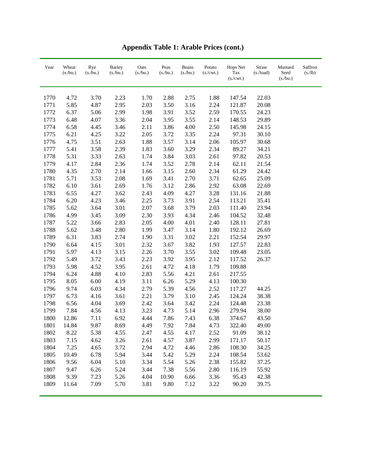| Year | Wheat<br>(s/bu.) | Rye<br>(s/bu.) | <b>Barley</b><br>(s/bu.) | Oats<br>(s/bu.) | Peas<br>(s/bu.) | Beans<br>(s/bu.) | Potato<br>(s./cwt.) | <b>Hops Net</b><br>Tax<br>(s./cwt.) | Straw<br>$(s$ ./load) | Mustard<br>Seed<br>(s./bu.) | Saffron<br>(s/lb) |
|------|------------------|----------------|--------------------------|-----------------|-----------------|------------------|---------------------|-------------------------------------|-----------------------|-----------------------------|-------------------|
| 1770 | 4.72             | 3.70           | 2.23                     | 1.70            | 2.88            | 2.75             | 1.88                | 147.54                              | 22.03                 |                             |                   |
| 1771 | 5.85             | 4.87           | 2.95                     | 2.03            | 3.50            | 3.16             | 2.24                | 121.87                              | 20.08                 |                             |                   |
| 1772 | 6.37             | 5.06           | 2.99                     | 1.98            | 3.91            | 3.52             | 2.59                | 170.55                              | 24.23                 |                             |                   |
| 1773 | 6.48             | 4.07           | 3.36                     | 2.04            | 3.95            | 3.55             | 2.14                | 148.53                              | 29.89                 |                             |                   |
| 1774 | 6.58             | 4.45           | 3.46                     | 2.11            | 3.86            | 4.00             | 2.50                | 145.98                              | 24.15                 |                             |                   |
| 1775 | 6.21             | 4.25           | 3.22                     | 2.05            | 3.72            | 3.35             | 2.24                | 97.31                               | 30.10                 |                             |                   |
| 1776 | 4.75             | 3.51           | 2.63                     | 1.88            | 3.57            | 3.14             | 2.06                | 105.97                              | 30.68                 |                             |                   |
| 1777 | 5.41             | 3.58           | 2.39                     | 1.83            | 3.60            | 3.29             | 2.34                | 89.27                               | 34.21                 |                             |                   |
| 1778 | 5.31             | 3.33           | 2.63                     | 1.74            | 3.84            | 3.03             | 2.61                | 97.82                               | 20.53                 |                             |                   |
| 1779 | 4.17             | 2.84           | 2.36                     | 1.74            | 3.52            | 2.78             | 2.14                | 62.11                               | 21.54                 |                             |                   |
| 1780 | 4.35             | 2.70           | 2.14                     | 1.66            | 3.15            | 2.60             | 2.34                | 61.29                               | 24.42                 |                             |                   |
| 1781 | 5.71             | 3.53           | 2.08                     | 1.69            | 3.41            | 2.70             | 3.71                | 62.65                               | 25.09                 |                             |                   |
| 1782 | 6.10             | 3.61           | 2.69                     | 1.76            | 3.12            | 2.86             | 2.92                | 63.08                               | 22.69                 |                             |                   |
| 1783 | 6.55             | 4.27           | 3.62                     | 2.43            | 4.09            | 4.27             | 3.28                | 131.16                              | 21.88                 |                             |                   |
| 1784 | 6.20             | 4.23           | 3.46                     | 2.25            | 3.73            | 3.91             | 2.54                | 113.21                              | 35.41                 |                             |                   |
| 1785 | 5.62             | 3.64           | 3.01                     | 2.07            | 3.68            | 3.79             | 2.03                | 111.40                              | 23.94                 |                             |                   |
| 1786 | 4.99             | 3.45           | 3.09                     | 2.30            | 3.93            | 4.34             | 2.46                | 104.52                              | 32.48                 |                             |                   |
| 1787 | 5.22             | 3.66           | 2.83                     | 2.05            | 4.00            | 4.01             | 2.40                | 128.11                              | 27.81                 |                             |                   |
| 1788 | 5.62             | 3.48           | 2.80                     | 1.99            | 3.47            | 3.14             | 1.80                | 192.12                              | 26.69                 |                             |                   |
| 1789 | 6.31             | 3.83           | 2.74                     | 1.90            | 3.31            | 3.02             | 2.21                | 152.54                              | 29.97                 |                             |                   |
| 1790 | 6.64             | 4.15           | 3.01                     | 2.32            | 3.67            | 3.82             | 1.93                | 127.57                              | 22.83                 |                             |                   |
| 1791 | 5.97             | 4.13           | 3.15                     | 2.26            | 3.70            | 3.55             | 3.02                | 109.48                              | 23.05                 |                             |                   |
| 1792 | 5.49             | 3.72           | 3.43                     | 2.23            | 3.92            | 3.95             | 2.12                | 117.52                              | 26.37                 |                             |                   |
| 1793 | 5.98             | 4.52           | 3.95                     | 2.61            | 4.72            | 4.18             | 1.79                | 109.88                              |                       |                             |                   |
| 1794 | 6.24             | 4.88           | 4.10                     | 2.83            | 5.56            | 4.21             | 2.61                | 217.55                              |                       |                             |                   |
| 1795 | 8.05             | 6.00           | 4.19                     | 3.11            | 6.26            | 5.29             | 4.13                | 100.30                              |                       |                             |                   |
| 1796 | 9.74             | 6.03           | 4.34                     | 2.79            | 5.39            | 4.56             | 2.52                | 117.27                              | 44.25                 |                             |                   |
| 1797 | 6.73             | 4.16           | 3.61                     | 2.21            | 3.79            | 3.10             | 2.45                | 124.24                              | 38.38                 |                             |                   |
| 1798 | 6.56             | 4.04           | 3.69                     | 2.42            | 3.64            | 3.42             | 2.24                | 124.48                              | 23.38                 |                             |                   |
| 1799 | 7.84             | 4.56           | 4.13                     | 3.23            | 4.73            | 5.14             | 2.96                | 279.94                              | 38.00                 |                             |                   |
| 1800 | 12.86            | 7.11           | 6.92                     | 4.44            | 7.86            | 7.43             | 6.38                | 374.67                              | 43.50                 |                             |                   |
| 1801 | 14.84            | 9.87           | 8.69                     | 4.49            | 7.92            | 7.84             | 4.73                | 322.40                              | 49.00                 |                             |                   |
| 1802 | 8.22             | 5.38           | 4.55                     | 2.47            | 4.55            | 4.17             | 2.52                | 91.09                               | 38.12                 |                             |                   |
| 1803 | 7.15             | 4.62           | 3.26                     | 2.61            | 4.57            | 3.87             | 2.99                | 171.17                              | 50.17                 |                             |                   |
| 1804 | 7.25             | 4.65           | 3.72                     | 2.94            | 4.72            | 4.46             | 2.86                | 108.30                              | 34.25                 |                             |                   |
| 1805 | 10.49            | 6.78           | 5.94                     | 3.44            | 5.42            | 5.29             | 2.24                | 108.54                              | 53.62                 |                             |                   |
| 1806 | 9.56             | 6.04           | 5.10                     | 3.34            | 5.54            | 5.26             | 2.38                | 155.82                              | 37.25                 |                             |                   |
| 1807 | 9.47             | 6.26           | 5.24                     | 3.44            | 7.38            | 5.56             | 2.80                | 116.19                              | 55.92                 |                             |                   |
| 1808 | 9.39             | 7.23           | 5.26                     | 4.04            | 10.90           | 6.66             | 3.36                | 95.43                               | 42.38                 |                             |                   |
| 1809 | 11.64            | 7.09           | 5.70                     | 3.81            | 9.80            | 7.12             | 3.22                | 90.20                               | 39.75                 |                             |                   |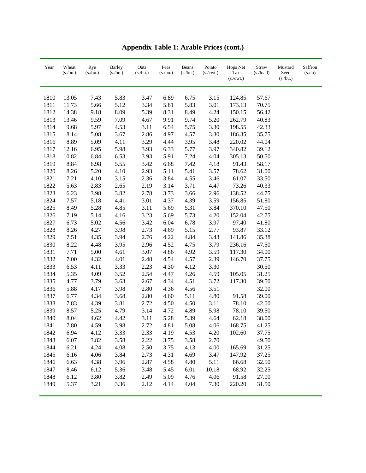| Year | Wheat<br>(s/bu.) | Rye<br>(s/bu.) | <b>Barley</b><br>(s/bu.) | Oats<br>(s/bu.) | Peas<br>(s/bu.) | Beans<br>(s/bu.) | Potato<br>(s./cwt.) | Hops Net<br>Tax<br>(s./cwt.) | Straw<br>$(s$ ./load) | Mustard<br>Seed<br>(s./bu.) | Saffron<br>(s/lb) |
|------|------------------|----------------|--------------------------|-----------------|-----------------|------------------|---------------------|------------------------------|-----------------------|-----------------------------|-------------------|
| 1810 | 13.05            | 7.43           | 5.83                     | 3.47            | 6.89            | 6.75             | 3.15                | 124.85                       | 57.67                 |                             |                   |
| 1811 | 11.73            | 5.66           | 5.12                     | 3.34            | 5.81            | 5.83             | 3.01                | 173.13                       | 70.75                 |                             |                   |
| 1812 | 14.38            | 9.18           | 8.09                     | 5.39            | 8.31            | 8.49             | 4.24                | 150.15                       | 56.42                 |                             |                   |
| 1813 | 13.46            | 9.59           | 7.09                     | 4.67            | 9.91            | 9.74             | 5.20                | 262.79                       | 40.83                 |                             |                   |
| 1814 | 9.68             | 5.97           | 4.53                     | 3.11            | 6.54            | 5.75             | 3.30                | 198.55                       | 42.33                 |                             |                   |
| 1815 | 8.14             | 5.08           | 3.67                     | 2.86            | 4.97            | 4.57             | 3.30                | 186.35                       | 35.75                 |                             |                   |
| 1816 | 8.89             | 5.09           | 4.11                     | 3.29            | 4.44            | 3.95             | 3.48                | 220.02                       | 44.04                 |                             |                   |
| 1817 | 12.16            | 6.95           | 5.98                     | 3.93            | 6.33            | 5.77             | 3.97                | 340.82                       | 39.12                 |                             |                   |
| 1818 | 10.82            | 6.84           | 6.53                     | 3.93            | 5.91            | 7.24             | 4.04                | 305.13                       | 50.50                 |                             |                   |
| 1819 | 8.84             | 6.98           | 5.55                     | 3.42            | 6.68            | 7.42             | 4.18                | 91.43                        | 58.17                 |                             |                   |
| 1820 | 8.26             | 5.20           | 4.10                     | 2.93            | 5.11            | 5.41             | 3.57                | 78.62                        | 31.00                 |                             |                   |
| 1821 | 7.21             | 4.10           | 3.15                     | 2.36            | 3.84            | 4.55             | 3.46                | 61.07                        | 33.50                 |                             |                   |
| 1822 | 5.63             | 2.83           | 2.65                     | 2.19            | 3.14            | 3.71             | 4.47                | 73.26                        | 40.33                 |                             |                   |
| 1823 | 6.23             | 3.98           | 3.82                     | 2.78            | 3.73            | 3.66             | 2.96                | 138.52                       | 44.75                 |                             |                   |
| 1824 | 7.57             | 5.18           | 4.41                     | 3.01            | 4.37            | 4.39             | 3.59                | 156.85                       | 51.80                 |                             |                   |
| 1825 | 8.49             | 5.28           | 4.85                     | 3.11            | 5.69            | 5.31             | 3.84                | 370.10                       | 47.50                 |                             |                   |
| 1826 | 7.19             | 5.14           | 4.16                     | 3.23            | 5.69            | 5.73             | 4.20                | 152.04                       | 42.75                 |                             |                   |
| 1827 | 6.73             | 5.02           | 4.56                     | 3.42            | 6.04            | 6.78             | 3.97                | 97.40                        | 41.80                 |                             |                   |
| 1828 | 8.26             | 4.27           | 3.98                     | 2.73            | 4.69            | 5.15             | 2.77                | 93.87                        | 33.12                 |                             |                   |
| 1829 | 7.51             | 4.35           | 3.94                     | 2.76            | 4.22            | 4.84             | 3.43                | 141.86                       | 35.38                 |                             |                   |
| 1830 | 8.22             | 4.48           | 3.95                     | 2.96            | 4.52            | 4.75             | 3.79                | 236.16                       | 47.50                 |                             |                   |
| 1831 | 7.71             | 5.00           | 4.61                     | 3.07            | 4.86            | 4.92             | 3.59                | 117.30                       | 34.00                 |                             |                   |
| 1832 | 7.00             | 4.32           | 4.01                     | 2.48            | 4.54            | 4.57             | 2.39                | 146.70                       | 37.75                 |                             |                   |
| 1833 | 6.53             | 4.11           | 3.33                     | 2.23            | 4.30            | 4.12             | 3.30                |                              | 30.50                 |                             |                   |
| 1834 | 5.35             | 4.09           | 3.52                     | 2.54            | 4.47            | 4.26             | 4.59                | 105.05                       | 31.25                 |                             |                   |
| 1835 | 4.77             | 3.79           | 3.63                     | 2.67            | 4.34            | 4.51             | 3.72                | 117.30                       | 39.50                 |                             |                   |
| 1836 | 5.88             | 4.17           | 3.98                     | 2.80            | 4.36            | 4.56             | 3.51                |                              | 32.00                 |                             |                   |
| 1837 | 6.77             | 4.34           | 3.68                     | 2.80            | 4.60            | 5.11             | 4.80                | 91.58                        | 39.00                 |                             |                   |
| 1838 | 7.83             | 4.39           | 3.81                     | 2.72            | 4.50            | 4.50             | 3.11                | 78.10                        | 42.00                 |                             |                   |
| 1839 | 8.57             | 5.25           | 4.79                     | 3.14            | 4.72            | 4.89             | 5.98                | 78.10                        | 39.50                 |                             |                   |
| 1840 | 8.04             | 4.62           | 4.42                     | 3.11            | 5.28            | 5.39             | 4.64                | 62.18                        | 38.00                 |                             |                   |
| 1841 | 7.80             | 4.59           | 3.98                     | 2.72            | 4.81            | 5.08             | 4.06                | 168.75                       | 41.25                 |                             |                   |
| 1842 | 6.94             | 4.12           | 3.33                     | 2.33            | 4.19            | 4.53             | 4.20                | 102.60                       | 37.75                 |                             |                   |
| 1843 | 6.07             | 3.82           | 3.58                     | 2.22            | 3.75            | 3.58             | 2.70                |                              | 49.50                 |                             |                   |
| 1844 | 6.21             | 4.24           | 4.08                     | 2.50            | 3.75            | 4.13             | 4.00                | 165.69                       | 31.25                 |                             |                   |
| 1845 | 6.16             | 4.06           | 3.84                     | 2.73            | 4.31            | 4.69             | 3.47                | 147.92                       | 37.25                 |                             |                   |
| 1846 | 6.63             | 4.38           | 3.96                     | 2.87            | 4.58            | 4.80             | 5.11                | 86.68                        | 32.50                 |                             |                   |
| 1847 | 8.46             | 6.12           | 5.36                     | 3.48            | 5.45            | 6.01             | 10.18               | 68.92                        | 32.25                 |                             |                   |
| 1848 | 6.12             | 3.80           | 3.82                     | 2.49            | 5.09            | 4.76             | 4.06                | 91.58                        | 27.00                 |                             |                   |
| 1849 | 5.37             | 3.21           | 3.36                     | 2.12            | 4.14            | 4.04             | 7.30                | 220.20                       | 31.50                 |                             |                   |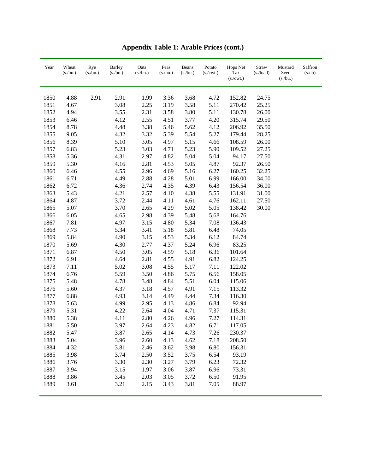| Year | Wheat<br>(s/bu.) | Rye<br>(s/bu.) | <b>Barley</b><br>(s/bu.) | Oats<br>(s/bu.) | Peas<br>(s/bu.) | Beans<br>(s/bu.) | Potato<br>$(s/\text{cwt.})$ | Hops Net<br>Tax<br>(s./cwt.) | Straw<br>$(s$ ./load) | Mustard<br>Seed<br>(s/bu.) | Saffron<br>(s/lb) |
|------|------------------|----------------|--------------------------|-----------------|-----------------|------------------|-----------------------------|------------------------------|-----------------------|----------------------------|-------------------|
| 1850 | 4.88             | 2.91           | 2.91                     | 1.99            | 3.36            | 3.68             | 4.72                        | 152.82                       | 24.75                 |                            |                   |
| 1851 | 4.67             |                | 3.08                     | 2.25            | 3.19            | 3.58             | 5.11                        | 270.42                       | 25.25                 |                            |                   |
| 1852 | 4.94             |                | 3.55                     | 2.31            | 3.58            | 3.80             | 5.11                        | 130.78                       | 26.00                 |                            |                   |
| 1853 | 6.46             |                | 4.12                     | 2.55            | 4.51            | 3.77             | 4.20                        | 315.74                       | 29.50                 |                            |                   |
| 1854 | 8.78             |                | 4.48                     | 3.38            | 5.46            | 5.62             | 4.12                        | 206.92                       | 35.50                 |                            |                   |
| 1855 | 9.05             |                | 4.32                     | 3.32            | 5.39            | 5.54             | 5.27                        | 179.44                       | 28.25                 |                            |                   |
| 1856 | 8.39             |                | 5.10                     | 3.05            | 4.97            | 5.15             | 4.66                        | 108.59                       | 26.00                 |                            |                   |
| 1857 | 6.83             |                | 5.23                     | 3.03            | 4.71            | 5.23             | 5.90                        | 109.52                       | 27.25                 |                            |                   |
| 1858 | 5.36             |                | 4.31                     | 2.97            | 4.82            | 5.04             | 5.04                        | 94.17                        | 27.50                 |                            |                   |
| 1859 | 5.30             |                | 4.16                     | 2.81            | 4.53            | 5.05             | 4.87                        | 92.37                        | 26.50                 |                            |                   |
| 1860 | 6.46             |                | 4.55                     | 2.96            | 4.69            | 5.16             | 6.27                        | 160.25                       | 32.25                 |                            |                   |
| 1861 | 6.71             |                | 4.49                     | 2.88            | 4.28            | 5.01             | 6.99                        | 166.00                       | 34.00                 |                            |                   |
| 1862 | 6.72             |                | 4.36                     | 2.74            | 4.35            | 4.39             | 6.43                        | 156.54                       | 36.00                 |                            |                   |
| 1863 | 5.43             |                | 4.21                     | 2.57            | 4.10            | 4.38             | 5.55                        | 131.91                       | 31.00                 |                            |                   |
| 1864 | 4.87             |                | 3.72                     | 2.44            | 4.11            | 4.61             | 4.76                        | 162.11                       | 27.50                 |                            |                   |
| 1865 | 5.07             |                | 3.70                     | 2.65            | 4.29            | 5.02             | 5.05                        | 138.42                       | 30.00                 |                            |                   |
| 1866 | 6.05             |                | 4.65                     | 2.98            | 4.39            | 5.48             | 5.68                        | 164.76                       |                       |                            |                   |
| 1867 | 7.81             |                | 4.97                     | 3.15            | 4.80            | 5.34             | 7.08                        | 136.43                       |                       |                            |                   |
| 1868 | 7.73             |                | 5.34                     | 3.41            | 5.18            | 5.81             | 6.48                        | 74.05                        |                       |                            |                   |
| 1869 | 5.84             |                | 4.90                     | 3.15            | 4.53            | 5.34             | 6.12                        | 84.74                        |                       |                            |                   |
| 1870 | 5.69             |                | 4.30                     | 2.77            | 4.37            | 5.24             | 6.96                        | 83.25                        |                       |                            |                   |
| 1871 | 6.87             |                | 4.50                     | 3.05            | 4.59            | 5.18             | 6.36                        | 101.64                       |                       |                            |                   |
| 1872 | 6.91             |                | 4.64                     | 2.81            | 4.55            | 4.91             | 6.82                        | 124.25                       |                       |                            |                   |
| 1873 | 7.11             |                | 5.02                     | 3.08            | 4.55            | 5.17             | 7.11                        | 122.02                       |                       |                            |                   |
| 1874 | 6.76             |                | 5.59                     | 3.50            | 4.86            | 5.75             | 6.56                        | 158.05                       |                       |                            |                   |
| 1875 | 5.48             |                | 4.78                     | 3.48            | 4.84            | 5.51             | 6.04                        | 115.06                       |                       |                            |                   |
| 1876 | 5.60             |                | 4.37                     | 3.18            | 4.57            | 4.91             | 7.15                        | 113.32                       |                       |                            |                   |
| 1877 | 6.88             |                | 4.93                     | 3.14            | 4.49            | 4.44             | 7.34                        | 116.30                       |                       |                            |                   |
| 1878 | 5.63             |                | 4.99                     | 2.95            | 4.13            | 4.86             | 6.84                        | 92.94                        |                       |                            |                   |
| 1879 | 5.31             |                | 4.22                     | 2.64            | 4.04            | 4.71             | 7.37                        | 115.31                       |                       |                            |                   |
| 1880 | 5.38             |                | 4.11                     | 2.80            | 4.26            | 4.96             | 7.27                        | 114.31                       |                       |                            |                   |
| 1881 | 5.50             |                | 3.97                     | 2.64            | 4.23            | 4.82             | 6.71                        | 117.05                       |                       |                            |                   |
| 1882 | 5.47             |                | 3.87                     | 2.65            | 4.14            | 4.73             | 7.26                        | 230.37                       |                       |                            |                   |
| 1883 | 5.04             |                | 3.96                     | 2.60            | 4.13            | 4.62             | 7.18                        | 208.50                       |                       |                            |                   |
| 1884 | 4.32             |                | 3.81                     | 2.46            | 3.62            | 3.98             | 6.80                        | 156.31                       |                       |                            |                   |
| 1885 | 3.98             |                | 3.74                     | 2.50            | 3.52            | 3.75             | 6.54                        | 93.19                        |                       |                            |                   |
| 1886 | 3.76             |                | 3.30                     | 2.30            | 3.27            | 3.79             | 6.23                        | 72.32                        |                       |                            |                   |
| 1887 | 3.94             |                | 3.15                     | 1.97            | 3.06            | 3.87             | 6.96                        | 73.31                        |                       |                            |                   |
| 1888 | 3.86             |                | 3.45                     | 2.03            | 3.05            | 3.72             | 6.50                        | 91.95                        |                       |                            |                   |
| 1889 | 3.61             |                | 3.21                     | 2.15            | 3.43            | 3.81             | 7.05                        | 88.97                        |                       |                            |                   |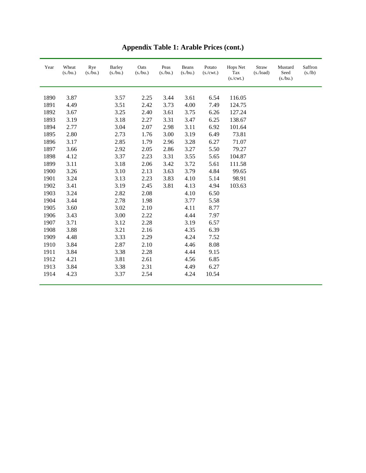| Year | Wheat<br>(s/bu.) | Rye<br>(s/bu.) | Barley<br>(s/bu.) | Oats<br>(s/bu.) | Peas<br>(s/bu.) | Beans<br>(s/bu.) | Potato<br>(s./cwt.) | Hops Net<br>Tax<br>(s./cwt.) | Straw<br>$(s$ ./load) | Mustard<br>Seed<br>$(s$ ./bu.) | Saffron<br>(s/lb) |
|------|------------------|----------------|-------------------|-----------------|-----------------|------------------|---------------------|------------------------------|-----------------------|--------------------------------|-------------------|
| 1890 | 3.87             |                | 3.57              | 2.25            | 3.44            | 3.61             | 6.54                | 116.05                       |                       |                                |                   |
| 1891 | 4.49             |                | 3.51              | 2.42            | 3.73            | 4.00             | 7.49                | 124.75                       |                       |                                |                   |
| 1892 | 3.67             |                | 3.25              | 2.40            | 3.61            | 3.75             | 6.26                | 127.24                       |                       |                                |                   |
| 1893 | 3.19             |                | 3.18              | 2.27            | 3.31            | 3.47             | 6.25                | 138.67                       |                       |                                |                   |
| 1894 | 2.77             |                | 3.04              | 2.07            | 2.98            | 3.11             | 6.92                | 101.64                       |                       |                                |                   |
| 1895 | 2.80             |                | 2.73              | 1.76            | 3.00            | 3.19             | 6.49                | 73.81                        |                       |                                |                   |
| 1896 | 3.17             |                | 2.85              | 1.79            | 2.96            | 3.28             | 6.27                | 71.07                        |                       |                                |                   |
| 1897 | 3.66             |                | 2.92              | 2.05            | 2.86            | 3.27             | 5.50                | 79.27                        |                       |                                |                   |
| 1898 | 4.12             |                | 3.37              | 2.23            | 3.31            | 3.55             | 5.65                | 104.87                       |                       |                                |                   |
| 1899 | 3.11             |                | 3.18              | 2.06            | 3.42            | 3.72             | 5.61                | 111.58                       |                       |                                |                   |
| 1900 | 3.26             |                | 3.10              | 2.13            | 3.63            | 3.79             | 4.84                | 99.65                        |                       |                                |                   |
| 1901 | 3.24             |                | 3.13              | 2.23            | 3.83            | 4.10             | 5.14                | 98.91                        |                       |                                |                   |
| 1902 | 3.41             |                | 3.19              | 2.45            | 3.81            | 4.13             | 4.94                | 103.63                       |                       |                                |                   |
| 1903 | 3.24             |                | 2.82              | 2.08            |                 | 4.10             | 6.50                |                              |                       |                                |                   |
| 1904 | 3.44             |                | 2.78              | 1.98            |                 | 3.77             | 5.58                |                              |                       |                                |                   |
| 1905 | 3.60             |                | 3.02              | 2.10            |                 | 4.11             | 8.77                |                              |                       |                                |                   |
| 1906 | 3.43             |                | 3.00              | 2.22            |                 | 4.44             | 7.97                |                              |                       |                                |                   |
| 1907 | 3.71             |                | 3.12              | 2.28            |                 | 3.19             | 6.57                |                              |                       |                                |                   |
| 1908 | 3.88             |                | 3.21              | 2.16            |                 | 4.35             | 6.39                |                              |                       |                                |                   |
| 1909 | 4.48             |                | 3.33              | 2.29            |                 | 4.24             | 7.52                |                              |                       |                                |                   |
| 1910 | 3.84             |                | 2.87              | 2.10            |                 | 4.46             | 8.08                |                              |                       |                                |                   |
| 1911 | 3.84             |                | 3.38              | 2.28            |                 | 4.44             | 9.15                |                              |                       |                                |                   |
| 1912 | 4.21             |                | 3.81              | 2.61            |                 | 4.56             | 6.85                |                              |                       |                                |                   |
| 1913 | 3.84             |                | 3.38              | 2.31            |                 | 4.49             | 6.27                |                              |                       |                                |                   |
| 1914 | 4.23             |                | 3.37              | 2.54            |                 | 4.24             | 10.54               |                              |                       |                                |                   |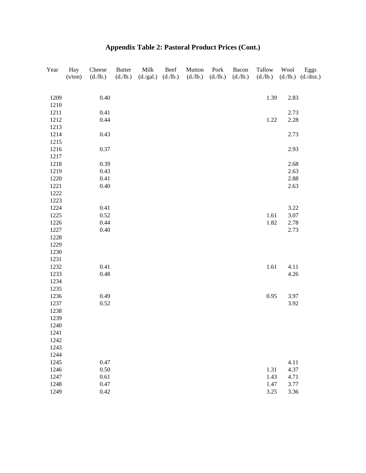| Year | Hay<br>(s/ton) | Cheese<br>(d./lb.) | <b>Butter</b><br>(d./lb.) | Milk<br>(d./gal.) | Beef<br>(d./lb.) | Mutton<br>(d./lb.) | Pork<br>(d./lb.) | Bacon<br>(d./lb.) | Tallow<br>(d./lb.) | Wool<br>(d./lb.) | Eggs<br>(d./doz.) |
|------|----------------|--------------------|---------------------------|-------------------|------------------|--------------------|------------------|-------------------|--------------------|------------------|-------------------|
| 1209 |                | 0.40               |                           |                   |                  |                    |                  |                   | 1.39               | 2.83             |                   |
| 1210 |                |                    |                           |                   |                  |                    |                  |                   |                    |                  |                   |
| 1211 |                | 0.41               |                           |                   |                  |                    |                  |                   |                    | 2.73             |                   |
| 1212 |                | 0.44               |                           |                   |                  |                    |                  |                   | 1.22               | 2.28             |                   |
| 1213 |                |                    |                           |                   |                  |                    |                  |                   |                    |                  |                   |
| 1214 |                | 0.43               |                           |                   |                  |                    |                  |                   |                    | 2.73             |                   |
| 1215 |                |                    |                           |                   |                  |                    |                  |                   |                    |                  |                   |
| 1216 |                | 0.37               |                           |                   |                  |                    |                  |                   |                    | 2.93             |                   |
| 1217 |                |                    |                           |                   |                  |                    |                  |                   |                    |                  |                   |
| 1218 |                | 0.39               |                           |                   |                  |                    |                  |                   |                    | 2.68             |                   |
| 1219 |                | 0.43               |                           |                   |                  |                    |                  |                   |                    | 2.63             |                   |
| 1220 |                | 0.41               |                           |                   |                  |                    |                  |                   |                    | 2.88             |                   |
| 1221 |                | 0.40               |                           |                   |                  |                    |                  |                   |                    | 2.63             |                   |
| 1222 |                |                    |                           |                   |                  |                    |                  |                   |                    |                  |                   |
| 1223 |                |                    |                           |                   |                  |                    |                  |                   |                    |                  |                   |
| 1224 |                | 0.41               |                           |                   |                  |                    |                  |                   |                    | 3.22             |                   |
| 1225 |                | 0.52               |                           |                   |                  |                    |                  |                   | 1.61               | 3.07             |                   |
| 1226 |                | 0.44               |                           |                   |                  |                    |                  |                   | 1.82               | 2.78             |                   |
| 1227 |                | 0.40               |                           |                   |                  |                    |                  |                   |                    | 2.73             |                   |
| 1228 |                |                    |                           |                   |                  |                    |                  |                   |                    |                  |                   |
| 1229 |                |                    |                           |                   |                  |                    |                  |                   |                    |                  |                   |
| 1230 |                |                    |                           |                   |                  |                    |                  |                   |                    |                  |                   |
| 1231 |                |                    |                           |                   |                  |                    |                  |                   |                    |                  |                   |
| 1232 |                | 0.41               |                           |                   |                  |                    |                  |                   | 1.61               | 4.11             |                   |
| 1233 |                | 0.48               |                           |                   |                  |                    |                  |                   |                    | 4.26             |                   |
| 1234 |                |                    |                           |                   |                  |                    |                  |                   |                    |                  |                   |
| 1235 |                |                    |                           |                   |                  |                    |                  |                   |                    |                  |                   |
| 1236 |                | 0.49               |                           |                   |                  |                    |                  |                   | 0.95               | 3.97             |                   |
| 1237 |                | 0.52               |                           |                   |                  |                    |                  |                   |                    | 3.92             |                   |
| 1238 |                |                    |                           |                   |                  |                    |                  |                   |                    |                  |                   |
| 1239 |                |                    |                           |                   |                  |                    |                  |                   |                    |                  |                   |
| 1240 |                |                    |                           |                   |                  |                    |                  |                   |                    |                  |                   |
| 1241 |                |                    |                           |                   |                  |                    |                  |                   |                    |                  |                   |
| 1242 |                |                    |                           |                   |                  |                    |                  |                   |                    |                  |                   |
| 1243 |                |                    |                           |                   |                  |                    |                  |                   |                    |                  |                   |
| 1244 |                |                    |                           |                   |                  |                    |                  |                   |                    |                  |                   |
| 1245 |                | 0.47               |                           |                   |                  |                    |                  |                   |                    | 4.11             |                   |
| 1246 |                | 0.50               |                           |                   |                  |                    |                  |                   | 1.31               | 4.37             |                   |
| 1247 |                | 0.61               |                           |                   |                  |                    |                  |                   | 1.43               | 4.71             |                   |
| 1248 |                | 0.47               |                           |                   |                  |                    |                  |                   | 1.47               | 3.77             |                   |
| 1249 |                | 0.42               |                           |                   |                  |                    |                  |                   | 3.25               | 3.36             |                   |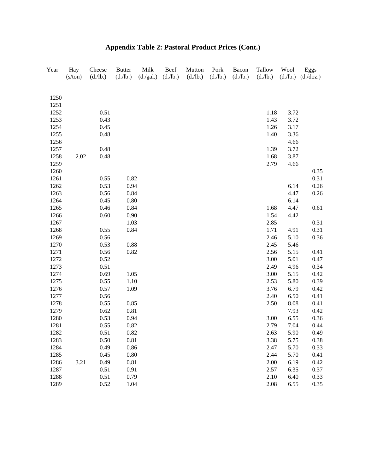| 1250<br>1251<br>1252<br>0.51<br>3.72<br>1.18<br>1253<br>0.43<br>1.43<br>3.72<br>1254<br>0.45<br>1.26<br>3.17<br>1255<br>3.36<br>0.48<br>1.40<br>1256<br>4.66<br>1257<br>0.48<br>1.39<br>3.72<br>1258<br>2.02<br>0.48<br>1.68<br>3.87<br>2.79<br>1259<br>4.66<br>1260<br>0.82<br>1261<br>0.55<br>1262<br>0.53<br>0.94<br>6.14<br>0.56<br>0.84<br>4.47<br>1263<br>0.45<br>$0.80\,$<br>6.14<br>1264<br>0.46<br>0.84<br>1265<br>1.68<br>4.47<br>0.60<br>0.90<br>1.54<br>1266<br>4.42<br>1.03<br>2.85<br>1267<br>1268<br>0.55<br>0.84<br>1.71<br>4.91<br>1269<br>0.56<br>2.46<br>5.10<br>0.53<br>1270<br>0.88<br>2.45<br>5.46<br>0.82<br>1271<br>0.56<br>2.56<br>5.15<br>1272<br>0.52<br>3.00<br>5.01<br>1273<br>0.51<br>2.49<br>4.96<br>1274<br>0.69<br>1.05<br>3.00<br>5.15<br>1275<br>0.55<br>1.10<br>2.53<br>5.80<br>1276<br>0.57<br>3.76<br>6.79<br>1.09<br>1277<br>0.56<br>2.40<br>6.50<br>1278<br>0.55<br>0.85<br>2.50<br>8.08<br>$0.81\,$<br>1279<br>0.62<br>7.93<br>6.55<br>1280<br>0.53<br>0.94<br>3.00<br>1281<br>0.55<br>0.82<br>2.79<br>7.04<br>0.82<br>5.90<br>2.63 | Year | Hay<br>(s/ton) | Cheese<br>(d./lb.) | <b>Butter</b><br>(d./lb.) | Milk<br>(d./gal.) | Beef<br>(d./lb.) | Mutton<br>(d./lb.) | Pork<br>(d./lb.) | Bacon<br>(d./lb.) | Tallow<br>(d./lb.) | Wool<br>(d./lb.) | Eggs<br>(d./doz.) |
|------------------------------------------------------------------------------------------------------------------------------------------------------------------------------------------------------------------------------------------------------------------------------------------------------------------------------------------------------------------------------------------------------------------------------------------------------------------------------------------------------------------------------------------------------------------------------------------------------------------------------------------------------------------------------------------------------------------------------------------------------------------------------------------------------------------------------------------------------------------------------------------------------------------------------------------------------------------------------------------------------------------------------------------------------------------------------|------|----------------|--------------------|---------------------------|-------------------|------------------|--------------------|------------------|-------------------|--------------------|------------------|-------------------|
|                                                                                                                                                                                                                                                                                                                                                                                                                                                                                                                                                                                                                                                                                                                                                                                                                                                                                                                                                                                                                                                                              |      |                |                    |                           |                   |                  |                    |                  |                   |                    |                  |                   |
|                                                                                                                                                                                                                                                                                                                                                                                                                                                                                                                                                                                                                                                                                                                                                                                                                                                                                                                                                                                                                                                                              |      |                |                    |                           |                   |                  |                    |                  |                   |                    |                  |                   |
|                                                                                                                                                                                                                                                                                                                                                                                                                                                                                                                                                                                                                                                                                                                                                                                                                                                                                                                                                                                                                                                                              |      |                |                    |                           |                   |                  |                    |                  |                   |                    |                  |                   |
|                                                                                                                                                                                                                                                                                                                                                                                                                                                                                                                                                                                                                                                                                                                                                                                                                                                                                                                                                                                                                                                                              |      |                |                    |                           |                   |                  |                    |                  |                   |                    |                  |                   |
|                                                                                                                                                                                                                                                                                                                                                                                                                                                                                                                                                                                                                                                                                                                                                                                                                                                                                                                                                                                                                                                                              |      |                |                    |                           |                   |                  |                    |                  |                   |                    |                  |                   |
|                                                                                                                                                                                                                                                                                                                                                                                                                                                                                                                                                                                                                                                                                                                                                                                                                                                                                                                                                                                                                                                                              |      |                |                    |                           |                   |                  |                    |                  |                   |                    |                  |                   |
|                                                                                                                                                                                                                                                                                                                                                                                                                                                                                                                                                                                                                                                                                                                                                                                                                                                                                                                                                                                                                                                                              |      |                |                    |                           |                   |                  |                    |                  |                   |                    |                  |                   |
|                                                                                                                                                                                                                                                                                                                                                                                                                                                                                                                                                                                                                                                                                                                                                                                                                                                                                                                                                                                                                                                                              |      |                |                    |                           |                   |                  |                    |                  |                   |                    |                  |                   |
|                                                                                                                                                                                                                                                                                                                                                                                                                                                                                                                                                                                                                                                                                                                                                                                                                                                                                                                                                                                                                                                                              |      |                |                    |                           |                   |                  |                    |                  |                   |                    |                  |                   |
|                                                                                                                                                                                                                                                                                                                                                                                                                                                                                                                                                                                                                                                                                                                                                                                                                                                                                                                                                                                                                                                                              |      |                |                    |                           |                   |                  |                    |                  |                   |                    |                  |                   |
|                                                                                                                                                                                                                                                                                                                                                                                                                                                                                                                                                                                                                                                                                                                                                                                                                                                                                                                                                                                                                                                                              |      |                |                    |                           |                   |                  |                    |                  |                   |                    |                  | 0.35              |
|                                                                                                                                                                                                                                                                                                                                                                                                                                                                                                                                                                                                                                                                                                                                                                                                                                                                                                                                                                                                                                                                              |      |                |                    |                           |                   |                  |                    |                  |                   |                    |                  | 0.31              |
|                                                                                                                                                                                                                                                                                                                                                                                                                                                                                                                                                                                                                                                                                                                                                                                                                                                                                                                                                                                                                                                                              |      |                |                    |                           |                   |                  |                    |                  |                   |                    |                  | 0.26              |
|                                                                                                                                                                                                                                                                                                                                                                                                                                                                                                                                                                                                                                                                                                                                                                                                                                                                                                                                                                                                                                                                              |      |                |                    |                           |                   |                  |                    |                  |                   |                    |                  | 0.26              |
|                                                                                                                                                                                                                                                                                                                                                                                                                                                                                                                                                                                                                                                                                                                                                                                                                                                                                                                                                                                                                                                                              |      |                |                    |                           |                   |                  |                    |                  |                   |                    |                  |                   |
|                                                                                                                                                                                                                                                                                                                                                                                                                                                                                                                                                                                                                                                                                                                                                                                                                                                                                                                                                                                                                                                                              |      |                |                    |                           |                   |                  |                    |                  |                   |                    |                  | 0.61              |
|                                                                                                                                                                                                                                                                                                                                                                                                                                                                                                                                                                                                                                                                                                                                                                                                                                                                                                                                                                                                                                                                              |      |                |                    |                           |                   |                  |                    |                  |                   |                    |                  |                   |
|                                                                                                                                                                                                                                                                                                                                                                                                                                                                                                                                                                                                                                                                                                                                                                                                                                                                                                                                                                                                                                                                              |      |                |                    |                           |                   |                  |                    |                  |                   |                    |                  | 0.31              |
|                                                                                                                                                                                                                                                                                                                                                                                                                                                                                                                                                                                                                                                                                                                                                                                                                                                                                                                                                                                                                                                                              |      |                |                    |                           |                   |                  |                    |                  |                   |                    |                  | 0.31              |
|                                                                                                                                                                                                                                                                                                                                                                                                                                                                                                                                                                                                                                                                                                                                                                                                                                                                                                                                                                                                                                                                              |      |                |                    |                           |                   |                  |                    |                  |                   |                    |                  | 0.36              |
|                                                                                                                                                                                                                                                                                                                                                                                                                                                                                                                                                                                                                                                                                                                                                                                                                                                                                                                                                                                                                                                                              |      |                |                    |                           |                   |                  |                    |                  |                   |                    |                  |                   |
|                                                                                                                                                                                                                                                                                                                                                                                                                                                                                                                                                                                                                                                                                                                                                                                                                                                                                                                                                                                                                                                                              |      |                |                    |                           |                   |                  |                    |                  |                   |                    |                  | 0.41              |
|                                                                                                                                                                                                                                                                                                                                                                                                                                                                                                                                                                                                                                                                                                                                                                                                                                                                                                                                                                                                                                                                              |      |                |                    |                           |                   |                  |                    |                  |                   |                    |                  | 0.47              |
|                                                                                                                                                                                                                                                                                                                                                                                                                                                                                                                                                                                                                                                                                                                                                                                                                                                                                                                                                                                                                                                                              |      |                |                    |                           |                   |                  |                    |                  |                   |                    |                  | 0.34              |
|                                                                                                                                                                                                                                                                                                                                                                                                                                                                                                                                                                                                                                                                                                                                                                                                                                                                                                                                                                                                                                                                              |      |                |                    |                           |                   |                  |                    |                  |                   |                    |                  | 0.42              |
|                                                                                                                                                                                                                                                                                                                                                                                                                                                                                                                                                                                                                                                                                                                                                                                                                                                                                                                                                                                                                                                                              |      |                |                    |                           |                   |                  |                    |                  |                   |                    |                  | 0.39              |
|                                                                                                                                                                                                                                                                                                                                                                                                                                                                                                                                                                                                                                                                                                                                                                                                                                                                                                                                                                                                                                                                              |      |                |                    |                           |                   |                  |                    |                  |                   |                    |                  | 0.42              |
|                                                                                                                                                                                                                                                                                                                                                                                                                                                                                                                                                                                                                                                                                                                                                                                                                                                                                                                                                                                                                                                                              |      |                |                    |                           |                   |                  |                    |                  |                   |                    |                  | 0.41              |
|                                                                                                                                                                                                                                                                                                                                                                                                                                                                                                                                                                                                                                                                                                                                                                                                                                                                                                                                                                                                                                                                              |      |                |                    |                           |                   |                  |                    |                  |                   |                    |                  | 0.41              |
|                                                                                                                                                                                                                                                                                                                                                                                                                                                                                                                                                                                                                                                                                                                                                                                                                                                                                                                                                                                                                                                                              |      |                |                    |                           |                   |                  |                    |                  |                   |                    |                  | 0.42              |
|                                                                                                                                                                                                                                                                                                                                                                                                                                                                                                                                                                                                                                                                                                                                                                                                                                                                                                                                                                                                                                                                              |      |                |                    |                           |                   |                  |                    |                  |                   |                    |                  | 0.36              |
|                                                                                                                                                                                                                                                                                                                                                                                                                                                                                                                                                                                                                                                                                                                                                                                                                                                                                                                                                                                                                                                                              |      |                |                    |                           |                   |                  |                    |                  |                   |                    |                  | 0.44              |
|                                                                                                                                                                                                                                                                                                                                                                                                                                                                                                                                                                                                                                                                                                                                                                                                                                                                                                                                                                                                                                                                              | 1282 |                | 0.51               |                           |                   |                  |                    |                  |                   |                    |                  | 0.49              |
| 3.38<br>5.75<br>1283<br>0.50<br>0.81                                                                                                                                                                                                                                                                                                                                                                                                                                                                                                                                                                                                                                                                                                                                                                                                                                                                                                                                                                                                                                         |      |                |                    |                           |                   |                  |                    |                  |                   |                    |                  | 0.38              |
| 1284<br>0.49<br>0.86<br>2.47<br>5.70                                                                                                                                                                                                                                                                                                                                                                                                                                                                                                                                                                                                                                                                                                                                                                                                                                                                                                                                                                                                                                         |      |                |                    |                           |                   |                  |                    |                  |                   |                    |                  | 0.33              |
| 1285<br>2.44<br>0.45<br>0.80<br>5.70                                                                                                                                                                                                                                                                                                                                                                                                                                                                                                                                                                                                                                                                                                                                                                                                                                                                                                                                                                                                                                         |      |                |                    |                           |                   |                  |                    |                  |                   |                    |                  | 0.41              |
| 1286<br>3.21<br>0.49<br>0.81<br>2.00<br>6.19                                                                                                                                                                                                                                                                                                                                                                                                                                                                                                                                                                                                                                                                                                                                                                                                                                                                                                                                                                                                                                 |      |                |                    |                           |                   |                  |                    |                  |                   |                    |                  | 0.42              |
| 1287<br>0.51<br>0.91<br>2.57<br>6.35                                                                                                                                                                                                                                                                                                                                                                                                                                                                                                                                                                                                                                                                                                                                                                                                                                                                                                                                                                                                                                         |      |                |                    |                           |                   |                  |                    |                  |                   |                    |                  | 0.37              |
| 1288<br>0.51<br>0.79<br>2.10<br>6.40                                                                                                                                                                                                                                                                                                                                                                                                                                                                                                                                                                                                                                                                                                                                                                                                                                                                                                                                                                                                                                         |      |                |                    |                           |                   |                  |                    |                  |                   |                    |                  | 0.33              |
| 1289<br>0.52<br>2.08<br>6.55<br>1.04                                                                                                                                                                                                                                                                                                                                                                                                                                                                                                                                                                                                                                                                                                                                                                                                                                                                                                                                                                                                                                         |      |                |                    |                           |                   |                  |                    |                  |                   |                    |                  | 0.35              |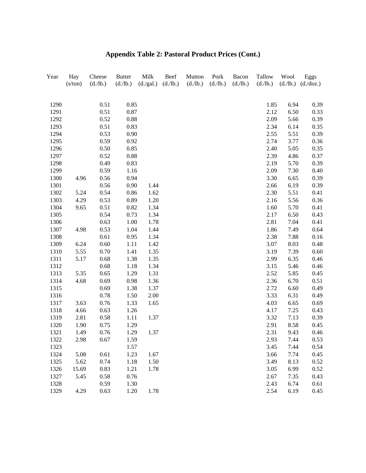| Year | Hay<br>(s/ton) | Cheese<br>(d./lb.) | <b>Butter</b><br>(d./lb.) | Milk<br>(d./gal.) | Beef<br>(d./lb.) | Mutton<br>(d./lb.) | Pork<br>(d./lb.) | Bacon<br>(d./lb.) | Tallow<br>(d./lb.) | Wool | Eggs<br>$(d./lb.)$ $(d./doz.)$ |
|------|----------------|--------------------|---------------------------|-------------------|------------------|--------------------|------------------|-------------------|--------------------|------|--------------------------------|
|      |                |                    |                           |                   |                  |                    |                  |                   |                    |      |                                |
| 1290 |                | 0.51               | 0.85                      |                   |                  |                    |                  |                   | 1.85               | 6.94 | 0.39                           |
| 1291 |                | 0.51               | 0.87                      |                   |                  |                    |                  |                   | 2.12               | 6.50 | 0.33                           |
| 1292 |                | 0.52               | 0.88                      |                   |                  |                    |                  |                   | 2.09               | 5.66 | 0.39                           |
| 1293 |                | 0.51               | 0.83                      |                   |                  |                    |                  |                   | 2.34               | 6.14 | 0.35                           |
| 1294 |                | 0.53               | 0.90                      |                   |                  |                    |                  |                   | 2.55               | 5.51 | 0.39                           |
| 1295 |                | 0.59               | 0.92                      |                   |                  |                    |                  |                   | 2.74               | 3.77 | 0.36                           |
| 1296 |                | 0.50               | 0.85                      |                   |                  |                    |                  |                   | 2.40               | 5.05 | 0.35                           |
| 1297 |                | 0.52               | 0.88                      |                   |                  |                    |                  |                   | 2.39               | 4.86 | 0.37                           |
| 1298 |                | 0.49               | 0.83                      |                   |                  |                    |                  |                   | 2.19               | 5.70 | 0.39                           |
| 1299 |                | 0.59               | 1.16                      |                   |                  |                    |                  |                   | 2.09               | 7.30 | 0.40                           |
| 1300 | 4.96           | 0.56               | 0.94                      |                   |                  |                    |                  |                   | 3.30               | 6.65 | 0.39                           |
| 1301 |                | 0.56               | 0.90                      | 1.44              |                  |                    |                  |                   | 2.66               | 6.19 | 0.39                           |
| 1302 | 5.24           | 0.54               | 0.86                      | 1.62              |                  |                    |                  |                   | 2.30               | 5.51 | 0.41                           |
| 1303 | 4.29           | 0.53               | 0.89                      | 1.20              |                  |                    |                  |                   | 2.16               | 5.56 | 0.36                           |
| 1304 | 9.65           | 0.51               | 0.82                      | 1.34              |                  |                    |                  |                   | 1.60               | 5.70 | 0.41                           |
| 1305 |                | 0.54               | 0.73                      | 1.34              |                  |                    |                  |                   | 2.17               | 6.50 | 0.43                           |
| 1306 |                | 0.63               | 1.00                      | 1.78              |                  |                    |                  |                   | 2.81               | 7.04 | 0.41                           |
| 1307 | 4.98           | 0.53               | 1.04                      | 1.44              |                  |                    |                  |                   | 1.86               | 7.49 | 0.64                           |
| 1308 |                | 0.61               | 0.95                      | 1.34              |                  |                    |                  |                   | 2.38               | 7.88 | 0.16                           |
| 1309 | 6.24           | 0.60               | 1.11                      | 1.42              |                  |                    |                  |                   | 3.07               | 8.03 | 0.48                           |
| 1310 | 5.55           | 0.70               | 1.41                      | 1.35              |                  |                    |                  |                   | 3.19               | 7.39 | 0.60                           |
| 1311 | 5.17           | 0.68               | 1.38                      | 1.35              |                  |                    |                  |                   | 2.99               | 6.35 | 0.46                           |
| 1312 |                | 0.68               | 1.18                      | 1.34              |                  |                    |                  |                   | 3.15               | 5.46 | 0.46                           |
| 1313 | 5.35           | 0.65               | 1.29                      | 1.31              |                  |                    |                  |                   | 2.52               | 5.85 | 0.45                           |
| 1314 | 4.68           | 0.69               | 0.98                      | 1.36              |                  |                    |                  |                   | 2.36               | 6.70 | 0.51                           |
| 1315 |                | 0.69               | 1.38                      | 1.37              |                  |                    |                  |                   | 2.72               | 6.60 | 0.49                           |
| 1316 |                | 0.78               | 1.50                      | 2.00              |                  |                    |                  |                   | 3.33               | 6.31 | 0.49                           |
| 1317 | 3.63           | 0.76               | 1.33                      | 1.65              |                  |                    |                  |                   | 4.03               | 6.65 | 0.69                           |
| 1318 | 4.66           | 0.63               | 1.26                      |                   |                  |                    |                  |                   | 4.17               | 7.25 | 0.43                           |
| 1319 | 2.81           | 0.58               | 1.11                      | 1.37              |                  |                    |                  |                   | 3.32               | 7.13 | 0.39                           |
| 1320 | 1.90           | 0.75               | 1.29                      |                   |                  |                    |                  |                   | 2.91               | 8.58 | 0.45                           |
| 1321 | 1.49           | 0.76               | 1.29                      | 1.37              |                  |                    |                  |                   | 2.31               | 9.43 | 0.46                           |
| 1322 | 2.98           | 0.67               | 1.59                      |                   |                  |                    |                  |                   | 2.93               | 7.44 | 0.53                           |
| 1323 |                |                    | 1.57                      |                   |                  |                    |                  |                   | 3.45               | 7.44 | 0.54                           |
| 1324 | 5.08           | 0.61               | 1.23                      | 1.67              |                  |                    |                  |                   | 3.66               | 7.74 | 0.45                           |
| 1325 | 5.62           | 0.74               | 1.18                      | 1.50              |                  |                    |                  |                   | 3.49               | 8.13 | 0.52                           |
| 1326 | 15.69          | 0.83               | 1.21                      | 1.78              |                  |                    |                  |                   | 3.05               | 6.99 | 0.52                           |
| 1327 | 5.45           | 0.58               | 0.76                      |                   |                  |                    |                  |                   | 2.67               | 7.35 | 0.43                           |
| 1328 |                | 0.59               | 1.30                      |                   |                  |                    |                  |                   | 2.43               | 6.74 | 0.61                           |
| 1329 | 4.29           | 0.63               | 1.20                      | 1.78              |                  |                    |                  |                   | 2.54               | 6.19 | 0.45                           |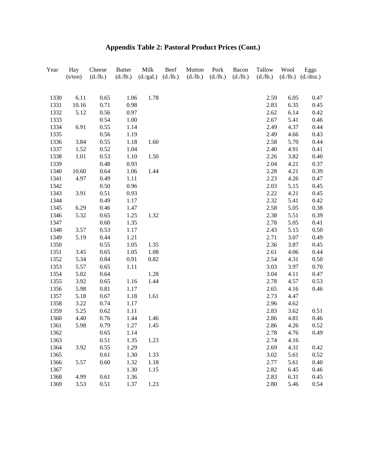| Year | Hay<br>(s/ton) | Cheese<br>(d./lb.) | <b>Butter</b><br>(d./lb.) | Milk<br>(d./gal.) | Beef<br>(d./lb.) | Mutton<br>(d./lb.) | Pork<br>(d./lb.) | Bacon<br>(d./lb.) | Tallow<br>(d./lb.) | Wool<br>(d./lb.) | Eggs<br>(d./doz.) |
|------|----------------|--------------------|---------------------------|-------------------|------------------|--------------------|------------------|-------------------|--------------------|------------------|-------------------|
|      |                |                    |                           |                   |                  |                    |                  |                   |                    |                  |                   |
| 1330 | 6.11           | 0.65               | 1.06                      | 1.78              |                  |                    |                  |                   | 2.59               | 6.05             | 0.47              |
| 1331 | 10.16          | 0.71               | 0.98                      |                   |                  |                    |                  |                   | 2.83               | 6.35             | 0.45              |
| 1332 | 5.12           | 0.56               | 0.97                      |                   |                  |                    |                  |                   | 2.62               | 6.14             | 0.42              |
| 1333 |                | 0.54               | 1.00                      |                   |                  |                    |                  |                   | 2.67               | 5.41             | 0.46              |
| 1334 | 6.91           | 0.55               | 1.14                      |                   |                  |                    |                  |                   | 2.49               | 4.37             | 0.44              |
| 1335 |                | 0.56               | 1.19                      |                   |                  |                    |                  |                   | 2.49               | 4.66             | 0.43              |
| 1336 | 3.84           | 0.55               | 1.18                      | 1.60              |                  |                    |                  |                   | 2.58               | 5.70             | 0.44              |
| 1337 | 1.52           | 0.52               | 1.04                      |                   |                  |                    |                  |                   | 2.40               | 4.91             | 0.41              |
| 1338 | 1.01           | 0.53               | 1.10                      | 1.50              |                  |                    |                  |                   | 2.26               | 3.82             | 0.40              |
| 1339 |                | 0.48               | 0.93                      |                   |                  |                    |                  |                   | 2.04               | 4.21             | 0.37              |
| 1340 | 10.60          | 0.64               | 1.06                      | 1.44              |                  |                    |                  |                   | 2.28               | 4.21             | 0.39              |
| 1341 | 4.97           | 0.49               | 1.11                      |                   |                  |                    |                  |                   | 2.23               | 4.26             | 0.47              |
| 1342 |                | 0.50               | 0.96                      |                   |                  |                    |                  |                   | 2.03               | 5.15             | 0.45              |
| 1343 | 3.91           | 0.51               | 0.93                      |                   |                  |                    |                  |                   | 2.22               | 4.21             | 0.45              |
| 1344 |                | 0.49               | 1.17                      |                   |                  |                    |                  |                   | 2.32               | 5.41             | 0.42              |
| 1345 | 6.29           | 0.46               | 1.47                      |                   |                  |                    |                  |                   | 2.58               | 5.05             | 0.38              |
| 1346 | 5.32           | 0.65               | 1.25                      | 1.32              |                  |                    |                  |                   | 2.38               | 5.51             | 0.39              |
| 1347 |                | 0.60               | 1.35                      |                   |                  |                    |                  |                   | 2.78               | 5.05             | 0.41              |
| 1348 | 3.57           | 0.53               | 1.17                      |                   |                  |                    |                  |                   | 2.43               | 5.15             | 0.50              |
| 1349 | 5.19           | 0.44               | 1.21                      |                   |                  |                    |                  |                   | 2.71               | 3.07             | 0.49              |
| 1350 |                | 0.55               | 1.05                      | 1.35              |                  |                    |                  |                   | 2.36               | 3.87             | 0.45              |
| 1351 | 3.45           | 0.65               | 1.05                      | 1.08              |                  |                    |                  |                   | 2.61               | 4.06             | 0.44              |
| 1352 | 5.34           | 0.84               | 0.91                      | 0.82              |                  |                    |                  |                   | 2.54               | 4.31             | 0.50              |
| 1353 | 5.57           | 0.65               | 1.11                      |                   |                  |                    |                  |                   | 3.03               | 3.97             | 0.70              |
| 1354 | 5.02           | 0.64               |                           | 1.28              |                  |                    |                  |                   | 3.04               | 4.11             | 0.47              |
| 1355 | 3.92           | 0.65               | 1.16                      | 1.44              |                  |                    |                  |                   | 2.78               | 4.57             | 0.53              |
| 1356 | 5.98           | 0.81               | 1.17                      |                   |                  |                    |                  |                   | 2.65               | 4.16             | 0.46              |
| 1357 | 5.18           | 0.67               | 1.18                      | 1.61              |                  |                    |                  |                   | 2.73               | 4.47             |                   |
| 1358 | 3.22           | 0.74               | 1.17                      |                   |                  |                    |                  |                   | 2.96               | 4.62             |                   |
| 1359 | 5.25           | 0.62               | 1.11                      |                   |                  |                    |                  |                   | 2.83               | 3.62             | 0.51              |
| 1360 | 4.40           | 0.76               | 1.44                      | 1.46              |                  |                    |                  |                   | 2.86               | 4.81             | 0.46              |
| 1361 | 5.98           | 0.79               | 1.27                      | 1.45              |                  |                    |                  |                   | 2.86               | 4.26             | 0.52              |
| 1362 |                | 0.65               | 1.14                      |                   |                  |                    |                  |                   | 2.78               | 4.76             | 0.49              |
| 1363 |                | 0.51               | 1.35                      | 1.23              |                  |                    |                  |                   | 2.74               | 4.16             |                   |
| 1364 | 3.92           | 0.55               | 1.29                      |                   |                  |                    |                  |                   | 2.69               | 4.31             | 0.42              |
| 1365 |                | 0.61               | 1.30                      | 1.33              |                  |                    |                  |                   | 3.02               | 5.61             | 0.52              |
| 1366 | 5.57           | 0.60               | 1.32                      | 1.18              |                  |                    |                  |                   | 2.77               | 5.61             | 0.40              |
| 1367 |                |                    | 1.30                      | 1.15              |                  |                    |                  |                   | 2.82               | 6.45             | 0.46              |
| 1368 | 4.99           | 0.61               | 1.36                      |                   |                  |                    |                  |                   | 2.83               | 6.31             | 0.45              |
| 1369 | 3.53           | 0.51               | 1.37                      | 1.23              |                  |                    |                  |                   | 2.80               | 5.46             | 0.54              |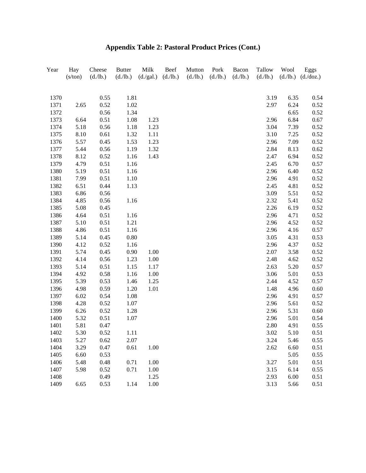| Year | Hay     | Cheese   | <b>Butter</b> | Milk      | Beef     | Mutton   | Pork     | Bacon    | Tallow   | Wool     | Eggs      |
|------|---------|----------|---------------|-----------|----------|----------|----------|----------|----------|----------|-----------|
|      | (s/ton) | (d./lb.) | (d./lb.)      | (d./gal.) | (d./lb.) | (d./lb.) | (d./lb.) | (d./lb.) | (d./lb.) | (d./lb.) | (d./doz.) |
|      |         |          |               |           |          |          |          |          |          |          |           |
| 1370 |         | 0.55     | 1.81          |           |          |          |          |          | 3.19     | 6.35     | 0.54      |
| 1371 | 2.65    | 0.52     | 1.02          |           |          |          |          |          | 2.97     | 6.24     | 0.52      |
| 1372 |         | 0.56     | 1.34          |           |          |          |          |          |          | 6.65     | 0.52      |
| 1373 | 6.64    | 0.51     | 1.08          | 1.23      |          |          |          |          | 2.96     | 6.84     | 0.67      |
| 1374 | 5.18    | 0.56     | 1.18          | 1.23      |          |          |          |          | 3.04     | 7.39     | 0.52      |
| 1375 | 8.10    | 0.61     | 1.32          | 1.11      |          |          |          |          | 3.10     | 7.25     | 0.52      |
| 1376 | 5.57    | 0.45     | 1.53          | 1.23      |          |          |          |          | 2.96     | 7.09     | 0.52      |
| 1377 | 5.44    | 0.56     | 1.19          | 1.32      |          |          |          |          | 2.84     | 8.13     | 0.62      |
| 1378 | 8.12    | 0.52     | 1.16          | 1.43      |          |          |          |          | 2.47     | 6.94     | 0.52      |
| 1379 | 4.79    | 0.51     | 1.16          |           |          |          |          |          | 2.45     | 6.70     | 0.57      |
| 1380 | 5.19    | 0.51     | 1.16          |           |          |          |          |          | 2.96     | 6.40     | 0.52      |
| 1381 | 7.99    | 0.51     | 1.10          |           |          |          |          |          | 2.96     | 4.91     | 0.52      |
| 1382 | 6.51    | 0.44     | 1.13          |           |          |          |          |          | 2.45     | 4.81     | 0.52      |
| 1383 | 6.86    | 0.56     |               |           |          |          |          |          | 3.09     | 5.51     | 0.52      |
| 1384 | 4.85    | 0.56     | 1.16          |           |          |          |          |          | 2.32     | 5.41     | 0.52      |
| 1385 | 5.08    | 0.45     |               |           |          |          |          |          | 2.26     | 6.19     | 0.52      |
| 1386 | 4.64    | 0.51     | 1.16          |           |          |          |          |          | 2.96     | 4.71     | 0.52      |
| 1387 | 5.10    | 0.51     | 1.21          |           |          |          |          |          | 2.96     | 4.52     | 0.52      |
| 1388 | 4.86    | 0.51     | 1.16          |           |          |          |          |          | 2.96     | 4.16     | 0.57      |
| 1389 | 5.14    | 0.45     | 0.80          |           |          |          |          |          | 3.05     | 4.31     | 0.53      |
| 1390 | 4.12    | 0.52     | 1.16          |           |          |          |          |          | 2.96     | 4.37     | 0.52      |
| 1391 | 5.74    | 0.45     | 0.90          | 1.00      |          |          |          |          | 2.07     | 3.58     | 0.52      |
| 1392 | 4.14    | 0.56     | 1.23          | 1.00      |          |          |          |          | 2.48     | 4.62     | 0.52      |
| 1393 | 5.14    | 0.51     | 1.15          | 1.17      |          |          |          |          | 2.63     | 5.20     | 0.57      |
| 1394 | 4.92    | 0.58     | 1.16          | 1.00      |          |          |          |          | 3.06     | 5.01     | 0.53      |
| 1395 | 5.39    | 0.53     | 1.46          | 1.25      |          |          |          |          | 2.44     | 4.52     | 0.57      |
| 1396 | 4.98    | 0.59     | 1.20          | 1.01      |          |          |          |          | 1.48     | 4.96     | 0.60      |
| 1397 | 6.02    | 0.54     | 1.08          |           |          |          |          |          | 2.96     | 4.91     | 0.57      |
| 1398 | 4.28    | 0.52     | 1.07          |           |          |          |          |          | 2.96     | 5.61     | 0.52      |
| 1399 | 6.26    | 0.52     | 1.28          |           |          |          |          |          | 2.96     | 5.31     | 0.60      |
| 1400 | 5.32    | 0.51     | 1.07          |           |          |          |          |          | 2.96     | 5.01     | 0.54      |
| 1401 | 5.81    | 0.47     |               |           |          |          |          |          | 2.80     | 4.91     | 0.55      |
| 1402 | 5.30    | 0.52     | 1.11          |           |          |          |          |          | 3.02     | 5.10     | 0.51      |
| 1403 | 5.27    | 0.62     | 2.07          |           |          |          |          |          | 3.24     | 5.46     | 0.55      |
| 1404 | 3.29    | 0.47     | 0.61          | 1.00      |          |          |          |          | 2.62     | 6.60     | 0.51      |
| 1405 | 6.60    | 0.53     |               |           |          |          |          |          |          | 5.05     | 0.55      |
| 1406 | 5.48    | 0.48     | 0.71          | 1.00      |          |          |          |          | 3.27     | 5.01     | 0.51      |
| 1407 | 5.98    | 0.52     | 0.71          | 1.00      |          |          |          |          | 3.15     | 6.14     | 0.55      |
| 1408 |         | 0.49     |               | 1.25      |          |          |          |          | 2.93     | 6.00     | 0.51      |
| 1409 | 6.65    | 0.53     | 1.14          | 1.00      |          |          |          |          | 3.13     | 5.66     | 0.51      |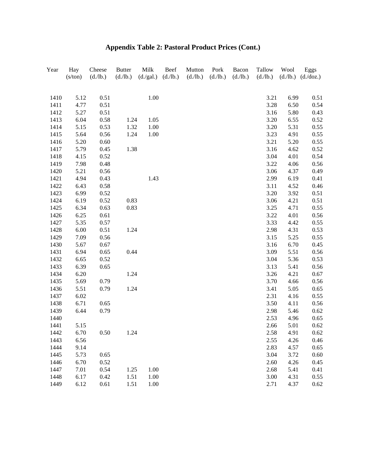| Year | Hay     | Cheese   | <b>Butter</b> | Milk      | Beef     | Mutton   | Pork     | Bacon    | Tallow   | Wool     | Eggs      |
|------|---------|----------|---------------|-----------|----------|----------|----------|----------|----------|----------|-----------|
|      | (s/ton) | (d./lb.) | (d./lb.)      | (d./gal.) | (d./lb.) | (d./lb.) | (d./lb.) | (d./lb.) | (d./lb.) | (d./lb.) | (d./doz.) |
|      |         |          |               |           |          |          |          |          |          |          |           |
| 1410 | 5.12    | 0.51     |               | 1.00      |          |          |          |          | 3.21     | 6.99     | 0.51      |
| 1411 | 4.77    | 0.51     |               |           |          |          |          |          | 3.28     | 6.50     | 0.54      |
| 1412 | 5.27    | 0.51     |               |           |          |          |          |          | 3.16     | 5.80     | 0.43      |
| 1413 | 6.04    | 0.58     | 1.24          | 1.05      |          |          |          |          | 3.20     | 6.55     | 0.52      |
| 1414 | 5.15    | 0.53     | 1.32          | 1.00      |          |          |          |          | 3.20     | 5.31     | 0.55      |
| 1415 | 5.64    | 0.56     | 1.24          | 1.00      |          |          |          |          | 3.23     | 4.91     | 0.55      |
| 1416 | 5.20    | 0.60     |               |           |          |          |          |          | 3.21     | 5.20     | 0.55      |
| 1417 | 5.79    | 0.45     | 1.38          |           |          |          |          |          | 3.16     | 4.62     | 0.52      |
| 1418 | 4.15    | 0.52     |               |           |          |          |          |          | 3.04     | 4.01     | 0.54      |
| 1419 | 7.98    | 0.48     |               |           |          |          |          |          | 3.22     | 4.06     | 0.56      |
| 1420 | 5.21    | 0.56     |               |           |          |          |          |          | 3.06     | 4.37     | 0.49      |
| 1421 | 4.94    | 0.43     |               | 1.43      |          |          |          |          | 2.99     | 6.19     | 0.41      |
| 1422 | 6.43    | 0.58     |               |           |          |          |          |          | 3.11     | 4.52     | 0.46      |
| 1423 | 6.99    | 0.52     |               |           |          |          |          |          | 3.20     | 3.92     | 0.51      |
| 1424 | 6.19    | 0.52     | 0.83          |           |          |          |          |          | 3.06     | 4.21     | 0.51      |
| 1425 | 6.34    | 0.63     | 0.83          |           |          |          |          |          | 3.25     | 4.71     | 0.55      |
| 1426 | 6.25    | 0.61     |               |           |          |          |          |          | 3.22     | 4.01     | 0.56      |
| 1427 | 5.35    | 0.57     |               |           |          |          |          |          | 3.33     | 4.42     | 0.55      |
| 1428 | 6.00    | 0.51     | 1.24          |           |          |          |          |          | 2.98     | 4.31     | 0.53      |
| 1429 | 7.09    | 0.56     |               |           |          |          |          |          | 3.15     | 5.25     | 0.55      |
| 1430 | 5.67    | 0.67     |               |           |          |          |          |          | 3.16     | 6.70     | 0.45      |
| 1431 | 6.94    | 0.65     | 0.44          |           |          |          |          |          | 3.09     | 5.51     | 0.56      |
| 1432 | 6.65    | 0.52     |               |           |          |          |          |          | 3.04     | 5.36     | 0.53      |
| 1433 | 6.39    | 0.65     |               |           |          |          |          |          | 3.13     | 5.41     | 0.56      |
| 1434 | 6.20    |          | 1.24          |           |          |          |          |          | 3.26     | 4.21     | 0.67      |
| 1435 | 5.69    | 0.79     |               |           |          |          |          |          | 3.70     | 4.66     | 0.56      |
| 1436 | 5.51    | 0.79     | 1.24          |           |          |          |          |          | 3.41     | 5.05     | 0.65      |
| 1437 | 6.02    |          |               |           |          |          |          |          | 2.31     | 4.16     | 0.55      |
| 1438 | 6.71    | 0.65     |               |           |          |          |          |          | 3.50     | 4.11     | 0.56      |
| 1439 | 6.44    | 0.79     |               |           |          |          |          |          | 2.98     | 5.46     | 0.62      |
| 1440 |         |          |               |           |          |          |          |          | 2.53     | 4.96     | 0.65      |
| 1441 | 5.15    |          |               |           |          |          |          |          | 2.66     | 5.01     | 0.62      |
| 1442 | 6.70    | 0.50     | 1.24          |           |          |          |          |          | 2.58     | 4.91     | 0.62      |
| 1443 | 6.56    |          |               |           |          |          |          |          | 2.55     | 4.26     | 0.46      |
| 1444 | 9.14    |          |               |           |          |          |          |          | 2.83     | 4.57     | 0.65      |
| 1445 | 5.73    | 0.65     |               |           |          |          |          |          | 3.04     | 3.72     | 0.60      |
| 1446 | 6.70    | 0.52     |               |           |          |          |          |          | 2.60     | 4.26     | 0.45      |
| 1447 | 7.01    | 0.54     | 1.25          | 1.00      |          |          |          |          | 2.68     | 5.41     | 0.41      |
| 1448 | 6.17    | 0.42     | 1.51          | 1.00      |          |          |          |          | 3.00     | 4.31     | 0.55      |
| 1449 | 6.12    | 0.61     | 1.51          | 1.00      |          |          |          |          | 2.71     | 4.37     | 0.62      |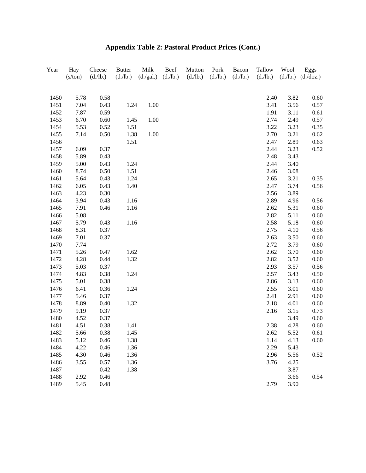| Year         | Hay     | Cheese   | <b>Butter</b> | Milk      | Beef     | Mutton   | Pork     | Bacon    | Tallow       | Wool         | Eggs         |
|--------------|---------|----------|---------------|-----------|----------|----------|----------|----------|--------------|--------------|--------------|
|              | (s/ton) | (d./lb.) | (d./lb.)      | (d./gal.) | (d./lb.) | (d./lb.) | (d./lb.) | (d./lb.) | (d./lb.)     | (d./lb.)     | (d./doz.)    |
|              |         |          |               |           |          |          |          |          |              |              |              |
| 1450         | 5.78    | 0.58     |               |           |          |          |          |          | 2.40         | 3.82         | 0.60         |
| 1451         | 7.04    | 0.43     | 1.24          | 1.00      |          |          |          |          | 3.41         | 3.56         | 0.57         |
| 1452         | 7.87    | 0.59     |               |           |          |          |          |          | 1.91         | 3.11         | 0.61         |
| 1453         | 6.70    | 0.60     | 1.45          | 1.00      |          |          |          |          | 2.74         | 2.49         | 0.57         |
| 1454         | 5.53    | 0.52     | 1.51          |           |          |          |          |          | 3.22<br>2.70 | 3.23         | 0.35         |
| 1455<br>1456 | 7.14    | 0.50     | 1.38<br>1.51  | 1.00      |          |          |          |          | 2.47         | 3.21<br>2.89 | 0.62<br>0.63 |
| 1457         | 6.09    | 0.37     |               |           |          |          |          |          | 2.44         | 3.23         | 0.52         |
| 1458         | 5.89    | 0.43     |               |           |          |          |          |          | 2.48         | 3.43         |              |
| 1459         | 5.00    | 0.43     | 1.24          |           |          |          |          |          | 2.44         | 3.40         |              |
| 1460         | 8.74    | 0.50     | 1.51          |           |          |          |          |          | 2.46         | 3.08         |              |
| 1461         | 5.64    | 0.43     | 1.24          |           |          |          |          |          | 2.65         | 3.21         | 0.35         |
| 1462         | 6.05    | 0.43     | 1.40          |           |          |          |          |          | 2.47         | 3.74         | 0.56         |
| 1463         | 4.23    | 0.30     |               |           |          |          |          |          | 2.56         | 3.89         |              |
| 1464         | 3.94    | 0.43     | 1.16          |           |          |          |          |          | 2.89         | 4.96         | 0.56         |
| 1465         | 7.91    | 0.46     | 1.16          |           |          |          |          |          | 2.62         | 5.31         | 0.60         |
| 1466         | 5.08    |          |               |           |          |          |          |          | 2.82         | 5.11         | 0.60         |
| 1467         | 5.79    | 0.43     | 1.16          |           |          |          |          |          | 2.58         | 5.18         | 0.60         |
| 1468         | 8.31    | 0.37     |               |           |          |          |          |          | 2.75         | 4.10         | 0.56         |
| 1469         | 7.01    | 0.37     |               |           |          |          |          |          | 2.63         | 3.50         | 0.60         |
| 1470         | 7.74    |          |               |           |          |          |          |          | 2.72         | 3.79         | 0.60         |
| 1471         | 5.26    | 0.47     | 1.62          |           |          |          |          |          | 2.62         | 3.70         | 0.60         |
| 1472         | 4.28    | 0.44     | 1.32          |           |          |          |          |          | 2.82         | 3.52         | 0.60         |
| 1473         | 5.03    | 0.37     |               |           |          |          |          |          | 2.93         | 3.57         | 0.56         |
| 1474         | 4.83    | 0.38     | 1.24          |           |          |          |          |          | 2.57         | 3.43         | 0.50         |
| 1475         | 5.01    | 0.38     |               |           |          |          |          |          | 2.86         | 3.13         | 0.60         |
| 1476         | 6.41    | 0.36     | 1.24          |           |          |          |          |          | 2.55         | 3.01         | 0.60         |
| 1477         | 5.46    | 0.37     |               |           |          |          |          |          | 2.41         | 2.91         | 0.60         |
| 1478         | 8.89    | 0.40     | 1.32          |           |          |          |          |          | 2.18         | 4.01         | 0.60         |
| 1479         | 9.19    | 0.37     |               |           |          |          |          |          | 2.16         | 3.15         | 0.73         |
| 1480         | 4.52    | 0.37     |               |           |          |          |          |          |              | 3.49         | 0.60         |
| 1481         | 4.51    | 0.38     | 1.41          |           |          |          |          |          | 2.38         | 4.28         | 0.60         |
| 1482         | 5.66    | 0.38     | 1.45          |           |          |          |          |          | 2.62         | 5.52         | 0.61         |
| 1483         | 5.12    | 0.46     | 1.38          |           |          |          |          |          | 1.14         | 4.13         | 0.60         |
| 1484         | 4.22    | 0.46     | 1.36          |           |          |          |          |          | 2.29         | 5.43         |              |
| 1485         | 4.30    | 0.46     | 1.36          |           |          |          |          |          | 2.96         | 5.56         | 0.52         |
| 1486         | 3.55    | 0.57     | 1.36          |           |          |          |          |          | 3.76         | 4.25         |              |
| 1487         |         | 0.42     | 1.38          |           |          |          |          |          |              | 3.87         |              |
| 1488         | 2.92    | 0.46     |               |           |          |          |          |          |              | 3.66         | 0.54         |
| 1489         | 5.45    | 0.48     |               |           |          |          |          |          | 2.79         | 3.90         |              |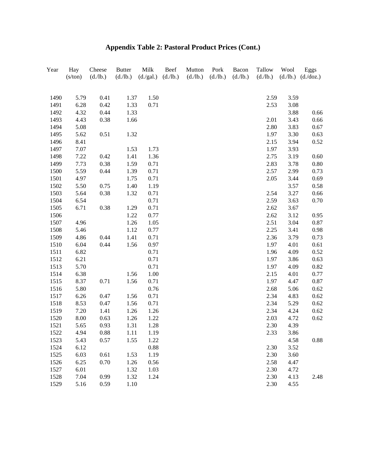| Year | Hay<br>(s/ton) | Cheese<br>(d./lb.) | <b>Butter</b><br>(d./lb.) | Milk<br>(d./gal.) | Beef<br>(d./lb.) | Mutton<br>(d./lb.) | Pork<br>(d./lb.) | Bacon<br>(d./lb.) | Tallow<br>(d./lb.) | Wool<br>(d./lb.) | Eggs<br>(d./doz.) |
|------|----------------|--------------------|---------------------------|-------------------|------------------|--------------------|------------------|-------------------|--------------------|------------------|-------------------|
|      |                |                    |                           |                   |                  |                    |                  |                   |                    |                  |                   |
| 1490 | 5.79           | 0.41               | 1.37                      | 1.50              |                  |                    |                  |                   | 2.59               | 3.59             |                   |
| 1491 | 6.28           | 0.42               | 1.33                      | 0.71              |                  |                    |                  |                   | 2.53               | 3.08             |                   |
| 1492 | 4.32           | 0.44               | 1.33                      |                   |                  |                    |                  |                   |                    | 3.88             | 0.66              |
| 1493 | 4.43           | 0.38               | 1.66                      |                   |                  |                    |                  |                   | 2.01               | 3.43             | 0.66              |
| 1494 | 5.08           |                    |                           |                   |                  |                    |                  |                   | 2.80               | 3.83             | 0.67              |
| 1495 | 5.62           | 0.51               | 1.32                      |                   |                  |                    |                  |                   | 1.97               | 3.30             | 0.63              |
| 1496 | 8.41           |                    |                           |                   |                  |                    |                  |                   | 2.15               | 3.94             | 0.52              |
| 1497 | 7.07           |                    | 1.53                      | 1.73              |                  |                    |                  |                   | 1.97               | 3.93             |                   |
| 1498 | 7.22           | 0.42               | 1.41                      | 1.36              |                  |                    |                  |                   | 2.75               | 3.19             | 0.60              |
| 1499 | 7.73           | 0.38               | 1.59                      | 0.71              |                  |                    |                  |                   | 2.83               | 3.78             | 0.80              |
| 1500 | 5.59           | 0.44               | 1.39                      | 0.71              |                  |                    |                  |                   | 2.57               | 2.99             | 0.73              |
| 1501 | 4.97           |                    | 1.75                      | 0.71              |                  |                    |                  |                   | 2.05               | 3.44             | 0.69              |
| 1502 | 5.50           | 0.75               | 1.40                      | 1.19              |                  |                    |                  |                   |                    | 3.57             | 0.58              |
| 1503 | 5.64           | 0.38               | 1.32                      | 0.71              |                  |                    |                  |                   | 2.54               | 3.27             | 0.66              |
| 1504 | 6.54           |                    |                           | 0.71              |                  |                    |                  |                   | 2.59               | 3.63             | 0.70              |
| 1505 | 6.71           | 0.38               | 1.29                      | 0.71              |                  |                    |                  |                   | 2.62               | 3.67             |                   |
| 1506 |                |                    | 1.22                      | 0.77              |                  |                    |                  |                   | 2.62               | 3.12             | 0.95              |
| 1507 | 4.96           |                    | 1.26                      | 1.05              |                  |                    |                  |                   | 2.51               | 3.04             | 0.87              |
| 1508 | 5.46           |                    | 1.12                      | 0.77              |                  |                    |                  |                   | 2.25               | 3.41             | 0.98              |
| 1509 | 4.86           | 0.44               | 1.41                      | 0.71              |                  |                    |                  |                   | 2.36               | 3.79             | 0.73              |
| 1510 | 6.04           | 0.44               | 1.56                      | 0.97              |                  |                    |                  |                   | 1.97               | 4.01             | 0.61              |
| 1511 | 6.82           |                    |                           | 0.71              |                  |                    |                  |                   | 1.96               | 4.09             | 0.52              |
| 1512 | 6.21           |                    |                           | 0.71              |                  |                    |                  |                   | 1.97               | 3.86             | 0.63              |
| 1513 | 5.70           |                    |                           | 0.71              |                  |                    |                  |                   | 1.97               | 4.09             | 0.82              |
| 1514 | 6.38           |                    | 1.56                      | 1.00              |                  |                    |                  |                   | 2.15               | 4.01             | 0.77              |
| 1515 | 8.37           | 0.71               | 1.56                      | 0.71              |                  |                    |                  |                   | 1.97               | 4.47             | 0.87              |
| 1516 | 5.80           |                    |                           | 0.76              |                  |                    |                  |                   | 2.68               | 5.06             | 0.62              |
| 1517 | 6.26           | 0.47               | 1.56                      | 0.71              |                  |                    |                  |                   | 2.34               | 4.83             | 0.62              |
| 1518 | 8.53           | 0.47               | 1.56                      | 0.71              |                  |                    |                  |                   | 2.34               | 5.29             | 0.62              |
| 1519 | 7.20           | 1.41               | 1.26                      | 1.26              |                  |                    |                  |                   | 2.34               | 4.24             | 0.62              |
| 1520 | 8.00           | 0.63               | 1.26                      | 1.22              |                  |                    |                  |                   | 2.03               | 4.72             | 0.62              |
| 1521 | 5.65           | 0.93               | 1.31                      | 1.28              |                  |                    |                  |                   | 2.30               | 4.39             |                   |
| 1522 | 4.94           | 0.88               | 1.11                      | 1.19              |                  |                    |                  |                   | 2.33               | 3.86             |                   |
| 1523 | 5.43           | 0.57               | 1.55                      | 1.22              |                  |                    |                  |                   |                    | 4.58             | 0.88              |
| 1524 | 6.12           |                    |                           | 0.88              |                  |                    |                  |                   | 2.30               | 3.52             |                   |
| 1525 | 6.03           | 0.61               | 1.53                      | 1.19              |                  |                    |                  |                   | 2.30               | 3.60             |                   |
| 1526 | 6.25           | 0.70               | 1.26                      | 0.56              |                  |                    |                  |                   | 2.58               | 4.47             |                   |
| 1527 | 6.01           |                    | 1.32                      | 1.03              |                  |                    |                  |                   | 2.30               | 4.72             |                   |
| 1528 | 7.04           | 0.99               | 1.32                      | 1.24              |                  |                    |                  |                   | 2.30               | 4.13             | 2.48              |
| 1529 | 5.16           | 0.59               | 1.10                      |                   |                  |                    |                  |                   | 2.30               | 4.55             |                   |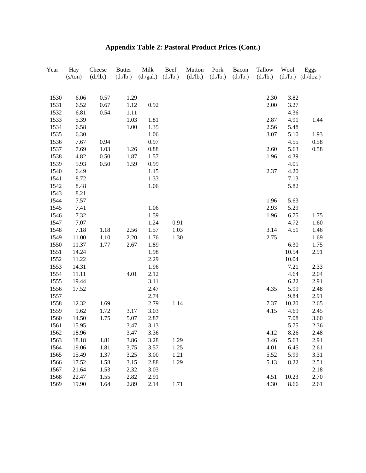| Year | Hay     | Cheese   | <b>Butter</b> | Milk      | Beef     | Mutton   | Pork     | Bacon    | Tallow   | Wool     | Eggs      |
|------|---------|----------|---------------|-----------|----------|----------|----------|----------|----------|----------|-----------|
|      | (s/ton) | (d./lb.) | (d./lb.)      | (d./gal.) | (d./lb.) | (d./lb.) | (d./lb.) | (d./lb.) | (d./lb.) | (d./lb.) | (d./doz.) |
|      |         |          |               |           |          |          |          |          |          |          |           |
| 1530 | 6.06    | 0.57     | 1.29          |           |          |          |          |          | 2.30     | 3.82     |           |
| 1531 | 6.52    | 0.67     | 1.12          | 0.92      |          |          |          |          | 2.00     | 3.27     |           |
| 1532 | 6.81    | 0.54     | 1.11          |           |          |          |          |          |          | 4.36     |           |
| 1533 | 5.39    |          | 1.03          | 1.81      |          |          |          |          | 2.87     | 4.91     | 1.44      |
| 1534 | 6.58    |          | 1.00          | 1.35      |          |          |          |          | 2.56     | 5.48     |           |
| 1535 | 6.30    |          |               | 1.06      |          |          |          |          | 3.07     | 5.10     | 1.93      |
| 1536 | 7.67    | 0.94     |               | 0.97      |          |          |          |          |          | 4.55     | 0.58      |
| 1537 | 7.69    | 1.03     | 1.26          | 0.88      |          |          |          |          | 2.60     | 5.63     | 0.58      |
| 1538 | 4.82    | 0.50     | 1.87          | 1.57      |          |          |          |          | 1.96     | 4.39     |           |
| 1539 | 5.93    | 0.50     | 1.59          | 0.99      |          |          |          |          |          | 4.05     |           |
| 1540 | 6.49    |          |               | 1.15      |          |          |          |          | 2.37     | 4.20     |           |
| 1541 | 8.72    |          |               | 1.33      |          |          |          |          |          | 7.13     |           |
| 1542 | 8.48    |          |               | 1.06      |          |          |          |          |          | 5.82     |           |
| 1543 | 8.21    |          |               |           |          |          |          |          |          |          |           |
| 1544 | 7.57    |          |               |           |          |          |          |          | 1.96     | 5.63     |           |
| 1545 | 7.41    |          |               | 1.06      |          |          |          |          | 2.93     | 5.29     |           |
| 1546 | 7.32    |          |               | 1.59      |          |          |          |          | 1.96     | 6.75     | 1.75      |
| 1547 | 7.07    |          |               | 1.24      | 0.91     |          |          |          |          | 4.72     | 1.60      |
| 1548 | 7.18    | 1.18     | 2.56          | 1.57      | 1.03     |          |          |          | 3.14     | 4.51     | 1.46      |
| 1549 | 11.00   | 1.10     | 2.20          | 1.76      | 1.30     |          |          |          | 2.75     |          | 1.69      |
| 1550 | 11.37   | 1.77     | 2.67          | 1.89      |          |          |          |          |          | 6.30     | 1.75      |
| 1551 | 14.24   |          |               | 1.98      |          |          |          |          |          | 10.54    | 2.91      |
| 1552 | 11.22   |          |               | 2.29      |          |          |          |          |          | 10.04    |           |
| 1553 | 14.31   |          |               | 1.96      |          |          |          |          |          | 7.21     | 2.33      |
| 1554 | 11.11   |          | 4.01          | 2.12      |          |          |          |          |          | 4.64     | 2.04      |
| 1555 | 19.44   |          |               | 3.11      |          |          |          |          |          | 6.22     | 2.91      |
| 1556 | 17.52   |          |               | 2.47      |          |          |          |          | 4.35     | 5.99     | 2.48      |
| 1557 |         |          |               | 2.74      |          |          |          |          |          | 9.84     | 2.91      |
| 1558 | 12.32   | 1.69     |               | 2.79      | 1.14     |          |          |          | 7.37     | 10.20    | 2.65      |
| 1559 | 9.62    | 1.72     | 3.17          | 3.03      |          |          |          |          | 4.15     | 4.69     | 2.45      |
| 1560 | 14.50   | 1.75     | 5.07          | 2.87      |          |          |          |          |          | 7.08     | 3.60      |
| 1561 | 15.95   |          | 3.47          | 3.13      |          |          |          |          |          | 5.75     | 2.36      |
| 1562 | 18.96   |          | 3.47          | 3.36      |          |          |          |          | 4.12     | 8.26     | 2.48      |
| 1563 | 18.18   | 1.81     | 3.86          | 3.28      | 1.29     |          |          |          | 3.46     | 5.63     | 2.91      |
| 1564 | 19.06   | 1.81     | 3.75          | 3.57      | 1.25     |          |          |          | 4.01     | 6.45     | 2.61      |
| 1565 | 15.49   | 1.37     | 3.25          | 3.00      | 1.21     |          |          |          | 5.52     | 5.99     | 3.31      |
| 1566 | 17.52   | 1.58     | 3.15          | 2.88      | 1.29     |          |          |          | 5.13     | 8.22     | 2.51      |
| 1567 | 21.64   | 1.53     | 2.32          | 3.03      |          |          |          |          |          |          | 2.18      |
| 1568 | 22.47   | 1.55     | 2.82          | 2.91      |          |          |          |          | 4.51     | 10.23    | 2.70      |
| 1569 | 19.90   | 1.64     | 2.89          | 2.14      | 1.71     |          |          |          | 4.30     | 8.66     | 2.61      |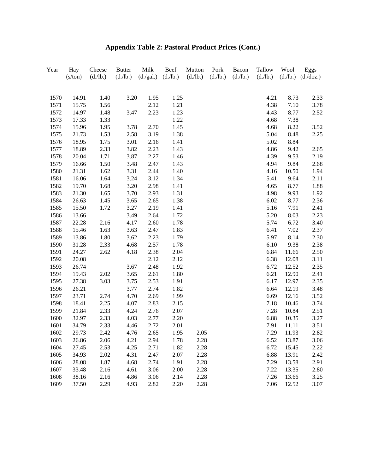| Year         | Hay<br>(s/ton) | Cheese<br>(d./lb.) | <b>Butter</b><br>(d./lb.) | Milk<br>(d./gal.) | Beef<br>(d./lb.) | Mutton<br>(d./lb.) | Pork<br>(d./lb.) | Bacon<br>(d./lb.) | Tallow<br>(d./lb.) | Wool<br>(d./lb.) | Eggs<br>(d./doz.) |
|--------------|----------------|--------------------|---------------------------|-------------------|------------------|--------------------|------------------|-------------------|--------------------|------------------|-------------------|
|              |                |                    |                           |                   |                  |                    |                  |                   |                    |                  |                   |
| 1570         | 14.91          | 1.40               | 3.20                      | 1.95              | 1.25             |                    |                  |                   | 4.21               | 8.73             | 2.33              |
| 1571         | 15.75          | 1.56               |                           | 2.12              | 1.21             |                    |                  |                   | 4.38               | 7.10             | 3.78              |
| 1572         | 14.97          | 1.48               | 3.47                      | 2.23              | 1.23             |                    |                  |                   | 4.43               | 8.77             | 2.52              |
| 1573         | 17.33          | 1.33               |                           |                   | 1.22             |                    |                  |                   | 4.68               | 7.38             |                   |
| 1574         | 15.96          | 1.95               | 3.78                      | 2.70              | 1.45             |                    |                  |                   | 4.68               | 8.22             | 3.52              |
| 1575         | 21.73          | 1.53               | 2.58                      | 3.19              | 1.38             |                    |                  |                   | 5.04               | 8.48             | 2.25              |
| 1576         | 18.95          | 1.75               | 3.01                      | 2.16              | 1.41             |                    |                  |                   | 5.02               | 8.84             |                   |
| 1577         | 18.89          | 2.33               | 3.82                      | 2.23              | 1.43             |                    |                  |                   | 4.86               | 9.42             | 2.65              |
| 1578         | 20.04          | 1.71               | 3.87                      | 2.27              | 1.46             |                    |                  |                   | 4.39               | 9.53             | 2.19              |
| 1579         | 16.66          | 1.50               | 3.48                      | 2.47              | 1.43             |                    |                  |                   | 4.94               | 9.84             | 2.68              |
| 1580         | 21.31          | 1.62               | 3.31                      | 2.44              | 1.40             |                    |                  |                   | 4.16               | 10.50            | 1.94              |
| 1581         | 16.06          | 1.64               | 3.24                      | 3.12              | 1.34             |                    |                  |                   | 5.41               | 9.64             | 2.11              |
| 1582         | 19.70          | 1.68               | 3.20                      | 2.98              | 1.41             |                    |                  |                   | 4.65               | 8.77             | 1.88              |
| 1583         | 21.30          | 1.65               | 3.70                      | 2.93              | 1.31             |                    |                  |                   | 4.98               | 9.93             | 1.92              |
| 1584         | 26.63          | 1.45               | 3.65                      | 2.65              | 1.38             |                    |                  |                   | 6.02               | 8.77             | 2.36              |
| 1585         | 15.50          | 1.72               | 3.27                      | 2.19              | 1.41             |                    |                  |                   | 5.16               | 7.91             | 2.41              |
| 1586         | 13.66          |                    | 3.49                      | 2.64              | 1.72             |                    |                  |                   | 5.20               | 8.03             | 2.23              |
| 1587         | 22.28          | 2.16               | 4.17                      | 2.60              | 1.78             |                    |                  |                   | 5.74               | 6.72             | 3.40              |
| 1588         | 15.46          | 1.63               | 3.63                      | 2.47              | 1.83             |                    |                  |                   | 6.41               | 7.02             | 2.37              |
| 1589         | 13.86          | 1.80               | 3.62                      | 2.23              | 1.79             |                    |                  |                   | 5.97               | 8.14             | 2.30              |
| 1590         | 31.28          | 2.33               | 4.68                      | 2.57              | 1.78             |                    |                  |                   | 6.10               | 9.38             | 2.38              |
| 1591         | 24.27          | 2.62               | 4.18                      | 2.38              | 2.04             |                    |                  |                   | 6.84               | 11.66            | 2.50              |
| 1592         | 20.08          |                    |                           | 2.12              | 2.12             |                    |                  |                   | 6.38               | 12.08            | 3.11              |
| 1593         | 26.74          |                    | 3.67                      | 2.48              | 1.92             |                    |                  |                   | 6.72               | 12.52            | 2.35              |
| 1594<br>1595 | 19.43          | 2.02               | 3.65                      | 2.61              | 1.80             |                    |                  |                   | 6.21               | 12.90            | 2.41              |
| 1596         | 27.38<br>26.21 | 3.03               | 3.75<br>3.77              | 2.53<br>2.74      | 1.91<br>1.82     |                    |                  |                   | 6.17<br>6.64       | 12.97<br>12.19   | 2.35<br>3.48      |
| 1597         | 23.71          | 2.74               | 4.70                      | 2.69              | 1.99             |                    |                  |                   | 6.69               | 12.16            | 3.52              |
| 1598         | 18.41          | 2.25               | 4.07                      | 2.83              | 2.15             |                    |                  |                   | 7.18               | 10.46            | 3.74              |
| 1599         | 21.84          | 2.33               | 4.24                      | 2.76              | 2.07             |                    |                  |                   | 7.28               | 10.84            | 2.51              |
| 1600         | 32.97          | 2.33               | 4.03                      | 2.77              | 2.20             |                    |                  |                   | 6.88               | 10.35            | 3.27              |
| 1601         | 34.79          | 2.33               | 4.46                      | 2.72              | 2.01             |                    |                  |                   | 7.91               | 11.11            | 3.51              |
| 1602         | 29.73          | 2.42               |                           |                   | 1.95             |                    |                  |                   | 7.29               | 11.93            | 2.82              |
| 1603         | 26.86          | 2.06               | 4.76<br>4.21              | 2.65<br>2.94      | 1.78             | 2.05<br>2.28       |                  |                   | 6.52               | 13.87            | 3.06              |
| 1604         | 27.45          | 2.53               | 4.25                      | 2.71              | 1.82             | 2.28               |                  |                   | 6.72               | 15.45            | 2.22              |
| 1605         | 34.93          | 2.02               | 4.31                      | 2.47              | 2.07             | 2.28               |                  |                   | 6.88               | 13.91            |                   |
| 1606         | 28.08          | 1.87               | 4.68                      | 2.74              | 1.91             | 2.28               |                  |                   | 7.29               | 13.58            | 2.42<br>2.91      |
| 1607         | 33.48          | 2.16               | 4.61                      | 3.06              | 2.00             | 2.28               |                  |                   | 7.22               | 13.35            | 2.80              |
| 1608         | 38.16          | 2.16               | 4.86                      | 3.06              | 2.14             | 2.28               |                  |                   | 7.26               | 13.66            | 3.25              |
| 1609         | 37.50          | 2.29               | 4.93                      | 2.82              | 2.20             | 2.28               |                  |                   | 7.06               | 12.52            | 3.07              |
|              |                |                    |                           |                   |                  |                    |                  |                   |                    |                  |                   |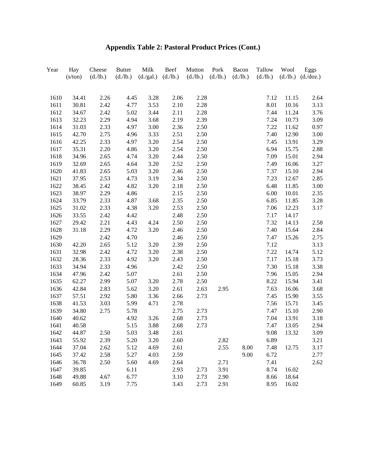| Year | Hay<br>(s/ton) | Cheese<br>(d./lb.) | <b>Butter</b><br>(d./lb.) | Milk<br>(d./gal.) | Beef<br>(d./lb.) | Mutton<br>(d./lb.) | Pork<br>(d./lb.) | Bacon<br>(d./lb.) | Tallow<br>(d./lb.) | Wool  | Eggs<br>$(d./lb.)$ $(d./doz.)$ |
|------|----------------|--------------------|---------------------------|-------------------|------------------|--------------------|------------------|-------------------|--------------------|-------|--------------------------------|
|      |                |                    |                           |                   |                  |                    |                  |                   |                    |       |                                |
| 1610 | 34.41          | 2.26               | 4.45                      | 3.28              | 2.06             | 2.28               |                  |                   | 7.12               | 11.15 | 2.64                           |
| 1611 | 30.81          | 2.42               | 4.77                      | 3.53              | 2.10             | 2.28               |                  |                   | 8.01               | 10.16 | 3.13                           |
| 1612 | 34.67          | 2.42               | 5.02                      | 3.44              | 2.11             | 2.28               |                  |                   | 7.44               | 11.24 | 3.76                           |
| 1613 | 32.23          | 2.29               | 4.94                      | 3.68              | 2.19             | 2.39               |                  |                   | 7.24               | 10.73 | 3.09                           |
| 1614 | 31.03          | 2.33               | 4.97                      | 3.00              | 2.36             | 2.50               |                  |                   | 7.22               | 11.62 | 0.97                           |
| 1615 | 42.70          | 2.75               | 4.96                      | 3.33              | 2.51             | 2.50               |                  |                   | 7.40               | 12.90 | 3.00                           |
| 1616 | 42.25          | 2.33               | 4.97                      | 3.20              | 2.54             | 2.50               |                  |                   | 7.45               | 13.91 | 3.29                           |
| 1617 | 35.31          | 2.20               | 4.86                      | 3.20              | 2.54             | 2.50               |                  |                   | 6.94               | 15.75 | 2.88                           |
| 1618 | 34.96          | 2.65               | 4.74                      | 3.20              | 2.44             | 2.50               |                  |                   | 7.09               | 15.01 | 2.94                           |
| 1619 | 32.69          | 2.65               | 4.64                      | 3.20              | 2.52             | 2.50               |                  |                   | 7.49               | 16.06 | 3.27                           |
| 1620 | 41.83          | 2.65               | 5.03                      | 3.20              | 2.46             | 2.50               |                  |                   | 7.37               | 15.10 | 2.94                           |
| 1621 | 37.95          | 2.53               | 4.73                      | 3.19              | 2.34             | 2.50               |                  |                   | 7.23               | 12.67 | 2.85                           |
| 1622 | 38.45          | 2.42               | 4.82                      | 3.20              | 2.18             | 2.50               |                  |                   | 6.48               | 11.85 | 3.00                           |
| 1623 | 38.97          | 2.29               | 4.86                      |                   | 2.15             | 2.50               |                  |                   | 6.00               | 10.01 | 2.35                           |
| 1624 | 33.79          | 2.33               | 4.87                      | 3.68              | 2.35             | 2.50               |                  |                   | 6.85               | 11.85 | 3.28                           |
| 1625 | 31.02          | 2.33               | 4.38                      | 3.20              | 2.53             | 2.50               |                  |                   | 7.06               | 12.23 | 3.17                           |
| 1626 | 33.55          | 2.42               | 4.42                      |                   | 2.48             | 2.50               |                  |                   | 7.17               | 14.17 |                                |
| 1627 | 29.42          | 2.21               | 4.43                      | 4.24              | 2.50             | 2.50               |                  |                   | 7.32               | 14.13 | 2.58                           |
| 1628 | 31.18          | 2.29               | 4.72                      | 3.20              | 2.46             | 2.50               |                  |                   | 7.40               | 15.64 | 2.84                           |
| 1629 |                | 2.42               | 4.70                      |                   | 2.46             | 2.50               |                  |                   | 7.47               | 15.26 | 2.75                           |
| 1630 | 42.20          | 2.65               | 5.12                      | 3.20              | 2.39             | 2.50               |                  |                   | 7.12               |       | 3.13                           |
| 1631 | 32.98          | 2.42               | 4.72                      | 3.20              | 2.38             | 2.50               |                  |                   | 7.22               | 14.74 | 5.12                           |
| 1632 | 28.36          | 2.33               | 4.92                      | 3.20              | 2.43             | 2.50               |                  |                   | 7.17               | 15.18 | 3.73                           |
| 1633 | 34.94          | 2.33               | 4.96                      |                   | 2.42             | 2.50               |                  |                   | 7.30               | 15.18 | 3.38                           |
| 1634 | 47.96          | 2.42               | 5.07                      |                   | 2.61             | 2.50               |                  |                   | 7.96               | 15.05 | 2.94                           |
| 1635 | 62.27          | 2.99               | 5.07                      | 3.20              | 2.78             | 2.50               |                  |                   | 8.22               | 15.94 | 3.41                           |
| 1636 | 42.84          | 2.83               | 5.62                      | 3.20              | 2.61             | 2.63               | 2.95             |                   | 7.63               | 16.06 | 3.68                           |
| 1637 | 57.51          | 2.92               | 5.80                      | 3.36              | 2.66             | 2.73               |                  |                   | 7.45               | 15.90 | 3.55                           |
| 1638 | 41.53          | 3.03               | 5.99                      | 4.71              | 2.78             |                    |                  |                   | 7.56               | 15.71 | 3.45                           |
| 1639 | 34.80          | 2.75               | 5.78                      |                   | 2.75             | 2.73               |                  |                   | 7.47               | 15.10 | 2.90                           |
| 1640 | 40.62          |                    | 4.92                      | 3.26              | 2.68             | 2.73               |                  |                   | 7.04               | 13.91 | 3.18                           |
| 1641 | 40.58          |                    | 5.15                      | 3.88              | 2.68             | 2.73               |                  |                   | 7.47               | 13.05 | 2.94                           |
| 1642 | 44.87          | 2.50               | 5.03                      | 3.48              | 2.61             |                    |                  |                   | 9.08               | 13.32 | 3.09                           |
| 1643 | 55.92          | 2.39               | 5.20                      | 3.20              | 2.60             |                    | 2.82             |                   | 6.89               |       | 3.21                           |
| 1644 | 37.04          | 2.62               | 5.12                      | 4.69              | 2.61             |                    | 2.55             | 8.00              | 7.48               | 12.75 | 3.17                           |
| 1645 | 37.42          | 2.58               | 5.27                      | 4.03              | 2.59             |                    |                  | 9.00              | 6.72               |       | 2.77                           |
| 1646 | 36.78          | 2.50               | 5.60                      | 4.69              | 2.64             |                    | 2.71             |                   | 7.41               |       | 2.62                           |
| 1647 | 39.85          |                    | 6.11                      |                   | 2.93             | 2.73               | 3.91             |                   | 8.74               | 16.02 |                                |
| 1648 | 49.88          | 4.67               | 6.77                      |                   | 3.10             | 2.73               | 2.90             |                   | 8.66               | 18.64 |                                |
| 1649 | 60.85          | 3.19               | 7.75                      |                   | 3.43             | 2.73               | 2.91             |                   | 8.95               | 16.02 |                                |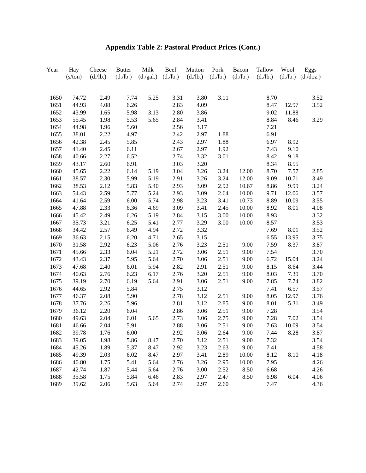| Year | Hay<br>(s/ton) | Cheese<br>(d./lb.) | <b>Butter</b><br>(d./lb.) | Milk<br>(d./gal.) | Beef<br>(d./lb.) | Mutton<br>(d./lb.) | Pork<br>(d./lb.) | Bacon<br>(d./lb.) | Tallow<br>(d./lb.) | Wool<br>(d./lb.) | Eggs<br>$(d.\overline{doz})$ |
|------|----------------|--------------------|---------------------------|-------------------|------------------|--------------------|------------------|-------------------|--------------------|------------------|------------------------------|
|      |                |                    |                           |                   |                  |                    |                  |                   |                    |                  |                              |
| 1650 | 74.72          | 2.49               | 7.74                      | 5.25              | 3.31             | 3.80               | 3.11             |                   | 8.70               |                  | 3.52                         |
| 1651 | 44.93          | 4.08               | 6.26                      |                   | 2.83             | 4.09               |                  |                   | 8.47               | 12.97            | 3.52                         |
| 1652 | 43.99          | 1.65               | 5.98                      | 3.13              | 2.80             | 3.86               |                  |                   | 9.02               | 11.88            |                              |
| 1653 | 55.45          | 1.98               | 5.53                      | 5.65              | 2.84             | 3.41               |                  |                   | 8.84               | 8.46             | 3.29                         |
| 1654 | 44.98          | 1.96               | 5.60                      |                   | 2.56             | 3.17               |                  |                   | 7.21               |                  |                              |
| 1655 | 38.01          | 2.22               | 4.97                      |                   | 2.42             | 2.97               | 1.88             |                   | 6.91               |                  |                              |
| 1656 | 42.38          | 2.45               | 5.85                      |                   | 2.43             | 2.97               | 1.88             |                   | 6.97               | 8.92             |                              |
| 1657 | 41.40          | 2.45               | 6.11                      |                   | 2.67             | 2.97               | 1.92             |                   | 7.43               | 9.10             |                              |
| 1658 | 40.66          | 2.27               | 6.52                      |                   | 2.74             | 3.32               | 3.01             |                   | 8.42               | 9.18             |                              |
| 1659 | 43.17          | 2.60               | 6.91                      |                   | 3.03             | 3.20               |                  |                   | 8.34               | 8.55             |                              |
| 1660 | 45.65          | 2.22               | 6.14                      | 5.19              | 3.04             | 3.26               | 3.24             | 12.00             | 8.70               | 7.57             | 2.85                         |
| 1661 | 38.57          | 2.30               | 5.99                      | 5.19              | 2.91             | 3.26               | 3.24             | 12.00             | 9.09               | 10.71            | 3.49                         |
| 1662 | 38.53          | 2.12               | 5.83                      | 5.40              | 2.93             | 3.09               | 2.92             | 10.67             | 8.86               | 9.99             | 3.24                         |
| 1663 | 54.43          | 2.59               | 5.77                      | 5.24              | 2.93             | 3.09               | 2.64             | 10.00             | 9.71               | 12.06            | 3.57                         |
| 1664 | 41.64          | 2.59               | 6.00                      | 5.74              | 2.98             | 3.23               | 3.41             | 10.73             | 8.89               | 10.09            | 3.55                         |
| 1665 | 47.88          | 2.33               | 6.36                      | 4.69              | 3.09             | 3.41               | 2.45             | 10.00             | 8.92               | 8.01             | 4.08                         |
| 1666 | 45.42          | 2.49               | 6.26                      | 5.19              | 2.84             | 3.15               | 3.00             | 10.00             | 8.93               |                  | 3.32                         |
| 1667 | 35.73          | 3.21               | 6.25                      | 5.41              | 2.77             | 3.29               | 3.00             | 10.00             | 8.57               |                  | 3.53                         |
| 1668 | 34.42          | 2.57               | 6.49                      | 4.94              | 2.72             | 3.32               |                  |                   | 7.69               | 8.01             | 3.52                         |
| 1669 | 36.63          | 2.15               | 6.20                      | 4.71              | 2.65             | 3.15               |                  |                   | 6.55               | 13.95            | 3.75                         |
| 1670 | 31.58          | 2.92               | 6.23                      | 5.06              | 2.76             | 3.23               | 2.51             | 9.00              | 7.59               | 8.37             | 3.87                         |
| 1671 | 45.66          | 2.33               | 6.04                      | 5.21              | 2.72             | 3.06               | 2.51             | 9.00              | 7.54               |                  | 3.70                         |
| 1672 | 43.43          | 2.37               | 5.95                      | 5.64              | 2.70             | 3.06               | 2.51             | 9.00              | 6.72               | 15.04            | 3.24                         |
| 1673 | 47.68          | 2.40               | 6.01                      | 5.94              | 2.82             | 2.91               | 2.51             | 9.00              | 8.15               | 8.64             | 3.44                         |
| 1674 | 40.63          | 2.76               | 6.23                      | 6.17              | 2.76             | 3.20               | 2.51             | 9.00              | 8.03               | 7.39             | 3.70                         |
| 1675 | 39.19          | 2.70               | 6.19                      | 5.64              | 2.91             | 3.06               | 2.51             | 9.00              | 7.85               | 7.74             | 3.82                         |
| 1676 | 44.65          | 2.92               | 5.84                      |                   | 2.75             | 3.12               |                  |                   | 7.41               | 6.57             | 3.57                         |
| 1677 | 46.37          | 2.08               | 5.90                      |                   | 2.78             | 3.12               | 2.51             | 9.00              | 8.05               | 12.97            | 3.76                         |
| 1678 | 37.76          | 2.26               | 5.96                      |                   | 2.81             | 3.12               | 2.85             | 9.00              | 8.01               | 5.31             | 3.49                         |
| 1679 | 36.12          | 2.20               | 6.04                      |                   | 2.86             | 3.06               | 2.51             | 9.00              | 7.28               |                  | 3.54                         |
| 1680 | 49.63          | 2.04               | 6.01                      | 5.65              | 2.73             | 3.06               | 2.75             | 9.00              | 7.28               | 7.02             | 3.54                         |
| 1681 | 46.66          | 2.04               | 5.91                      |                   | 2.88             | 3.06               | 2.51             | 9.00              | 7.63               | 10.09            | 3.54                         |
| 1682 | 39.78          | 1.76               | 6.00                      |                   | 2.92             | 3.06               | 2.64             | 9.00              | 7.44               | 8.28             | 3.87                         |
| 1683 | 39.05          | 1.98               | 5.86                      | 8.47              | 2.70             | 3.12               | 2.51             | 9.00              | 7.32               |                  | 3.54                         |
| 1684 | 45.26          | 1.89               | 5.37                      | 8.47              | 2.92             | 3.23               | 2.63             | 9.00              | 7.41               |                  | 4.58                         |
| 1685 | 49.39          | 2.03               | 6.02                      | 8.47              | 2.97             | 3.41               | 2.89             | 10.00             | 8.12               | 8.10             | 4.18                         |
| 1686 | 40.80          | 1.75               | 5.41                      | 5.64              | 2.76             | 3.26               | 2.95             | 10.00             | 7.95               |                  | 4.26                         |
| 1687 | 42.74          | 1.87               | 5.44                      | 5.64              | 2.76             | 3.00               | 2.52             | 8.50              | 6.68               |                  | 4.26                         |
| 1688 | 35.58          | 1.75               | 5.84                      | 6.46              | 2.83             | 2.97               | 2.47             | 8.50              | 6.98               | 6.04             | 4.06                         |
| 1689 | 39.62          | 2.06               | 5.63                      | 5.64              | 2.74             | 2.97               | 2.60             |                   | 7.47               |                  | 4.36                         |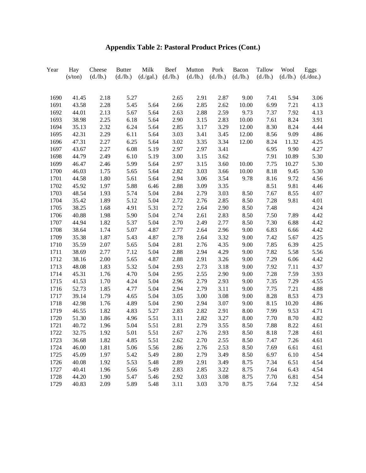| Year | Hay<br>(s/ton) | Cheese<br>(d./lb.) | <b>Butter</b><br>(d./lb.) | Milk<br>(d./gal.) | Beef<br>(d./lb.) | Mutton<br>(d./lb.) | Pork<br>(d./lb.) | Bacon<br>(d./lb.) | Tallow<br>(d./lb.) | Wool<br>(d./lb.) | Eggs<br>$(d.\overline{doz})$ |
|------|----------------|--------------------|---------------------------|-------------------|------------------|--------------------|------------------|-------------------|--------------------|------------------|------------------------------|
|      |                |                    |                           |                   |                  |                    |                  |                   |                    |                  |                              |
| 1690 | 41.45          | 2.18               | 5.27                      |                   | 2.65             | 2.91               | 2.87             | 9.00              | 7.41               | 5.94             | 3.06                         |
| 1691 | 43.58          | 2.28               | 5.45                      | 5.64              | 2.66             | 2.85               | 2.62             | 10.00             | 6.99               | 7.21             | 4.13                         |
| 1692 | 44.01          | 2.13               | 5.67                      | 5.64              | 2.63             | 2.88               | 2.59             | 9.73              | 7.37               | 7.92             | 4.13                         |
| 1693 | 38.98          | 2.25               | 6.18                      | 5.64              | 2.90             | 3.15               | 2.83             | 10.00             | 7.61               | 8.24             | 3.91                         |
| 1694 | 35.13          | 2.32               | 6.24                      | 5.64              | 2.85             | 3.17               | 3.29             | 12.00             | 8.30               | 8.24             | 4.44                         |
| 1695 | 42.31          | 2.29               | 6.11                      | 5.64              | 3.03             | 3.41               | 3.45             | 12.00             | 8.56               | 9.09             | 4.86                         |
| 1696 | 47.31          | 2.27               | 6.25                      | 5.64              | 3.02             | 3.35               | 3.34             | 12.00             | 8.24               | 11.32            | 4.25                         |
| 1697 | 43.67          | 2.27               | 6.08                      | 5.19              | 2.97             | 2.97               | 3.41             |                   | 6.95               | 9.90             | 4.27                         |
| 1698 | 44.79          | 2.49               | 6.10                      | 5.19              | 3.00             | 3.15               | 3.62             |                   | 7.91               | 10.89            | 5.30                         |
| 1699 | 46.47          | 2.46               | 5.99                      | 5.64              | 2.97             | 3.15               | 3.60             | 10.00             | 7.75               | 10.27            | 5.30                         |
| 1700 | 46.03          | 1.75               | 5.65                      | 5.64              | 2.82             | 3.03               | 3.66             | 10.00             | 8.18               | 9.45             | 5.30                         |
| 1701 | 44.58          | 1.80               | 5.61                      | 5.64              | 2.94             | 3.06               | 3.54             | 9.78              | 8.16               | 9.72             | 4.56                         |
| 1702 | 45.92          | 1.97               | 5.88                      | 6.46              | 2.88             | 3.09               | 3.35             |                   | 8.51               | 9.81             | 4.46                         |
| 1703 | 48.54          | 1.93               | 5.74                      | 5.04              | 2.84             | 2.79               | 3.03             | 8.50              | 7.67               | 8.55             | 4.07                         |
| 1704 | 35.42          | 1.89               | 5.12                      | 5.04              | 2.72             | 2.76               | 2.85             | 8.50              | 7.28               | 9.81             | 4.01                         |
| 1705 | 38.25          | 1.68               | 4.91                      | 5.31              | 2.72             | 2.64               | 2.90             | 8.50              | 7.48               |                  | 4.24                         |
| 1706 | 40.88          | 1.98               | 5.90                      | 5.04              | 2.74             | 2.61               | 2.83             | 8.50              | 7.50               | 7.89             | 4.42                         |
| 1707 | 44.94          | 1.82               | 5.37                      | 5.04              | 2.70             | 2.49               | 2.77             | 8.50              | 7.30               | 6.88             | 4.42                         |
| 1708 | 38.64          | 1.74               | 5.07                      | 4.87              | 2.77             | 2.64               | 2.96             | 9.00              | 6.83               | 6.66             | 4.42                         |
| 1709 | 35.38          | 1.87               | 5.43                      | 4.87              | 2.78             | 2.64               | 3.32             | 9.00              | 7.42               | 5.67             | 4.25                         |
| 1710 | 35.59          | 2.07               | 5.65                      | 5.04              | 2.81             | 2.76               | 4.35             | 9.00              | 7.85               | 6.39             | 4.25                         |
| 1711 | 38.69          | 2.77               | 7.12                      | 5.04              | 2.88             | 2.94               | 4.29             | 9.00              | 7.82               | 5.58             | 5.56                         |
| 1712 | 38.16          | 2.00               | 5.65                      | 4.87              | 2.88             | 2.91               | 3.26             | 9.00              | 7.29               | 6.06             | 4.42                         |
| 1713 | 48.08          | 1.83               | 5.32                      | 5.04              | 2.93             | 2.73               | 3.18             | 9.00              | 7.92               | 7.11             | 4.37                         |
| 1714 | 45.31          | 1.76               | 4.70                      | 5.04              | 2.95             | 2.55               | 2.90             | 9.00              | 7.28               | 7.59             | 3.93                         |
| 1715 | 41.53          | 1.70               | 4.24                      | 5.04              | 2.96             | 2.79               | 2.93             | 9.00              | 7.35               | 7.29             | 4.55                         |
| 1716 | 52.73          | 1.85               | 4.77                      | 5.04              | 2.94             | 2.79               | 3.11             | 9.00              | 7.75               | 7.21             | 4.88                         |
| 1717 | 39.14          | 1.79               | 4.65                      | 5.04              | 3.05             | 3.00               | 3.08             | 9.00              | 8.28               | 8.53             | 4.73                         |
| 1718 | 42.98          | 1.76               | 4.89                      | 5.04              | 2.90             | 2.94               | 3.07             | 9.00              | 8.15               | 10.20            | 4.86                         |
| 1719 | 46.55          | 1.82               | 4.83                      | 5.27              | 2.83             | 2.82               | 2.91             | 8.00              | 7.99               | 9.53             | 4.71                         |
| 1720 | 51.30          | 1.86               | 4.96                      | 5.51              | 3.11             | 2.82               | 3.27             | 8.00              | 7.70               | 8.70             | 4.82                         |
| 1721 | 40.72          | 1.96               | 5.04                      | 5.51              | 2.81             | 2.79               | 3.55             | 8.50              | 7.88               | 8.22             | 4.61                         |
| 1722 | 32.75          | 1.92               | 5.01                      | 5.51              | 2.67             | 2.76               | 2.93             | 8.50              | 8.18               | 7.28             | 4.61                         |
| 1723 | 36.68          | 1.82               | 4.85                      | 5.51              | 2.62             | 2.70               | 2.55             | 8.50              | 7.47               | 7.26             | 4.61                         |
| 1724 | 46.00          | 1.81               | 5.06                      | 5.56              | 2.86             | 2.76               | 2.53             | 8.50              | 7.69               | 6.61             | 4.61                         |
| 1725 | 45.09          | 1.97               | 5.42                      | 5.49              | 2.80             | 2.79               | 3.49             | 8.50              | 6.97               | 6.10             | 4.54                         |
| 1726 | 40.08          | 1.92               | 5.53                      | 5.48              | 2.89             | 2.91               | 3.49             | 8.75              | 7.34               | 6.51             | 4.54                         |
| 1727 | 40.41          | 1.96               | 5.66                      | 5.49              | 2.83             | 2.85               | 3.22             | 8.75              | 7.64               | 6.43             | 4.54                         |
| 1728 | 44.20          | 1.90               | 5.47                      | 5.46              | 2.92             | 3.03               | 3.08             | 8.75              | 7.70               | 6.81             | 4.54                         |
| 1729 | 40.83          | 2.09               | 5.89                      | 5.48              | 3.11             | 3.03               | 3.70             | 8.75              | 7.64               | 7.32             | 4.54                         |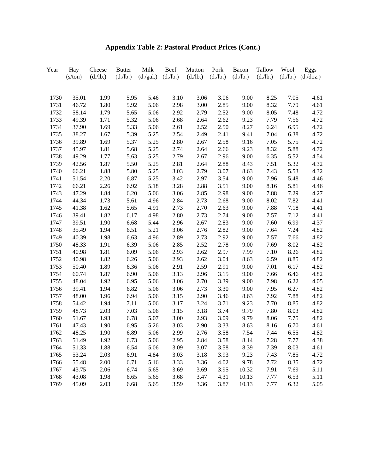| Year | Hay<br>(s/ton) | Cheese<br>(d./lb.) | <b>Butter</b><br>(d./lb.) | Milk<br>(d./gal.) | Beef<br>(d./lb.) | Mutton<br>(d./lb.) | Pork<br>(d./lb.) | Bacon<br>(d./lb.) | Tallow<br>(d./lb.) | Wool<br>(d./lb.) | Eggs<br>(d./doz.) |
|------|----------------|--------------------|---------------------------|-------------------|------------------|--------------------|------------------|-------------------|--------------------|------------------|-------------------|
|      |                |                    |                           |                   |                  |                    |                  |                   |                    |                  |                   |
| 1730 | 35.01          | 1.99               | 5.95                      | 5.46              | 3.10             | 3.06               | 3.06             | 9.00              | 8.25               | 7.05             | 4.61              |
| 1731 | 46.72          | 1.80               | 5.92                      | 5.06              | 2.98             | 3.00               | 2.85             | 9.00              | 8.32               | 7.79             | 4.61              |
| 1732 | 58.14          | 1.79               | 5.65                      | 5.06              | 2.92             | 2.79               | 2.52             | 9.00              | 8.05               | 7.48             | 4.72              |
| 1733 | 49.39          | 1.71               | 5.32                      | 5.06              | 2.68             | 2.64               | 2.62             | 9.23              | 7.79               | 7.56             | 4.72              |
| 1734 | 37.90          | 1.69               | 5.33                      | 5.06              | 2.61             | 2.52               | 2.50             | 8.27              | 6.24               | 6.95             | 4.72              |
| 1735 | 38.27          | 1.67               | 5.39                      | 5.25              | 2.54             | 2.49               | 2.41             | 9.41              | 7.04               | 6.38             | 4.72              |
| 1736 | 39.89          | 1.69               | 5.37                      | 5.25              | 2.80             | 2.67               | 2.58             | 9.16              | 7.05               | 5.75             | 4.72              |
| 1737 | 45.97          | 1.81               | 5.68                      | 5.25              | 2.74             | 2.64               | 2.66             | 9.23              | 8.32               | 5.88             | 4.72              |
| 1738 | 49.29          | 1.77               | 5.63                      | 5.25              | 2.79             | 2.67               | 2.96             | 9.00              | 6.35               | 5.52             | 4.54              |
| 1739 | 42.56          | 1.87               | 5.50                      | 5.25              | 2.81             | 2.64               | 2.88             | 8.43              | 7.51               | 5.32             | 4.32              |
| 1740 | 66.21          | 1.88               | 5.80                      | 5.25              | 3.03             | 2.79               | 3.07             | 8.63              | 7.43               | 5.53             | 4.32              |
| 1741 | 51.54          | 2.20               | 6.87                      | 5.25              | 3.42             | 2.97               | 3.54             | 9.00              | 7.96               | 5.48             | 4.46              |
| 1742 | 66.21          | 2.26               | 6.92                      | 5.18              | 3.28             | 2.88               | 3.51             | 9.00              | 8.16               | 5.81             | 4.46              |
| 1743 | 47.29          | 1.84               | 6.20                      | 5.06              | 3.06             | 2.85               | 2.98             | 9.00              | 7.88               | 7.29             | 4.27              |
| 1744 | 44.34          | 1.73               | 5.61                      | 4.96              | 2.84             | 2.73               | 2.68             | 9.00              | 8.02               | 7.82             | 4.41              |
| 1745 | 41.38          | 1.62               | 5.65                      | 4.91              | 2.73             | 2.70               | 2.63             | 9.00              | 7.88               | 7.18             | 4.41              |
| 1746 | 39.41          | 1.82               | 6.17                      | 4.98              | 2.80             | 2.73               | 2.74             | 9.00              | 7.57               | 7.12             | 4.41              |
| 1747 | 39.51          | 1.90               | 6.68                      | 5.44              | 2.96             | 2.67               | 2.83             | 9.00              | 7.60               | 6.99             | 4.37              |
| 1748 | 35.49          | 1.94               | 6.51                      | 5.21              | 3.06             | 2.76               | 2.82             | 9.00              | 7.64               | 7.24             | 4.82              |
| 1749 | 40.39          | 1.98               | 6.63                      | 4.96              | 2.89             | 2.73               | 2.92             | 9.00              | 7.57               | 7.66             | 4.82              |
| 1750 | 48.33          | 1.91               | 6.39                      | 5.06              | 2.85             | 2.52               | 2.78             | 9.00              | 7.69               | 8.02             | 4.82              |
| 1751 | 40.98          | 1.81               | 6.09                      | 5.06              | 2.93             | 2.62               | 2.97             | 7.99              | 7.10               | 8.26             | 4.82              |
| 1752 | 40.98          | 1.82               | 6.26                      | 5.06              | 2.93             | 2.62               | 3.04             | 8.63              | 6.59               | 8.85             | 4.82              |
| 1753 | 50.40          | 1.89               | 6.36                      | 5.06              | 2.91             | 2.59               | 2.91             | 9.00              | 7.01               | 6.17             | 4.82              |
| 1754 | 60.74          | 1.87               | 6.90                      | 5.06              | 3.13             | 2.96               | 3.15             | 9.00              | 7.66               | 6.46             | 4.82              |
| 1755 | 48.04          | 1.92               | 6.95                      | 5.06              | 3.06             | 2.70               | 3.39             | 9.00              | 7.98               | 6.22             | 4.05              |
| 1756 | 39.41          | 1.94               | 6.82                      | 5.06              | 3.06             | 2.73               | 3.30             | 9.00              | 7.95               | 6.27             | 4.82              |
| 1757 | 48.00          | 1.96               | 6.94                      | 5.06              | 3.15             | 2.90               | 3.46             | 8.63              | 7.92               | 7.88             | 4.82              |
| 1758 | 54.42          | 1.94               | 7.11                      | 5.06              | 3.17             | 3.24               | 3.71             | 9.23              | 7.70               | 8.85             | 4.82              |
| 1759 | 48.73          | 2.03               | 7.03                      | 5.06              | 3.15             | 3.18               | 3.74             | 9.79              | 7.80               | 8.03             | 4.82              |
| 1760 | 51.67          | 1.93               | 6.78                      | 5.07              | 3.00             | 2.93               | 3.09             | 9.79              | 8.06               | 7.75             | 4.82              |
| 1761 | 47.43          | 1.90               | 6.95                      | 5.26              | 3.03             | 2.90               | 3.33             | 8.63              | 8.16               | 6.70             | 4.61              |
| 1762 | 48.25          | 1.90               | 6.89                      | 5.06              | 2.99             | 2.76               | 3.58             | 7.54              | 7.44               | 6.55             | 4.82              |
| 1763 | 51.49          | 1.92               | 6.73                      | 5.06              | 2.95             | 2.84               | 3.58             | 8.14              | 7.28               | 7.77             | 4.38              |
| 1764 | 51.33          | 1.88               | 6.54                      | 5.06              | 3.09             | 3.07               | 3.58             | 8.39              | 7.39               | 8.03             | 4.61              |
| 1765 | 53.24          | 2.03               | 6.91                      | 4.84              | 3.03             | 3.18               | 3.93             | 9.23              | 7.43               | 7.85             | 4.72              |
| 1766 | 55.48          | $2.00\,$           | 6.71                      | 5.16              | 3.33             | 3.36               | 4.02             | 9.78              | 7.72               | 8.35             | 4.72              |
| 1767 | 43.75          | 2.06               | 6.74                      | 5.65              | 3.69             | 3.69               | 3.95             | 10.32             | 7.91               | 7.69             | 5.11              |
| 1768 | 43.08          | 1.98               | 6.65                      | 5.65              | 3.68             | 3.47               | 4.31             | 10.13             | 7.77               | 6.53             | 5.11              |
| 1769 | 45.09          | 2.03               | 6.68                      | 5.65              | 3.59             | 3.36               | 3.87             | 10.13             | 7.77               | 6.32             | 5.05              |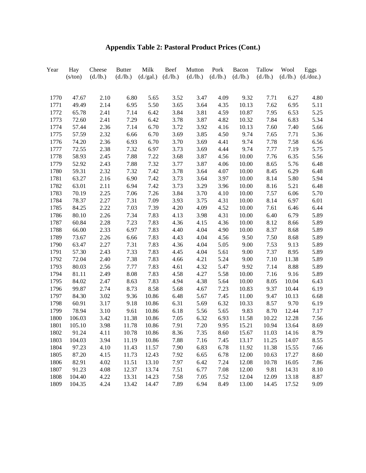| Year | Hay<br>(s/ton) | Cheese<br>(d./lb.) | <b>Butter</b><br>(d./lb.) | Milk<br>(d./gal.) | Beef<br>(d./lb.) | Mutton<br>(d./lb.) | Pork<br>(d./lb.) | Bacon<br>(d./lb.) | Tallow<br>(d./lb.) | Wool<br>(d./lb.) | Eggs<br>(d./doz.) |
|------|----------------|--------------------|---------------------------|-------------------|------------------|--------------------|------------------|-------------------|--------------------|------------------|-------------------|
|      |                |                    |                           |                   |                  |                    |                  |                   |                    |                  |                   |
| 1770 | 47.67          | 2.10               | 6.80                      | 5.65              | 3.52             | 3.47               | 4.09             | 9.32              | 7.71               | 6.27             | 4.80              |
| 1771 | 49.49          | 2.14               | 6.95                      | 5.50              | 3.65             | 3.64               | 4.35             | 10.13             | 7.62               | 6.95             | 5.11              |
| 1772 | 65.78          | 2.41               | 7.14                      | 6.42              | 3.84             | 3.81               | 4.59             | 10.87             | 7.95               | 6.53             | 5.25              |
| 1773 | 72.60          | 2.41               | 7.29                      | 6.42              | 3.78             | 3.87               | 4.82             | 10.32             | 7.84               | 6.83             | 5.34              |
| 1774 | 57.44          | 2.36               | 7.14                      | 6.70              | 3.72             | 3.92               | 4.16             | 10.13             | 7.60               | 7.40             | 5.66              |
| 1775 | 57.59          | 2.32               | 6.66                      | 6.70              | 3.69             | 3.85               | 4.50             | 9.74              | 7.65               | 7.71             | 5.36              |
| 1776 | 74.20          | 2.36               | 6.93                      | 6.70              | 3.70             | 3.69               | 4.41             | 9.74              | 7.78               | 7.58             | 6.56              |
| 1777 | 72.55          | 2.38               | 7.32                      | 6.97              | 3.73             | 3.69               | 4.44             | 9.74              | 7.77               | 7.19             | 5.75              |
| 1778 | 58.93          | 2.45               | 7.88                      | 7.22              | 3.68             | 3.87               | 4.56             | 10.00             | 7.76               | 6.35             | 5.56              |
| 1779 | 52.92          | 2.43               | 7.88                      | 7.32              | 3.77             | 3.87               | 4.06             | 10.00             | 8.65               | 5.76             | 6.48              |
| 1780 | 59.31          | 2.32               | 7.32                      | 7.42              | 3.78             | 3.64               | 4.07             | 10.00             | 8.45               | 6.29             | 6.48              |
| 1781 | 63.27          | 2.16               | 6.90                      | 7.42              | 3.73             | 3.64               | 3.97             | 10.00             | 8.14               | 5.80             | 5.94              |
| 1782 | 63.01          | 2.11               | 6.94                      | 7.42              | 3.73             | 3.29               | 3.96             | 10.00             | 8.16               | 5.21             | 6.48              |
| 1783 | 70.19          | 2.25               | 7.06                      | 7.26              | 3.84             | 3.70               | 4.10             | 10.00             | 7.57               | 6.06             | 5.70              |
| 1784 | 78.37          | 2.27               | 7.31                      | 7.09              | 3.93             | 3.75               | 4.31             | 10.00             | 8.14               | 6.97             | 6.01              |
| 1785 | 84.25          | 2.22               | 7.03                      | 7.39              | 4.20             | 4.09               | 4.52             | 10.00             | 7.61               | 6.46             | 6.44              |
| 1786 | 80.10          | 2.26               | 7.34                      | 7.83              | 4.13             | 3.98               | 4.31             | 10.00             | 6.40               | 6.79             | 5.89              |
| 1787 | 60.84          | 2.28               | 7.23                      | 7.83              | 4.36             | 4.15               | 4.36             | 10.00             | 8.12               | 8.66             | 5.89              |
| 1788 | 66.00          | 2.33               | 6.97                      | 7.83              | 4.40             | 4.04               | 4.90             | 10.00             | 8.37               | 8.68             | 5.89              |
| 1789 | 73.67          | 2.26               | 6.66                      | 7.83              | 4.43             | 4.04               | 4.56             | 9.50              | 7.50               | 8.68             | 5.89              |
| 1790 | 63.47          | 2.27               | 7.31                      | 7.83              | 4.36             | 4.04               | 5.05             | 9.00              | 7.53               | 9.13             | 5.89              |
| 1791 | 57.30          | 2.43               | 7.33                      | 7.83              | 4.45             | 4.04               | 5.61             | 9.00              | 7.37               | 8.95             | 5.89              |
| 1792 | 72.04          | 2.40               | 7.38                      | 7.83              | 4.66             | 4.21               | 5.24             | 9.00              | 7.10               | 11.38            | 5.89              |
| 1793 | 80.03          | 2.56               | 7.77                      | 7.83              | 4.61             | 4.32               | 5.47             | 9.92              | 7.14               | 8.88             | 5.89              |
| 1794 | 81.11          | 2.49               | 8.08                      | 7.83              | 4.58             | 4.27               | 5.58             | 10.00             | 7.16               | 9.16             | 5.89              |
| 1795 | 84.02          | 2.47               | 8.63                      | 7.83              | 4.94             | 4.38               | 5.64             | 10.00             | 8.05               | 10.04            | 6.43              |
| 1796 | 99.87          | 2.74               | 8.73                      | 8.58              | 5.68             | 4.67               | 7.23             | 10.83             | 9.37               | 10.44            | 6.19              |
| 1797 | 84.30          | 3.02               | 9.36                      | 10.86             | 6.48             | 5.67               | 7.45             | 11.00             | 9.47               | 10.13            | 6.68              |
| 1798 | 60.91          | 3.17               | 9.18                      | 10.86             | 6.31             | 5.69               | 6.32             | 10.33             | 8.57               | 9.70             | 6.19              |
| 1799 | 78.94          | 3.10               | 9.61                      | 10.86             | 6.18             | 5.56               | 5.65             | 9.83              | 8.70               | 12.44            | 7.17              |
| 1800 | 106.03         | 3.42               | 11.38                     | 10.86             | 7.05             | 6.32               | 6.93             | 11.58             | 10.22              | 12.28            | 7.56              |
| 1801 | 105.10         | 3.98               | 11.78                     | 10.86             | 7.91             | 7.20               | 9.95             | 15.21             | 10.94              | 13.64            | 8.69              |
| 1802 | 91.24          | 4.11               | 10.78                     | 10.86             | 8.36             | 7.35               | 8.60             | 15.67             | 11.03              | 14.16            | 8.79              |
| 1803 | 104.03         | 3.94               | 11.19                     | 10.86             | 7.88             | 7.16               | 7.45             | 13.17             | 11.25              | 14.07            | 8.55              |
| 1804 | 97.23          | 4.10               | 11.43                     | 11.57             | 7.90             | 6.83               | 6.78             | 11.92             | 11.38              | 15.55            | 7.66              |
| 1805 | 87.20          | 4.15               | 11.73                     | 12.43             | 7.92             | 6.65               | 6.78             | 12.00             | 10.63              | 17.27            | 8.60              |
| 1806 | 82.91          | 4.02               | 11.51                     | 13.10             | 7.97             | 6.42               | 7.24             | 12.08             | 10.78              | 16.05            | 7.86              |
| 1807 | 91.23          | 4.08               | 12.37                     | 13.74             | 7.51             | 6.77               | 7.08             | 12.00             | 9.81               | 14.31            | 8.10              |
| 1808 | 104.40         | 4.22               | 13.31                     | 14.23             | 7.58             | 7.05               | 7.52             | 12.04             | 12.09              | 13.18            | 8.87              |
| 1809 | 104.35         | 4.24               | 13.42                     | 14.47             | 7.89             | 6.94               | 8.49             | 13.00             | 14.45              | 17.52            | 9.09              |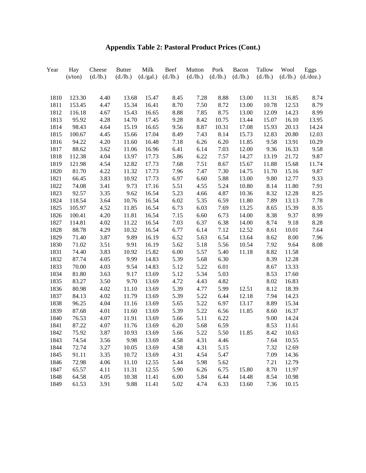| Year | Hay     | Cheese   | <b>Butter</b> | Milk      | Beef     | Mutton   | Pork     | Bacon    | Tallow   | Wool     | Eggs      |
|------|---------|----------|---------------|-----------|----------|----------|----------|----------|----------|----------|-----------|
|      | (s/ton) | (d./lb.) | (d./lb.)      | (d./gal.) | (d./lb.) | (d./lb.) | (d./lb.) | (d./lb.) | (d./lb.) | (d./lb.) | (d./doz.) |
|      |         |          |               |           |          |          |          |          |          |          |           |
| 1810 | 123.30  | 4.40     | 13.68         | 15.47     | 8.45     | 7.28     | 8.88     | 13.00    | 11.31    | 16.85    | 8.74      |
| 1811 | 153.45  | 4.47     | 15.34         | 16.41     | 8.70     | 7.50     | 8.72     | 13.00    | 10.78    | 12.53    | 8.79      |
| 1812 | 116.18  | 4.67     | 15.43         | 16.65     | 8.88     | 7.85     | 8.75     | 13.00    | 12.09    | 14.23    | 8.99      |
| 1813 | 95.92   | 4.28     | 14.70         | 17.45     | 9.28     | 8.42     | 10.75    | 13.44    | 15.07    | 16.10    | 13.95     |
| 1814 | 98.43   | 4.64     | 15.19         | 16.65     | 9.56     | 8.87     | 10.31    | 17.08    | 15.93    | 20.13    | 14.24     |
| 1815 | 100.67  | 4.45     | 15.66         | 17.04     | 8.49     | 7.43     | 8.14     | 15.73    | 12.83    | 20.80    | 12.03     |
| 1816 | 94.22   | 4.20     | 11.60         | 16.48     | 7.18     | 6.26     | 6.20     | 11.85    | 9.58     | 13.91    | 10.29     |
| 1817 | 88.62   | 3.62     | 11.06         | 16.96     | 6.41     | 6.14     | 7.03     | 12.00    | 9.36     | 16.33    | 9.58      |
| 1818 | 112.38  | 4.04     | 13.97         | 17.73     | 5.86     | 6.22     | 7.57     | 14.27    | 13.19    | 21.72    | 9.87      |
| 1819 | 121.98  | 4.54     | 12.82         | 17.73     | 7.68     | 7.51     | 8.67     | 15.67    | 11.88    | 15.68    | 11.74     |
| 1820 | 81.70   | 4.22     | 11.32         | 17.73     | 7.96     | 7.47     | 7.30     | 14.75    | 11.70    | 15.16    | 9.87      |
| 1821 | 66.45   | 3.83     | 10.92         | 17.73     | 6.97     | 6.60     | 5.88     | 13.00    | 9.80     | 12.77    | 9.33      |
| 1822 | 74.08   | 3.41     | 9.73          | 17.16     | 5.51     | 4.55     | 5.24     | 10.80    | 8.14     | 11.80    | 7.91      |
| 1823 | 92.57   | 3.35     | 9.62          | 16.54     | 5.23     | 4.66     | 4.87     | 10.36    | 8.32     | 12.28    | 8.25      |
| 1824 | 118.54  | 3.64     | 10.76         | 16.54     | 6.02     | 5.35     | 6.59     | 11.80    | 7.89     | 13.13    | 7.78      |
| 1825 | 105.97  | 4.52     | 11.85         | 16.54     | 6.73     | 6.03     | 7.69     | 13.25    | 8.65     | 15.39    | 8.35      |
| 1826 | 100.41  | 4.20     | 11.81         | 16.54     | 7.15     | 6.60     | 6.73     | 14.00    | 8.38     | 9.37     | 8.99      |
| 1827 | 114.81  | 4.02     | 11.22         | 16.54     | 7.03     | 6.37     | 6.38     | 14.00    | 8.74     | 9.18     | 8.28      |
| 1828 | 88.78   | 4.29     | 10.32         | 16.54     | 6.77     | 6.14     | 7.12     | 12.52    | 8.61     | 10.01    | 7.64      |
| 1829 | 71.40   | 3.87     | 9.89          | 16.19     | 6.52     | 5.63     | 6.54     | 13.64    | 8.62     | 8.00     | 7.96      |
| 1830 | 71.02   | 3.51     | 9.91          | 16.19     | 5.62     | 5.18     | 5.56     | 10.54    | 7.92     | 9.64     | 8.08      |
| 1831 | 74.40   | 3.83     | 10.92         | 15.82     | 6.00     | 5.57     | 5.40     | 11.18    | 8.82     | 11.58    |           |
| 1832 | 87.74   | 4.05     | 9.99          | 14.83     | 5.39     | 5.68     | 6.30     |          | 8.39     | 12.28    |           |
| 1833 | 70.00   | 4.03     | 9.54          | 14.83     | 5.12     | 5.22     | 6.01     |          | 8.67     | 13.33    |           |
| 1834 | 81.80   | 3.63     | 9.17          | 13.69     | 5.12     | 5.34     | 5.03     |          | 8.53     | 17.60    |           |
| 1835 | 83.27   | 3.50     | 9.70          | 13.69     | 4.72     | 4.43     | 4.82     |          | 8.02     | 16.83    |           |
| 1836 | 80.98   | 4.02     | 11.10         | 13.69     | 5.39     | 4.77     | 5.99     | 12.51    | 8.12     | 18.39    |           |
| 1837 | 84.13   | 4.02     | 11.79         | 13.69     | 5.39     | 5.22     | 6.44     | 12.18    | 7.94     | 14.23    |           |
| 1838 | 96.25   | 4.04     | 11.16         | 13.69     | 5.65     | 5.22     | 6.97     | 13.17    | 8.89     | 15.34    |           |
| 1839 | 87.68   | 4.01     | 11.60         | 13.69     | 5.39     | 5.22     | 6.56     | 11.85    | 8.60     | 16.37    |           |
| 1840 | 76.53   | 4.07     | 11.91         | 13.69     | 5.66     | 5.11     | 6.22     |          | 9.00     | 14.24    |           |
| 1841 | 87.22   | 4.07     | 11.76         | 13.69     | 6.20     | 5.68     | 6.59     |          | 8.53     | 11.61    |           |
| 1842 | 75.92   | 3.87     | 10.93         | 13.69     | 5.66     | 5.22     | 5.50     | 11.85    | 8.42     | 10.63    |           |
| 1843 | 74.54   | 3.56     | 9.98          | 13.69     | 4.58     | 4.31     | 4.46     |          | 7.64     | 10.55    |           |
| 1844 | 72.74   | 3.27     | 10.05         | 13.69     | 4.58     | 4.31     | 5.15     |          | 7.32     | 12.69    |           |
| 1845 | 91.11   | 3.35     | 10.72         | 13.69     | 4.31     | 4.54     | 5.47     |          | 7.09     | 14.36    |           |
| 1846 | 72.98   | 4.06     | 11.10         | 12.55     | 5.44     | 5.98     | 5.62     |          | 7.21     | 12.79    |           |
| 1847 | 65.57   | 4.11     | 11.31         | 12.55     | 5.90     | 6.26     | 6.75     | 15.80    | 8.70     | 11.97    |           |
| 1848 | 64.58   | 4.05     | 10.38         | 11.41     | 6.00     | 5.84     | 6.44     | 14.48    | 8.54     | 10.98    |           |
| 1849 | 61.53   | 3.91     | 9.88          | 11.41     | 5.02     | 4.74     | 6.33     | 13.60    | 7.36     | 10.15    |           |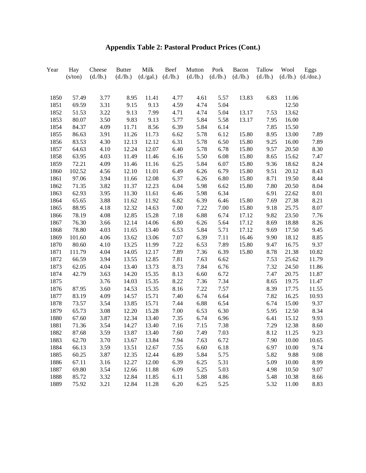| Year | Hay<br>(s/ton) | Cheese<br>(d./lb.) | <b>Butter</b><br>(d./lb.) | Milk<br>(d./gal.) | Beef<br>(d./lb.) | Mutton<br>(d./lb.) | Pork<br>(d./lb.) | Bacon<br>(d./lb.) | Tallow<br>(d./lb.) | Wool<br>(d./lb.) | Eggs<br>(d./doz.) |
|------|----------------|--------------------|---------------------------|-------------------|------------------|--------------------|------------------|-------------------|--------------------|------------------|-------------------|
|      |                |                    |                           |                   |                  |                    |                  |                   |                    |                  |                   |
| 1850 | 57.49          | 3.77               | 8.95                      | 11.41             | 4.77             | 4.61               | 5.57             | 13.83             | 6.83               | 11.06            |                   |
| 1851 | 69.59          | 3.31               | 9.15                      | 9.13              | 4.59             | 4.74               | 5.04             |                   |                    | 12.50            |                   |
| 1852 | 51.53          | 3.22               | 9.13                      | 7.99              | 4.71             | 4.74               | 5.04             | 13.17             | 7.53               | 13.62            |                   |
| 1853 | 80.07          | 3.50               | 9.83                      | 9.13              | 5.77             | 5.84               | 5.58             | 13.17             | 7.95               | 16.00            |                   |
| 1854 | 84.37          | 4.09               | 11.71                     | 8.56              | 6.39             | 5.84               | 6.14             |                   | 7.85               | 15.50            |                   |
| 1855 | 86.63          | 3.91               | 11.26                     | 11.73             | 6.62             | 5.78               | 6.12             | 15.80             | 8.95               | 13.00            | 7.89              |
| 1856 | 83.53          | 4.30               | 12.13                     | 12.12             | 6.31             | 5.78               | 6.50             | 15.80             | 9.25               | 16.00            | 7.89              |
| 1857 | 64.63          | 4.10               | 12.24                     | 12.07             | 6.40             | 5.78               | 6.78             | 15.80             | 9.57               | 20.50            | 8.30              |
| 1858 | 63.95          | 4.03               | 11.49                     | 11.46             | 6.16             | 5.50               | 6.08             | 15.80             | 8.65               | 15.62            | 7.47              |
| 1859 | 72.21          | 4.09               | 11.46                     | 11.16             | 6.25             | 5.84               | 6.07             | 15.80             | 9.36               | 18.62            | 8.24              |
| 1860 | 102.52         | 4.56               | 12.10                     | 11.01             | 6.49             | 6.26               | 6.79             | 15.80             | 9.51               | 20.12            | 8.43              |
| 1861 | 97.06          | 3.94               | 11.66                     | 12.08             | 6.37             | 6.26               | 6.80             | 15.80             | 8.71               | 19.50            | 8.44              |
| 1862 | 71.35          | 3.82               | 11.37                     | 12.23             | 6.04             | 5.98               | 6.62             | 15.80             | 7.80               | 20.50            | 8.04              |
| 1863 | 62.93          | 3.95               | 11.30                     | 11.61             | 6.46             | 5.98               | 6.34             |                   | 6.91               | 22.62            | 8.01              |
| 1864 | 65.65          | 3.88               | 11.62                     | 11.92             | 6.82             | 6.39               | 6.46             | 15.80             | 7.69               | 27.38            | 8.21              |
| 1865 | 88.95          | 4.18               | 12.32                     | 14.63             | 7.00             | 7.22               | 7.00             | 15.80             | 9.18               | 25.75            | 8.07              |
| 1866 | 78.19          | 4.08               | 12.85                     | 15.28             | 7.18             | 6.88               | 6.74             | 17.12             | 9.82               | 23.50            | 7.76              |
| 1867 | 76.30          | 3.66               | 12.14                     | 14.06             | 6.80             | 6.26               | 5.64             | 17.12             | 8.69               | 18.88            | 8.26              |
| 1868 | 78.80          | 4.03               | 11.65                     | 13.40             | 6.53             | 5.84               | 5.71             | 17.12             | 9.69               | 17.50            | 9.45              |
| 1869 | 101.60         | 4.06               | 13.62                     | 13.06             | 7.07             | 6.39               | 7.11             | 16.46             | 9.90               | 18.12            | 8.85              |
| 1870 | 80.60          | 4.10               | 13.25                     | 11.99             | 7.22             | 6.53               | 7.89             | 15.80             | 9.47               | 16.75            | 9.37              |
| 1871 | 111.79         | 4.04               | 14.05                     | 12.17             | 7.89             | 7.36               | 6.39             | 15.80             | 8.78               | 21.38            | 10.82             |
| 1872 | 66.59          | 3.94               | 13.55                     | 12.85             | 7.81             | 7.63               | 6.62             |                   | 7.53               | 25.62            | 11.79             |
| 1873 | 62.05          | 4.04               | 13.40                     | 13.73             | 8.73             | 7.84               | 6.76             |                   | 7.32               | 24.50            | 11.86             |
| 1874 | 42.79          | 3.63               | 14.20                     | 15.35             | 8.13             | 6.60               | 6.72             |                   | 7.47               | 20.75            | 11.87             |
| 1875 |                | 3.76               | 14.03                     | 15.35             | 8.22             | 7.36               | 7.34             |                   | 8.65               | 19.75            | 11.47             |
| 1876 | 87.95          | 3.60               | 14.53                     | 15.35             | 8.16             | 7.22               | 7.57             |                   | 8.39               | 17.75            | 11.55             |
| 1877 | 83.19          | 4.09               | 14.57                     | 15.71             | 7.40             | 6.74               | 6.64             |                   | 7.82               | 16.25            | 10.93             |
| 1878 | 73.57          | 3.54               | 13.85                     | 15.71             | 7.44             | 6.88               | 6.54             |                   | 6.74               | 15.00            | 9.37              |
| 1879 | 65.73          | 3.08               | 12.20                     | 15.28             | 7.00             | 6.53               | 6.30             |                   | 5.95               | 12.50            | 8.34              |
| 1880 | 67.60          | 3.87               | 12.34                     | 13.40             | 7.35             | 6.74               | 6.96             |                   | 6.41               | 15.12            | 9.93              |
| 1881 | 71.36          | 3.54               | 14.27                     | 13.40             | 7.16             | 7.15               | 7.38             |                   | 7.29               | 12.38            | 8.60              |
| 1882 | 87.68          | 3.59               | 13.87                     | 13.40             | 7.60             | 7.49               | 7.03             |                   | 8.12               | 11.25            | 9.23              |
| 1883 | 62.70          | 3.70               | 13.67                     | 13.84             | 7.94             | 7.63               | 6.72             |                   | 7.90               | 10.00            | 10.65             |
| 1884 | 66.13          | 3.59               | 13.51                     | 12.67             | 7.55             | 6.60               | 6.18             |                   | 6.97               | 10.00            | 9.74              |
| 1885 | 60.25          | 3.87               | 12.35                     | 12.44             | 6.89             | 5.84               | 5.75             |                   | 5.82               | 9.88             | 9.08              |
| 1886 | 67.11          | 3.16               | 12.27                     | 12.00             | 6.39             | 6.25               | 5.31             |                   | 5.09               | 10.00            | 8.99              |
| 1887 | 69.80          | 3.54               | 12.66                     | 11.88             | 6.09             | 5.25               | 5.03             |                   | 4.98               | 10.50            | 9.07              |
| 1888 | 85.72          | 3.32               | 12.84                     | 11.85             | 6.11             | 5.88               | 4.86             |                   | 5.48               | 10.38            | 8.66              |
| 1889 | 75.92          | 3.21               | 12.84                     | 11.28             | 6.20             | 6.25               | 5.25             |                   | 5.32               | 11.00            | 8.83              |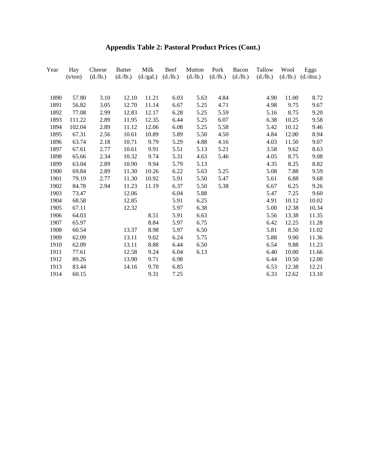| Year | Hay<br>(s/ton) | Cheese<br>(d./lb.) | <b>Butter</b><br>(d./lb.) | Milk<br>(d./gal.) | Beef<br>(d./lb.) | Mutton<br>(d./lb.) | Pork<br>(d./lb.) | Bacon<br>(d./lb.) | Tallow<br>(d./lb.) | Wool  | Eggs<br>$(d./lb.)$ $(d./doz.)$ |
|------|----------------|--------------------|---------------------------|-------------------|------------------|--------------------|------------------|-------------------|--------------------|-------|--------------------------------|
|      |                |                    |                           |                   |                  |                    |                  |                   |                    |       |                                |
| 1890 | 57.80          | 3.10               | 12.10                     | 11.21             | 6.03             | 5.63               | 4.84             |                   | 4.90               | 11.00 | 8.72                           |
| 1891 | 56.82          | 3.05               | 12.70                     | 11.14             | 6.67             | 5.25               | 4.71             |                   | 4.98               | 9.75  | 9.67                           |
| 1892 | 77.08          | 2.99               | 12.83                     | 12.17             | 6.28             | 5.25               | 5.59             |                   | 5.16               | 8.75  | 9.20                           |
| 1893 | 111.22         | 2.89               | 11.95                     | 12.35             | 6.44             | 5.25               | 6.07             |                   | 6.38               | 10.25 | 9.58                           |
| 1894 | 102.04         | 2.89               | 11.12                     | 12.06             | 6.08             | 5.25               | 5.58             |                   | 5.42               | 10.12 | 9.46                           |
| 1895 | 67.31          | 2.56               | 10.61                     | 10.89             | 5.89             | 5.50               | 4.50             |                   | 4.84               | 12.00 | 8.94                           |
| 1896 | 63.74          | 2.18               | 10.71                     | 9.79              | 5.29             | 4.88               | 4.16             |                   | 4.03               | 11.50 | 9.07                           |
| 1897 | 67.61          | 2.77               | 10.61                     | 9.91              | 5.51             | 5.13               | 5.21             |                   | 3.58               | 9.62  | 8.63                           |
| 1898 | 65.66          | 2.34               | 10.32                     | 9.74              | 5.31             | 4.63               | 5.46             |                   | 4.05               | 8.75  | 9.08                           |
| 1899 | 63.04          | 2.89               | 10.90                     | 9.94              | 5.79             | 5.13               |                  |                   | 4.35               | 8.25  | 8.82                           |
| 1900 | 69.84          | 2.89               | 11.30                     | 10.26             | 6.22             | 5.63               | 5.25             |                   | 5.08               | 7.88  | 9.59                           |
| 1901 | 79.19          | 2.77               | 11.30                     | 10.92             | 5.91             | 5.50               | 5.47             |                   | 5.61               | 6.88  | 9.68                           |
| 1902 | 84.78          | 2.94               | 11.23                     | 11.19             | 6.37             | 5.50               | 5.38             |                   | 6.67               | 6.25  | 9.26                           |
| 1903 | 73.47          |                    | 12.06                     |                   | 6.04             | 5.88               |                  |                   | 5.47               | 7.25  | 9.60                           |
| 1904 | 68.58          |                    | 12.85                     |                   | 5.91             | 6.25               |                  |                   | 4.91               | 10.12 | 10.02                          |
| 1905 | 67.11          |                    | 12.32                     |                   | 5.97             | 6.38               |                  |                   | 5.00               | 12.38 | 10.34                          |
| 1906 | 64.03          |                    |                           | 8.51              | 5.91             | 6.63               |                  |                   | 5.56               | 13.38 | 11.35                          |
| 1907 | 65.97          |                    |                           | 8.84              | 5.97             | 6.75               |                  |                   | 6.42               | 12.25 | 11.28                          |
| 1908 | 60.54          |                    | 13.37                     | 8.98              | 5.97             | 6.50               |                  |                   | 5.81               | 8.50  | 11.02                          |
| 1909 | 62.09          |                    | 13.11                     | 9.02              | 6.24             | 5.75               |                  |                   | 5.88               | 9.00  | 11.36                          |
| 1910 | 62.09          |                    | 13.11                     | 8.88              | 6.44             | 6.50               |                  |                   | 6.54               | 9.88  | 11.23                          |
| 1911 | 77.61          |                    | 12.58                     | 9.24              | 6.04             | 6.13               |                  |                   | 6.40               | 10.00 | 11.66                          |
| 1912 | 89.26          |                    | 13.90                     | 9.71              | 6.98             |                    |                  |                   | 6.44               | 10.50 | 12.00                          |
| 1913 | 83.44          |                    | 14.16                     | 9.70              | 6.85             |                    |                  |                   | 6.53               | 12.38 | 12.21                          |
| 1914 | 60.15          |                    |                           | 9.31              | 7.25             |                    |                  |                   | 6.33               | 12.62 | 13.10                          |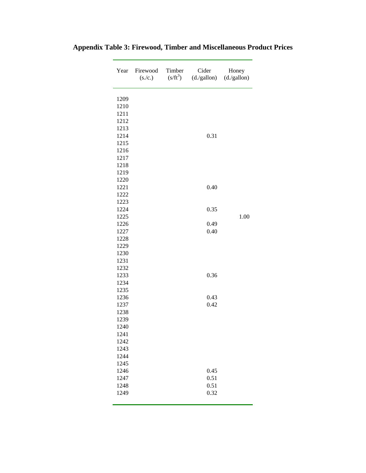| Year                 | Firewood<br>(s./c.) | Timber<br>$(s/ft^3)$ | Cider<br>(d./gallon) | Honey<br>(d./gallon) |
|----------------------|---------------------|----------------------|----------------------|----------------------|
| 1209<br>1210<br>1211 |                     |                      |                      |                      |
| 1212                 |                     |                      |                      |                      |
| 1213                 |                     |                      |                      |                      |
| 1214                 |                     |                      | 0.31                 |                      |
| 1215                 |                     |                      |                      |                      |
| 1216<br>1217         |                     |                      |                      |                      |
| 1218                 |                     |                      |                      |                      |
| 1219                 |                     |                      |                      |                      |
| 1220                 |                     |                      |                      |                      |
| 1221                 |                     |                      | 0.40                 |                      |
| 1222                 |                     |                      |                      |                      |
| 1223                 |                     |                      |                      |                      |
| 1224                 |                     |                      | 0.35                 |                      |
| 1225                 |                     |                      |                      | 1.00                 |
| 1226                 |                     |                      | 0.49                 |                      |
| 1227                 |                     |                      | 0.40                 |                      |
| 1228                 |                     |                      |                      |                      |
| 1229<br>1230         |                     |                      |                      |                      |
| 1231                 |                     |                      |                      |                      |
| 1232                 |                     |                      |                      |                      |
| 1233                 |                     |                      | 0.36                 |                      |
| 1234                 |                     |                      |                      |                      |
| 1235                 |                     |                      |                      |                      |
| 1236                 |                     |                      | 0.43                 |                      |
| 1237                 |                     |                      | 0.42                 |                      |
| 1238                 |                     |                      |                      |                      |
| 1239                 |                     |                      |                      |                      |
| 1240                 |                     |                      |                      |                      |
| 1241<br>1242         |                     |                      |                      |                      |
| 1243                 |                     |                      |                      |                      |
| 1244                 |                     |                      |                      |                      |
| 1245                 |                     |                      |                      |                      |
| 1246                 |                     |                      | 0.45                 |                      |
| 1247                 |                     |                      | 0.51                 |                      |
| 1248                 |                     |                      | 0.51                 |                      |
| 1249                 |                     |                      | 0.32                 |                      |
|                      |                     |                      |                      |                      |

### **Appendix Table 3: Firewood, Timber and Miscellaneous Product Prices**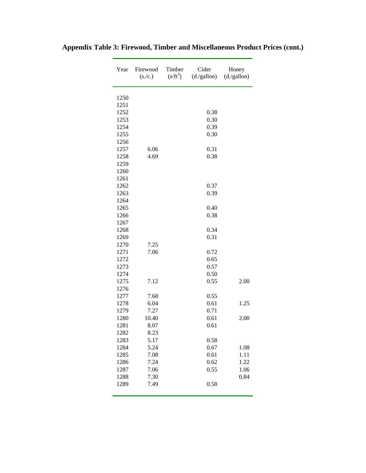| Year | Firewood<br>(s./c.) | Timber<br>$(s/ft^3)$ | Cider<br>(d./gallon) | Honey<br>(d./gallon) |
|------|---------------------|----------------------|----------------------|----------------------|
| 1250 |                     |                      |                      |                      |
| 1251 |                     |                      |                      |                      |
| 1252 |                     |                      | 0.38                 |                      |
| 1253 |                     |                      | 0.30                 |                      |
| 1254 |                     |                      | 0.39                 |                      |
| 1255 |                     |                      | 0.30                 |                      |
| 1256 |                     |                      |                      |                      |
| 1257 | 6.06                |                      | 0.31                 |                      |
| 1258 | 4.69                |                      | 0.38                 |                      |
| 1259 |                     |                      |                      |                      |
| 1260 |                     |                      |                      |                      |
| 1261 |                     |                      |                      |                      |
| 1262 |                     |                      | 0.37                 |                      |
| 1263 |                     |                      | 0.39                 |                      |
| 1264 |                     |                      |                      |                      |
| 1265 |                     |                      | 0.40                 |                      |
| 1266 |                     |                      | 0.38                 |                      |
| 1267 |                     |                      |                      |                      |
| 1268 |                     |                      | 0.34                 |                      |
| 1269 |                     |                      | 0.31                 |                      |
| 1270 | 7.25                |                      |                      |                      |
| 1271 | 7.06                |                      | 0.72                 |                      |
| 1272 |                     |                      | 0.65                 |                      |
| 1273 |                     |                      | 0.57                 |                      |
| 1274 |                     |                      | 0.50                 |                      |
| 1275 | 7.12                |                      | 0.55                 | 2.00                 |
| 1276 |                     |                      |                      |                      |
| 1277 | 7.68                |                      | 0.55                 |                      |
| 1278 | 6.04                |                      | 0.61                 | 1.25                 |
| 1279 | 7.27                |                      | 0.71                 |                      |
| 1280 | 10.40               |                      | 0.61                 | 2.00                 |
| 1281 | 8.07                |                      | 0.61                 |                      |
| 1282 | 8.23                |                      |                      |                      |
| 1283 | 5.17                |                      | 0.58                 |                      |
| 1284 | 5.24                |                      | 0.67                 | 1.08                 |
| 1285 | 7.08                |                      | 0.61                 | 1.11                 |
| 1286 | 7.24                |                      | 0.62                 | 1.22                 |
| 1287 | 7.06                |                      | 0.55                 | 1.06                 |
| 1288 | 7.30                |                      |                      | 0.84                 |
| 1289 | 7.49                |                      | 0.58                 |                      |

### **Appendix Table 3: Firewood, Timber and Miscellaneous Product Prices (cont.)**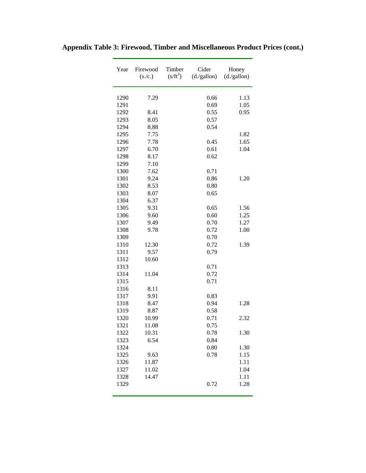| Year         | Firewood<br>(s./c.) | Timber<br>$(s/ft^3)$ | Cider<br>(d./gallon) | Honey<br>(d./gallon) |
|--------------|---------------------|----------------------|----------------------|----------------------|
| 1290         | 7.29                |                      | 0.66                 | 1.13                 |
|              |                     |                      | 0.69                 | 1.05                 |
| 1291         |                     |                      |                      |                      |
| 1292         | 8.41                |                      | 0.55                 | 0.95                 |
| 1293<br>1294 | 8.05                |                      | 0.57<br>0.54         |                      |
|              | 8.88                |                      |                      |                      |
| 1295         | 7.75                |                      |                      | 1.82                 |
| 1296         | 7.78                |                      | 0.45                 | 1.65                 |
| 1297         | 6.70                |                      | 0.61                 | 1.04                 |
| 1298         | 8.17                |                      | 0.62                 |                      |
| 1299         | 7.10                |                      |                      |                      |
| 1300         | 7.62                |                      | 0.71                 |                      |
| 1301         | 9.24                |                      | 0.86                 | 1.20                 |
| 1302         | 8.53                |                      | 0.80                 |                      |
| 1303         | 8.07                |                      | 0.65                 |                      |
| 1304         | 6.37                |                      |                      |                      |
| 1305         | 9.31                |                      | 0.65                 | 1.56                 |
| 1306         | 9.60                |                      | 0.60                 | 1.25                 |
| 1307         | 9.49                |                      | 0.70                 | 1.27                 |
| 1308         | 9.78                |                      | 0.72                 | 1.00                 |
| 1309         |                     |                      | 0.70                 |                      |
| 1310         | 12.30               |                      | 0.72                 | 1.39                 |
| 1311         | 9.57                |                      | 0.79                 |                      |
| 1312         | 10.60               |                      |                      |                      |
| 1313         |                     |                      | 0.71                 |                      |
| 1314         | 11.04               |                      | 0.72                 |                      |
| 1315         |                     |                      | 0.71                 |                      |
| 1316         | 8.11                |                      |                      |                      |
| 1317         | 9.91                |                      | 0.83                 |                      |
| 1318         | 8.47                |                      | 0.94                 | 1.28                 |
| 1319         | 8.87                |                      | 0.58                 |                      |
| 1320         | 10.99               |                      | 0.71                 | 2.32                 |
| 1321         | 11.08               |                      | 0.75                 |                      |
| 1322         | 10.31               |                      | 0.78                 | 1.30                 |
| 1323         | 6.54                |                      | 0.84                 |                      |
| 1324         |                     |                      | 0.80                 | 1.30                 |
| 1325         | 9.63                |                      | 0.78                 | 1.15                 |
| 1326         | 11.87               |                      |                      | 1.11                 |
| 1327         | 11.02               |                      |                      | 1.04                 |
| 1328         | 14.47               |                      |                      | 1.11                 |
| 1329         |                     |                      | 0.72                 | 1.28                 |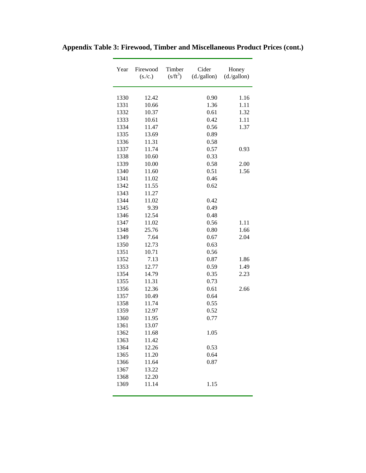| Year | Firewood<br>(s./c.) | Timber<br>$(s/ft^3)$ | Cider<br>(d./gallon) | Honey<br>(d./gallon) |
|------|---------------------|----------------------|----------------------|----------------------|
| 1330 | 12.42               |                      | 0.90                 | 1.16                 |
| 1331 | 10.66               |                      | 1.36                 | 1.11                 |
| 1332 | 10.37               |                      | 0.61                 | 1.32                 |
| 1333 | 10.61               |                      | 0.42                 | 1.11                 |
| 1334 | 11.47               |                      | 0.56                 | 1.37                 |
| 1335 | 13.69               |                      | 0.89                 |                      |
| 1336 | 11.31               |                      | 0.58                 |                      |
| 1337 | 11.74               |                      | 0.57                 | 0.93                 |
| 1338 | 10.60               |                      | 0.33                 |                      |
| 1339 | 10.00               |                      | 0.58                 | 2.00                 |
| 1340 | 11.60               |                      | 0.51                 | 1.56                 |
| 1341 | 11.02               |                      | 0.46                 |                      |
| 1342 | 11.55               |                      | 0.62                 |                      |
| 1343 | 11.27               |                      |                      |                      |
| 1344 | 11.02               |                      | 0.42                 |                      |
| 1345 | 9.39                |                      | 0.49                 |                      |
| 1346 | 12.54               |                      | 0.48                 |                      |
| 1347 | 11.02               |                      | 0.56                 | 1.11                 |
| 1348 | 25.76               |                      | 0.80                 | 1.66                 |
| 1349 | 7.64                |                      | 0.67                 | 2.04                 |
| 1350 | 12.73               |                      | 0.63                 |                      |
| 1351 | 10.71               |                      | 0.56                 |                      |
| 1352 | 7.13                |                      | 0.87                 | 1.86                 |
| 1353 | 12.77               |                      | 0.59                 | 1.49                 |
| 1354 | 14.79               |                      | 0.35                 | 2.23                 |
| 1355 | 11.31               |                      | 0.73                 |                      |
| 1356 | 12.36               |                      | 0.61                 | 2.66                 |
| 1357 | 10.49               |                      | 0.64                 |                      |
| 1358 | 11.74               |                      | 0.55                 |                      |
| 1359 | 12.97               |                      | 0.52                 |                      |
| 1360 | 11.95               |                      | 0.77                 |                      |
| 1361 | 13.07               |                      |                      |                      |
| 1362 | 11.68               |                      | 1.05                 |                      |
| 1363 | 11.42               |                      |                      |                      |
| 1364 | 12.26               |                      | 0.53                 |                      |
| 1365 | 11.20               |                      | 0.64                 |                      |
| 1366 | 11.64               |                      | 0.87                 |                      |
| 1367 | 13.22               |                      |                      |                      |
| 1368 | 12.20               |                      |                      |                      |
| 1369 | 11.14               |                      | 1.15                 |                      |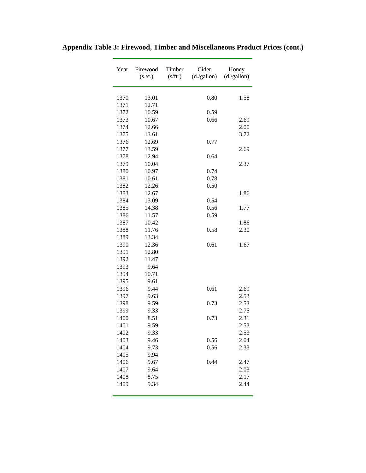| Year | Firewood<br>(s./c.) | Timber<br>$(s/ft^3)$ | Cider<br>(d./gallon) | Honey<br>(d./gallon) |
|------|---------------------|----------------------|----------------------|----------------------|
| 1370 | 13.01               |                      | 0.80                 | 1.58                 |
| 1371 | 12.71               |                      |                      |                      |
| 1372 | 10.59               |                      | 0.59                 |                      |
| 1373 | 10.67               |                      | 0.66                 | 2.69                 |
| 1374 | 12.66               |                      |                      | 2.00                 |
| 1375 | 13.61               |                      |                      | 3.72                 |
| 1376 | 12.69               |                      | 0.77                 |                      |
| 1377 | 13.59               |                      |                      | 2.69                 |
| 1378 | 12.94               |                      | 0.64                 |                      |
| 1379 | 10.04               |                      |                      | 2.37                 |
| 1380 | 10.97               |                      | 0.74                 |                      |
| 1381 | 10.61               |                      | 0.78                 |                      |
| 1382 | 12.26               |                      | 0.50                 |                      |
| 1383 | 12.67               |                      |                      | 1.86                 |
| 1384 | 13.09               |                      | 0.54                 |                      |
| 1385 | 14.38               |                      | 0.56                 | 1.77                 |
| 1386 | 11.57               |                      | 0.59                 |                      |
| 1387 | 10.42               |                      |                      | 1.86                 |
| 1388 | 11.76               |                      | 0.58                 | 2.30                 |
| 1389 | 13.34               |                      |                      |                      |
| 1390 | 12.36               |                      | 0.61                 | 1.67                 |
| 1391 | 12.80               |                      |                      |                      |
| 1392 | 11.47               |                      |                      |                      |
| 1393 | 9.64                |                      |                      |                      |
| 1394 | 10.71               |                      |                      |                      |
| 1395 | 9.61                |                      |                      |                      |
| 1396 | 9.44                |                      | 0.61                 | 2.69                 |
| 1397 | 9.63                |                      |                      | 2.53                 |
| 1398 | 9.59                |                      | 0.73                 | 2.53                 |
| 1399 | 9.33                |                      |                      | 2.75                 |
| 1400 | 8.51                |                      | 0.73                 | 2.31                 |
| 1401 | 9.59                |                      |                      | 2.53                 |
| 1402 | 9.33                |                      |                      | 2.53                 |
| 1403 | 9.46                |                      | 0.56                 | 2.04                 |
| 1404 | 9.73                |                      | 0.56                 | 2.33                 |
| 1405 | 9.94                |                      |                      |                      |
| 1406 | 9.67                |                      | 0.44                 | 2.47                 |
| 1407 | 9.64                |                      |                      | 2.03                 |
| 1408 | 8.75                |                      |                      | 2.17                 |
| 1409 | 9.34                |                      |                      | 2.44                 |
|      |                     |                      |                      |                      |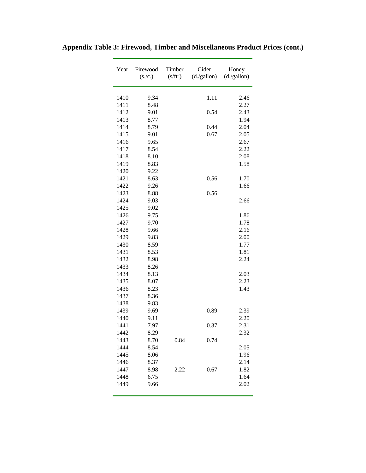| Year | Firewood<br>(s./c.) | Timber<br>$(s/ft^3)$ | Cider<br>(d./gallon) | Honey<br>(d./gallon) |
|------|---------------------|----------------------|----------------------|----------------------|
| 1410 | 9.34                |                      | 1.11                 | 2.46                 |
| 1411 | 8.48                |                      |                      | 2.27                 |
| 1412 | 9.01                |                      | 0.54                 | 2.43                 |
| 1413 | 8.77                |                      |                      | 1.94                 |
| 1414 | 8.79                |                      | 0.44                 | 2.04                 |
| 1415 | 9.01                |                      | 0.67                 | 2.05                 |
| 1416 | 9.65                |                      |                      | 2.67                 |
| 1417 | 8.54                |                      |                      | 2.22                 |
| 1418 | 8.10                |                      |                      | 2.08                 |
| 1419 | 8.83                |                      |                      | 1.58                 |
| 1420 | 9.22                |                      |                      |                      |
| 1421 | 8.63                |                      | 0.56                 | 1.70                 |
| 1422 | 9.26                |                      |                      | 1.66                 |
| 1423 | 8.88                |                      | 0.56                 |                      |
| 1424 | 9.03                |                      |                      | 2.66                 |
| 1425 | 9.02                |                      |                      |                      |
| 1426 | 9.75                |                      |                      | 1.86                 |
| 1427 | 9.70                |                      |                      | 1.78                 |
| 1428 | 9.66                |                      |                      | 2.16                 |
| 1429 | 9.83                |                      |                      | 2.00                 |
| 1430 | 8.59                |                      |                      | 1.77                 |
| 1431 | 8.53                |                      |                      | 1.81                 |
| 1432 | 8.98                |                      |                      | 2.24                 |
| 1433 | 8.26                |                      |                      |                      |
| 1434 | 8.13                |                      |                      | 2.03                 |
| 1435 | 8.07                |                      |                      | 2.23                 |
| 1436 | 8.23                |                      |                      | 1.43                 |
| 1437 | 8.36                |                      |                      |                      |
| 1438 | 9.83                |                      |                      |                      |
| 1439 | 9.69                |                      | 0.89                 | 2.39                 |
| 1440 | 9.11                |                      |                      | 2.20                 |
| 1441 | 7.97                |                      | 0.37                 | 2.31                 |
| 1442 | 8.29                |                      |                      | 2.32                 |
| 1443 | 8.70                | 0.84                 | 0.74                 |                      |
| 1444 | 8.54                |                      |                      | 2.05                 |
| 1445 | 8.06                |                      |                      | 1.96                 |
| 1446 | 8.37                |                      |                      | 2.14                 |
| 1447 | 8.98                | 2.22                 | 0.67                 | 1.82                 |
| 1448 | 6.75                |                      |                      | 1.64                 |
| 1449 | 9.66                |                      |                      | 2.02                 |
|      |                     |                      |                      |                      |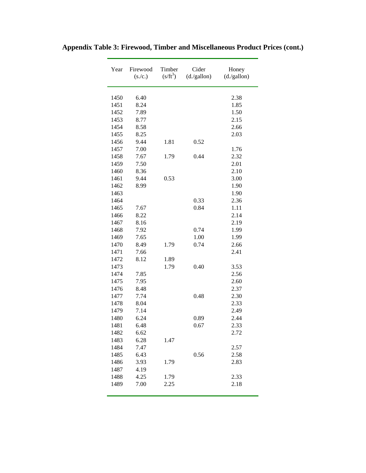| Year | Firewood<br>(s./c.) | Timber<br>$(s/ft^3)$ | Cider<br>(d./gallon) | Honey<br>(d./gallon) |
|------|---------------------|----------------------|----------------------|----------------------|
| 1450 | 6.40                |                      |                      | 2.38                 |
| 1451 | 8.24                |                      |                      | 1.85                 |
| 1452 | 7.89                |                      |                      | 1.50                 |
| 1453 | 8.77                |                      |                      | 2.15                 |
| 1454 | 8.58                |                      |                      | 2.66                 |
| 1455 | 8.25                |                      |                      | 2.03                 |
| 1456 | 9.44                | 1.81                 | 0.52                 |                      |
| 1457 | 7.00                |                      |                      | 1.76                 |
| 1458 | 7.67                | 1.79                 | 0.44                 | 2.32                 |
| 1459 | 7.50                |                      |                      | 2.01                 |
| 1460 | 8.36                |                      |                      | 2.10                 |
| 1461 | 9.44                | 0.53                 |                      | 3.00                 |
| 1462 | 8.99                |                      |                      | 1.90                 |
| 1463 |                     |                      |                      | 1.90                 |
| 1464 |                     |                      | 0.33                 | 2.36                 |
| 1465 | 7.67                |                      | 0.84                 | 1.11                 |
| 1466 | 8.22                |                      |                      | 2.14                 |
| 1467 | 8.16                |                      |                      | 2.19                 |
| 1468 | 7.92                |                      | 0.74                 | 1.99                 |
| 1469 | 7.65                |                      | 1.00                 | 1.99                 |
| 1470 | 8.49                | 1.79                 | 0.74                 | 2.66                 |
| 1471 | 7.66                |                      |                      | 2.41                 |
| 1472 | 8.12                | 1.89                 |                      |                      |
| 1473 |                     | 1.79                 | 0.40                 | 3.53                 |
| 1474 | 7.85                |                      |                      | 2.56                 |
| 1475 | 7.95                |                      |                      | 2.60                 |
| 1476 | 8.48                |                      |                      | 2.37                 |
| 1477 | 7.74                |                      | 0.48                 | 2.30                 |
| 1478 | 8.04                |                      |                      | 2.33                 |
| 1479 | 7.14                |                      |                      | 2.49                 |
| 1480 | 6.24                |                      | 0.89                 | 2.44                 |
| 1481 | 6.48                |                      | 0.67                 | 2.33                 |
| 1482 | 6.62                |                      |                      | 2.72                 |
| 1483 | 6.28                | 1.47                 |                      |                      |
| 1484 | 7.47                |                      |                      | 2.57                 |
| 1485 | 6.43                |                      | 0.56                 | 2.58                 |
| 1486 | 3.93                | 1.79                 |                      | 2.83                 |
| 1487 | 4.19                |                      |                      |                      |
| 1488 | 4.25                | 1.79                 |                      | 2.33                 |
| 1489 | 7.00                | 2.25                 |                      | 2.18                 |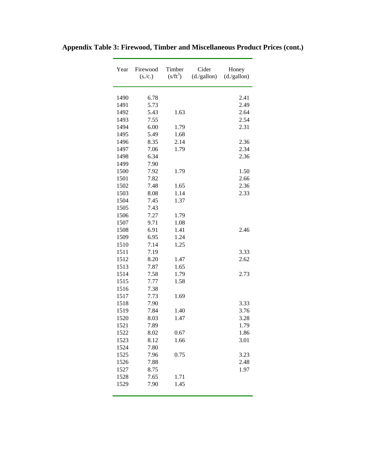| Year | Firewood<br>(s./c.) | Timber<br>$(s/ft^3)$ | Cider<br>(d./gallon) | Honey<br>(d./gallon) |
|------|---------------------|----------------------|----------------------|----------------------|
| 1490 | 6.78                |                      |                      | 2.41                 |
| 1491 | 5.73                |                      |                      | 2.49                 |
| 1492 | 5.43                | 1.63                 |                      | 2.64                 |
| 1493 | 7.55                |                      |                      | 2.54                 |
| 1494 | 6.00                | 1.79                 |                      | 2.31                 |
| 1495 | 5.49                | 1.68                 |                      |                      |
| 1496 | 8.35                | 2.14                 |                      | 2.36                 |
| 1497 | 7.06                | 1.79                 |                      | 2.34                 |
| 1498 | 6.34                |                      |                      | 2.36                 |
| 1499 | 7.90                |                      |                      |                      |
| 1500 | 7.92                | 1.79                 |                      | 1.50                 |
| 1501 | 7.82                |                      |                      | 2.66                 |
| 1502 | 7.48                | 1.65                 |                      | 2.36                 |
| 1503 | 8.08                | 1.14                 |                      | 2.33                 |
| 1504 | 7.45                | 1.37                 |                      |                      |
| 1505 | 7.43                |                      |                      |                      |
| 1506 | 7.27                | 1.79                 |                      |                      |
| 1507 | 9.71                | 1.08                 |                      |                      |
| 1508 | 6.91                | 1.41                 |                      | 2.46                 |
| 1509 | 6.95                | 1.24                 |                      |                      |
| 1510 | 7.14                | 1.25                 |                      |                      |
| 1511 | 7.19                |                      |                      | 3.33                 |
| 1512 | 8.20                | 1.47                 |                      | 2.62                 |
| 1513 | 7.87                | 1.65                 |                      |                      |
| 1514 | 7.58                | 1.79                 |                      | 2.73                 |
| 1515 | 7.77                | 1.58                 |                      |                      |
| 1516 | 7.38                |                      |                      |                      |
| 1517 | 7.73                | 1.69                 |                      |                      |
| 1518 | 7.90                |                      |                      | 3.33                 |
| 1519 | 7.84                | 1.40                 |                      | 3.76                 |
| 1520 | 8.03                | 1.47                 |                      | 3.28                 |
| 1521 | 7.89                |                      |                      | 1.79                 |
| 1522 | 8.02                | 0.67                 |                      | 1.86                 |
| 1523 | 8.12                | 1.66                 |                      | 3.01                 |
| 1524 | 7.80                |                      |                      |                      |
| 1525 | 7.96                | 0.75                 |                      | 3.23                 |
| 1526 | 7.88                |                      |                      | 2.48                 |
| 1527 | 8.75                |                      |                      | 1.97                 |
| 1528 | 7.65                | 1.71                 |                      |                      |
| 1529 | 7.90                | 1.45                 |                      |                      |
|      |                     |                      |                      |                      |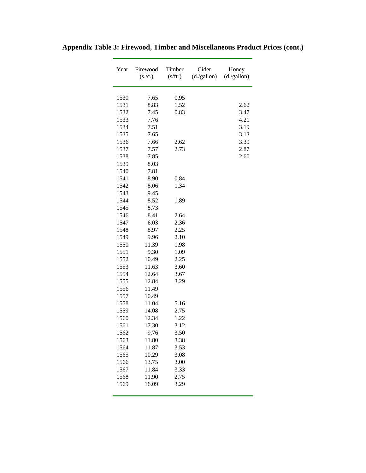| Year | Firewood<br>(s./c.) | Timber<br>$(s/ft^3)$ | Cider<br>(d./gallon) | Honey<br>(d./gallon) |
|------|---------------------|----------------------|----------------------|----------------------|
| 1530 | 7.65                | 0.95                 |                      |                      |
| 1531 | 8.83                | 1.52                 |                      | 2.62                 |
| 1532 | 7.45                | 0.83                 |                      | 3.47                 |
| 1533 | 7.76                |                      |                      | 4.21                 |
| 1534 | 7.51                |                      |                      | 3.19                 |
| 1535 | 7.65                |                      |                      | 3.13                 |
| 1536 | 7.66                | 2.62                 |                      | 3.39                 |
| 1537 | 7.57                | 2.73                 |                      | 2.87                 |
| 1538 | 7.85                |                      |                      | 2.60                 |
| 1539 | 8.03                |                      |                      |                      |
| 1540 | 7.81                |                      |                      |                      |
| 1541 | 8.90                | 0.84                 |                      |                      |
| 1542 | 8.06                | 1.34                 |                      |                      |
| 1543 | 9.45                |                      |                      |                      |
| 1544 | 8.52                | 1.89                 |                      |                      |
| 1545 | 8.73                |                      |                      |                      |
| 1546 | 8.41                | 2.64                 |                      |                      |
| 1547 | 6.03                | 2.36                 |                      |                      |
| 1548 | 8.97                | 2.25                 |                      |                      |
| 1549 | 9.96                | 2.10                 |                      |                      |
| 1550 | 11.39               | 1.98                 |                      |                      |
| 1551 | 9.30                | 1.09                 |                      |                      |
| 1552 | 10.49               | 2.25                 |                      |                      |
| 1553 | 11.63               | 3.60                 |                      |                      |
| 1554 | 12.64               | 3.67                 |                      |                      |
| 1555 | 12.84               | 3.29                 |                      |                      |
| 1556 | 11.49               |                      |                      |                      |
| 1557 | 10.49               |                      |                      |                      |
| 1558 | 11.04               | 5.16                 |                      |                      |
| 1559 | 14.08               | 2.75                 |                      |                      |
| 1560 | 12.34               | 1.22                 |                      |                      |
| 1561 | 17.30               | 3.12                 |                      |                      |
| 1562 | 9.76                | 3.50                 |                      |                      |
| 1563 | 11.80               | 3.38                 |                      |                      |
| 1564 | 11.87               | 3.53                 |                      |                      |
| 1565 | 10.29               | 3.08                 |                      |                      |
| 1566 | 13.75               | 3.00                 |                      |                      |
| 1567 | 11.84               | 3.33                 |                      |                      |
| 1568 | 11.90               | 2.75                 |                      |                      |
| 1569 | 16.09               | 3.29                 |                      |                      |

 $\overline{a}$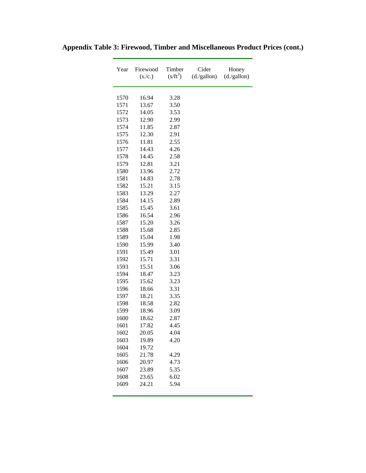| Year | Firewood<br>(s./c.) | Timber<br>$(s/ft^3)$ | Cider<br>(d./gallon) | Honey<br>(d./gallon) |
|------|---------------------|----------------------|----------------------|----------------------|
| 1570 | 16.94               | 3.28                 |                      |                      |
| 1571 | 13.67               | 3.50                 |                      |                      |
| 1572 | 14.05               | 3.53                 |                      |                      |
| 1573 | 12.90               | 2.99                 |                      |                      |
| 1574 | 11.85               | 2.87                 |                      |                      |
| 1575 | 12.30               | 2.91                 |                      |                      |
| 1576 | 11.81               | 2.55                 |                      |                      |
| 1577 | 14.43               | 4.26                 |                      |                      |
| 1578 | 14.45               | 2.58                 |                      |                      |
| 1579 | 12.81               | 3.21                 |                      |                      |
| 1580 | 13.96               | 2.72                 |                      |                      |
| 1581 | 14.83               | 2.78                 |                      |                      |
| 1582 | 15.21               | 3.15                 |                      |                      |
| 1583 | 13.29               | 2.27                 |                      |                      |
| 1584 | 14.15               | 2.89                 |                      |                      |
| 1585 | 15.45               | 3.61                 |                      |                      |
| 1586 | 16.54               | 2.96                 |                      |                      |
| 1587 | 15.20               | 3.26                 |                      |                      |
| 1588 | 15.68               | 2.85                 |                      |                      |
| 1589 | 15.04               | 1.98                 |                      |                      |
| 1590 | 15.99               | 3.40                 |                      |                      |
| 1591 | 15.49               | 3.01                 |                      |                      |
| 1592 | 15.71               | 3.31                 |                      |                      |
| 1593 | 15.51               | 3.06                 |                      |                      |
| 1594 | 18.47               | 3.23                 |                      |                      |
| 1595 | 15.62               | 3.23                 |                      |                      |
| 1596 | 18.66               | 3.31                 |                      |                      |
| 1597 | 18.21               | 3.35                 |                      |                      |
| 1598 | 18.58               | 2.82                 |                      |                      |
| 1599 | 18.96               | 3.09                 |                      |                      |
| 1600 | 18.62               | 2.87                 |                      |                      |
| 1601 | 17.82               | 4.45                 |                      |                      |
| 1602 | 20.05               | 4.04                 |                      |                      |
| 1603 | 19.89               | 4.20                 |                      |                      |
| 1604 | 19.72               |                      |                      |                      |
| 1605 | 21.78               | 4.29                 |                      |                      |
| 1606 | 20.97               | 4.73                 |                      |                      |
| 1607 | 23.89               | 5.35                 |                      |                      |
| 1608 | 23.65               | 6.02                 |                      |                      |
| 1609 | 24.21               | 5.94                 |                      |                      |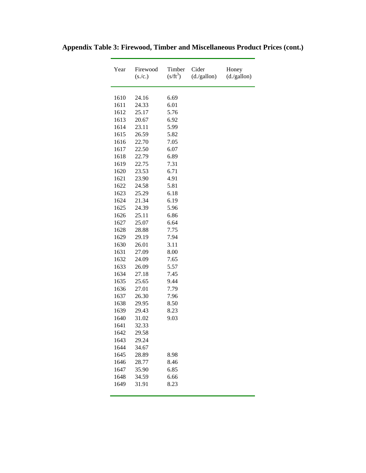| Year | Firewood<br>(s./c.) | Timber<br>$(s/ft^3)$ | Cider<br>(d./gallon) | Honey<br>(d./gallon) |
|------|---------------------|----------------------|----------------------|----------------------|
| 1610 | 24.16               | 6.69                 |                      |                      |
| 1611 | 24.33               | 6.01                 |                      |                      |
| 1612 | 25.17               | 5.76                 |                      |                      |
| 1613 | 20.67               | 6.92                 |                      |                      |
| 1614 | 23.11               | 5.99                 |                      |                      |
| 1615 | 26.59               | 5.82                 |                      |                      |
| 1616 | 22.70               | 7.05                 |                      |                      |
| 1617 | 22.50               | 6.07                 |                      |                      |
| 1618 | 22.79               | 6.89                 |                      |                      |
| 1619 | 22.75               | 7.31                 |                      |                      |
| 1620 | 23.53               | 6.71                 |                      |                      |
| 1621 | 23.90               | 4.91                 |                      |                      |
| 1622 | 24.58               | 5.81                 |                      |                      |
| 1623 | 25.29               | 6.18                 |                      |                      |
| 1624 | 21.34               | 6.19                 |                      |                      |
| 1625 | 24.39               | 5.96                 |                      |                      |
| 1626 | 25.11               | 6.86                 |                      |                      |
| 1627 | 25.07               | 6.64                 |                      |                      |
| 1628 | 28.88               | 7.75                 |                      |                      |
| 1629 | 29.19               | 7.94                 |                      |                      |
| 1630 | 26.01               | 3.11                 |                      |                      |
| 1631 | 27.09               | 8.00                 |                      |                      |
| 1632 | 24.09               | 7.65                 |                      |                      |
| 1633 | 26.09               | 5.57                 |                      |                      |
| 1634 | 27.18               | 7.45                 |                      |                      |
| 1635 | 25.65               | 9.44                 |                      |                      |
| 1636 | 27.01               | 7.79                 |                      |                      |
| 1637 | 26.30               | 7.96                 |                      |                      |
| 1638 | 29.95               | 8.50                 |                      |                      |
| 1639 | 29.43               | 8.23                 |                      |                      |
| 1640 | 31.02               | 9.03                 |                      |                      |
| 1641 | 32.33               |                      |                      |                      |
| 1642 | 29.58               |                      |                      |                      |
| 1643 | 29.24               |                      |                      |                      |
| 1644 | 34.67               |                      |                      |                      |
| 1645 | 28.89               | 8.98                 |                      |                      |
| 1646 | 28.77               | 8.46                 |                      |                      |
| 1647 | 35.90               | 6.85                 |                      |                      |
| 1648 | 34.59               | 6.66                 |                      |                      |
| 1649 | 31.91               | 8.23                 |                      |                      |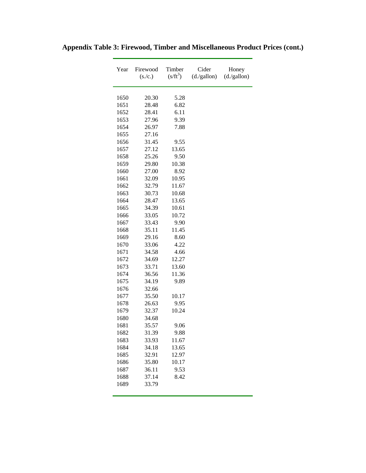| Year | Firewood<br>(s./c.) | Timber<br>$(s/ft^3)$ | Cider<br>(d./gallon) | Honey<br>(d./gallon) |
|------|---------------------|----------------------|----------------------|----------------------|
| 1650 | 20.30               | 5.28                 |                      |                      |
| 1651 | 28.48               | 6.82                 |                      |                      |
| 1652 | 28.41               | 6.11                 |                      |                      |
| 1653 | 27.96               | 9.39                 |                      |                      |
| 1654 | 26.97               | 7.88                 |                      |                      |
| 1655 | 27.16               |                      |                      |                      |
| 1656 | 31.45               | 9.55                 |                      |                      |
| 1657 | 27.12               | 13.65                |                      |                      |
| 1658 | 25.26               | 9.50                 |                      |                      |
| 1659 | 29.80               | 10.38                |                      |                      |
| 1660 | 27.00               | 8.92                 |                      |                      |
| 1661 | 32.09               | 10.95                |                      |                      |
| 1662 | 32.79               | 11.67                |                      |                      |
| 1663 | 30.73               | 10.68                |                      |                      |
| 1664 | 28.47               | 13.65                |                      |                      |
| 1665 | 34.39               | 10.61                |                      |                      |
| 1666 | 33.05               | 10.72                |                      |                      |
| 1667 | 33.43               | 9.90                 |                      |                      |
| 1668 | 35.11               | 11.45                |                      |                      |
| 1669 | 29.16               | 8.60                 |                      |                      |
| 1670 | 33.06               | 4.22                 |                      |                      |
| 1671 | 34.58               | 4.66                 |                      |                      |
| 1672 | 34.69               | 12.27                |                      |                      |
| 1673 | 33.71               | 13.60                |                      |                      |
| 1674 | 36.56               | 11.36                |                      |                      |
| 1675 | 34.19               | 9.89                 |                      |                      |
| 1676 | 32.66               |                      |                      |                      |
| 1677 | 35.50               | 10.17                |                      |                      |
| 1678 | 26.63               | 9.95                 |                      |                      |
| 1679 | 32.37               | 10.24                |                      |                      |
| 1680 | 34.68               |                      |                      |                      |
| 1681 | 35.57               | 9.06                 |                      |                      |
| 1682 | 31.39               | 9.88                 |                      |                      |
| 1683 | 33.93               | 11.67                |                      |                      |
| 1684 | 34.18               | 13.65                |                      |                      |
| 1685 | 32.91               | 12.97                |                      |                      |
| 1686 | 35.80               | 10.17                |                      |                      |
| 1687 | 36.11               | 9.53                 |                      |                      |
| 1688 | 37.14               | 8.42                 |                      |                      |
| 1689 | 33.79               |                      |                      |                      |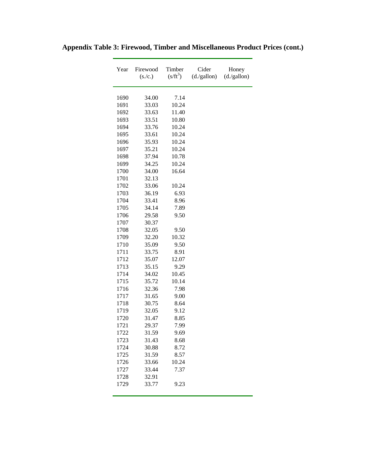| Year | Firewood<br>(s./c.) | Timber<br>$(s/ft^3)$ | Cider<br>(d./gallon) | Honey<br>(d./gallon) |
|------|---------------------|----------------------|----------------------|----------------------|
| 1690 |                     | 7.14                 |                      |                      |
| 1691 | 34.00<br>33.03      | 10.24                |                      |                      |
| 1692 | 33.63               | 11.40                |                      |                      |
| 1693 | 33.51               | 10.80                |                      |                      |
| 1694 | 33.76               | 10.24                |                      |                      |
| 1695 | 33.61               | 10.24                |                      |                      |
| 1696 | 35.93               | 10.24                |                      |                      |
| 1697 | 35.21               | 10.24                |                      |                      |
| 1698 | 37.94               | 10.78                |                      |                      |
| 1699 | 34.25               | 10.24                |                      |                      |
| 1700 | 34.00               | 16.64                |                      |                      |
| 1701 | 32.13               |                      |                      |                      |
| 1702 | 33.06               | 10.24                |                      |                      |
| 1703 | 36.19               | 6.93                 |                      |                      |
| 1704 | 33.41               | 8.96                 |                      |                      |
| 1705 | 34.14               | 7.89                 |                      |                      |
| 1706 | 29.58               | 9.50                 |                      |                      |
| 1707 | 30.37               |                      |                      |                      |
| 1708 | 32.05               | 9.50                 |                      |                      |
| 1709 | 32.20               | 10.32                |                      |                      |
| 1710 | 35.09               | 9.50                 |                      |                      |
| 1711 | 33.75               | 8.91                 |                      |                      |
| 1712 | 35.07               | 12.07                |                      |                      |
| 1713 | 35.15               | 9.29                 |                      |                      |
| 1714 | 34.02               | 10.45                |                      |                      |
| 1715 | 35.72               | 10.14                |                      |                      |
| 1716 | 32.36               | 7.98                 |                      |                      |
| 1717 | 31.65               | 9.00                 |                      |                      |
| 1718 | 30.75               | 8.64                 |                      |                      |
| 1719 | 32.05               | 9.12                 |                      |                      |
| 1720 | 31.47               | 8.85                 |                      |                      |
| 1721 | 29.37               | 7.99                 |                      |                      |
| 1722 | 31.59               | 9.69                 |                      |                      |
| 1723 | 31.43               | 8.68                 |                      |                      |
| 1724 | 30.88               | 8.72                 |                      |                      |
| 1725 | 31.59               | 8.57                 |                      |                      |
| 1726 | 33.66               | 10.24                |                      |                      |
| 1727 | 33.44               | 7.37                 |                      |                      |
| 1728 | 32.91               |                      |                      |                      |
| 1729 | 33.77               | 9.23                 |                      |                      |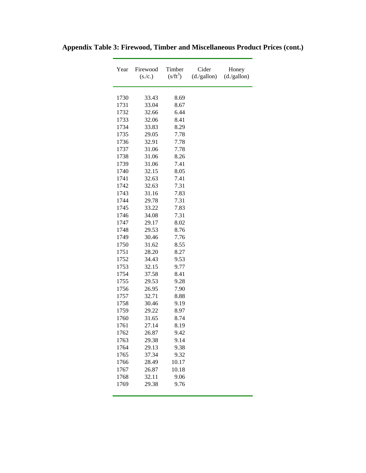| Year | Firewood<br>(s./c.) | Timber<br>$(s/ft^3)$ | Cider<br>(d./gallon) | Honey<br>(d./gallon) |
|------|---------------------|----------------------|----------------------|----------------------|
| 1730 | 33.43               | 8.69                 |                      |                      |
| 1731 | 33.04               | 8.67                 |                      |                      |
| 1732 | 32.66               | 6.44                 |                      |                      |
| 1733 | 32.06               | 8.41                 |                      |                      |
| 1734 | 33.83               | 8.29                 |                      |                      |
| 1735 | 29.05               | 7.78                 |                      |                      |
| 1736 | 32.91               | 7.78                 |                      |                      |
| 1737 | 31.06               | 7.78                 |                      |                      |
| 1738 | 31.06               | 8.26                 |                      |                      |
| 1739 | 31.06               | 7.41                 |                      |                      |
| 1740 | 32.15               | 8.05                 |                      |                      |
| 1741 | 32.63               | 7.41                 |                      |                      |
| 1742 | 32.63               | 7.31                 |                      |                      |
| 1743 | 31.16               | 7.83                 |                      |                      |
| 1744 | 29.78               | 7.31                 |                      |                      |
| 1745 | 33.22               | 7.83                 |                      |                      |
| 1746 | 34.08               | 7.31                 |                      |                      |
| 1747 | 29.17               | 8.02                 |                      |                      |
| 1748 | 29.53               | 8.76                 |                      |                      |
| 1749 | 30.46               | 7.76                 |                      |                      |
| 1750 | 31.62               | 8.55                 |                      |                      |
| 1751 | 28.20               | 8.27                 |                      |                      |
| 1752 | 34.43               | 9.53                 |                      |                      |
| 1753 | 32.15               | 9.77                 |                      |                      |
| 1754 | 37.58               | 8.41                 |                      |                      |
| 1755 | 29.53               | 9.28                 |                      |                      |
| 1756 | 26.95               | 7.90                 |                      |                      |
| 1757 | 32.71               | 8.88                 |                      |                      |
| 1758 | 30.46               | 9.19                 |                      |                      |
| 1759 | 29.22               | 8.97                 |                      |                      |
| 1760 | 31.65               | 8.74                 |                      |                      |
| 1761 | 27.14               | 8.19                 |                      |                      |
| 1762 | 26.87               | 9.42                 |                      |                      |
| 1763 | 29.38               | 9.14                 |                      |                      |
| 1764 | 29.13               | 9.38                 |                      |                      |
| 1765 | 37.34               | 9.32                 |                      |                      |
| 1766 | 28.49               | 10.17                |                      |                      |
| 1767 | 26.87               | 10.18                |                      |                      |
| 1768 | 32.11               | 9.06                 |                      |                      |
| 1769 | 29.38               | 9.76                 |                      |                      |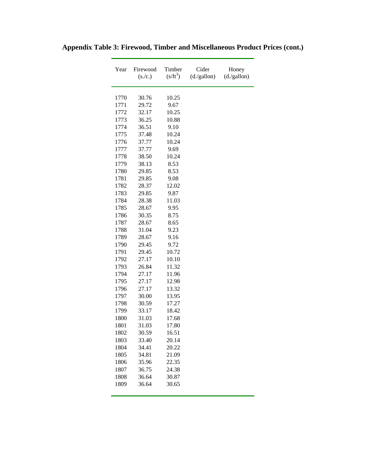| Year | Firewood<br>(s./c.) | Timber<br>$(s/ft^3)$ | Cider<br>(d./gallon) | Honey<br>(d./gallon) |
|------|---------------------|----------------------|----------------------|----------------------|
| 1770 | 30.76               | 10.25                |                      |                      |
| 1771 | 29.72               | 9.67                 |                      |                      |
| 1772 | 32.17               | 10.25                |                      |                      |
| 1773 | 36.25               | 10.88                |                      |                      |
| 1774 | 36.51               | 9.10                 |                      |                      |
| 1775 | 37.48               | 10.24                |                      |                      |
| 1776 | 37.77               | 10.24                |                      |                      |
| 1777 | 37.77               | 9.69                 |                      |                      |
| 1778 | 38.50               | 10.24                |                      |                      |
| 1779 | 38.13               | 8.53                 |                      |                      |
| 1780 | 29.85               | 8.53                 |                      |                      |
| 1781 | 29.85               | 9.08                 |                      |                      |
| 1782 | 28.37               | 12.02                |                      |                      |
| 1783 | 29.85               | 9.87                 |                      |                      |
| 1784 | 28.38               | 11.03                |                      |                      |
| 1785 | 28.67               | 9.95                 |                      |                      |
| 1786 | 30.35               | 8.75                 |                      |                      |
| 1787 | 28.67               | 8.65                 |                      |                      |
| 1788 | 31.04               | 9.23                 |                      |                      |
| 1789 | 28.67               | 9.16                 |                      |                      |
| 1790 | 29.45               | 9.72                 |                      |                      |
| 1791 | 29.45               | 10.72                |                      |                      |
| 1792 | 27.17               | 10.10                |                      |                      |
| 1793 | 26.84               | 11.32                |                      |                      |
| 1794 | 27.17               | 11.96                |                      |                      |
| 1795 | 27.17               | 12.98                |                      |                      |
| 1796 | 27.17               | 13.32                |                      |                      |
| 1797 | 30.00               | 13.95                |                      |                      |
| 1798 | 30.59               | 17.27                |                      |                      |
| 1799 | 33.17               | 18.42                |                      |                      |
| 1800 | 31.03               | 17.68                |                      |                      |
| 1801 | 31.03               | 17.80                |                      |                      |
| 1802 | 30.59               | 16.51                |                      |                      |
| 1803 | 33.40               | 20.14                |                      |                      |
| 1804 | 34.41               | 20.22                |                      |                      |
| 1805 | 34.81               | 21.09                |                      |                      |
| 1806 | 35.96               | 22.35                |                      |                      |
| 1807 | 36.75               | 24.38                |                      |                      |
| 1808 | 36.64               | 30.87                |                      |                      |
| 1809 | 36.64               | 30.65                |                      |                      |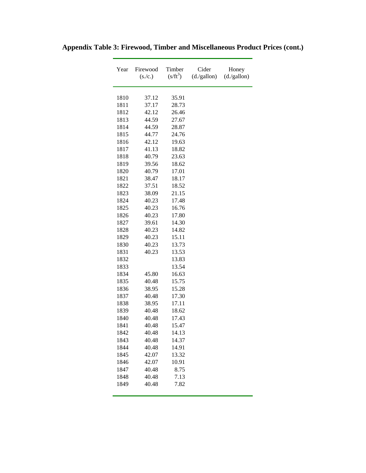| Year         | Firewood<br>(s./c.) | Timber<br>$(s/ft^3)$ | Cider<br>(d./gallon) | Honey<br>(d./gallon) |
|--------------|---------------------|----------------------|----------------------|----------------------|
| 1810         |                     | 35.91                |                      |                      |
|              | 37.12               | 28.73                |                      |                      |
| 1811<br>1812 | 37.17<br>42.12      | 26.46                |                      |                      |
| 1813         | 44.59               | 27.67                |                      |                      |
| 1814         | 44.59               | 28.87                |                      |                      |
| 1815         | 44.77               | 24.76                |                      |                      |
| 1816         | 42.12               | 19.63                |                      |                      |
| 1817         | 41.13               | 18.82                |                      |                      |
| 1818         | 40.79               | 23.63                |                      |                      |
| 1819         | 39.56               | 18.62                |                      |                      |
| 1820         | 40.79               | 17.01                |                      |                      |
| 1821         | 38.47               | 18.17                |                      |                      |
| 1822         | 37.51               | 18.52                |                      |                      |
| 1823         | 38.09               | 21.15                |                      |                      |
| 1824         | 40.23               | 17.48                |                      |                      |
| 1825         | 40.23               | 16.76                |                      |                      |
| 1826         | 40.23               | 17.80                |                      |                      |
| 1827         | 39.61               | 14.30                |                      |                      |
| 1828         | 40.23               | 14.82                |                      |                      |
| 1829         | 40.23               | 15.11                |                      |                      |
| 1830         | 40.23               | 13.73                |                      |                      |
| 1831         | 40.23               | 13.53                |                      |                      |
| 1832         |                     | 13.83                |                      |                      |
| 1833         |                     | 13.54                |                      |                      |
| 1834         | 45.80               | 16.63                |                      |                      |
| 1835         | 40.48               | 15.75                |                      |                      |
| 1836         | 38.95               | 15.28                |                      |                      |
| 1837         | 40.48               | 17.30                |                      |                      |
| 1838         | 38.95               | 17.11                |                      |                      |
| 1839         | 40.48               | 18.62                |                      |                      |
| 1840         | 40.48               | 17.43                |                      |                      |
| 1841         | 40.48               | 15.47                |                      |                      |
| 1842         | 40.48               | 14.13                |                      |                      |
| 1843         | 40.48               | 14.37                |                      |                      |
| 1844         | 40.48               | 14.91                |                      |                      |
| 1845         | 42.07               | 13.32                |                      |                      |
| 1846         | 42.07               | 10.91                |                      |                      |
| 1847         | 40.48               | 8.75                 |                      |                      |
| 1848         | 40.48               | 7.13                 |                      |                      |
| 1849         | 40.48               | 7.82                 |                      |                      |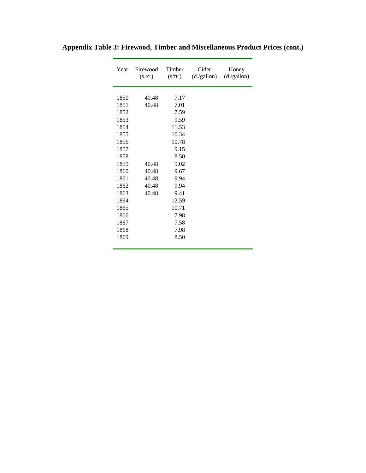| Year | Timber<br>Firewood<br>$(s/ft^3)$<br>(s./c.) |       | Cider<br>(d./gallon) | Honey<br>(d./gallon) |
|------|---------------------------------------------|-------|----------------------|----------------------|
|      |                                             |       |                      |                      |
| 1850 | 40.48                                       | 7.17  |                      |                      |
| 1851 | 40.48                                       | 7.01  |                      |                      |
| 1852 |                                             | 7.59  |                      |                      |
| 1853 |                                             | 9.59  |                      |                      |
| 1854 |                                             | 11.53 |                      |                      |
| 1855 |                                             | 10.34 |                      |                      |
| 1856 |                                             | 10.78 |                      |                      |
| 1857 |                                             | 9.15  |                      |                      |
| 1858 |                                             | 8.50  |                      |                      |
| 1859 | 40.48                                       | 9.02  |                      |                      |
| 1860 | 40.48                                       | 9.67  |                      |                      |
| 1861 | 40.48                                       | 9.94  |                      |                      |
| 1862 | 40.48                                       | 9.94  |                      |                      |
| 1863 | 40.48                                       | 9.41  |                      |                      |
| 1864 |                                             | 12.59 |                      |                      |
| 1865 |                                             | 10.71 |                      |                      |
| 1866 |                                             | 7.98  |                      |                      |
| 1867 |                                             | 7.58  |                      |                      |
| 1868 |                                             | 7.98  |                      |                      |
| 1869 |                                             | 8.50  |                      |                      |
|      |                                             |       |                      |                      |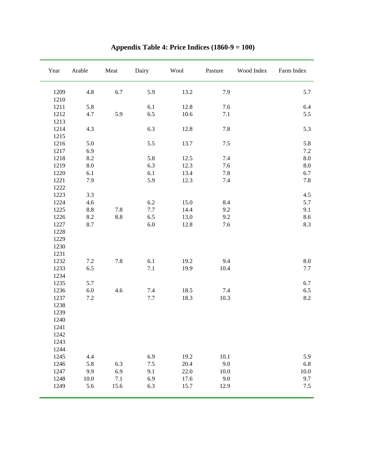| Year         | Arable          | Meat | Dairy   | Wool     | Pasture | Wood Index | Farm Index |
|--------------|-----------------|------|---------|----------|---------|------------|------------|
| 1209         | 4.8             | 6.7  | 5.9     | 13.2     | 7.9     |            | 5.7        |
| 1210         |                 |      |         |          |         |            |            |
| 1211         | 5.8             |      | 6.1     | 12.8     | 7.6     |            | 6.4        |
| 1212         | 4.7             | 5.9  | 6.5     | $10.6\,$ | 7.1     |            | 5.5        |
| 1213         |                 |      |         |          |         |            |            |
| 1214         | 4.3             |      | 6.3     | 12.8     | 7.8     |            | 5.3        |
| 1215         |                 |      |         |          |         |            |            |
| 1216         | 5.0             |      | 5.5     | 13.7     | $7.5\,$ |            | 5.8        |
| 1217         | 6.9             |      |         |          |         |            | $7.2\,$    |
| 1218         | 8.2             |      | 5.8     | 12.5     | 7.4     |            | $\ \, 8.0$ |
| 1219         | $\ \, 8.0$      |      | 6.3     | 12.3     | 7.6     |            | $\ \, 8.0$ |
| 1220         | 6.1             |      | 6.1     | 13.4     | $7.8\,$ |            | 6.7        |
| 1221         | 7.9             |      | 5.9     | 12.3     | 7.4     |            | 7.8        |
| 1222         |                 |      |         |          |         |            |            |
| 1223         | 3.3             |      |         |          |         |            | 4.5        |
| 1224         | 4.6             |      | 6.2     | 15.0     | 8.4     |            | 5.7        |
| 1225         | $\!\!\!\!\!8.8$ | 7.8  | $7.7\,$ | 14.4     | 9.2     |            | 9.1        |
| 1226         | 8.2             | 8.8  | 6.5     | 13.0     | 9.2     |            | 8.6        |
| 1227         | 8.7             |      | $6.0\,$ | 12.8     | 7.6     |            | 8.3        |
| 1228         |                 |      |         |          |         |            |            |
| 1229         |                 |      |         |          |         |            |            |
| 1230<br>1231 |                 |      |         |          |         |            |            |
| 1232         | $7.2\,$         | 7.8  | 6.1     | 19.2     | 9.4     |            | $\ \, 8.0$ |
| 1233         | 6.5             |      | 7.1     | 19.9     | 10.4    |            | 7.7        |
| 1234         |                 |      |         |          |         |            |            |
| 1235         | 5.7             |      |         |          |         |            | 6.7        |
| 1236         | $6.0\,$         | 4.6  | 7.4     | 18.5     | 7.4     |            | 6.5        |
| 1237         | $7.2\,$         |      | 7.7     | 18.3     | 10.3    |            | 8.2        |
| 1238         |                 |      |         |          |         |            |            |
| 1239         |                 |      |         |          |         |            |            |
| 1240         |                 |      |         |          |         |            |            |
| 1241         |                 |      |         |          |         |            |            |
| 1242         |                 |      |         |          |         |            |            |
| 1243         |                 |      |         |          |         |            |            |
| 1244         |                 |      |         |          |         |            |            |
| 1245         | 4.4             |      | 6.9     | 19.2     | 10.1    |            | 5.9        |
| 1246         | 5.8             | 6.3  | 7.5     | 20.4     | 9.0     |            | 6.8        |
| 1247         | 9.9             | 6.9  | 9.1     | 22.0     | 10.0    |            | $10.0\,$   |
| 1248         | 10.0            | 7.1  | 6.9     | 17.6     | 9.0     |            | 9.7        |
| 1249         | 5.6             | 15.6 | 6.3     | 15.7     | 12.9    |            | 7.5        |

**Appendix Table 4: Price Indices (1860-9 = 100)**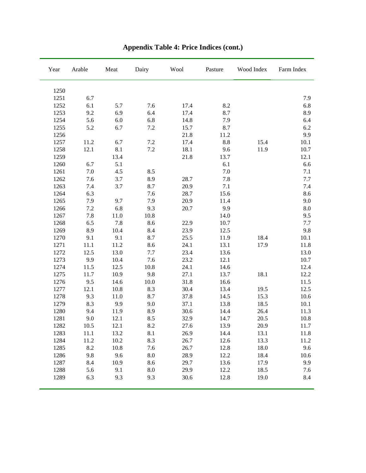| Year | Arable  | Meat | Dairy   | Wool | Pasture | Wood Index | Farm Index |
|------|---------|------|---------|------|---------|------------|------------|
| 1250 |         |      |         |      |         |            |            |
| 1251 | 6.7     |      |         |      |         |            | 7.9        |
| 1252 | 6.1     | 5.7  | 7.6     | 17.4 | 8.2     |            | 6.8        |
| 1253 | 9.2     | 6.9  | 6.4     | 17.4 | 8.7     |            | 8.9        |
| 1254 | 5.6     | 6.0  | 6.8     | 14.8 | 7.9     |            | 6.4        |
| 1255 | 5.2     | 6.7  | $7.2\,$ | 15.7 | 8.7     |            | 6.2        |
| 1256 |         |      |         | 21.8 | 11.2    |            | 9.9        |
| 1257 | 11.2    | 6.7  | $7.2\,$ | 17.4 | $8.8\,$ | 15.4       | 10.1       |
| 1258 | 12.1    | 8.1  | $7.2\,$ | 18.1 | 9.6     | 11.9       | 10.7       |
| 1259 |         | 13.4 |         | 21.8 | 13.7    |            | 12.1       |
| 1260 | 6.7     | 5.1  |         |      | 6.1     |            | 6.6        |
| 1261 | 7.0     | 4.5  | 8.5     |      | 7.0     |            | 7.1        |
| 1262 | 7.6     | 3.7  | 8.9     | 28.7 | $7.8\,$ |            | 7.7        |
| 1263 | 7.4     | 3.7  | 8.7     | 20.9 | 7.1     |            | 7.4        |
| 1264 | 6.3     |      | 7.6     | 28.7 | 15.6    |            | 8.6        |
| 1265 | 7.9     | 9.7  | 7.9     | 20.9 | 11.4    |            | 9.0        |
| 1266 | 7.2     | 6.8  | 9.3     | 20.7 | 9.9     |            | $\ \, 8.0$ |
| 1267 | $7.8\,$ | 11.0 | 10.8    |      | 14.0    |            | 9.5        |
| 1268 | 6.5     | 7.8  | 8.6     | 22.9 | 10.7    |            | 7.7        |
| 1269 | 8.9     | 10.4 | 8.4     | 23.9 | 12.5    |            | 9.8        |
| 1270 | 9.1     | 9.1  | 8.7     | 25.5 | 11.9    | 18.4       | 10.1       |
| 1271 | 11.1    | 11.2 | 8.6     | 24.1 | 13.1    | 17.9       | 11.8       |
| 1272 | 12.5    | 13.0 | 7.7     | 23.4 | 13.6    |            | 13.0       |
| 1273 | 9.9     | 10.4 | 7.6     | 23.2 | 12.1    |            | 10.7       |
| 1274 | 11.5    | 12.5 | 10.8    | 24.1 | 14.6    |            | 12.4       |
| 1275 | 11.7    | 10.9 | 9.8     | 27.1 | 13.7    | 18.1       | 12.2       |
| 1276 | 9.5     | 14.6 | 10.0    | 31.8 | 16.6    |            | 11.5       |
| 1277 | 12.1    | 10.8 | 8.3     | 30.4 | 13.4    | 19.5       | 12.5       |
| 1278 | 9.3     | 11.0 | 8.7     | 37.8 | 14.5    | 15.3       | 10.6       |
| 1279 | 8.3     | 9.9  | 9.0     | 37.1 | 13.8    | 18.5       | 10.1       |
| 1280 | 9.4     | 11.9 | 8.9     | 30.6 | 14.4    | 26.4       | 11.3       |
| 1281 | 9.0     | 12.1 | 8.5     | 32.9 | 14.7    | 20.5       | 10.8       |
| 1282 | 10.5    | 12.1 | 8.2     | 27.6 | 13.9    | 20.9       | 11.7       |
| 1283 | 11.1    | 13.2 | 8.1     | 26.9 | 14.4    | 13.1       | 11.8       |
| 1284 | 11.2    | 10.2 | 8.3     | 26.7 | 12.6    | 13.3       | 11.2       |
| 1285 | 8.2     | 10.8 | 7.6     | 26.7 | 12.8    | 18.0       | 9.6        |
| 1286 | 9.8     | 9.6  | 8.0     | 28.9 | 12.2    | 18.4       | 10.6       |
| 1287 | 8.4     | 10.9 | 8.6     | 29.7 | 13.6    | 17.9       | 9.9        |
| 1288 | 5.6     | 9.1  | 8.0     | 29.9 | 12.2    | 18.5       | 7.6        |
| 1289 | 6.3     | 9.3  | 9.3     | 30.6 | 12.8    | 19.0       | 8.4        |

# **Appendix Table 4: Price Indices (cont.)**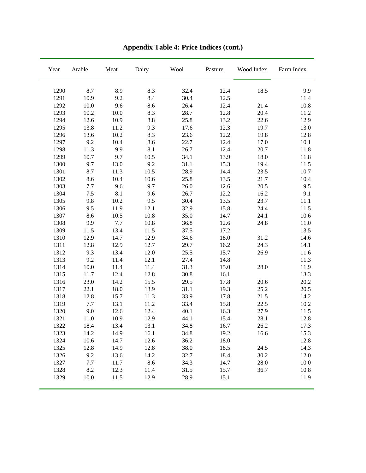| Year | Arable | Meat     | Dairy | Wool | Pasture | Wood Index | Farm Index |
|------|--------|----------|-------|------|---------|------------|------------|
| 1290 | 8.7    | 8.9      | 8.3   | 32.4 | 12.4    | 18.5       | 9.9        |
| 1291 | 10.9   | 9.2      | 8.4   | 30.4 | 12.5    |            | 11.4       |
| 1292 | 10.0   | 9.6      | 8.6   | 26.4 | 12.4    | 21.4       | 10.8       |
| 1293 | 10.2   | 10.0     | 8.3   | 28.7 | 12.8    | 20.4       | 11.2       |
| 1294 | 12.6   | 10.9     | 8.8   | 25.8 | 13.2    | 22.6       | 12.9       |
| 1295 | 13.8   | 11.2     | 9.3   | 17.6 | 12.3    | 19.7       | 13.0       |
| 1296 | 13.6   | $10.2\,$ | 8.3   | 23.6 | 12.2    | 19.8       | 12.8       |
| 1297 | 9.2    | 10.4     | 8.6   | 22.7 | 12.4    | 17.0       | 10.1       |
| 1298 | 11.3   | 9.9      | 8.1   | 26.7 | 12.4    | 20.7       | 11.8       |
| 1299 | 10.7   | 9.7      | 10.5  | 34.1 | 13.9    | 18.0       | 11.8       |
| 1300 | 9.7    | 13.0     | 9.2   | 31.1 | 15.3    | 19.4       | 11.5       |
| 1301 | 8.7    | 11.3     | 10.5  | 28.9 | 14.4    | 23.5       | 10.7       |
| 1302 | 8.6    | 10.4     | 10.6  | 25.8 | 13.5    | 21.7       | 10.4       |
| 1303 | 7.7    | 9.6      | 9.7   | 26.0 | 12.6    | 20.5       | 9.5        |
| 1304 | 7.5    | 8.1      | 9.6   | 26.7 | 12.2    | 16.2       | 9.1        |
| 1305 | 9.8    | 10.2     | 9.5   | 30.4 | 13.5    | 23.7       | 11.1       |
| 1306 | 9.5    | 11.9     | 12.1  | 32.9 | 15.8    | 24.4       | 11.5       |
| 1307 | 8.6    | 10.5     | 10.8  | 35.0 | 14.7    | 24.1       | 10.6       |
| 1308 | 9.9    | 7.7      | 10.8  | 36.8 | 12.6    | 24.8       | 11.0       |
| 1309 | 11.5   | 13.4     | 11.5  | 37.5 | 17.2    |            | 13.5       |
| 1310 | 12.9   | 14.7     | 12.9  | 34.6 | 18.0    | 31.2       | 14.6       |
| 1311 | 12.8   | 12.9     | 12.7  | 29.7 | 16.2    | 24.3       | 14.1       |
| 1312 | 9.3    | 13.4     | 12.0  | 25.5 | 15.7    | 26.9       | 11.6       |
| 1313 | 9.2    | 11.4     | 12.1  | 27.4 | 14.8    |            | 11.3       |
| 1314 | 10.0   | 11.4     | 11.4  | 31.3 | 15.0    | 28.0       | 11.9       |
| 1315 | 11.7   | 12.4     | 12.8  | 30.8 | 16.1    |            | 13.3       |
| 1316 | 23.0   | 14.2     | 15.5  | 29.5 | 17.8    | 20.6       | 20.2       |
| 1317 | 22.1   | 18.0     | 13.9  | 31.1 | 19.3    | 25.2       | 20.5       |
| 1318 | 12.8   | 15.7     | 11.3  | 33.9 | 17.8    | 21.5       | 14.2       |
| 1319 | 7.7    | 13.1     | 11.2  | 33.4 | 15.8    | 22.5       | $10.2\,$   |
| 1320 | 9.0    | 12.6     | 12.4  | 40.1 | 16.3    | 27.9       | 11.5       |
| 1321 | 11.0   | 10.9     | 12.9  | 44.1 | 15.4    | 28.1       | 12.8       |
| 1322 | 18.4   | 13.4     | 13.1  | 34.8 | 16.7    | 26.2       | 17.3       |
| 1323 | 14.2   | 14.9     | 16.1  | 34.8 | 19.2    | 16.6       | 15.3       |
| 1324 | 10.6   | 14.7     | 12.6  | 36.2 | 18.0    |            | 12.8       |
| 1325 | 12.8   | 14.9     | 12.8  | 38.0 | 18.5    | 24.5       | 14.3       |
| 1326 | 9.2    | 13.6     | 14.2  | 32.7 | 18.4    | 30.2       | 12.0       |
| 1327 | 7.7    | 11.7     | 8.6   | 34.3 | 14.7    | 28.0       | 10.0       |
| 1328 | 8.2    | 12.3     | 11.4  | 31.5 | 15.7    | 36.7       | 10.8       |
| 1329 | 10.0   | 11.5     | 12.9  | 28.9 | 15.1    |            | 11.9       |

**Appendix Table 4: Price Indices (cont.)**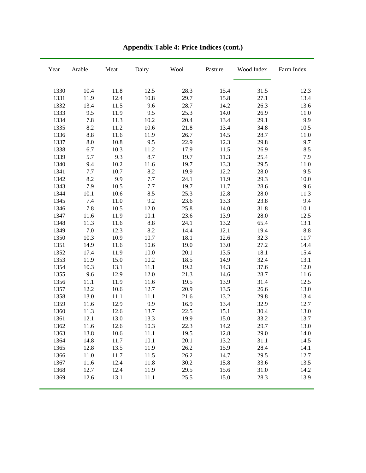| Year | Arable | $\operatorname{Meat}$ | Dairy      | Wool | Pasture | Wood Index | Farm Index |
|------|--------|-----------------------|------------|------|---------|------------|------------|
| 1330 | 10.4   | 11.8                  | 12.5       | 28.3 | 15.4    | 31.5       | 12.3       |
| 1331 | 11.9   | 12.4                  | 10.8       | 29.7 | 15.8    | 27.1       | 13.4       |
| 1332 | 13.4   | 11.5                  | 9.6        | 28.7 | 14.2    | 26.3       | 13.6       |
| 1333 | 9.5    | 11.9                  | 9.5        | 25.3 | 14.0    | 26.9       | 11.0       |
| 1334 | 7.8    | 11.3                  | $10.2\,$   | 20.4 | 13.4    | 29.1       | 9.9        |
| 1335 | 8.2    | 11.2                  | 10.6       | 21.8 | 13.4    | 34.8       | 10.5       |
| 1336 | 8.8    | 11.6                  | 11.9       | 26.7 | 14.5    | 28.7       | 11.0       |
| 1337 | 8.0    | 10.8                  | 9.5        | 22.9 | 12.3    | 29.8       | 9.7        |
| 1338 | 6.7    | 10.3                  | 11.2       | 17.9 | 11.5    | 26.9       | 8.5        |
| 1339 | 5.7    | 9.3                   | 8.7        | 19.7 | 11.3    | 25.4       | 7.9        |
| 1340 | 9.4    | 10.2                  | 11.6       | 19.7 | 13.3    | 29.5       | 11.0       |
| 1341 | 7.7    | 10.7                  | 8.2        | 19.9 | 12.2    | 28.0       | 9.5        |
| 1342 | 8.2    | 9.9                   | 7.7        | 24.1 | 11.9    | 29.3       | 10.0       |
| 1343 | 7.9    | 10.5                  | 7.7        | 19.7 | 11.7    | 28.6       | 9.6        |
| 1344 | 10.1   | 10.6                  | 8.5        | 25.3 | 12.8    | 28.0       | 11.3       |
| 1345 | 7.4    | 11.0                  | 9.2        | 23.6 | 13.3    | 23.8       | 9.4        |
| 1346 | 7.8    | 10.5                  | 12.0       | 25.8 | 14.0    | 31.8       | 10.1       |
| 1347 | 11.6   | 11.9                  | 10.1       | 23.6 | 13.9    | 28.0       | 12.5       |
| 1348 | 11.3   | 11.6                  | $\ \, 8.8$ | 24.1 | 13.2    | 65.4       | 13.1       |
| 1349 | 7.0    | 12.3                  | 8.2        | 14.4 | 12.1    | 19.4       | $8.8\,$    |
| 1350 | 10.3   | 10.9                  | 10.7       | 18.1 | 12.6    | 32.3       | 11.7       |
| 1351 | 14.9   | 11.6                  | 10.6       | 19.0 | 13.0    | 27.2       | 14.4       |
| 1352 | 17.4   | 11.9                  | 10.0       | 20.1 | 13.5    | 18.1       | 15.4       |
| 1353 | 11.9   | 15.0                  | 10.2       | 18.5 | 14.9    | 32.4       | 13.1       |
| 1354 | 10.3   | 13.1                  | 11.1       | 19.2 | 14.3    | 37.6       | 12.0       |
| 1355 | 9.6    | 12.9                  | 12.0       | 21.3 | 14.6    | 28.7       | 11.6       |
| 1356 | 11.1   | 11.9                  | 11.6       | 19.5 | 13.9    | 31.4       | 12.5       |
| 1357 | 12.2   | 10.6                  | 12.7       | 20.9 | 13.5    | 26.6       | 13.0       |
| 1358 | 13.0   | 11.1                  | 11.1       | 21.6 | 13.2    | 29.8       | 13.4       |
| 1359 | 11.6   | 12.9                  | 9.9        | 16.9 | 13.4    | 32.9       | 12.7       |
| 1360 | 11.3   | 12.6                  | 13.7       | 22.5 | 15.1    | 30.4       | 13.0       |
| 1361 | 12.1   | 13.0                  | 13.3       | 19.9 | 15.0    | 33.2       | 13.7       |
| 1362 | 11.6   | 12.6                  | 10.3       | 22.3 | 14.2    | 29.7       | 13.0       |
| 1363 | 13.8   | 10.6                  | 11.1       | 19.5 | 12.8    | 29.0       | 14.0       |
| 1364 | 14.8   | 11.7                  | 10.1       | 20.1 | 13.2    | 31.1       | 14.5       |
| 1365 | 12.8   | 13.5                  | 11.9       | 26.2 | 15.9    | 28.4       | 14.1       |
| 1366 | 11.0   | 11.7                  | 11.5       | 26.2 | 14.7    | 29.5       | 12.7       |
| 1367 | 11.6   | 12.4                  | 11.8       | 30.2 | 15.8    | 33.6       | 13.5       |
| 1368 | 12.7   | 12.4                  | 11.9       | 29.5 | 15.6    | 31.0       | 14.2       |
| 1369 | 12.6   | 13.1                  | 11.1       | 25.5 | 15.0    | 28.3       | 13.9       |

**Appendix Table 4: Price Indices (cont.)**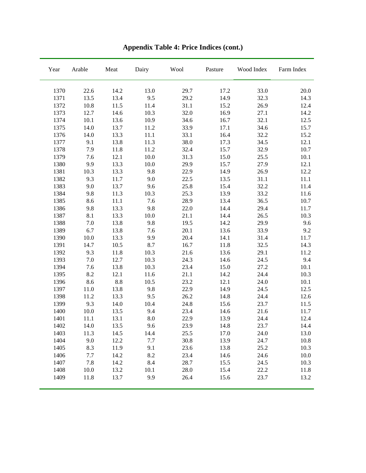| Year | Arable | $\operatorname{Meat}$ | Dairy    | Wool | Pasture | Wood Index | Farm Index |
|------|--------|-----------------------|----------|------|---------|------------|------------|
| 1370 | 22.6   | 14.2                  | 13.0     | 29.7 | 17.2    | 33.0       | 20.0       |
| 1371 | 13.5   | 13.4                  | 9.5      | 29.2 | 14.9    | 32.3       | 14.3       |
| 1372 | 10.8   | 11.5                  | 11.4     | 31.1 | 15.2    | 26.9       | 12.4       |
| 1373 | 12.7   | 14.6                  | 10.3     | 32.0 | 16.9    | 27.1       | 14.2       |
| 1374 | 10.1   | 13.6                  | 10.9     | 34.6 | 16.7    | 32.1       | 12.5       |
| 1375 | 14.0   | 13.7                  | 11.2     | 33.9 | 17.1    | 34.6       | 15.7       |
| 1376 | 14.0   | 13.3                  | $11.1\,$ | 33.1 | 16.4    | 32.2       | 15.2       |
| 1377 | 9.1    | 13.8                  | 11.3     | 38.0 | 17.3    | 34.5       | 12.1       |
| 1378 | 7.9    | 11.8                  | 11.2     | 32.4 | 15.7    | 32.9       | 10.7       |
| 1379 | 7.6    | 12.1                  | $10.0\,$ | 31.3 | 15.0    | 25.5       | 10.1       |
| 1380 | 9.9    | 13.3                  | 10.0     | 29.9 | 15.7    | 27.9       | 12.1       |
| 1381 | 10.3   | 13.3                  | 9.8      | 22.9 | 14.9    | 26.9       | 12.2       |
| 1382 | 9.3    | 11.7                  | 9.0      | 22.5 | 13.5    | 31.1       | 11.1       |
| 1383 | 9.0    | 13.7                  | 9.6      | 25.8 | 15.4    | 32.2       | 11.4       |
| 1384 | 9.8    | 11.3                  | 10.3     | 25.3 | 13.9    | 33.2       | 11.6       |
| 1385 | 8.6    | $11.1\,$              | 7.6      | 28.9 | 13.4    | 36.5       | 10.7       |
| 1386 | 9.8    | 13.3                  | 9.8      | 22.0 | 14.4    | 29.4       | 11.7       |
| 1387 | 8.1    | 13.3                  | 10.0     | 21.1 | 14.4    | 26.5       | 10.3       |
| 1388 | 7.0    | 13.8                  | 9.8      | 19.5 | 14.2    | 29.9       | 9.6        |
| 1389 | 6.7    | 13.8                  | 7.6      | 20.1 | 13.6    | 33.9       | 9.2        |
| 1390 | 10.0   | 13.3                  | 9.9      | 20.4 | 14.1    | 31.4       | 11.7       |
| 1391 | 14.7   | 10.5                  | 8.7      | 16.7 | 11.8    | 32.5       | 14.3       |
| 1392 | 9.3    | 11.8                  | 10.3     | 21.6 | 13.6    | 29.1       | 11.2       |
| 1393 | 7.0    | 12.7                  | 10.3     | 24.3 | 14.6    | 24.5       | 9.4        |
| 1394 | 7.6    | 13.8                  | 10.3     | 23.4 | 15.0    | 27.2       | 10.1       |
| 1395 | 8.2    | 12.1                  | 11.6     | 21.1 | 14.2    | 24.4       | 10.3       |
| 1396 | 8.6    | 8.8                   | 10.5     | 23.2 | 12.1    | 24.0       | 10.1       |
| 1397 | 11.0   | 13.8                  | 9.8      | 22.9 | 14.9    | 24.5       | 12.5       |
| 1398 | 11.2   | 13.3                  | 9.5      | 26.2 | 14.8    | 24.4       | 12.6       |
| 1399 | 9.3    | 14.0                  | 10.4     | 24.8 | 15.6    | 23.7       | 11.5       |
| 1400 | 10.0   | 13.5                  | 9.4      | 23.4 | 14.6    | 21.6       | 11.7       |
| 1401 | 11.1   | 13.1                  | 8.0      | 22.9 | 13.9    | 24.4       | 12.4       |
| 1402 | 14.0   | 13.5                  | 9.6      | 23.9 | 14.8    | 23.7       | 14.4       |
| 1403 | 11.3   | 14.5                  | 14.4     | 25.5 | 17.0    | 24.0       | 13.0       |
| 1404 | 9.0    | 12.2                  | 7.7      | 30.8 | 13.9    | 24.7       | 10.8       |
| 1405 | 8.3    | 11.9                  | 9.1      | 23.6 | 13.8    | 25.2       | 10.3       |
| 1406 | 7.7    | 14.2                  | 8.2      | 23.4 | 14.6    | 24.6       | 10.0       |
| 1407 | 7.8    | 14.2                  | 8.4      | 28.7 | 15.5    | 24.5       | 10.3       |
| 1408 | 10.0   | 13.2                  | 10.1     | 28.0 | 15.4    | 22.2       | 11.8       |
| 1409 | 11.8   | 13.7                  | 9.9      | 26.4 | 15.6    | 23.7       | 13.2       |

**Appendix Table 4: Price Indices (cont.)**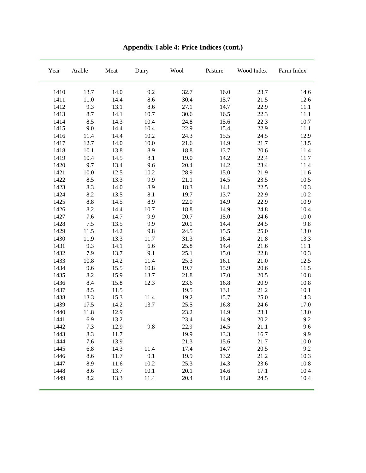| Year | Arable | Meat | Dairy | Wool | Pasture | Wood Index | Farm Index |
|------|--------|------|-------|------|---------|------------|------------|
| 1410 | 13.7   | 14.0 | 9.2   | 32.7 | 16.0    | 23.7       | 14.6       |
| 1411 | 11.0   | 14.4 | 8.6   | 30.4 | 15.7    | 21.5       | 12.6       |
| 1412 | 9.3    | 13.1 | 8.6   | 27.1 | 14.7    | 22.9       | 11.1       |
| 1413 | 8.7    | 14.1 | 10.7  | 30.6 | 16.5    | 22.3       | 11.1       |
| 1414 | 8.5    | 14.3 | 10.4  | 24.8 | 15.6    | 22.3       | 10.7       |
| 1415 | 9.0    | 14.4 | 10.4  | 22.9 | 15.4    | 22.9       | 11.1       |
| 1416 | 11.4   | 14.4 | 10.2  | 24.3 | 15.5    | 24.5       | 12.9       |
| 1417 | 12.7   | 14.0 | 10.0  | 21.6 | 14.9    | 21.7       | 13.5       |
| 1418 | 10.1   | 13.8 | 8.9   | 18.8 | 13.7    | 20.6       | 11.4       |
| 1419 | 10.4   | 14.5 | 8.1   | 19.0 | 14.2    | 22.4       | 11.7       |
| 1420 | 9.7    | 13.4 | 9.6   | 20.4 | 14.2    | 23.4       | 11.4       |
| 1421 | 10.0   | 12.5 | 10.2  | 28.9 | 15.0    | 21.9       | 11.6       |
| 1422 | 8.5    | 13.3 | 9.9   | 21.1 | 14.5    | 23.5       | 10.5       |
| 1423 | 8.3    | 14.0 | 8.9   | 18.3 | 14.1    | 22.5       | 10.3       |
| 1424 | 8.2    | 13.5 | 8.1   | 19.7 | 13.7    | 22.9       | 10.2       |
| 1425 | 8.8    | 14.5 | 8.9   | 22.0 | 14.9    | 22.9       | 10.9       |
| 1426 | 8.2    | 14.4 | 10.7  | 18.8 | 14.9    | 24.8       | 10.4       |
| 1427 | 7.6    | 14.7 | 9.9   | 20.7 | 15.0    | 24.6       | 10.0       |
| 1428 | $7.5$  | 13.5 | 9.9   | 20.1 | 14.4    | 24.5       | 9.8        |
| 1429 | 11.5   | 14.2 | 9.8   | 24.5 | 15.5    | 25.0       | 13.0       |
| 1430 | 11.9   | 13.3 | 11.7  | 31.3 | 16.4    | 21.8       | 13.3       |
| 1431 | 9.3    | 14.1 | 6.6   | 25.8 | 14.4    | 21.6       | 11.1       |
| 1432 | 7.9    | 13.7 | 9.1   | 25.1 | 15.0    | 22.8       | 10.3       |
| 1433 | 10.8   | 14.2 | 11.4  | 25.3 | 16.1    | $21.0\,$   | 12.5       |
| 1434 | 9.6    | 15.5 | 10.8  | 19.7 | 15.9    | 20.6       | 11.5       |
| 1435 | 8.2    | 15.9 | 13.7  | 21.8 | 17.0    | 20.5       | 10.8       |
| 1436 | 8.4    | 15.8 | 12.3  | 23.6 | 16.8    | 20.9       | 10.8       |
| 1437 | 8.5    | 11.5 |       | 19.5 | 13.1    | 21.2       | 10.1       |
| 1438 | 13.3   | 15.3 | 11.4  | 19.2 | 15.7    | 25.0       | 14.3       |
| 1439 | 17.5   | 14.2 | 13.7  | 25.5 | 16.8    | 24.6       | 17.0       |
| 1440 | 11.8   | 12.9 |       | 23.2 | 14.9    | 23.1       | 13.0       |
| 1441 | 6.9    | 13.2 |       | 23.4 | 14.9    | 20.2       | 9.2        |
| 1442 | 7.3    | 12.9 | 9.8   | 22.9 | 14.5    | 21.1       | 9.6        |
| 1443 | 8.3    | 11.7 |       | 19.9 | 13.3    | 16.7       | 9.9        |
| 1444 | 7.6    | 13.9 |       | 21.3 | 15.6    | 21.7       | 10.0       |
| 1445 | 6.8    | 14.3 | 11.4  | 17.4 | 14.7    | 20.5       | 9.2        |
| 1446 | 8.6    | 11.7 | 9.1   | 19.9 | 13.2    | 21.2       | 10.3       |
| 1447 | 8.9    | 11.6 | 10.2  | 25.3 | 14.3    | 23.6       | 10.8       |
| 1448 | 8.6    | 13.7 | 10.1  | 20.1 | 14.6    | 17.1       | 10.4       |
| 1449 | 8.2    | 13.3 | 11.4  | 20.4 | 14.8    | 24.5       | 10.4       |

**Appendix Table 4: Price Indices (cont.)**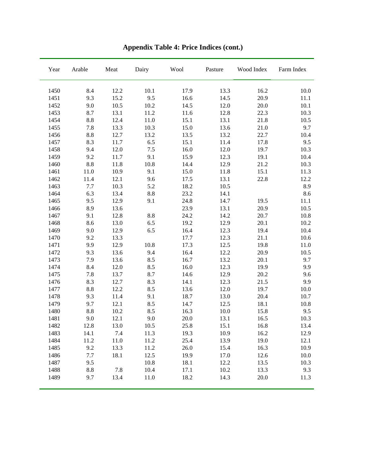| Year | Arable | $\operatorname{Meat}$ | Dairy    | Wool | Pasture | Wood Index | Farm Index |
|------|--------|-----------------------|----------|------|---------|------------|------------|
| 1450 | 8.4    | 12.2                  | 10.1     | 17.9 | 13.3    | 16.2       | $10.0\,$   |
| 1451 | 9.3    | 15.2                  | 9.5      | 16.6 | 14.5    | 20.9       | 11.1       |
| 1452 | 9.0    | 10.5                  | 10.2     | 14.5 | 12.0    | 20.0       | 10.1       |
| 1453 | 8.7    | 13.1                  | 11.2     | 11.6 | 12.8    | 22.3       | 10.3       |
| 1454 | 8.8    | 12.4                  | 11.0     | 15.1 | 13.1    | 21.8       | 10.5       |
| 1455 | 7.8    | 13.3                  | 10.3     | 15.0 | 13.6    | 21.0       | 9.7        |
| 1456 | 8.8    | 12.7                  | 13.2     | 13.5 | 13.2    | 22.7       | 10.4       |
| 1457 | 8.3    | 11.7                  | 6.5      | 15.1 | 11.4    | 17.8       | 9.5        |
| 1458 | 9.4    | $12.0\,$              | $7.5\,$  | 16.0 | 12.0    | 19.7       | 10.3       |
| 1459 | 9.2    | 11.7                  | 9.1      | 15.9 | 12.3    | 19.1       | 10.4       |
| 1460 | 8.8    | 11.8                  | $10.8\,$ | 14.4 | 12.9    | 21.2       | 10.3       |
| 1461 | 11.0   | 10.9                  | 9.1      | 15.0 | 11.8    | 15.1       | 11.3       |
| 1462 | 11.4   | 12.1                  | 9.6      | 17.5 | 13.1    | 22.8       | 12.2       |
| 1463 | 7.7    | 10.3                  | 5.2      | 18.2 | 10.5    |            | 8.9        |
| 1464 | 6.3    | 13.4                  | 8.8      | 23.2 | 14.1    |            | 8.6        |
| 1465 | 9.5    | 12.9                  | 9.1      | 24.8 | 14.7    | 19.5       | 11.1       |
| 1466 | 8.9    | 13.6                  |          | 23.9 | 13.1    | 20.9       | 10.5       |
| 1467 | 9.1    | 12.8                  | 8.8      | 24.2 | 14.2    | 20.7       | 10.8       |
| 1468 | 8.6    | 13.0                  | 6.5      | 19.2 | 12.9    | 20.1       | $10.2\,$   |
| 1469 | 9.0    | 12.9                  | 6.5      | 16.4 | 12.3    | 19.4       | 10.4       |
| 1470 | 9.2    | 13.3                  |          | 17.7 | 12.3    | 21.1       | 10.6       |
| 1471 | 9.9    | 12.9                  | 10.8     | 17.3 | 12.5    | 19.8       | 11.0       |
| 1472 | 9.3    | 13.6                  | 9.4      | 16.4 | 12.2    | 20.9       | 10.5       |
| 1473 | 7.9    | 13.6                  | 8.5      | 16.7 | 13.2    | 20.1       | 9.7        |
| 1474 | 8.4    | 12.0                  | 8.5      | 16.0 | 12.3    | 19.9       | 9.9        |
| 1475 | 7.8    | 13.7                  | 8.7      | 14.6 | 12.9    | 20.2       | 9.6        |
| 1476 | 8.3    | 12.7                  | 8.3      | 14.1 | 12.3    | 21.5       | 9.9        |
| 1477 | 8.8    | 12.2                  | 8.5      | 13.6 | 12.0    | 19.7       | 10.0       |
| 1478 | 9.3    | 11.4                  | 9.1      | 18.7 | 13.0    | 20.4       | 10.7       |
| 1479 | 9.7    | 12.1                  | 8.5      | 14.7 | 12.5    | 18.1       | $10.8\,$   |
| 1480 | 8.8    | 10.2                  | 8.5      | 16.3 | 10.0    | 15.8       | 9.5        |
| 1481 | 9.0    | 12.1                  | 9.0      | 20.0 | 13.1    | 16.5       | 10.3       |
| 1482 | 12.8   | 13.0                  | 10.5     | 25.8 | 15.1    | 16.8       | 13.4       |
| 1483 | 14.1   | 7.4                   | 11.3     | 19.3 | 10.9    | 16.2       | 12.9       |
| 1484 | 11.2   | 11.0                  | 11.2     | 25.4 | 13.9    | 19.0       | 12.1       |
| 1485 | 9.2    | 13.3                  | 11.2     | 26.0 | 15.4    | 16.3       | 10.9       |
| 1486 | 7.7    | 18.1                  | 12.5     | 19.9 | 17.0    | 12.6       | 10.0       |
| 1487 | 9.5    |                       | 10.8     | 18.1 | 12.2    | 13.5       | 10.3       |
| 1488 | 8.8    | 7.8                   | 10.4     | 17.1 | 10.2    | 13.3       | 9.3        |
| 1489 | 9.7    | 13.4                  | 11.0     | 18.2 | 14.3    | 20.0       | 11.3       |

**Appendix Table 4: Price Indices (cont.)**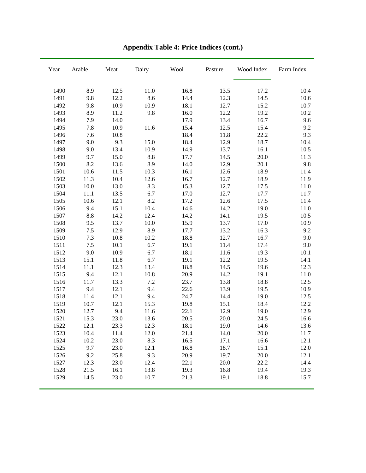| Year | Arable | Meat | Dairy   | Wool | Pasture | Wood Index | Farm Index |
|------|--------|------|---------|------|---------|------------|------------|
| 1490 | 8.9    | 12.5 | 11.0    | 16.8 | 13.5    | 17.2       | 10.4       |
| 1491 | 9.8    | 12.2 | 8.6     | 14.4 | 12.3    | 14.5       | 10.6       |
| 1492 | 9.8    | 10.9 | 10.9    | 18.1 | 12.7    | 15.2       | 10.7       |
| 1493 | 8.9    | 11.2 | 9.8     | 16.0 | 12.2    | 19.2       | 10.2       |
| 1494 | 7.9    | 14.0 |         | 17.9 | 13.4    | 16.7       | 9.6        |
| 1495 | 7.8    | 10.9 | 11.6    | 15.4 | 12.5    | 15.4       | 9.2        |
| 1496 | 7.6    | 10.8 |         | 18.4 | 11.8    | 22.2       | 9.3        |
| 1497 | 9.0    | 9.3  | 15.0    | 18.4 | 12.9    | 18.7       | 10.4       |
| 1498 | 9.0    | 13.4 | 10.9    | 14.9 | 13.7    | 16.1       | 10.5       |
| 1499 | 9.7    | 15.0 | $8.8\,$ | 17.7 | 14.5    | 20.0       | 11.3       |
| 1500 | 8.2    | 13.6 | 8.9     | 14.0 | 12.9    | 20.1       | 9.8        |
| 1501 | 10.6   | 11.5 | 10.3    | 16.1 | 12.6    | 18.9       | 11.4       |
| 1502 | 11.3   | 10.4 | 12.6    | 16.7 | 12.7    | 18.9       | 11.9       |
| 1503 | 10.0   | 13.0 | 8.3     | 15.3 | 12.7    | 17.5       | 11.0       |
| 1504 | 11.1   | 13.5 | 6.7     | 17.0 | 12.7    | 17.7       | 11.7       |
| 1505 | 10.6   | 12.1 | 8.2     | 17.2 | 12.6    | 17.5       | 11.4       |
| 1506 | 9.4    | 15.1 | 10.4    | 14.6 | 14.2    | 19.0       | 11.0       |
| 1507 | 8.8    | 14.2 | 12.4    | 14.2 | 14.1    | 19.5       | 10.5       |
| 1508 | 9.5    | 13.7 | 10.0    | 15.9 | 13.7    | 17.0       | 10.9       |
| 1509 | 7.5    | 12.9 | 8.9     | 17.7 | 13.2    | 16.3       | 9.2        |
| 1510 | 7.3    | 10.8 | 10.2    | 18.8 | 12.7    | 16.7       | 9.0        |
| 1511 | 7.5    | 10.1 | 6.7     | 19.1 | 11.4    | 17.4       | 9.0        |
| 1512 | 9.0    | 10.9 | 6.7     | 18.1 | 11.6    | 19.3       | 10.1       |
| 1513 | 15.1   | 11.8 | 6.7     | 19.1 | 12.2    | 19.5       | 14.1       |
| 1514 | 11.1   | 12.3 | 13.4    | 18.8 | 14.5    | 19.6       | 12.3       |
| 1515 | 9.4    | 12.1 | 10.8    | 20.9 | 14.2    | 19.1       | 11.0       |
| 1516 | 11.7   | 13.3 | $7.2\,$ | 23.7 | 13.8    | 18.8       | 12.5       |
| 1517 | 9.4    | 12.1 | 9.4     | 22.6 | 13.9    | 19.5       | 10.9       |
| 1518 | 11.4   | 12.1 | 9.4     | 24.7 | 14.4    | 19.0       | 12.5       |
| 1519 | 10.7   | 12.1 | 15.3    | 19.8 | 15.1    | 18.4       | 12.2       |
| 1520 | 12.7   | 9.4  | 11.6    | 22.1 | 12.9    | 19.0       | 12.9       |
| 1521 | 15.3   | 23.0 | 13.6    | 20.5 | 20.0    | 24.5       | 16.6       |
| 1522 | 12.1   | 23.3 | 12.3    | 18.1 | 19.0    | 14.6       | 13.6       |
| 1523 | 10.4   | 11.4 | 12.0    | 21.4 | 14.0    | 20.0       | 11.7       |
| 1524 | 10.2   | 23.0 | 8.3     | 16.5 | 17.1    | 16.6       | 12.1       |
| 1525 | 9.7    | 23.0 | 12.1    | 16.8 | 18.7    | 15.1       | 12.0       |
| 1526 | 9.2    | 25.8 | 9.3     | 20.9 | 19.7    | 20.0       | 12.1       |
| 1527 | 12.3   | 23.0 | 12.4    | 22.1 | 20.0    | 22.2       | 14.4       |
| 1528 | 21.5   | 16.1 | 13.8    | 19.3 | 16.8    | 19.4       | 19.3       |
| 1529 | 14.5   | 23.0 | 10.7    | 21.3 | 19.1    | 18.8       | 15.7       |

**Appendix Table 4: Price Indices (cont.)**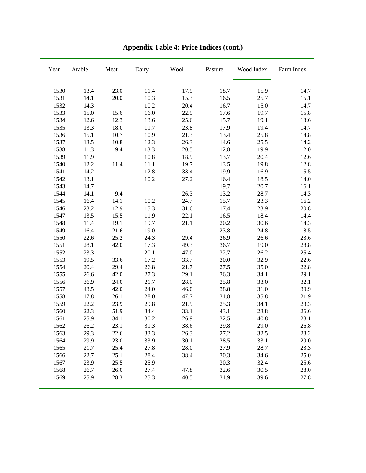| Year | Arable | Meat | Dairy | Wool | Pasture | Wood Index | Farm Index |
|------|--------|------|-------|------|---------|------------|------------|
| 1530 | 13.4   | 23.0 | 11.4  | 17.9 | 18.7    | 15.9       | 14.7       |
| 1531 | 14.1   | 20.0 | 10.3  | 15.3 | 16.5    | 25.7       | 15.1       |
| 1532 | 14.3   |      | 10.2  | 20.4 | 16.7    | 15.0       | 14.7       |
| 1533 | 15.0   | 15.6 | 16.0  | 22.9 | 17.6    | 19.7       | 15.8       |
| 1534 | 12.6   | 12.3 | 13.6  | 25.6 | 15.7    | 19.1       | 13.6       |
| 1535 | 13.3   | 18.0 | 11.7  | 23.8 | 17.9    | 19.4       | 14.7       |
| 1536 | 15.1   | 10.7 | 10.9  | 21.3 | 13.4    | 25.8       | 14.8       |
| 1537 | 13.5   | 10.8 | 12.3  | 26.3 | 14.6    | 25.5       | 14.2       |
| 1538 | 11.3   | 9.4  | 13.3  | 20.5 | 12.8    | 19.9       | 12.0       |
| 1539 | 11.9   |      | 10.8  | 18.9 | 13.7    | 20.4       | 12.6       |
| 1540 | 12.2   | 11.4 | 11.1  | 19.7 | 13.5    | 19.8       | 12.8       |
| 1541 | 14.2   |      | 12.8  | 33.4 | 19.9    | 16.9       | 15.5       |
| 1542 | 13.1   |      | 10.2  | 27.2 | 16.4    | 18.5       | 14.0       |
| 1543 | 14.7   |      |       |      | 19.7    | 20.7       | 16.1       |
| 1544 | 14.1   | 9.4  |       | 26.3 | 13.2    | 28.7       | 14.3       |
| 1545 | 16.4   | 14.1 | 10.2  | 24.7 | 15.7    | 23.3       | 16.2       |
| 1546 | 23.2   | 12.9 | 15.3  | 31.6 | 17.4    | 23.9       | 20.8       |
| 1547 | 13.5   | 15.5 | 11.9  | 22.1 | 16.5    | 18.4       | 14.4       |
| 1548 | 11.4   | 19.1 | 19.7  | 21.1 | 20.2    | 30.6       | 14.3       |
| 1549 | 16.4   | 21.6 | 19.0  |      | 23.8    | 24.8       | 18.5       |
| 1550 | 22.6   | 25.2 | 24.3  | 29.4 | 26.9    | 26.6       | 23.6       |
| 1551 | 28.1   | 42.0 | 17.3  | 49.3 | 36.7    | 19.0       | 28.8       |
| 1552 | 23.3   |      | 20.1  | 47.0 | 32.7    | 26.2       | 25.4       |
| 1553 | 19.5   | 33.6 | 17.2  | 33.7 | 30.0    | 32.9       | 22.6       |
| 1554 | 20.4   | 29.4 | 26.8  | 21.7 | 27.5    | 35.0       | 22.8       |
| 1555 | 26.6   | 42.0 | 27.3  | 29.1 | 36.3    | 34.1       | 29.1       |
| 1556 | 36.9   | 24.0 | 21.7  | 28.0 | 25.8    | 33.0       | 32.1       |
| 1557 | 43.5   | 42.0 | 24.0  | 46.0 | 38.8    | 31.0       | 39.9       |
| 1558 | 17.8   | 26.1 | 28.0  | 47.7 | 31.8    | 35.8       | 21.9       |
| 1559 | 22.2   | 23.9 | 29.8  | 21.9 | 25.3    | 34.1       | 23.3       |
| 1560 | 22.3   | 51.9 | 34.4  | 33.1 | 43.1    | 23.8       | 26.6       |
| 1561 | 25.9   | 34.1 | 30.2  | 26.9 | 32.5    | 40.8       | 28.1       |
| 1562 | 26.2   | 23.1 | 31.3  | 38.6 | 29.8    | 29.0       | 26.8       |
| 1563 | 29.3   | 22.6 | 33.3  | 26.3 | 27.2    | 32.5       | 28.2       |
| 1564 | 29.9   | 23.0 | 33.9  | 30.1 | 28.5    | 33.1       | 29.0       |
| 1565 | 21.7   | 25.4 | 27.8  | 28.0 | 27.9    | 28.7       | 23.3       |
| 1566 | 22.7   | 25.1 | 28.4  | 38.4 | 30.3    | 34.6       | 25.0       |
| 1567 | 23.9   | 25.5 | 25.9  |      | 30.3    | 32.4       | 25.6       |
| 1568 | 26.7   | 26.0 | 27.4  | 47.8 | 32.6    | 30.5       | 28.0       |
| 1569 | 25.9   | 28.3 | 25.3  | 40.5 | 31.9    | 39.6       | 27.8       |

**Appendix Table 4: Price Indices (cont.)**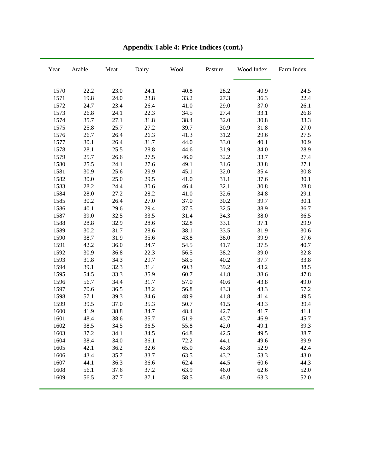| Year | Arable | $\operatorname{Meat}$ | Dairy | Wool | Pasture | Wood Index | Farm Index |
|------|--------|-----------------------|-------|------|---------|------------|------------|
| 1570 | 22.2   | 23.0                  | 24.1  | 40.8 | 28.2    | 40.9       | 24.5       |
| 1571 | 19.8   | 24.0                  | 23.8  | 33.2 | 27.3    | 36.3       | 22.4       |
| 1572 | 24.7   | 23.4                  | 26.4  | 41.0 | 29.0    | 37.0       | 26.1       |
| 1573 | 26.8   | 24.1                  | 22.3  | 34.5 | 27.4    | 33.1       | 26.8       |
| 1574 | 35.7   | 27.1                  | 31.8  | 38.4 | 32.0    | 30.8       | 33.3       |
| 1575 | 25.8   | 25.7                  | 27.2  | 39.7 | 30.9    | 31.8       | 27.0       |
| 1576 | 26.7   | 26.4                  | 26.3  | 41.3 | 31.2    | 29.6       | 27.5       |
| 1577 | 30.1   | 26.4                  | 31.7  | 44.0 | 33.0    | 40.1       | 30.9       |
| 1578 | 28.1   | 25.5                  | 28.8  | 44.6 | 31.9    | 34.0       | 28.9       |
| 1579 | 25.7   | 26.6                  | 27.5  | 46.0 | 32.2    | 33.7       | 27.4       |
| 1580 | 25.5   | 24.1                  | 27.6  | 49.1 | 31.6    | 33.8       | 27.1       |
| 1581 | 30.9   | 25.6                  | 29.9  | 45.1 | 32.0    | 35.4       | 30.8       |
| 1582 | 30.0   | 25.0                  | 29.5  | 41.0 | 31.1    | 37.6       | 30.1       |
| 1583 | 28.2   | 24.4                  | 30.6  | 46.4 | 32.1    | 30.8       | 28.8       |
| 1584 | 28.0   | 27.2                  | 28.2  | 41.0 | 32.6    | 34.8       | 29.1       |
| 1585 | 30.2   | 26.4                  | 27.0  | 37.0 | 30.2    | 39.7       | 30.1       |
| 1586 | 40.1   | 29.6                  | 29.4  | 37.5 | 32.5    | 38.9       | 36.7       |
| 1587 | 39.0   | 32.5                  | 33.5  | 31.4 | 34.3    | 38.0       | 36.5       |
| 1588 | 28.8   | 32.9                  | 28.6  | 32.8 | 33.1    | 37.1       | 29.9       |
| 1589 | 30.2   | 31.7                  | 28.6  | 38.1 | 33.5    | 31.9       | 30.6       |
| 1590 | 38.7   | 31.9                  | 35.6  | 43.8 | 38.0    | 39.9       | 37.6       |
| 1591 | 42.2   | 36.0                  | 34.7  | 54.5 | 41.7    | 37.5       | 40.7       |
| 1592 | 30.9   | 36.8                  | 22.3  | 56.5 | 38.2    | 39.0       | 32.8       |
| 1593 | 31.8   | 34.3                  | 29.7  | 58.5 | 40.2    | 37.7       | 33.8       |
| 1594 | 39.1   | 32.3                  | 31.4  | 60.3 | 39.2    | 43.2       | 38.5       |
| 1595 | 54.5   | 33.3                  | 35.9  | 60.7 | 41.8    | 38.6       | 47.8       |
| 1596 | 56.7   | 34.4                  | 31.7  | 57.0 | 40.6    | 43.8       | 49.0       |
| 1597 | 70.6   | 36.5                  | 38.2  | 56.8 | 43.3    | 43.3       | 57.2       |
| 1598 | 57.1   | 39.3                  | 34.6  | 48.9 | 41.8    | 41.4       | 49.5       |
| 1599 | 39.5   | 37.0                  | 35.3  | 50.7 | 41.5    | 43.3       | 39.4       |
| 1600 | 41.9   | 38.8                  | 34.7  | 48.4 | 42.7    | 41.7       | 41.1       |
| 1601 | 48.4   | 38.6                  | 35.7  | 51.9 | 43.7    | 46.9       | 45.7       |
| 1602 | 38.5   | 34.5                  | 36.5  | 55.8 | 42.0    | 49.1       | 39.3       |
| 1603 | 37.2   | 34.1                  | 34.5  | 64.8 | 42.5    | 49.5       | 38.7       |
| 1604 | 38.4   | 34.0                  | 36.1  | 72.2 | 44.1    | 49.6       | 39.9       |
| 1605 | 42.1   | 36.2                  | 32.6  | 65.0 | 43.8    | 52.9       | 42.4       |
| 1606 | 43.4   | 35.7                  | 33.7  | 63.5 | 43.2    | 53.3       | 43.0       |
| 1607 | 44.1   | 36.3                  | 36.6  | 62.4 | 44.5    | 60.6       | 44.3       |
| 1608 | 56.1   | 37.6                  | 37.2  | 63.9 | 46.0    | 62.6       | 52.0       |
| 1609 | 56.5   | 37.7                  | 37.1  | 58.5 | 45.0    | 63.3       | 52.0       |

**Appendix Table 4: Price Indices (cont.)**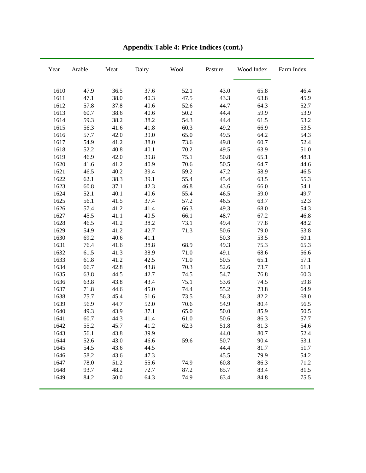| Year | Arable | Meat | Dairy | Wool | Pasture | Wood Index | Farm Index |
|------|--------|------|-------|------|---------|------------|------------|
| 1610 | 47.9   | 36.5 | 37.6  | 52.1 | 43.0    | 65.8       | 46.4       |
| 1611 | 47.1   | 38.0 | 40.3  | 47.5 | 43.3    | 63.8       | 45.9       |
| 1612 | 57.8   | 37.8 | 40.6  | 52.6 | 44.7    | 64.3       | 52.7       |
| 1613 | 60.7   | 38.6 | 40.6  | 50.2 | 44.4    | 59.9       | 53.9       |
| 1614 | 59.3   | 38.2 | 38.2  | 54.3 | 44.4    | 61.5       | 53.2       |
| 1615 | 56.3   | 41.6 | 41.8  | 60.3 | 49.2    | 66.9       | 53.5       |
| 1616 | 57.7   | 42.0 | 39.0  | 65.0 | 49.5    | 64.2       | 54.3       |
| 1617 | 54.9   | 41.2 | 38.0  | 73.6 | 49.8    | 60.7       | 52.4       |
| 1618 | 52.2   | 40.8 | 40.1  | 70.2 | 49.5    | 63.9       | 51.0       |
| 1619 | 46.9   | 42.0 | 39.8  | 75.1 | 50.8    | 65.1       | 48.1       |
| 1620 | 41.6   | 41.2 | 40.9  | 70.6 | 50.5    | 64.7       | 44.6       |
| 1621 | 46.5   | 40.2 | 39.4  | 59.2 | 47.2    | 58.9       | 46.5       |
| 1622 | 62.1   | 38.3 | 39.1  | 55.4 | 45.4    | 63.5       | 55.3       |
| 1623 | 60.8   | 37.1 | 42.3  | 46.8 | 43.6    | 66.0       | 54.1       |
| 1624 | 52.1   | 40.1 | 40.6  | 55.4 | 46.5    | 59.0       | 49.7       |
| 1625 | 56.1   | 41.5 | 37.4  | 57.2 | 46.5    | 63.7       | 52.3       |
| 1626 | 57.4   | 41.2 | 41.4  | 66.3 | 49.3    | 68.0       | 54.3       |
| 1627 | 45.5   | 41.1 | 40.5  | 66.1 | 48.7    | 67.2       | 46.8       |
| 1628 | 46.5   | 41.2 | 38.2  | 73.1 | 49.4    | 77.8       | 48.2       |
| 1629 | 54.9   | 41.2 | 42.7  | 71.3 | 50.6    | 79.0       | 53.8       |
| 1630 | 69.2   | 40.6 | 41.1  |      | 50.3    | 53.5       | 60.1       |
| 1631 | 76.4   | 41.6 | 38.8  | 68.9 | 49.3    | 75.3       | 65.3       |
| 1632 | 61.5   | 41.3 | 38.9  | 71.0 | 49.1    | 68.6       | 56.6       |
| 1633 | 61.8   | 41.2 | 42.5  | 71.0 | 50.5    | 65.1       | 57.1       |
| 1634 | 66.7   | 42.8 | 43.8  | 70.3 | 52.6    | 73.7       | 61.1       |
| 1635 | 63.8   | 44.5 | 42.7  | 74.5 | 54.7    | 76.8       | 60.3       |
| 1636 | 63.8   | 43.8 | 43.4  | 75.1 | 53.6    | 74.5       | 59.8       |
| 1637 | 71.8   | 44.6 | 45.0  | 74.4 | 55.2    | 73.8       | 64.9       |
| 1638 | 75.7   | 45.4 | 51.6  | 73.5 | 56.3    | 82.2       | 68.0       |
| 1639 | 56.9   | 44.7 | 52.0  | 70.6 | 54.9    | 80.4       | 56.5       |
| 1640 | 49.3   | 43.9 | 37.1  | 65.0 | 50.0    | 85.9       | 50.5       |
| 1641 | 60.7   | 44.3 | 41.4  | 61.0 | 50.6    | 86.3       | 57.7       |
| 1642 | 55.2   | 45.7 | 41.2  | 62.3 | 51.8    | 81.3       | 54.6       |
| 1643 | 56.1   | 43.8 | 39.9  |      | 44.0    | 80.7       | 52.4       |
| 1644 | 52.6   | 43.0 | 46.6  | 59.6 | 50.7    | 90.4       | 53.1       |
| 1645 | 54.5   | 43.6 | 44.5  |      | 44.4    | 81.7       | 51.7       |
| 1646 | 58.2   | 43.6 | 47.3  |      | 45.5    | 79.9       | 54.2       |
| 1647 | 78.0   | 51.2 | 55.6  | 74.9 | 60.8    | 86.3       | 71.2       |
| 1648 | 93.7   | 48.2 | 72.7  | 87.2 | 65.7    | 83.4       | 81.5       |
| 1649 | 84.2   | 50.0 | 64.3  | 74.9 | 63.4    | 84.8       | 75.5       |

**Appendix Table 4: Price Indices (cont.)**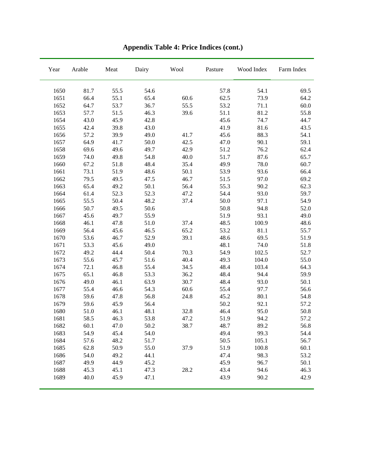| Year | Arable | Meat | Dairy | Wool | Pasture | Wood Index | Farm Index |
|------|--------|------|-------|------|---------|------------|------------|
| 1650 | 81.7   | 55.5 | 54.6  |      | 57.8    | 54.1       | 69.5       |
| 1651 | 66.4   | 55.1 | 65.4  | 60.6 | 62.5    | 73.9       | 64.2       |
| 1652 | 64.7   | 53.7 | 36.7  | 55.5 | 53.2    | 71.1       | $60.0$     |
| 1653 | 57.7   | 51.5 | 46.3  | 39.6 | 51.1    | 81.2       | 55.8       |
| 1654 | 43.0   | 45.9 | 42.8  |      | 45.6    | 74.7       | 44.7       |
| 1655 | 42.4   | 39.8 | 43.0  |      | 41.9    | 81.6       | 43.5       |
| 1656 | 57.2   | 39.9 | 49.0  | 41.7 | 45.6    | 88.3       | 54.1       |
| 1657 | 64.9   | 41.7 | 50.0  | 42.5 | 47.0    | 90.1       | 59.1       |
| 1658 | 69.6   | 49.6 | 49.7  | 42.9 | 51.2    | 76.2       | 62.4       |
| 1659 | 74.0   | 49.8 | 54.8  | 40.0 | 51.7    | 87.6       | 65.7       |
| 1660 | 67.2   | 51.8 | 48.4  | 35.4 | 49.9    | 78.0       | 60.7       |
| 1661 | 73.1   | 51.9 | 48.6  | 50.1 | 53.9    | 93.6       | 66.4       |
| 1662 | 79.5   | 49.5 | 47.5  | 46.7 | 51.5    | 97.0       | 69.2       |
| 1663 | 65.4   | 49.2 | 50.1  | 56.4 | 55.3    | 90.2       | 62.3       |
| 1664 | 61.4   | 52.3 | 52.3  | 47.2 | 54.4    | 93.0       | 59.7       |
| 1665 | 55.5   | 50.4 | 48.2  | 37.4 | 50.0    | 97.1       | 54.9       |
| 1666 | 50.7   | 49.5 | 50.6  |      | 50.8    | 94.8       | 52.0       |
| 1667 | 45.6   | 49.7 | 55.9  |      | 51.9    | 93.1       | 49.0       |
| 1668 | 46.1   | 47.8 | 51.0  | 37.4 | 48.5    | 100.9      | 48.6       |
| 1669 | 56.4   | 45.6 | 46.5  | 65.2 | 53.2    | 81.1       | 55.7       |
| 1670 | 53.6   | 46.7 | 52.9  | 39.1 | 48.6    | 69.5       | 51.9       |
| 1671 | 53.3   | 45.6 | 49.0  |      | 48.1    | 74.0       | 51.8       |
| 1672 | 49.2   | 44.4 | 50.4  | 70.3 | 54.9    | 102.5      | 52.7       |
| 1673 | 55.6   | 45.7 | 51.6  | 40.4 | 49.3    | 104.0      | 55.0       |
| 1674 | 72.1   | 46.8 | 55.4  | 34.5 | 48.4    | 103.4      | 64.3       |
| 1675 | 65.1   | 46.8 | 53.3  | 36.2 | 48.4    | 94.4       | 59.9       |
| 1676 | 49.0   | 46.1 | 63.9  | 30.7 | 48.4    | 93.0       | 50.1       |
| 1677 | 55.4   | 46.6 | 54.3  | 60.6 | 55.4    | 97.7       | 56.6       |
| 1678 | 59.6   | 47.8 | 56.8  | 24.8 | 45.2    | 80.1       | 54.8       |
| 1679 | 59.6   | 45.9 | 56.4  |      | 50.2    | 92.1       | 57.2       |
| 1680 | 51.0   | 46.1 | 48.1  | 32.8 | 46.4    | 95.0       | 50.8       |
| 1681 | 58.5   | 46.3 | 53.8  | 47.2 | 51.9    | 94.2       | 57.2       |
| 1682 | 60.1   | 47.0 | 50.2  | 38.7 | 48.7    | 89.2       | 56.8       |
| 1683 | 54.9   | 45.4 | 54.0  |      | 49.4    | 99.3       | 54.4       |
| 1684 | 57.6   | 48.2 | 51.7  |      | 50.5    | 105.1      | 56.7       |
| 1685 | 62.8   | 50.9 | 55.0  | 37.9 | 51.9    | 100.8      | 60.1       |
| 1686 | 54.0   | 49.2 | 44.1  |      | 47.4    | 98.3       | 53.2       |
| 1687 | 49.9   | 44.9 | 45.2  |      | 45.9    | 96.7       | 50.1       |
| 1688 | 45.3   | 45.1 | 47.3  | 28.2 | 43.4    | 94.6       | 46.3       |
| 1689 | 40.0   | 45.9 | 47.1  |      | 43.9    | 90.2       | 42.9       |

**Appendix Table 4: Price Indices (cont.)**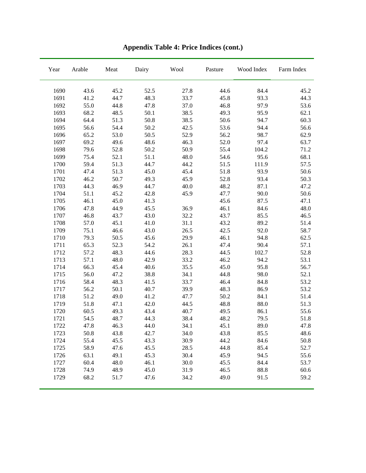| Year | Arable | $\operatorname{Meat}$ | Dairy | Wool | Pasture | Wood Index | Farm Index |
|------|--------|-----------------------|-------|------|---------|------------|------------|
| 1690 | 43.6   | 45.2                  | 52.5  | 27.8 | 44.6    | 84.4       | 45.2       |
| 1691 | 41.2   | 44.7                  | 48.3  | 33.7 | 45.8    | 93.3       | 44.3       |
| 1692 | 55.0   | 44.8                  | 47.8  | 37.0 | 46.8    | 97.9       | 53.6       |
| 1693 | 68.2   | 48.5                  | 50.1  | 38.5 | 49.3    | 95.9       | 62.1       |
| 1694 | 64.4   | 51.3                  | 50.8  | 38.5 | 50.6    | 94.7       | 60.3       |
| 1695 | 56.6   | 54.4                  | 50.2  | 42.5 | 53.6    | 94.4       | 56.6       |
| 1696 | 65.2   | 53.0                  | 50.5  | 52.9 | 56.2    | 98.7       | 62.9       |
| 1697 | 69.2   | 49.6                  | 48.6  | 46.3 | 52.0    | 97.4       | 63.7       |
| 1698 | 79.6   | 52.8                  | 50.2  | 50.9 | 55.4    | 104.2      | 71.2       |
| 1699 | 75.4   | 52.1                  | 51.1  | 48.0 | 54.6    | 95.6       | 68.1       |
| 1700 | 59.4   | 51.3                  | 44.7  | 44.2 | 51.5    | 111.9      | 57.5       |
| 1701 | 47.4   | 51.3                  | 45.0  | 45.4 | 51.8    | 93.9       | 50.6       |
| 1702 | 46.2   | 50.7                  | 49.3  | 45.9 | 52.8    | 93.4       | 50.3       |
| 1703 | 44.3   | 46.9                  | 44.7  | 40.0 | 48.2    | 87.1       | 47.2       |
| 1704 | 51.1   | 45.2                  | 42.8  | 45.9 | 47.7    | 90.0       | 50.6       |
| 1705 | 46.1   | 45.0                  | 41.3  |      | 45.6    | 87.5       | 47.1       |
| 1706 | 47.8   | 44.9                  | 45.5  | 36.9 | 46.1    | 84.6       | 48.0       |
| 1707 | 46.8   | 43.7                  | 43.0  | 32.2 | 43.7    | 85.5       | 46.5       |
| 1708 | 57.0   | 45.1                  | 41.0  | 31.1 | 43.2    | 89.2       | 51.4       |
| 1709 | 75.1   | 46.6                  | 43.0  | 26.5 | 42.5    | 92.0       | 58.7       |
| 1710 | 79.3   | 50.5                  | 45.6  | 29.9 | 46.1    | 94.8       | 62.5       |
| 1711 | 65.3   | 52.3                  | 54.2  | 26.1 | 47.4    | 90.4       | 57.1       |
| 1712 | 57.2   | 48.3                  | 44.6  | 28.3 | 44.5    | 102.7      | 52.8       |
| 1713 | 57.1   | 48.0                  | 42.9  | 33.2 | 46.2    | 94.2       | 53.1       |
| 1714 | 66.3   | 45.4                  | 40.6  | 35.5 | 45.0    | 95.8       | 56.7       |
| 1715 | 56.0   | 47.2                  | 38.8  | 34.1 | 44.8    | 98.0       | 52.1       |
| 1716 | 58.4   | 48.3                  | 41.5  | 33.7 | 46.4    | 84.8       | 53.2       |
| 1717 | 56.2   | 50.1                  | 40.7  | 39.9 | 48.3    | 86.9       | 53.2       |
| 1718 | 51.2   | 49.0                  | 41.2  | 47.7 | 50.2    | 84.1       | 51.4       |
| 1719 | 51.8   | 47.1                  | 42.0  | 44.5 | 48.8    | 88.0       | 51.3       |
| 1720 | 60.5   | 49.3                  | 43.4  | 40.7 | 49.5    | 86.1       | 55.6       |
| 1721 | 54.5   | 48.7                  | 44.3  | 38.4 | 48.2    | 79.5       | 51.8       |
| 1722 | 47.8   | 46.3                  | 44.0  | 34.1 | 45.1    | 89.0       | 47.8       |
| 1723 | 50.8   | 43.8                  | 42.7  | 34.0 | 43.8    | 85.5       | 48.6       |
| 1724 | 55.4   | 45.5                  | 43.3  | 30.9 | 44.2    | 84.6       | 50.8       |
| 1725 | 58.9   | 47.6                  | 45.5  | 28.5 | 44.8    | 85.4       | 52.7       |
| 1726 | 63.1   | 49.1                  | 45.3  | 30.4 | 45.9    | 94.5       | 55.6       |
| 1727 | 60.4   | 48.0                  | 46.1  | 30.0 | 45.5    | 84.4       | 53.7       |
| 1728 | 74.9   | 48.9                  | 45.0  | 31.9 | 46.5    | 88.8       | 60.6       |
| 1729 | 68.2   | 51.7                  | 47.6  | 34.2 | 49.0    | 91.5       | 59.2       |

# **Appendix Table 4: Price Indices (cont.)**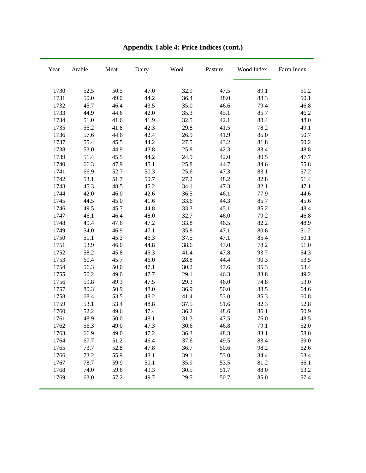| Year | Arable | Meat | Dairy | Wool | Pasture | Wood Index | Farm Index |
|------|--------|------|-------|------|---------|------------|------------|
| 1730 | 52.5   | 50.5 | 47.0  | 32.9 | 47.5    | 89.1       | 51.2       |
| 1731 | 50.0   | 49.0 | 44.2  | 36.4 | 48.0    | 88.3       | 50.1       |
| 1732 | 45.7   | 46.4 | 43.5  | 35.0 | 46.6    | 79.4       | 46.8       |
| 1733 | 44.9   | 44.6 | 42.0  | 35.3 | 45.1    | 85.7       | 46.2       |
| 1734 | 51.0   | 41.6 | 41.9  | 32.5 | 42.1    | 88.4       | 48.0       |
| 1735 | 55.2   | 41.8 | 42.3  | 29.8 | 41.5    | 78.2       | 49.1       |
| 1736 | 57.6   | 44.6 | 42.4  | 26.9 | 41.9    | 85.0       | 50.7       |
| 1737 | 55.4   | 45.5 | 44.2  | 27.5 | 43.2    | 81.8       | 50.2       |
| 1738 | 53.0   | 44.9 | 43.8  | 25.8 | 42.3    | 83.4       | 48.8       |
| 1739 | 51.4   | 45.5 | 44.2  | 24.9 | 42.0    | 80.5       | 47.7       |
| 1740 | 66.3   | 47.9 | 45.1  | 25.8 | 44.7    | 84.6       | 55.8       |
| 1741 | 66.9   | 52.7 | 50.3  | 25.6 | 47.3    | 83.1       | 57.2       |
| 1742 | 53.1   | 51.7 | 50.7  | 27.2 | 48.2    | 82.8       | 51.4       |
| 1743 | 45.3   | 48.5 | 45.2  | 34.1 | 47.3    | 82.1       | 47.1       |
| 1744 | 42.0   | 46.0 | 42.6  | 36.5 | 46.1    | 77.9       | 44.6       |
| 1745 | 44.5   | 45.0 | 41.6  | 33.6 | 44.3    | 85.7       | 45.6       |
| 1746 | 49.5   | 45.7 | 44.8  | 33.3 | 45.1    | 85.2       | 48.4       |
| 1747 | 46.1   | 46.4 | 48.0  | 32.7 | 46.0    | 79.2       | 46.8       |
| 1748 | 49.4   | 47.6 | 47.2  | 33.8 | 46.5    | 82.2       | 48.9       |
| 1749 | 54.0   | 46.9 | 47.1  | 35.8 | 47.1    | 80.6       | 51.2       |
| 1750 | 51.1   | 45.3 | 46.3  | 37.5 | 47.1    | 85.4       | 50.1       |
| 1751 | 53.9   | 46.0 | 44.8  | 38.6 | 47.0    | 78.2       | 51.0       |
| 1752 | 58.2   | 45.8 | 45.3  | 41.4 | 47.8    | 93.7       | 54.3       |
| 1753 | 60.4   | 45.7 | 46.0  | 28.8 | 44.4    | 90.3       | 53.5       |
| 1754 | 56.3   | 50.0 | 47.1  | 30.2 | 47.6    | 95.3       | 53.4       |
| 1755 | 50.2   | 49.0 | 47.7  | 29.1 | 46.3    | 83.8       | 49.2       |
| 1756 | 59.8   | 49.3 | 47.5  | 29.3 | 46.0    | 74.8       | 53.0       |
| 1757 | 80.3   | 50.9 | 48.0  | 36.9 | 50.0    | 88.5       | 64.6       |
| 1758 | 68.4   | 53.5 | 48.2  | 41.4 | 53.0    | 85.3       | 60.8       |
| 1759 | 53.1   | 53.4 | 48.8  | 37.5 | 51.6    | 82.3       | 52.8       |
| 1760 | 52.2   | 49.6 | 47.4  | 36.2 | 48.6    | 86.1       | 50.9       |
| 1761 | 48.9   | 50.0 | 48.1  | 31.3 | 47.5    | 76.0       | 48.5       |
| 1762 | 56.3   | 49.0 | 47.3  | 30.6 | 46.8    | 79.1       | 52.0       |
| 1763 | 66.9   | 49.0 | 47.2  | 36.3 | 48.3    | 83.1       | 58.0       |
| 1764 | 67.7   | 51.2 | 46.4  | 37.6 | 49.5    | 83.4       | 59.0       |
| 1765 | 73.7   | 52.8 | 47.8  | 36.7 | 50.6    | 98.2       | 62.6       |
| 1766 | 73.2   | 55.9 | 48.1  | 39.1 | 53.0    | 84.4       | 63.4       |
| 1767 | 78.7   | 59.9 | 50.1  | 35.9 | 53.5    | 81.2       | 66.1       |
| 1768 | 74.0   | 59.6 | 49.3  | 30.5 | 51.7    | 88.0       | 63.2       |
| 1769 | 63.0   | 57.2 | 49.7  | 29.5 | 50.7    | 85.0       | 57.4       |

**Appendix Table 4: Price Indices (cont.)**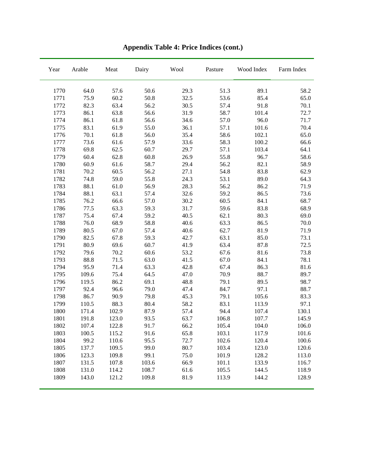| Year | Arable | Meat  | Dairy | Wool | Pasture | Wood Index | Farm Index |
|------|--------|-------|-------|------|---------|------------|------------|
| 1770 | 64.0   | 57.6  | 50.6  | 29.3 | 51.3    | 89.1       | 58.2       |
| 1771 | 75.9   | 60.2  | 50.8  | 32.5 | 53.6    | 85.4       | 65.0       |
| 1772 | 82.3   | 63.4  | 56.2  | 30.5 | 57.4    | 91.8       | 70.1       |
| 1773 | 86.1   | 63.8  | 56.6  | 31.9 | 58.7    | 101.4      | 72.7       |
| 1774 | 86.1   | 61.8  | 56.6  | 34.6 | 57.0    | 96.0       | 71.7       |
| 1775 | 83.1   | 61.9  | 55.0  | 36.1 | 57.1    | 101.6      | 70.4       |
| 1776 | 70.1   | 61.8  | 56.0  | 35.4 | 58.6    | 102.1      | 65.0       |
| 1777 | 73.6   | 61.6  | 57.9  | 33.6 | 58.3    | 100.2      | 66.6       |
| 1778 | 69.8   | 62.5  | 60.7  | 29.7 | 57.1    | 103.4      | 64.1       |
| 1779 | 60.4   | 62.8  | 60.8  | 26.9 | 55.8    | 96.7       | 58.6       |
| 1780 | 60.9   | 61.6  | 58.7  | 29.4 | 56.2    | 82.1       | 58.9       |
| 1781 | 70.2   | 60.5  | 56.2  | 27.1 | 54.8    | 83.8       | 62.9       |
| 1782 | 74.8   | 59.0  | 55.8  | 24.3 | 53.1    | 89.0       | 64.3       |
| 1783 | 88.1   | 61.0  | 56.9  | 28.3 | 56.2    | 86.2       | 71.9       |
| 1784 | 88.1   | 63.1  | 57.4  | 32.6 | 59.2    | 86.5       | 73.6       |
| 1785 | 76.2   | 66.6  | 57.0  | 30.2 | 60.5    | 84.1       | 68.7       |
| 1786 | 77.5   | 63.3  | 59.3  | 31.7 | 59.6    | 83.8       | 68.9       |
| 1787 | 75.4   | 67.4  | 59.2  | 40.5 | 62.1    | 80.3       | 69.0       |
| 1788 | 76.0   | 68.9  | 58.8  | 40.6 | 63.3    | 86.5       | 70.0       |
| 1789 | 80.5   | 67.0  | 57.4  | 40.6 | 62.7    | 81.9       | 71.9       |
| 1790 | 82.5   | 67.8  | 59.3  | 42.7 | 63.1    | 85.0       | 73.1       |
| 1791 | 80.9   | 69.6  | 60.7  | 41.9 | 63.4    | 87.8       | 72.5       |
| 1792 | 79.6   | 70.2  | 60.6  | 53.2 | 67.6    | 81.6       | 73.8       |
| 1793 | 88.8   | 71.5  | 63.0  | 41.5 | 67.0    | 84.1       | 78.1       |
| 1794 | 95.9   | 71.4  | 63.3  | 42.8 | 67.4    | 86.3       | 81.6       |
| 1795 | 109.6  | 75.4  | 64.5  | 47.0 | 70.9    | 88.7       | 89.7       |
| 1796 | 119.5  | 86.2  | 69.1  | 48.8 | 79.1    | 89.5       | 98.7       |
| 1797 | 92.4   | 96.6  | 79.0  | 47.4 | 84.7    | 97.1       | 88.7       |
| 1798 | 86.7   | 90.9  | 79.8  | 45.3 | 79.1    | 105.6      | 83.3       |
| 1799 | 110.5  | 88.3  | 80.4  | 58.2 | 83.1    | 113.9      | 97.1       |
| 1800 | 171.4  | 102.9 | 87.9  | 57.4 | 94.4    | 107.4      | 130.1      |
| 1801 | 191.8  | 123.0 | 93.5  | 63.7 | 106.8   | 107.7      | 145.9      |
| 1802 | 107.4  | 122.8 | 91.7  | 66.2 | 105.4   | 104.0      | 106.0      |
| 1803 | 100.5  | 115.2 | 91.6  | 65.8 | 103.1   | 117.9      | 101.6      |
| 1804 | 99.2   | 110.6 | 95.5  | 72.7 | 102.6   | 120.4      | 100.6      |
| 1805 | 137.7  | 109.5 | 99.0  | 80.7 | 103.4   | 123.0      | 120.6      |
| 1806 | 123.3  | 109.8 | 99.1  | 75.0 | 101.9   | 128.2      | 113.0      |
| 1807 | 131.5  | 107.8 | 103.6 | 66.9 | 101.1   | 133.9      | 116.7      |
| 1808 | 131.0  | 114.2 | 108.7 | 61.6 | 105.5   | 144.5      | 118.9      |
| 1809 | 143.0  | 121.2 | 109.8 | 81.9 | 113.9   | 144.2      | 128.9      |

**Appendix Table 4: Price Indices (cont.)**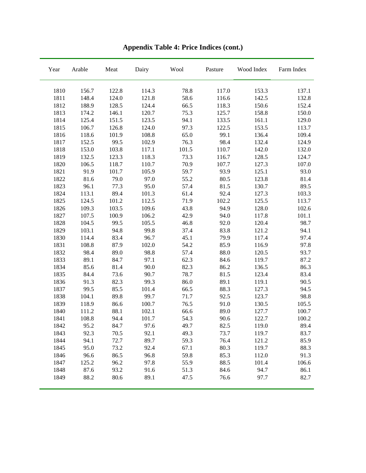| Year | Arable | Meat  | Dairy | Wool  | Pasture | Wood Index | Farm Index |
|------|--------|-------|-------|-------|---------|------------|------------|
| 1810 | 156.7  | 122.8 | 114.3 | 78.8  | 117.0   | 153.3      | 137.1      |
| 1811 | 148.4  | 124.0 | 121.8 | 58.6  | 116.6   | 142.5      | 132.8      |
| 1812 | 188.9  | 128.5 | 124.4 | 66.5  | 118.3   | 150.6      | 152.4      |
| 1813 | 174.2  | 146.1 | 120.7 | 75.3  | 125.7   | 158.8      | 150.0      |
| 1814 | 125.4  | 151.5 | 123.5 | 94.1  | 133.5   | 161.1      | 129.0      |
| 1815 | 106.7  | 126.8 | 124.0 | 97.3  | 122.5   | 153.5      | 113.7      |
| 1816 | 118.6  | 101.9 | 108.8 | 65.0  | 99.1    | 136.4      | 109.4      |
| 1817 | 152.5  | 99.5  | 102.9 | 76.3  | 98.4    | 132.4      | 124.9      |
| 1818 | 153.0  | 103.8 | 117.1 | 101.5 | 110.7   | 142.0      | 132.0      |
| 1819 | 132.5  | 123.3 | 118.3 | 73.3  | 116.7   | 128.5      | 124.7      |
| 1820 | 106.5  | 118.7 | 110.7 | 70.9  | 107.7   | 127.3      | 107.0      |
| 1821 | 91.9   | 101.7 | 105.9 | 59.7  | 93.9    | 125.1      | 93.0       |
| 1822 | 81.6   | 79.0  | 97.0  | 55.2  | 80.5    | 123.8      | 81.4       |
| 1823 | 96.1   | 77.3  | 95.0  | 57.4  | 81.5    | 130.7      | 89.5       |
| 1824 | 113.1  | 89.4  | 101.3 | 61.4  | 92.4    | 127.3      | 103.3      |
| 1825 | 124.5  | 101.2 | 112.5 | 71.9  | 102.2   | 125.5      | 113.7      |
| 1826 | 109.3  | 103.5 | 109.6 | 43.8  | 94.9    | 128.0      | 102.6      |
| 1827 | 107.5  | 100.9 | 106.2 | 42.9  | 94.0    | 117.8      | 101.1      |
| 1828 | 104.5  | 99.5  | 105.5 | 46.8  | 92.0    | 120.4      | 98.7       |
| 1829 | 103.1  | 94.8  | 99.8  | 37.4  | 83.8    | 121.2      | 94.1       |
| 1830 | 114.4  | 83.4  | 96.7  | 45.1  | 79.9    | 117.4      | 97.4       |
| 1831 | 108.8  | 87.9  | 102.0 | 54.2  | 85.9    | 116.9      | 97.8       |
| 1832 | 98.4   | 89.0  | 98.8  | 57.4  | 88.0    | 120.5      | 93.7       |
| 1833 | 89.1   | 84.7  | 97.1  | 62.3  | 84.6    | 119.7      | 87.2       |
| 1834 | 85.6   | 81.4  | 90.0  | 82.3  | 86.2    | 136.5      | 86.3       |
| 1835 | 84.4   | 73.6  | 90.7  | 78.7  | 81.5    | 123.4      | 83.4       |
| 1836 | 91.3   | 82.3  | 99.3  | 86.0  | 89.1    | 119.1      | 90.5       |
| 1837 | 99.5   | 85.5  | 101.4 | 66.5  | 88.3    | 127.3      | 94.5       |
| 1838 | 104.1  | 89.8  | 99.7  | 71.7  | 92.5    | 123.7      | 98.8       |
| 1839 | 118.9  | 86.6  | 100.7 | 76.5  | 91.0    | 130.5      | 105.5      |
| 1840 | 111.2  | 88.1  | 102.1 | 66.6  | 89.0    | 127.7      | 100.7      |
| 1841 | 108.8  | 94.4  | 101.7 | 54.3  | 90.6    | 122.7      | 100.2      |
| 1842 | 95.2   | 84.7  | 97.6  | 49.7  | 82.5    | 119.0      | 89.4       |
| 1843 | 92.3   | 70.5  | 92.1  | 49.3  | 73.7    | 119.7      | 83.7       |
| 1844 | 94.1   | 72.7  | 89.7  | 59.3  | 76.4    | 121.2      | 85.9       |
| 1845 | 95.0   | 73.2  | 92.4  | 67.1  | 80.3    | 119.7      | 88.3       |
| 1846 | 96.6   | 86.5  | 96.8  | 59.8  | 85.3    | 112.0      | 91.3       |
| 1847 | 125.2  | 96.2  | 97.8  | 55.9  | 88.5    | 101.4      | 106.6      |
| 1848 | 87.6   | 93.2  | 91.6  | 51.3  | 84.6    | 94.7       | 86.1       |
| 1849 | 88.2   | 80.6  | 89.1  | 47.5  | 76.6    | 97.7       | 82.7       |

**Appendix Table 4: Price Indices (cont.)**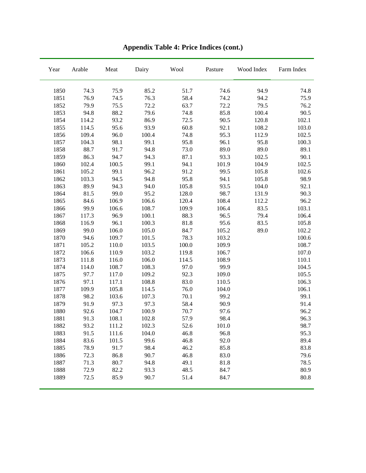| Year | Arable | $\operatorname{Meat}$ | Dairy | Wool  | Pasture | Wood Index | Farm Index |
|------|--------|-----------------------|-------|-------|---------|------------|------------|
| 1850 | 74.3   | 75.9                  | 85.2  | 51.7  | 74.6    | 94.9       | 74.8       |
| 1851 | 76.9   | 74.5                  | 76.3  | 58.4  | 74.2    | 94.2       | 75.9       |
| 1852 | 79.9   | 75.5                  | 72.2  | 63.7  | 72.2    | 79.5       | 76.2       |
| 1853 | 94.8   | 88.2                  | 79.6  | 74.8  | 85.8    | 100.4      | 90.5       |
| 1854 | 114.2  | 93.2                  | 86.9  | 72.5  | 90.5    | 120.8      | 102.1      |
| 1855 | 114.5  | 95.6                  | 93.9  | 60.8  | 92.1    | 108.2      | 103.0      |
| 1856 | 109.4  | 96.0                  | 100.4 | 74.8  | 95.3    | 112.9      | 102.5      |
| 1857 | 104.3  | 98.1                  | 99.1  | 95.8  | 96.1    | 95.8       | 100.3      |
| 1858 | 88.7   | 91.7                  | 94.8  | 73.0  | 89.0    | 89.0       | 89.1       |
| 1859 | 86.3   | 94.7                  | 94.3  | 87.1  | 93.3    | 102.5      | 90.1       |
| 1860 | 102.4  | 100.5                 | 99.1  | 94.1  | 101.9   | 104.9      | 102.5      |
| 1861 | 105.2  | 99.1                  | 96.2  | 91.2  | 99.5    | 105.8      | 102.6      |
| 1862 | 103.3  | 94.5                  | 94.8  | 95.8  | 94.1    | 105.8      | 98.9       |
| 1863 | 89.9   | 94.3                  | 94.0  | 105.8 | 93.5    | 104.0      | 92.1       |
| 1864 | 81.5   | 99.0                  | 95.2  | 128.0 | 98.7    | 131.9      | 90.3       |
| 1865 | 84.6   | 106.9                 | 106.6 | 120.4 | 108.4   | 112.2      | 96.2       |
| 1866 | 99.9   | 106.6                 | 108.7 | 109.9 | 106.4   | 83.5       | 103.1      |
| 1867 | 117.3  | 96.9                  | 100.1 | 88.3  | 96.5    | 79.4       | 106.4      |
| 1868 | 116.9  | 96.1                  | 100.3 | 81.8  | 95.6    | 83.5       | 105.8      |
| 1869 | 99.0   | 106.0                 | 105.0 | 84.7  | 105.2   | 89.0       | 102.2      |
| 1870 | 94.6   | 109.7                 | 101.5 | 78.3  | 103.2   |            | 100.6      |
| 1871 | 105.2  | 110.0                 | 103.5 | 100.0 | 109.9   |            | 108.7      |
| 1872 | 106.6  | 110.9                 | 103.2 | 119.8 | 106.7   |            | 107.0      |
| 1873 | 111.8  | 116.0                 | 106.0 | 114.5 | 108.9   |            | 110.1      |
| 1874 | 114.0  | 108.7                 | 108.3 | 97.0  | 99.9    |            | 104.5      |
| 1875 | 97.7   | 117.0                 | 109.2 | 92.3  | 109.0   |            | 105.5      |
| 1876 | 97.1   | 117.1                 | 108.8 | 83.0  | 110.5   |            | 106.3      |
| 1877 | 109.9  | 105.8                 | 114.5 | 76.0  | 104.0   |            | 106.1      |
| 1878 | 98.2   | 103.6                 | 107.3 | 70.1  | 99.2    |            | 99.1       |
| 1879 | 91.9   | 97.3                  | 97.3  | 58.4  | 90.9    |            | 91.4       |
| 1880 | 92.6   | 104.7                 | 100.9 | 70.7  | 97.6    |            | 96.2       |
| 1881 | 91.3   | 108.1                 | 102.8 | 57.9  | 98.4    |            | 96.3       |
| 1882 | 93.2   | 111.2                 | 102.3 | 52.6  | 101.0   |            | 98.7       |
| 1883 | 91.5   | 111.6                 | 104.0 | 46.8  | 96.8    |            | 95.3       |
| 1884 | 83.6   | 101.5                 | 99.6  | 46.8  | 92.0    |            | 89.4       |
| 1885 | 78.9   | 91.7                  | 98.4  | 46.2  | 85.8    |            | 83.8       |
| 1886 | 72.3   | 86.8                  | 90.7  | 46.8  | 83.0    |            | 79.6       |
| 1887 | 71.3   | 80.7                  | 94.8  | 49.1  | 81.8    |            | 78.5       |
| 1888 | 72.9   | 82.2                  | 93.3  | 48.5  | 84.7    |            | 80.9       |
| 1889 | 72.5   | 85.9                  | 90.7  | 51.4  | 84.7    |            | 80.8       |

**Appendix Table 4: Price Indices (cont.)**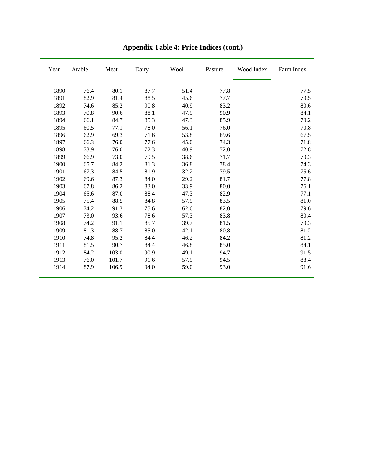| Year | Arable | Meat  | Dairy | Wool | Pasture | Wood Index | Farm Index |
|------|--------|-------|-------|------|---------|------------|------------|
| 1890 | 76.4   | 80.1  | 87.7  | 51.4 | 77.8    |            | 77.5       |
| 1891 | 82.9   | 81.4  | 88.5  | 45.6 | 77.7    |            | 79.5       |
| 1892 | 74.6   | 85.2  | 90.8  | 40.9 | 83.2    |            | 80.6       |
| 1893 | 70.8   | 90.6  | 88.1  | 47.9 | 90.9    |            | 84.1       |
| 1894 | 66.1   | 84.7  | 85.3  | 47.3 | 85.9    |            | 79.2       |
| 1895 | 60.5   | 77.1  | 78.0  | 56.1 | 76.0    |            | 70.8       |
| 1896 | 62.9   | 69.3  | 71.6  | 53.8 | 69.6    |            | 67.5       |
| 1897 | 66.3   | 76.0  | 77.6  | 45.0 | 74.3    |            | 71.8       |
| 1898 | 73.9   | 76.0  | 72.3  | 40.9 | 72.0    |            | 72.8       |
| 1899 | 66.9   | 73.0  | 79.5  | 38.6 | 71.7    |            | 70.3       |
| 1900 | 65.7   | 84.2  | 81.3  | 36.8 | 78.4    |            | 74.3       |
| 1901 | 67.3   | 84.5  | 81.9  | 32.2 | 79.5    |            | 75.6       |
| 1902 | 69.6   | 87.3  | 84.0  | 29.2 | 81.7    |            | 77.8       |
| 1903 | 67.8   | 86.2  | 83.0  | 33.9 | 80.0    |            | 76.1       |
| 1904 | 65.6   | 87.0  | 88.4  | 47.3 | 82.9    |            | 77.1       |
| 1905 | 75.4   | 88.5  | 84.8  | 57.9 | 83.5    |            | 81.0       |
| 1906 | 74.2   | 91.3  | 75.6  | 62.6 | 82.0    |            | 79.6       |
| 1907 | 73.0   | 93.6  | 78.6  | 57.3 | 83.8    |            | 80.4       |
| 1908 | 74.2   | 91.1  | 85.7  | 39.7 | 81.5    |            | 79.3       |
| 1909 | 81.3   | 88.7  | 85.0  | 42.1 | 80.8    |            | 81.2       |
| 1910 | 74.8   | 95.2  | 84.4  | 46.2 | 84.2    |            | 81.2       |
| 1911 | 81.5   | 90.7  | 84.4  | 46.8 | 85.0    |            | 84.1       |
| 1912 | 84.2   | 103.0 | 90.9  | 49.1 | 94.7    |            | 91.5       |
| 1913 | 76.0   | 101.7 | 91.6  | 57.9 | 94.5    |            | 88.4       |
| 1914 | 87.9   | 106.9 | 94.0  | 59.0 | 93.0    |            | 91.6       |

**Appendix Table 4: Price Indices (cont.)**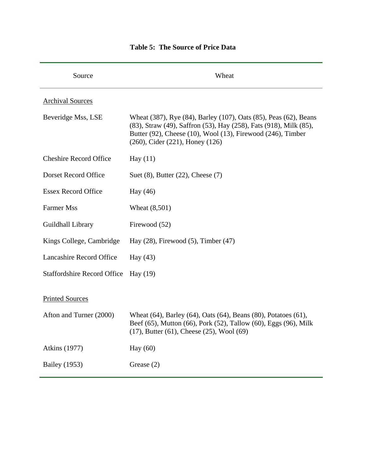| Source                             | Wheat                                                                                                                                                                                                                                           |
|------------------------------------|-------------------------------------------------------------------------------------------------------------------------------------------------------------------------------------------------------------------------------------------------|
| <b>Archival Sources</b>            |                                                                                                                                                                                                                                                 |
| Beveridge Mss, LSE                 | Wheat (387), Rye (84), Barley (107), Oats (85), Peas (62), Beans<br>(83), Straw (49), Saffron (53), Hay (258), Fats (918), Milk (85),<br>Butter (92), Cheese (10), Wool (13), Firewood (246), Timber<br>$(260)$ , Cider $(221)$ , Honey $(126)$ |
| <b>Cheshire Record Office</b>      | Hay $(11)$                                                                                                                                                                                                                                      |
| Dorset Record Office               | Suet $(8)$ , Butter $(22)$ , Cheese $(7)$                                                                                                                                                                                                       |
| <b>Essex Record Office</b>         | Hay (46)                                                                                                                                                                                                                                        |
| <b>Farmer Mss</b>                  | Wheat (8,501)                                                                                                                                                                                                                                   |
| Guildhall Library                  | Firewood (52)                                                                                                                                                                                                                                   |
| Kings College, Cambridge           | Hay $(28)$ , Firewood $(5)$ , Timber $(47)$                                                                                                                                                                                                     |
| <b>Lancashire Record Office</b>    | Hay $(43)$                                                                                                                                                                                                                                      |
| <b>Staffordshire Record Office</b> | Hay $(19)$                                                                                                                                                                                                                                      |
| <b>Printed Sources</b>             |                                                                                                                                                                                                                                                 |
| Afton and Turner (2000)            | Wheat (64), Barley (64), Oats (64), Beans (80), Potatoes (61),<br>Beef (65), Mutton (66), Pork (52), Tallow (60), Eggs (96), Milk<br>$(17)$ , Butter $(61)$ , Cheese $(25)$ , Wool $(69)$                                                       |
| <b>Atkins</b> (1977)               | Hay (60)                                                                                                                                                                                                                                        |
| <b>Bailey</b> (1953)               | Grease $(2)$                                                                                                                                                                                                                                    |

### **Table 5: The Source of Price Data**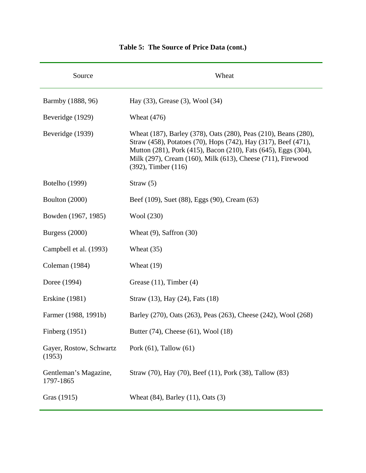| Source                             | Wheat                                                                                                                                                                                                                                                                                     |
|------------------------------------|-------------------------------------------------------------------------------------------------------------------------------------------------------------------------------------------------------------------------------------------------------------------------------------------|
| Barmby (1888, 96)                  | Hay (33), Grease (3), Wool (34)                                                                                                                                                                                                                                                           |
| Beveridge (1929)                   | Wheat $(476)$                                                                                                                                                                                                                                                                             |
| Beveridge (1939)                   | Wheat (187), Barley (378), Oats (280), Peas (210), Beans (280),<br>Straw (458), Potatoes (70), Hops (742), Hay (317), Beef (471),<br>Mutton (281), Pork (415), Bacon (210), Fats (645), Eggs (304),<br>Milk (297), Cream (160), Milk (613), Cheese (711), Firewood<br>(392), Timber (116) |
| <b>Botelho</b> (1999)              | Straw $(5)$                                                                                                                                                                                                                                                                               |
| Boulton (2000)                     | Beef (109), Suet (88), Eggs (90), Cream (63)                                                                                                                                                                                                                                              |
| Bowden (1967, 1985)                | Wool (230)                                                                                                                                                                                                                                                                                |
| Burgess $(2000)$                   | Wheat $(9)$ , Saffron $(30)$                                                                                                                                                                                                                                                              |
| Campbell et al. (1993)             | Wheat $(35)$                                                                                                                                                                                                                                                                              |
| Coleman (1984)                     | Wheat $(19)$                                                                                                                                                                                                                                                                              |
| Doree (1994)                       | Grease $(11)$ , Timber $(4)$                                                                                                                                                                                                                                                              |
| <b>Erskine</b> (1981)              | Straw (13), Hay (24), Fats (18)                                                                                                                                                                                                                                                           |
| Farmer (1988, 1991b)               | Barley (270), Oats (263), Peas (263), Cheese (242), Wool (268)                                                                                                                                                                                                                            |
| Finberg (1951)                     | Butter (74), Cheese (61), Wool (18)                                                                                                                                                                                                                                                       |
| Gayer, Rostow, Schwartz<br>(1953)  | Pork $(61)$ , Tallow $(61)$                                                                                                                                                                                                                                                               |
| Gentleman's Magazine,<br>1797-1865 | Straw (70), Hay (70), Beef (11), Pork (38), Tallow (83)                                                                                                                                                                                                                                   |
| Gras (1915)                        | Wheat $(84)$ , Barley $(11)$ , Oats $(3)$                                                                                                                                                                                                                                                 |

## **Table 5: The Source of Price Data (cont.)**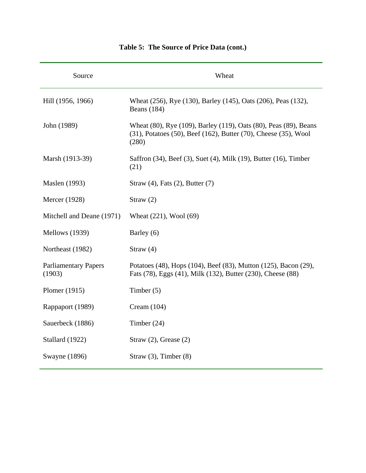| Source                                | Wheat                                                                                                                                        |
|---------------------------------------|----------------------------------------------------------------------------------------------------------------------------------------------|
| Hill (1956, 1966)                     | Wheat (256), Rye (130), Barley (145), Oats (206), Peas (132),<br><b>Beans</b> (184)                                                          |
| John (1989)                           | Wheat (80), Rye (109), Barley (119), Oats (80), Peas (89), Beans<br>(31), Potatoes (50), Beef (162), Butter (70), Cheese (35), Wool<br>(280) |
| Marsh (1913-39)                       | Saffron (34), Beef (3), Suet (4), Milk (19), Butter (16), Timber<br>(21)                                                                     |
| <b>Maslen</b> (1993)                  | Straw (4), Fats (2), Butter (7)                                                                                                              |
| Mercer (1928)                         | Straw $(2)$                                                                                                                                  |
| Mitchell and Deane (1971)             | Wheat (221), Wool (69)                                                                                                                       |
| Mellows (1939)                        | Barley (6)                                                                                                                                   |
| Northeast (1982)                      | Straw $(4)$                                                                                                                                  |
| <b>Parliamentary Papers</b><br>(1903) | Potatoes (48), Hops (104), Beef (83), Mutton (125), Bacon (29),<br>Fats (78), Eggs (41), Milk (132), Butter (230), Cheese (88)               |
| Plomer (1915)                         | Timber $(5)$                                                                                                                                 |
| Rappaport (1989)                      | Cream $(104)$                                                                                                                                |
| Sauerbeck (1886)                      | Timber $(24)$                                                                                                                                |
| Stallard (1922)                       | Straw $(2)$ , Grease $(2)$                                                                                                                   |
| Swayne (1896)                         | Straw $(3)$ , Timber $(8)$                                                                                                                   |

## **Table 5: The Source of Price Data (cont.)**